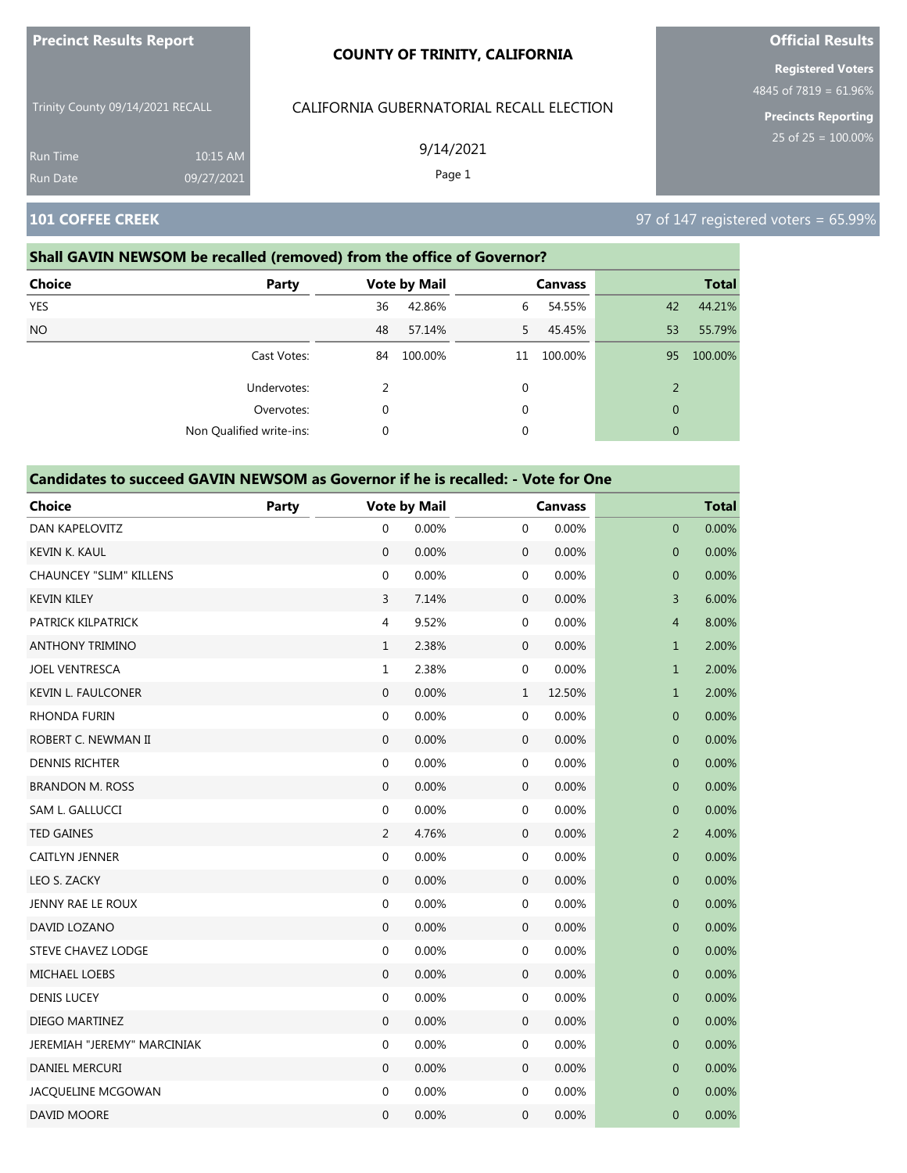| <b>Precinct Results Report</b>   |            | <b>COUNTY OF TRINITY, CALIFORNIA</b>     | <b>Official Results</b>                           |
|----------------------------------|------------|------------------------------------------|---------------------------------------------------|
|                                  |            |                                          | <b>Registered Voters</b><br>4845 of 7819 = 61.96% |
| Trinity County 09/14/2021 RECALL |            | CALIFORNIA GUBERNATORIAL RECALL ELECTION | <b>Precincts Reporting</b>                        |
| <b>Run Time</b>                  | 10:15 AM   | 9/14/2021                                | 25 of $25 = 100.00\%$                             |
| <b>Run Date</b>                  | 09/27/2021 | Page 1                                   |                                                   |
| <b>101 COFFEE CREEK</b>          |            |                                          | 97 of 147 registered voters = 65.99%              |

# **Shall GAVIN NEWSOM be recalled (removed) from the office of Governor?**

| Choice     | <b>Party</b>             |          | <b>Vote by Mail</b> |    | <b>Canvass</b> |                | <b>Total</b> |
|------------|--------------------------|----------|---------------------|----|----------------|----------------|--------------|
| <b>YES</b> |                          | 36       | 42.86%              | 6  | 54.55%         | 42             | 44.21%       |
| <b>NO</b>  |                          | 48       | 57.14%              | 5. | 45.45%         | 53             | 55.79%       |
|            | Cast Votes:              | 84       | 100.00%             | 11 | 100.00%        | 95             | 100.00%      |
|            | Undervotes:              |          |                     | 0  |                | $\overline{2}$ |              |
|            | Overvotes:               |          |                     | 0  |                | $\mathbf{0}$   |              |
|            | Non Qualified write-ins: | $\Omega$ |                     | 0  |                | $\mathbf{0}$   |              |

| <b>Choice</b>                  | Party |                  | <b>Vote by Mail</b> |                  | <b>Canvass</b> |                  | <b>Total</b> |
|--------------------------------|-------|------------------|---------------------|------------------|----------------|------------------|--------------|
| DAN KAPELOVITZ                 |       | $\mathbf 0$      | 0.00%               | 0                | 0.00%          | $\mathbf 0$      | 0.00%        |
| <b>KEVIN K. KAUL</b>           |       | $\mathbf{0}$     | 0.00%               | $\boldsymbol{0}$ | 0.00%          | $\overline{0}$   | 0.00%        |
| <b>CHAUNCEY "SLIM" KILLENS</b> |       | $\boldsymbol{0}$ | 0.00%               | 0                | 0.00%          | $\mathbf 0$      | 0.00%        |
| <b>KEVIN KILEY</b>             |       | 3                | 7.14%               | $\mathbf 0$      | 0.00%          | 3                | 6.00%        |
| PATRICK KILPATRICK             |       | 4                | 9.52%               | 0                | 0.00%          | $\overline{4}$   | 8.00%        |
| <b>ANTHONY TRIMINO</b>         |       | $\mathbf{1}$     | 2.38%               | $\mathbf 0$      | 0.00%          | $\mathbf{1}$     | 2.00%        |
| <b>JOEL VENTRESCA</b>          |       | $\mathbf{1}$     | 2.38%               | 0                | 0.00%          | $\mathbf{1}$     | 2.00%        |
| <b>KEVIN L. FAULCONER</b>      |       | $\overline{0}$   | 0.00%               | $\mathbf{1}$     | 12.50%         | $\mathbf{1}$     | 2.00%        |
| RHONDA FURIN                   |       | $\boldsymbol{0}$ | 0.00%               | 0                | 0.00%          | $\mathbf 0$      | 0.00%        |
| ROBERT C. NEWMAN II            |       | $\boldsymbol{0}$ | 0.00%               | $\boldsymbol{0}$ | 0.00%          | $\mathbf{0}$     | 0.00%        |
| <b>DENNIS RICHTER</b>          |       | $\boldsymbol{0}$ | 0.00%               | 0                | 0.00%          | $\pmb{0}$        | 0.00%        |
| <b>BRANDON M. ROSS</b>         |       | $\mathbf{0}$     | 0.00%               | $\mathbf 0$      | 0.00%          | 0                | 0.00%        |
| SAM L. GALLUCCI                |       | $\boldsymbol{0}$ | 0.00%               | 0                | 0.00%          | $\mathbf 0$      | 0.00%        |
| <b>TED GAINES</b>              |       | $\overline{2}$   | 4.76%               | $\boldsymbol{0}$ | 0.00%          | $\overline{2}$   | 4.00%        |
| CAITLYN JENNER                 |       | $\boldsymbol{0}$ | 0.00%               | 0                | 0.00%          | $\boldsymbol{0}$ | 0.00%        |
| LEO S. ZACKY                   |       | $\mathbf 0$      | 0.00%               | 0                | 0.00%          | 0                | 0.00%        |
| JENNY RAE LE ROUX              |       | $\boldsymbol{0}$ | 0.00%               | 0                | 0.00%          | $\mathbf 0$      | 0.00%        |
| DAVID LOZANO                   |       | $\boldsymbol{0}$ | 0.00%               | $\boldsymbol{0}$ | 0.00%          | $\mathbf{0}$     | 0.00%        |
| <b>STEVE CHAVEZ LODGE</b>      |       | $\boldsymbol{0}$ | 0.00%               | 0                | 0.00%          | $\mathbf 0$      | 0.00%        |
| <b>MICHAEL LOEBS</b>           |       | $\boldsymbol{0}$ | 0.00%               | 0                | 0.00%          | $\mathbf 0$      | 0.00%        |
| <b>DENIS LUCEY</b>             |       | $\boldsymbol{0}$ | 0.00%               | 0                | 0.00%          | $\pmb{0}$        | 0.00%        |
| <b>DIEGO MARTINEZ</b>          |       | $\mathbf{0}$     | 0.00%               | $\boldsymbol{0}$ | 0.00%          | $\mathbf 0$      | 0.00%        |
| JEREMIAH "JEREMY" MARCINIAK    |       | $\boldsymbol{0}$ | 0.00%               | $\mathbf 0$      | 0.00%          | $\mathbf 0$      | 0.00%        |
| <b>DANIEL MERCURI</b>          |       | $\mathbf{0}$     | 0.00%               | $\mathbf 0$      | 0.00%          | $\mathbf 0$      | 0.00%        |
| JACQUELINE MCGOWAN             |       | $\boldsymbol{0}$ | 0.00%               | 0                | 0.00%          | $\mathbf{0}$     | 0.00%        |
| <b>DAVID MOORE</b>             |       | $\mathbf 0$      | 0.00%               | $\mathbf 0$      | 0.00%          | $\mathbf{0}$     | 0.00%        |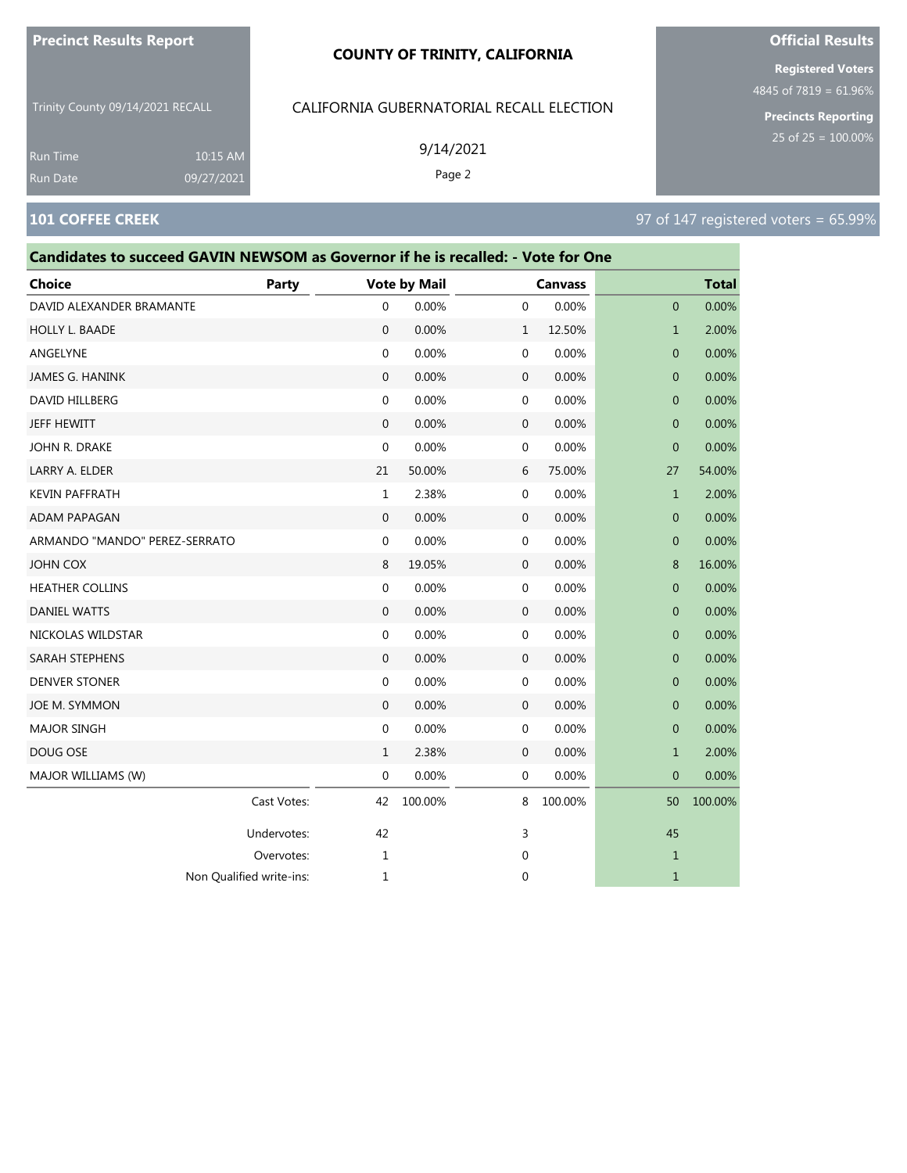#### **COUNTY OF TRINITY, CALIFORNIA**

Trinity County 09/14/2021 RECALL

10:15 AM 09/27/2021

#### CALIFORNIA GUBERNATORIAL RECALL ELECTION

9/14/2021

Page 2

Undervotes: 42 42 3 45 Overvotes: 1 0 1

Non Qualified write-ins: 1 0 1

**Registered Voters**

**Official Results**

4845 of 7819 = 61.96%

**Precincts Reporting** 25 of 25 = 100.00%

# **101 COFFEE CREEK** 97 of 147 registered voters = 65.99%

Run Time Run Date

# **Candidates to succeed GAVIN NEWSOM as Governor if he is recalled: - Vote for One Choice Party Vote by Mail Canvass Total** DAVID ALEXANDER BRAMANTE  $\begin{array}{cccc} 0 & 0.00\% & 0 & 0.00\% \end{array}$ HOLLY L. BAADE 0 0.00% 1 12.50% 1 2.00% ANGELYNE 0 0.00% 0 0.00% 0 0.00% JAMES G. HANINK 0 0.00% 0 0.00% 0 0.00% DAVID HILLBERG 0 0.00% 0 0.00% 0 0.00% JEFF HEWITT 0 0.00% 0 0.00% 0 0.00% JOHN R. DRAKE 0 0.00% 0 0.00% 0 0.00% LARRY A. ELDER 21 50.00% 6 75.00% 27 54.00% KEVIN PAFFRATH 1 2.38% 0 0.00% 1 2.00% ADAM PAPAGAN 0 0.00% 0 0.00% 0 0.00% ARMANDO "MANDO" PEREZ-SERRATO 0 0.00% 0 0.00% 0 0.00% JOHN COX 8 19.05% 0 0.00% 8 16.00% HEATHER COLLINS 0 0.00% 0 0.00% 0 0.00%  $\,$  DANIEL WATTS  $\,$  0 0.00% 0 0.00% 0 0.00% 0 0.00% 0 0.00% 0 0.00% 0 0.00% 0 0.00% 0 0.00% 0 0.00% 0 0.00% 0 0.00% 0 0.00% 0 0.00% 0 0.00% 0 0.00% 0 0.00% 0 0.00% 0 0.00% 0 0.00% 0 0.00% 0 0.00% 0 0.00% 0 0.00% 0 0.00 NICKOLAS WILDSTAR 0 0.00% 0 0.00% 0 0.00% SARAH STEPHENS 0 0.00% 0 0.00% 0 0.00% DENVER STONER 0 0.00% 0 0.00% 0 0.00% JOE M. SYMMON 0 0.00% 0 0.00% 0 0.00% MAJOR SINGH 0 0.00% 0 0.00% 0 0.00% DOUG OSE 1 2.38% 0 0.00% 1 2.00% MAJOR WILLIAMS (W) **0 0.000 0 0.000 0 0.000 0 0.000 0 0.000 0 0.00**% 0 0.00% 0 0.00% 0 0.00% 0 0.00% 0 0.00% 0 0.00% 0 0.00% 0 0.00% 0 0.00% 0 0.00% 0 0.00% 0 0.00% 0 0.00% 0 0.00% 0 0.00% 0 0.00% 0 0.00% 0 0.00% 0 0.00% 0 Cast Votes: 42 100.00% 8 100.00% 50 100.00%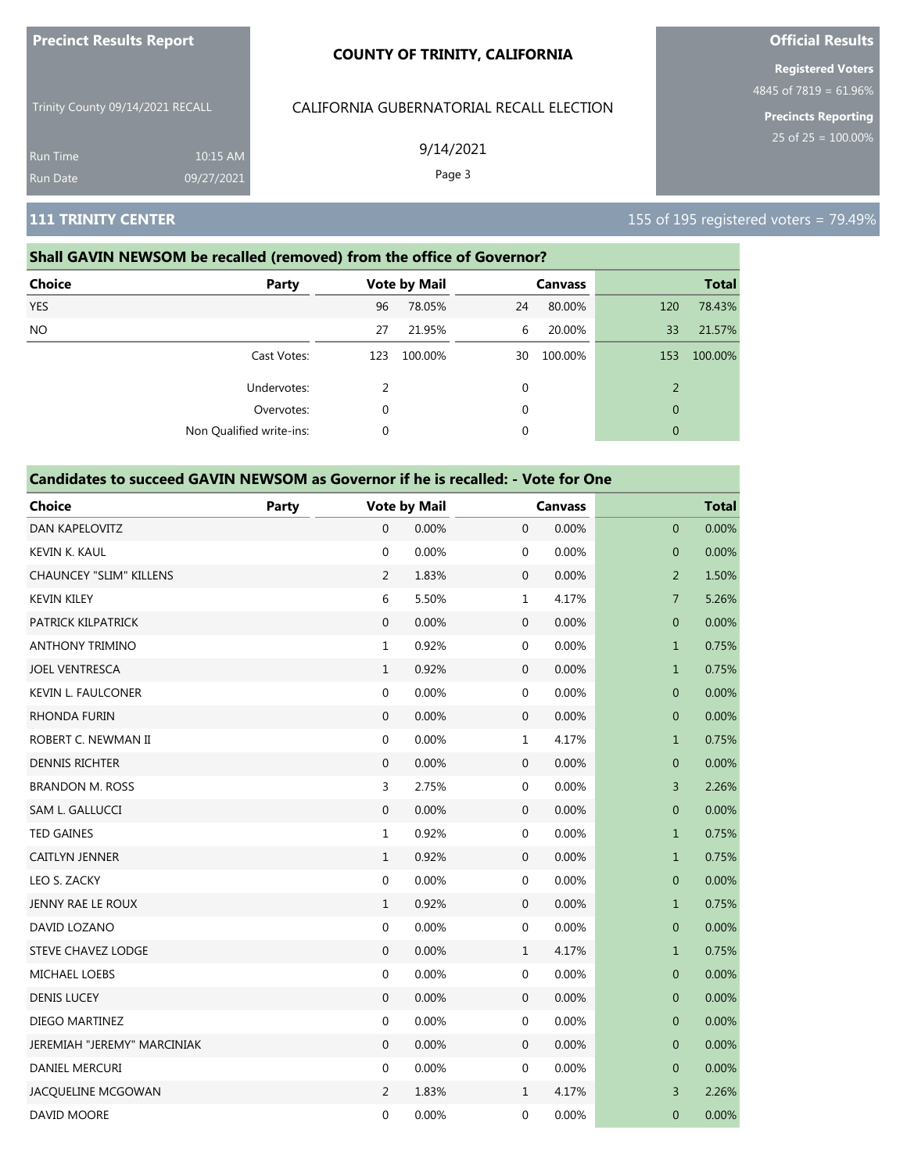| <b>Precinct Results Report</b> |  |  |
|--------------------------------|--|--|

Trinity County 09/14/2021 RECALL

# CALIFORNIA GUBERNATORIAL RECALL ELECTION

9/14/2021

Page 3

**Official Results Registered Voters**

4845 of 7819 = 61.96%

**Precincts Reporting**

Run Time

### **Shall GAVIN NEWSOM be recalled (removed) from the office of Governor?**

10:15 AM 09/27/2021

| <b>Choice</b><br>Party   |     | <b>Vote by Mail</b> |             | <b>Canvass</b> |                | <b>Total</b> |
|--------------------------|-----|---------------------|-------------|----------------|----------------|--------------|
| <b>YES</b>               | 96  | 78.05%              | 24          | 80.00%         | 120            | 78.43%       |
| <b>NO</b>                | 27  | 21.95%              | 6           | 20.00%         | 33             | 21.57%       |
| Cast Votes:              | 123 | 100.00%             | 30          | 100.00%        | 153            | 100.00%      |
| Undervotes:              | 2   |                     | $\mathbf 0$ |                | $\overline{2}$ |              |
| Overvotes:               | 0   |                     | $\mathbf 0$ |                | $\mathbf{0}$   |              |
| Non Qualified write-ins: | 0   |                     | 0           |                | $\mathbf{0}$   |              |

#### **Candidates to succeed GAVIN NEWSOM as Governor if he is recalled: - Vote for One**

| <b>Choice</b>                  | Party |                  | <b>Vote by Mail</b> |                  | <b>Canvass</b> |                | <b>Total</b> |
|--------------------------------|-------|------------------|---------------------|------------------|----------------|----------------|--------------|
| DAN KAPELOVITZ                 |       | $\mathbf{0}$     | 0.00%               | $\boldsymbol{0}$ | 0.00%          | $\mathbf 0$    | 0.00%        |
| KEVIN K. KAUL                  |       | $\mathbf 0$      | 0.00%               | $\mathbf 0$      | 0.00%          | $\mathbf 0$    | 0.00%        |
| <b>CHAUNCEY "SLIM" KILLENS</b> |       | 2                | 1.83%               | $\mathbf 0$      | 0.00%          | $\overline{2}$ | 1.50%        |
| <b>KEVIN KILEY</b>             |       | 6                | 5.50%               | $\mathbf{1}$     | 4.17%          | $\overline{7}$ | 5.26%        |
| PATRICK KILPATRICK             |       | $\boldsymbol{0}$ | 0.00%               | $\boldsymbol{0}$ | 0.00%          | $\mathbf 0$    | 0.00%        |
| <b>ANTHONY TRIMINO</b>         |       | $\mathbf 1$      | 0.92%               | $\boldsymbol{0}$ | 0.00%          | $\mathbf{1}$   | 0.75%        |
| <b>JOEL VENTRESCA</b>          |       | $\,1\,$          | 0.92%               | $\boldsymbol{0}$ | 0.00%          | $\mathbf{1}$   | 0.75%        |
| <b>KEVIN L. FAULCONER</b>      |       | 0                | 0.00%               | $\mathbf 0$      | 0.00%          | $\pmb{0}$      | 0.00%        |
| <b>RHONDA FURIN</b>            |       | $\boldsymbol{0}$ | 0.00%               | $\mathbf 0$      | 0.00%          | $\mathbf 0$    | 0.00%        |
| ROBERT C. NEWMAN II            |       | $\boldsymbol{0}$ | 0.00%               | $\mathbf 1$      | 4.17%          | $\mathbf{1}$   | 0.75%        |
| <b>DENNIS RICHTER</b>          |       | $\mathbf{0}$     | 0.00%               | $\boldsymbol{0}$ | 0.00%          | $\mathbf 0$    | 0.00%        |
| <b>BRANDON M. ROSS</b>         |       | 3                | 2.75%               | $\boldsymbol{0}$ | 0.00%          | 3              | 2.26%        |
| SAM L. GALLUCCI                |       | $\boldsymbol{0}$ | 0.00%               | $\mathbf 0$      | 0.00%          | $\mathbf 0$    | 0.00%        |
| <b>TED GAINES</b>              |       | $\mathbf{1}$     | 0.92%               | $\mathbf 0$      | 0.00%          | $\mathbf{1}$   | 0.75%        |
| CAITLYN JENNER                 |       | $\mathbf{1}$     | 0.92%               | $\mathbf 0$      | 0.00%          | $\mathbf{1}$   | 0.75%        |
| LEO S. ZACKY                   |       | $\mathbf 0$      | 0.00%               | $\mathbf 0$      | 0.00%          | $\mathbf 0$    | 0.00%        |
| JENNY RAE LE ROUX              |       | $\mathbf{1}$     | 0.92%               | $\mathbf 0$      | 0.00%          | $\mathbf{1}$   | 0.75%        |
| DAVID LOZANO                   |       | $\boldsymbol{0}$ | 0.00%               | $\boldsymbol{0}$ | 0.00%          | $\mathbf 0$    | 0.00%        |
| STEVE CHAVEZ LODGE             |       | $\boldsymbol{0}$ | 0.00%               | $\mathbf{1}$     | 4.17%          | $\mathbf{1}$   | 0.75%        |
| <b>MICHAEL LOEBS</b>           |       | $\mathbf 0$      | 0.00%               | $\boldsymbol{0}$ | 0.00%          | $\mathbf 0$    | 0.00%        |
| <b>DENIS LUCEY</b>             |       | $\boldsymbol{0}$ | 0.00%               | $\mathbf 0$      | 0.00%          | $\mathbf 0$    | 0.00%        |
| DIEGO MARTINEZ                 |       | $\mathbf{0}$     | 0.00%               | $\mathbf 0$      | 0.00%          | $\mathbf{0}$   | 0.00%        |
| JEREMIAH "JEREMY" MARCINIAK    |       | $\boldsymbol{0}$ | 0.00%               | $\boldsymbol{0}$ | 0.00%          | $\mathbf{0}$   | 0.00%        |
| DANIEL MERCURI                 |       | $\mathbf 0$      | 0.00%               | $\boldsymbol{0}$ | 0.00%          | $\pmb{0}$      | 0.00%        |
| JACQUELINE MCGOWAN             |       | $\overline{2}$   | 1.83%               | $\mathbf{1}$     | 4.17%          | $\overline{3}$ | 2.26%        |
| DAVID MOORE                    |       | $\mathbf 0$      | 0.00%               | $\mathbf 0$      | 0.00%          | $\mathbf 0$    | 0.00%        |

### **111 TRINITY CENTER** 155 of 195 registered voters = 79.49%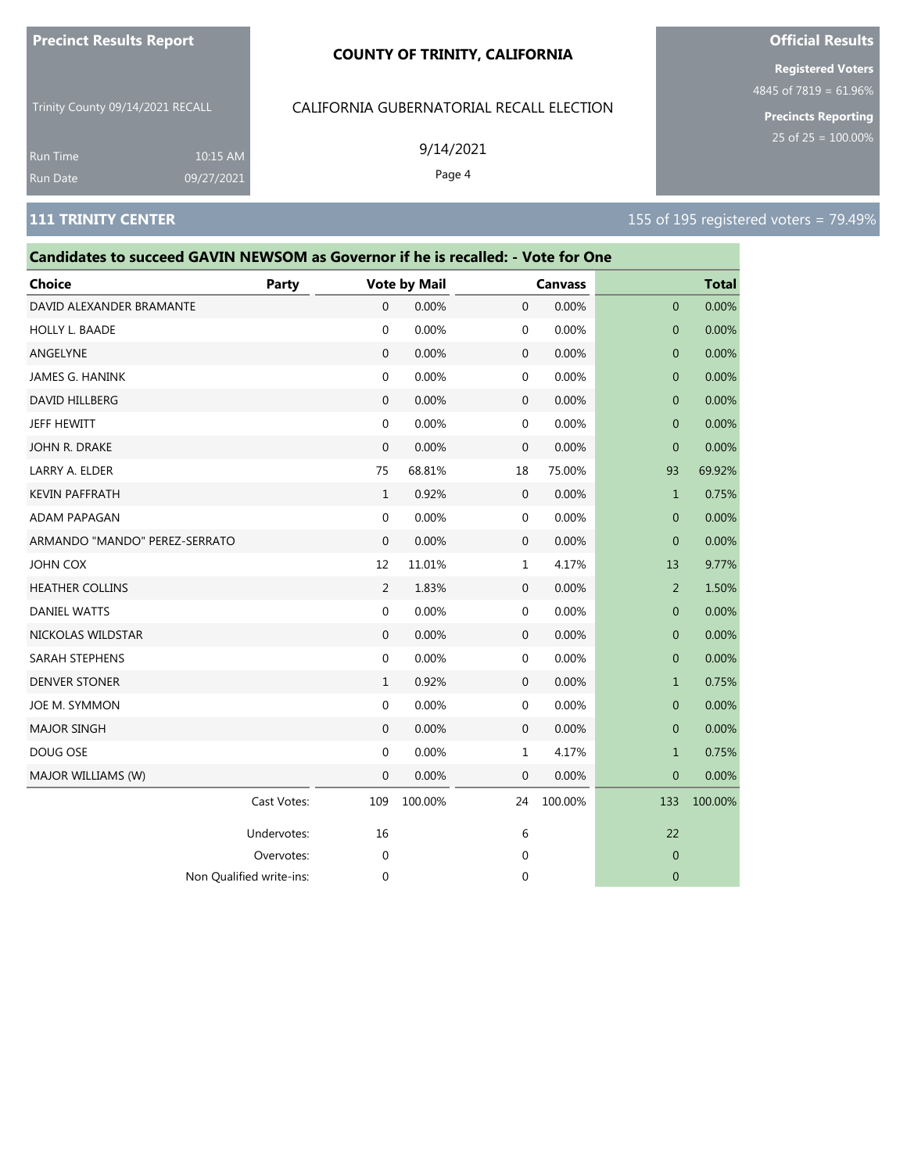#### **COUNTY OF TRINITY, CALIFORNIA**

Trinity County 09/14/2021 RECALL

### CALIFORNIA GUBERNATORIAL RECALL ELECTION

9/14/2021

Page 4

**Registered Voters**

4845 of 7819 = 61.96%

**Precincts Reporting**

Run Time 10:15 AM 09/27/2021

| Candidates to succeed GAVIN NEWSOM as Governor if he is recalled: - Vote for One |                          |                |                     |              |                |                |              |
|----------------------------------------------------------------------------------|--------------------------|----------------|---------------------|--------------|----------------|----------------|--------------|
| Choice                                                                           | Party                    |                | <b>Vote by Mail</b> |              | <b>Canvass</b> |                | <b>Total</b> |
| DAVID ALEXANDER BRAMANTE                                                         |                          | $\mathbf{0}$   | 0.00%               | $\mathbf{0}$ | 0.00%          | 0              | 0.00%        |
| HOLLY L. BAADE                                                                   |                          | 0              | 0.00%               | 0            | 0.00%          | $\mathbf{0}$   | 0.00%        |
| ANGELYNE                                                                         |                          | $\mathbf{0}$   | 0.00%               | 0            | 0.00%          | $\mathbf 0$    | 0.00%        |
| JAMES G. HANINK                                                                  |                          | 0              | 0.00%               | $\mathbf 0$  | 0.00%          | $\mathbf{0}$   | 0.00%        |
| DAVID HILLBERG                                                                   |                          | $\mathbf{0}$   | 0.00%               | $\mathbf{0}$ | 0.00%          | $\overline{0}$ | 0.00%        |
| JEFF HEWITT                                                                      |                          | $\mathbf{0}$   | 0.00%               | 0            | 0.00%          | $\mathbf{0}$   | 0.00%        |
| JOHN R. DRAKE                                                                    |                          | 0              | 0.00%               | 0            | 0.00%          | $\mathbf{0}$   | 0.00%        |
| LARRY A. ELDER                                                                   |                          | 75             | 68.81%              | 18           | 75.00%         | 93             | 69.92%       |
| <b>KEVIN PAFFRATH</b>                                                            |                          | $\mathbf{1}$   | 0.92%               | $\mathbf 0$  | 0.00%          | $\mathbf{1}$   | 0.75%        |
| ADAM PAPAGAN                                                                     |                          | 0              | 0.00%               | 0            | 0.00%          | 0              | 0.00%        |
| ARMANDO "MANDO" PEREZ-SERRATO                                                    |                          | $\mathbf{0}$   | 0.00%               | $\mathbf 0$  | 0.00%          | $\overline{0}$ | 0.00%        |
| JOHN COX                                                                         |                          | 12             | 11.01%              | 1            | 4.17%          | 13             | 9.77%        |
| <b>HEATHER COLLINS</b>                                                           |                          | $\overline{2}$ | 1.83%               | 0            | 0.00%          | $\overline{2}$ | 1.50%        |
| <b>DANIEL WATTS</b>                                                              |                          | 0              | 0.00%               | 0            | 0.00%          | $\mathbf{0}$   | 0.00%        |
| NICKOLAS WILDSTAR                                                                |                          | $\mathbf{0}$   | 0.00%               | 0            | 0.00%          | $\mathbf 0$    | 0.00%        |
| SARAH STEPHENS                                                                   |                          | 0              | 0.00%               | 0            | 0.00%          | $\mathbf 0$    | 0.00%        |
| <b>DENVER STONER</b>                                                             |                          | $\mathbf{1}$   | 0.92%               | $\mathbf 0$  | 0.00%          | $\mathbf{1}$   | 0.75%        |
| JOE M. SYMMON                                                                    |                          | 0              | 0.00%               | 0            | 0.00%          | $\overline{0}$ | 0.00%        |
| <b>MAJOR SINGH</b>                                                               |                          | $\mathbf{0}$   | 0.00%               | $\mathbf 0$  | 0.00%          | $\overline{0}$ | 0.00%        |
| DOUG OSE                                                                         |                          | 0              | 0.00%               | 1            | 4.17%          | $\mathbf{1}$   | 0.75%        |
| MAJOR WILLIAMS (W)                                                               |                          | 0              | 0.00%               | $\mathbf 0$  | 0.00%          | $\mathbf 0$    | 0.00%        |
|                                                                                  | Cast Votes:              | 109            | 100.00%             | 24           | 100.00%        | 133            | 100.00%      |
|                                                                                  | Undervotes:              | 16             |                     | 6            |                | 22             |              |
|                                                                                  | Overvotes:               | 0              |                     | 0            |                | 0              |              |
|                                                                                  | Non Qualified write-ins: | 0              |                     | 0            |                | 0              |              |

# **Official Results**

**111 TRINITY CENTER** 155 of 195 registered voters = 79.49%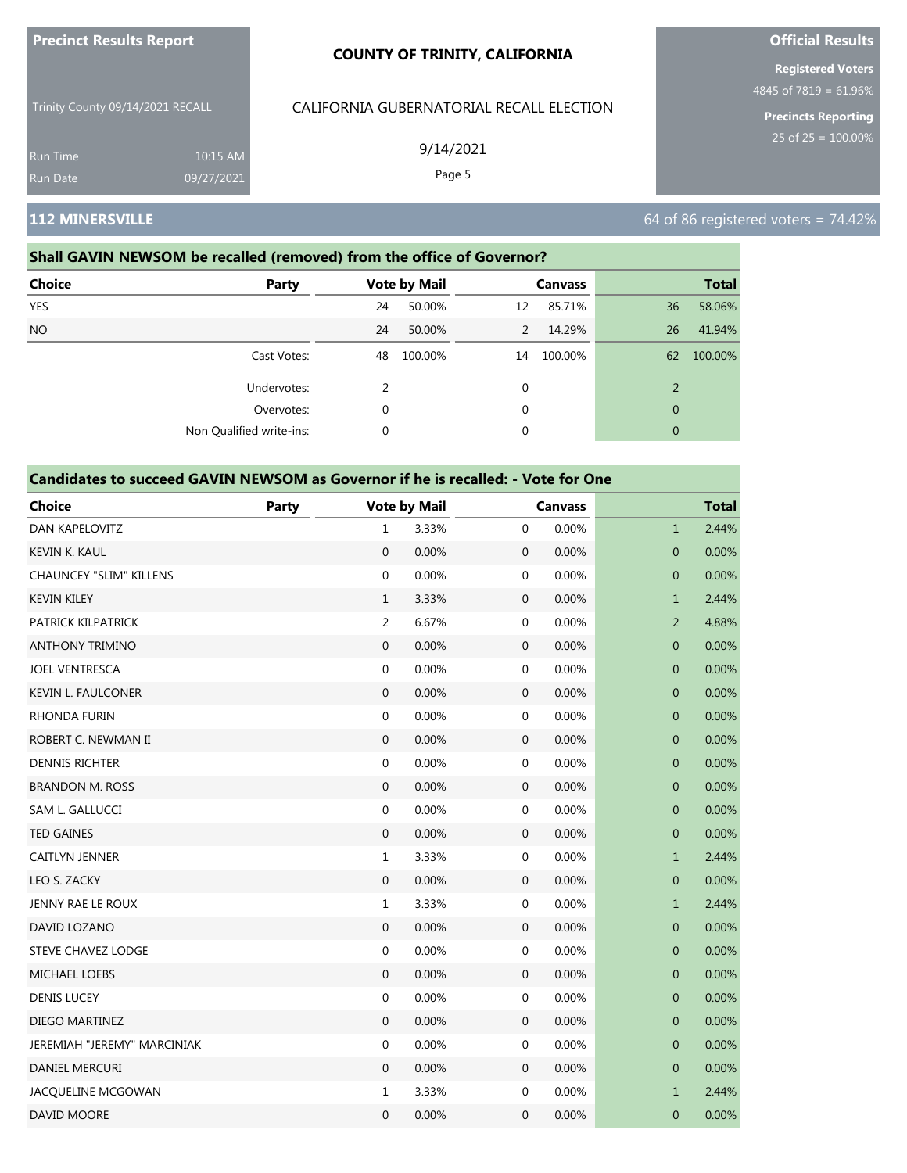| <b>Precinct Results Report</b> |
|--------------------------------|
|--------------------------------|

Trinity County 09/14/2021 RECALL

Run Time 10:15 AM 09/27/2021

# CALIFORNIA GUBERNATORIAL RECALL ELECTION

9/14/2021

Page 5

### **Shall GAVIN NEWSOM be recalled (removed) from the office of Governor?**

| <b>Choice</b>   | Party                    |    | <b>Vote by Mail</b> |    | <b>Canvass</b> |              | <b>Total</b> |
|-----------------|--------------------------|----|---------------------|----|----------------|--------------|--------------|
| <b>YES</b>      |                          | 24 | 50.00%              | 12 | 85.71%         | 36           | 58.06%       |
| NO <sub>1</sub> |                          | 24 | 50.00%              | 2  | 14.29%         | 26           | 41.94%       |
|                 | Cast Votes:              | 48 | 100.00%             | 14 | 100.00%        | 62           | 100.00%      |
|                 | Undervotes:              | 2  |                     | 0  |                | 2            |              |
|                 | Overvotes:               | 0  |                     | 0  |                | $\mathbf{0}$ |              |
|                 | Non Qualified write-ins: | 0  |                     | 0  |                | $\mathbf{0}$ |              |
|                 |                          |    |                     |    |                |              |              |

### **Candidates to succeed GAVIN NEWSOM as Governor if he is recalled: - Vote for One**

| <b>Choice</b>                  | Party |                  | <b>Vote by Mail</b> |                  | <b>Canvass</b> |                | <b>Total</b> |
|--------------------------------|-------|------------------|---------------------|------------------|----------------|----------------|--------------|
| DAN KAPELOVITZ                 |       | 1                | 3.33%               | 0                | 0.00%          | $\mathbf{1}$   | 2.44%        |
| <b>KEVIN K. KAUL</b>           |       | $\mathbf{0}$     | 0.00%               | $\boldsymbol{0}$ | 0.00%          | $\mathbf 0$    | 0.00%        |
| <b>CHAUNCEY "SLIM" KILLENS</b> |       | $\boldsymbol{0}$ | 0.00%               | $\boldsymbol{0}$ | 0.00%          | $\mathbf{0}$   | 0.00%        |
| <b>KEVIN KILEY</b>             |       | $\mathbf{1}$     | 3.33%               | $\mathbf 0$      | 0.00%          | $\mathbf{1}$   | 2.44%        |
| PATRICK KILPATRICK             |       | 2                | 6.67%               | 0                | 0.00%          | $\overline{2}$ | 4.88%        |
| <b>ANTHONY TRIMINO</b>         |       | $\boldsymbol{0}$ | 0.00%               | $\boldsymbol{0}$ | 0.00%          | $\mathbf{0}$   | 0.00%        |
| <b>JOEL VENTRESCA</b>          |       | $\boldsymbol{0}$ | 0.00%               | $\mathbf 0$      | 0.00%          | $\mathbf 0$    | 0.00%        |
| <b>KEVIN L. FAULCONER</b>      |       | $\boldsymbol{0}$ | 0.00%               | $\boldsymbol{0}$ | 0.00%          | $\mathbf 0$    | 0.00%        |
| <b>RHONDA FURIN</b>            |       | 0                | 0.00%               | $\mathbf 0$      | 0.00%          | $\mathbf 0$    | 0.00%        |
| ROBERT C. NEWMAN II            |       | $\mathbf{0}$     | 0.00%               | $\boldsymbol{0}$ | 0.00%          | $\mathbf 0$    | 0.00%        |
| <b>DENNIS RICHTER</b>          |       | $\boldsymbol{0}$ | 0.00%               | $\boldsymbol{0}$ | 0.00%          | $\pmb{0}$      | 0.00%        |
| <b>BRANDON M. ROSS</b>         |       | $\mathbf{0}$     | 0.00%               | $\mathbf 0$      | 0.00%          | 0              | 0.00%        |
| SAM L. GALLUCCI                |       | $\mathbf 0$      | 0.00%               | $\mathbf 0$      | 0.00%          | $\mathbf 0$    | 0.00%        |
| <b>TED GAINES</b>              |       | $\mathbf{0}$     | 0.00%               | $\boldsymbol{0}$ | 0.00%          | $\mathbf{0}$   | 0.00%        |
| <b>CAITLYN JENNER</b>          |       | $\mathbf{1}$     | 3.33%               | $\mathbf 0$      | 0.00%          | $\mathbf{1}$   | 2.44%        |
| LEO S. ZACKY                   |       | $\mathbf{0}$     | 0.00%               | $\mathbf 0$      | 0.00%          | $\mathbf 0$    | 0.00%        |
| <b>JENNY RAE LE ROUX</b>       |       | $\mathbf{1}$     | 3.33%               | $\boldsymbol{0}$ | 0.00%          | $\mathbf{1}$   | 2.44%        |
| DAVID LOZANO                   |       | $\mathbf{0}$     | 0.00%               | $\boldsymbol{0}$ | 0.00%          | $\mathbf 0$    | 0.00%        |
| <b>STEVE CHAVEZ LODGE</b>      |       | $\mathbf 0$      | 0.00%               | $\mathbf 0$      | 0.00%          | $\mathbf 0$    | 0.00%        |
| <b>MICHAEL LOEBS</b>           |       | $\mathbf{0}$     | 0.00%               | $\boldsymbol{0}$ | 0.00%          | $\mathbf 0$    | 0.00%        |
| <b>DENIS LUCEY</b>             |       | $\boldsymbol{0}$ | 0.00%               | $\boldsymbol{0}$ | 0.00%          | $\mathbf 0$    | 0.00%        |
| <b>DIEGO MARTINEZ</b>          |       | $\Omega$         | 0.00%               | $\boldsymbol{0}$ | 0.00%          | $\overline{0}$ | 0.00%        |
| JEREMIAH "JEREMY" MARCINIAK    |       | $\boldsymbol{0}$ | 0.00%               | $\boldsymbol{0}$ | 0.00%          | $\pmb{0}$      | 0.00%        |
| DANIEL MERCURI                 |       | $\mathbf{0}$     | 0.00%               | $\mathbf 0$      | 0.00%          | $\mathbf 0$    | 0.00%        |
| JACQUELINE MCGOWAN             |       | $\mathbf{1}$     | 3.33%               | $\boldsymbol{0}$ | 0.00%          | $\mathbf{1}$   | 2.44%        |
| DAVID MOORE                    |       | $\mathbf{0}$     | 0.00%               | 0                | 0.00%          | $\mathbf{0}$   | 0.00%        |

# **Official Results**

**Registered Voters** 4845 of 7819 = 61.96%

**Precincts Reporting**

# **112 MINERSVILLE 112 MINERSVILLE 12 OCCUPATION CONTRACT CONTRACT CONTRACT CONTRACT CONTRACT CONTRACT CONTRACT CONTRACT CONTRACT CONTRACT CONTRACT CONTRACT CONTRACT CONTRACT CONTRACT CONTRACT CONTRACT CONTRACT CONTRACT**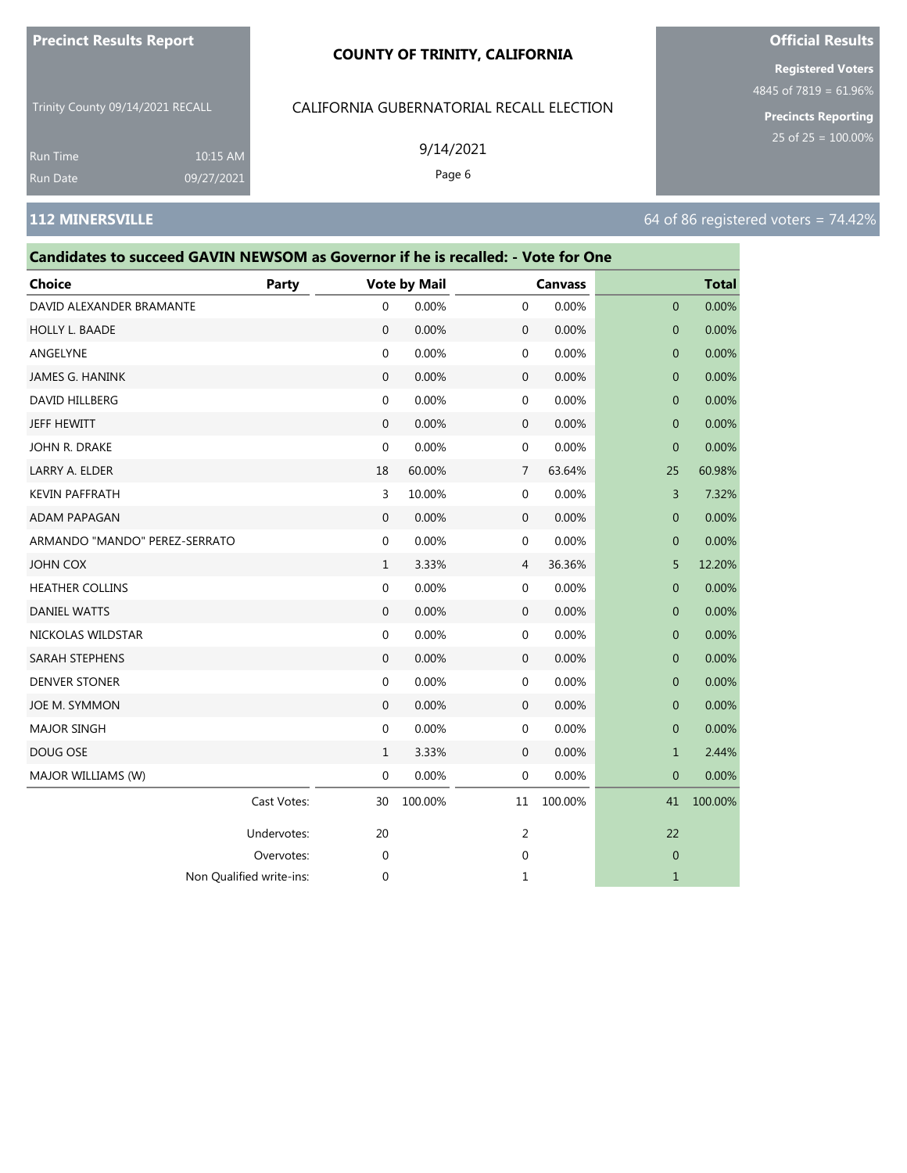#### **COUNTY OF TRINITY, CALIFORNIA**

Trinity County 09/14/2021 RECALL

#### CALIFORNIA GUBERNATORIAL RECALL ELECTION

9/14/2021

Page 6

**Official Results Registered Voters**

4845 of 7819 = 61.96%

**Precincts Reporting** 25 of 25 = 100.00%

Run Time Run Date 10:15 AM 09/27/2021

#### **112 MINERSVILLE 112 MINERSVILLE 12 OCCUPATION CONTRACT CONTRACT CONTRACT CONTRACT CONTRACT CONTRACT CONTRACT CONTRACT CONTRACT CONTRACT CONTRACT CONTRACT CONTRACT CONTRACT CONTRACT CONTRACT CONTRACT CONTRACT CONTRACT**

# **Candidates to succeed GAVIN NEWSOM as Governor if he is recalled: - Vote for One Choice Party Vote by Mail Canvass Total** DAVID ALEXANDER BRAMANTE  $\begin{array}{cccc} 0 & 0.00\% & 0 & 0.00\% \end{array}$ HOLLY L. BAADE 0 0.00% 0 0.00% 0 0.00% ANGELYNE 0 0.00% 0 0.00% 0 0.00% JAMES G. HANINK 0 0.00% 0 0.00% 0 0.00% DAVID HILLBERG 0 0.00% 0 0.00% 0 0.00% JEFF HEWITT 0 0.00% 0 0.00% 0 0.00% JOHN R. DRAKE 0 0.00% 0 0.00% 0 0.00% LARRY A. ELDER 18 60.00% 7 63.64% 25 60.98% KEVIN PAFFRATH 3 10.00% 0 0.00% 3 7.32% ADAM PAPAGAN 0 0.00% 0 0.00% 0 0.00% ARMANDO "MANDO" PEREZ-SERRATO 0 0.00% 0 0.00% 0 0.00% JOHN COX 1 3.33% 4 36.36% 5 12.20% HEATHER COLLINS 0 0.00% 0 0.00% 0 0.00%  $\,$  DANIEL WATTS  $\,$  0 0.00% 0 0.00% 0 0.00% 0 0.00% 0 0.00% 0 0.00% 0 0.00% 0 0.00% 0 0.00% 0 0.00% 0 0.00% 0 0.00% 0 0.00% 0 0.00% 0 0.00% 0 0.00% 0 0.00% 0 0.00% 0 0.00% 0 0.00% 0 0.00% 0 0.00% 0 0.00% 0 0.00% 0 0.00 NICKOLAS WILDSTAR 0 0.00% 0 0.00% 0 0.00% SARAH STEPHENS 0 0.00% 0 0.00% 0 0.00% DENVER STONER 0 0.00% 0 0.00% 0 0.00% JOE M. SYMMON 0 0.00% 0 0.00% 0 0.00% MAJOR SINGH 0 0.00% 0 0.00% 0 0.00% DOUG OSE 1 3.33% 0 0.00% 1 2.44% MAJOR WILLIAMS (W) **0 0.000 0 0.000 0 0.000 0 0.000 0 0.000 0 0.00**% 0 0.00% 0 0.00% 0 0.00% 0 0.00% 0 0.00% 0 0.00% 0 0.00% 0 0.00% 0 0.00% 0 0.00% 0 0.00% 0 0.00% 0 0.00% 0 0.00% 0 0.00% 0 0.00% 0 0.00% 0 0.00% 0 0.00% 0 Cast Votes: 30 100.00% 11 100.00% 41 100.00% Undervotes: 20 22 22 Overvotes: 0 0 0

Non Qualified write-ins: 0 1 1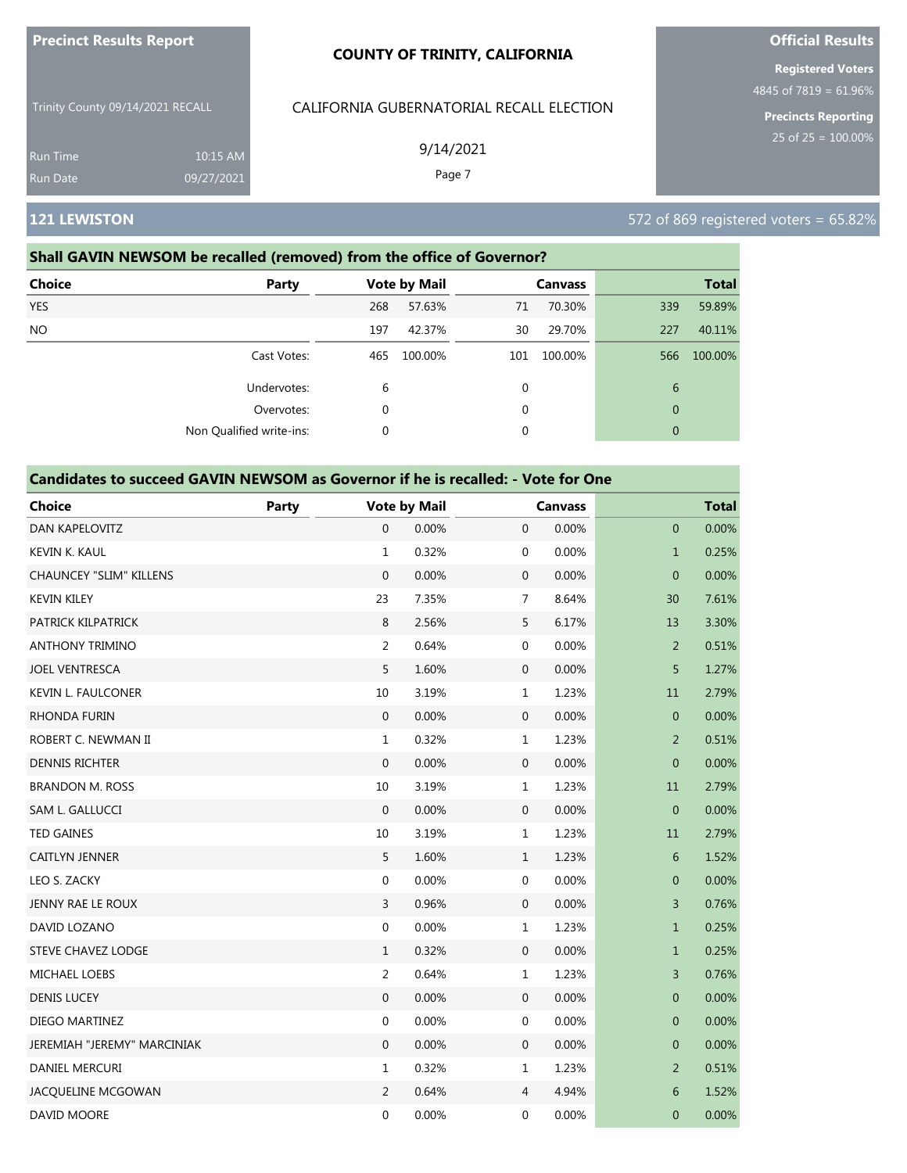| <b>Precinct Results Report</b>   |            | <b>COUNTY OF TRINITY, CALIFORNIA</b>     | <b>Official Results</b>                           |
|----------------------------------|------------|------------------------------------------|---------------------------------------------------|
|                                  |            |                                          | <b>Registered Voters</b><br>4845 of 7819 = 61.96% |
| Trinity County 09/14/2021 RECALL |            | CALIFORNIA GUBERNATORIAL RECALL ELECTION | <b>Precincts Reporting</b>                        |
| <b>Run Time</b>                  | 10:15 AM   | 9/14/2021                                | 25 of $25 = 100.00\%$                             |
| <b>Run Date</b>                  | 09/27/2021 | Page 7                                   |                                                   |
| <b>121 LEWISTON</b>              |            |                                          | $572$ of 869 registered voters = 65.82%           |

### **Shall GAVIN NEWSOM be recalled (removed) from the office of Governor?**

| <b>Choice</b> | Party                    |          | <b>Vote by Mail</b> |     | <b>Canvass</b> |              | <b>Total</b> |
|---------------|--------------------------|----------|---------------------|-----|----------------|--------------|--------------|
| <b>YES</b>    |                          | 268      | 57.63%              | 71  | 70.30%         | 339          | 59.89%       |
| <b>NO</b>     |                          | 197      | 42.37%              | 30  | 29.70%         | 227          | 40.11%       |
|               | Cast Votes:              | 465      | 100.00%             | 101 | 100.00%        | 566          | 100.00%      |
|               | Undervotes:              | 6        |                     | 0   |                | 6            |              |
|               | Overvotes:               | 0        |                     | 0   |                | $\theta$     |              |
|               | Non Qualified write-ins: | $\Omega$ |                     | 0   |                | $\mathbf{0}$ |              |

| <b>Choice</b>                  | Party |                  | <b>Vote by Mail</b> |                  | <b>Canvass</b> |                | <b>Total</b> |
|--------------------------------|-------|------------------|---------------------|------------------|----------------|----------------|--------------|
| DAN KAPELOVITZ                 |       | 0                | 0.00%               | $\mathbf{0}$     | 0.00%          | $\mathbf 0$    | 0.00%        |
| KEVIN K. KAUL                  |       | $\mathbf{1}$     | 0.32%               | $\mathbf 0$      | 0.00%          | $\mathbf{1}$   | 0.25%        |
| <b>CHAUNCEY "SLIM" KILLENS</b> |       | $\mathbf{0}$     | 0.00%               | $\mathbf 0$      | 0.00%          | $\mathbf 0$    | 0.00%        |
| <b>KEVIN KILEY</b>             |       | 23               | 7.35%               | $\overline{7}$   | 8.64%          | 30             | 7.61%        |
| PATRICK KILPATRICK             |       | $\,8\,$          | 2.56%               | 5                | 6.17%          | 13             | 3.30%        |
| <b>ANTHONY TRIMINO</b>         |       | $\overline{2}$   | 0.64%               | $\mathbf 0$      | 0.00%          | $\overline{2}$ | 0.51%        |
| <b>JOEL VENTRESCA</b>          |       | 5                | 1.60%               | $\mathbf 0$      | 0.00%          | 5              | 1.27%        |
| <b>KEVIN L. FAULCONER</b>      |       | 10               | 3.19%               | $\mathbf{1}$     | 1.23%          | 11             | 2.79%        |
| <b>RHONDA FURIN</b>            |       | $\mathbf{0}$     | 0.00%               | $\mathbf{0}$     | 0.00%          | $\mathbf 0$    | 0.00%        |
| ROBERT C. NEWMAN II            |       | $\mathbf{1}$     | 0.32%               | $\mathbf{1}$     | 1.23%          | $\overline{2}$ | 0.51%        |
| <b>DENNIS RICHTER</b>          |       | $\boldsymbol{0}$ | 0.00%               | $\mathbf 0$      | 0.00%          | $\pmb{0}$      | 0.00%        |
| <b>BRANDON M. ROSS</b>         |       | 10               | 3.19%               | $\mathbf{1}$     | 1.23%          | 11             | 2.79%        |
| SAM L. GALLUCCI                |       | $\mathbf{0}$     | 0.00%               | $\boldsymbol{0}$ | 0.00%          | $\mathbf{0}$   | 0.00%        |
| <b>TED GAINES</b>              |       | 10               | 3.19%               | $\mathbf{1}$     | 1.23%          | 11             | 2.79%        |
| CAITLYN JENNER                 |       | 5                | 1.60%               | $\mathbf{1}$     | 1.23%          | $\sqrt{6}$     | 1.52%        |
| LEO S. ZACKY                   |       | 0                | 0.00%               | 0                | 0.00%          | 0              | 0.00%        |
| JENNY RAE LE ROUX              |       | 3                | 0.96%               | $\mathbf 0$      | 0.00%          | 3              | 0.76%        |
| DAVID LOZANO                   |       | $\mathbf 0$      | 0.00%               | $\mathbf{1}$     | 1.23%          | $\mathbf{1}$   | 0.25%        |
| <b>STEVE CHAVEZ LODGE</b>      |       | $\mathbf{1}$     | 0.32%               | $\mathbf{0}$     | 0.00%          | $\mathbf{1}$   | 0.25%        |
| MICHAEL LOEBS                  |       | $\overline{2}$   | 0.64%               | $\mathbf{1}$     | 1.23%          | 3              | 0.76%        |
| <b>DENIS LUCEY</b>             |       | $\boldsymbol{0}$ | 0.00%               | $\mathbf 0$      | 0.00%          | $\mathbf 0$    | 0.00%        |
| DIEGO MARTINEZ                 |       | $\mathbf 0$      | 0.00%               | $\mathbf 0$      | 0.00%          | $\mathbf 0$    | 0.00%        |
| JEREMIAH "JEREMY" MARCINIAK    |       | $\mathbf{0}$     | 0.00%               | $\mathbf{0}$     | 0.00%          | $\mathbf 0$    | 0.00%        |
| DANIEL MERCURI                 |       | 1                | 0.32%               | $\mathbf{1}$     | 1.23%          | $\overline{2}$ | 0.51%        |
| JACQUELINE MCGOWAN             |       | $\overline{2}$   | 0.64%               | $\overline{4}$   | 4.94%          | 6              | 1.52%        |
| DAVID MOORE                    |       | $\mathbf 0$      | 0.00%               | 0                | 0.00%          | $\mathbf 0$    | 0.00%        |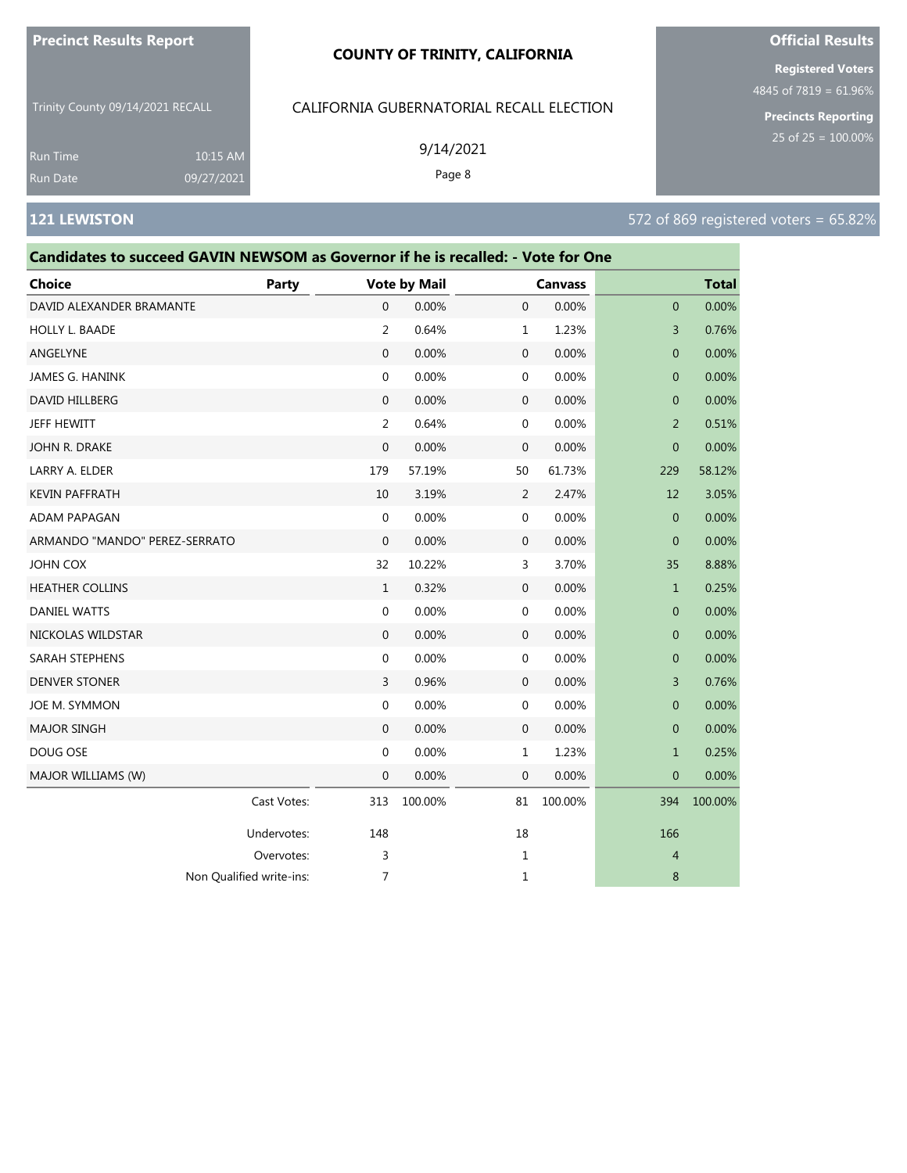#### **COUNTY OF TRINITY, CALIFORNIA**

Trinity County 09/14/2021 RECALL

10:15 AM 09/27/2021

# CALIFORNIA GUBERNATORIAL RECALL ELECTION

9/14/2021

Page 8

**Registered Voters**

4845 of 7819 = 61.96%

**Precincts Reporting**

Run Time

| Candidates to succeed GAVIN NEWSOM as Governor if he is recalled: - Vote for One |             |              |                     |              |                |                |              |
|----------------------------------------------------------------------------------|-------------|--------------|---------------------|--------------|----------------|----------------|--------------|
| Choice                                                                           | Party       |              | <b>Vote by Mail</b> |              | <b>Canvass</b> |                | <b>Total</b> |
| DAVID ALEXANDER BRAMANTE                                                         |             | $\mathbf 0$  | 0.00%               | $\mathbf 0$  | 0.00%          | 0              | 0.00%        |
| HOLLY L. BAADE                                                                   |             | 2            | 0.64%               | 1            | 1.23%          | 3              | 0.76%        |
| ANGELYNE                                                                         |             | $\mathbf{0}$ | 0.00%               | $\mathbf 0$  | 0.00%          | $\mathbf{0}$   | 0.00%        |
| JAMES G. HANINK                                                                  |             | 0            | 0.00%               | 0            | 0.00%          | $\overline{0}$ | 0.00%        |
| DAVID HILLBERG                                                                   |             | $\mathbf{0}$ | 0.00%               | $\mathbf 0$  | 0.00%          | $\mathbf{0}$   | 0.00%        |
| JEFF HEWITT                                                                      |             | 2            | 0.64%               | 0            | 0.00%          | $\overline{2}$ | 0.51%        |
| JOHN R. DRAKE                                                                    |             | 0            | 0.00%               | 0            | 0.00%          | $\overline{0}$ | 0.00%        |
| LARRY A. ELDER                                                                   |             | 179          | 57.19%              | 50           | 61.73%         | 229            | 58.12%       |
| <b>KEVIN PAFFRATH</b>                                                            |             | 10           | 3.19%               | 2            | 2.47%          | 12             | 3.05%        |
| ADAM PAPAGAN                                                                     |             | 0            | 0.00%               | 0            | 0.00%          | 0              | 0.00%        |
| ARMANDO "MANDO" PEREZ-SERRATO                                                    |             | $\mathbf 0$  | 0.00%               | $\mathbf 0$  | 0.00%          | $\mathbf{0}$   | 0.00%        |
| JOHN COX                                                                         |             | 32           | 10.22%              | 3            | 3.70%          | 35             | 8.88%        |
| <b>HEATHER COLLINS</b>                                                           |             | $\mathbf{1}$ | 0.32%               | 0            | 0.00%          | $\mathbf{1}$   | 0.25%        |
| <b>DANIEL WATTS</b>                                                              |             | 0            | 0.00%               | 0            | 0.00%          | 0              | 0.00%        |
| NICKOLAS WILDSTAR                                                                |             | 0            | 0.00%               | $\mathbf 0$  | 0.00%          | 0              | 0.00%        |
| SARAH STEPHENS                                                                   |             | 0            | 0.00%               | 0            | 0.00%          | $\mathbf{0}$   | 0.00%        |
| <b>DENVER STONER</b>                                                             |             | 3            | 0.96%               | $\mathbf 0$  | 0.00%          | 3              | 0.76%        |
| JOE M. SYMMON                                                                    |             | 0            | 0.00%               | 0            | 0.00%          | $\overline{0}$ | 0.00%        |
| <b>MAJOR SINGH</b>                                                               |             | $\mathbf{0}$ | 0.00%               | $\mathbf 0$  | 0.00%          | 0              | 0.00%        |
| DOUG OSE                                                                         |             | 0            | 0.00%               | 1            | 1.23%          | $\mathbf 1$    | 0.25%        |
| MAJOR WILLIAMS (W)                                                               |             | $\mathbf 0$  | 0.00%               | $\mathbf{0}$ | 0.00%          | $\mathbf{0}$   | 0.00%        |
|                                                                                  | Cast Votes: | 313          | 100.00%             | 81           | 100.00%        | 394            | 100.00%      |
|                                                                                  | Undervotes: | 148          |                     | 18           |                | 166            |              |
|                                                                                  | Overvotes:  | 3            |                     | 1            |                | 4              |              |
| Non Qualified write-ins:                                                         |             | 7            |                     | 1            |                | 8              |              |

# **Official Results**

# **121 LEWISTON** 572 of 869 registered voters = 65.82%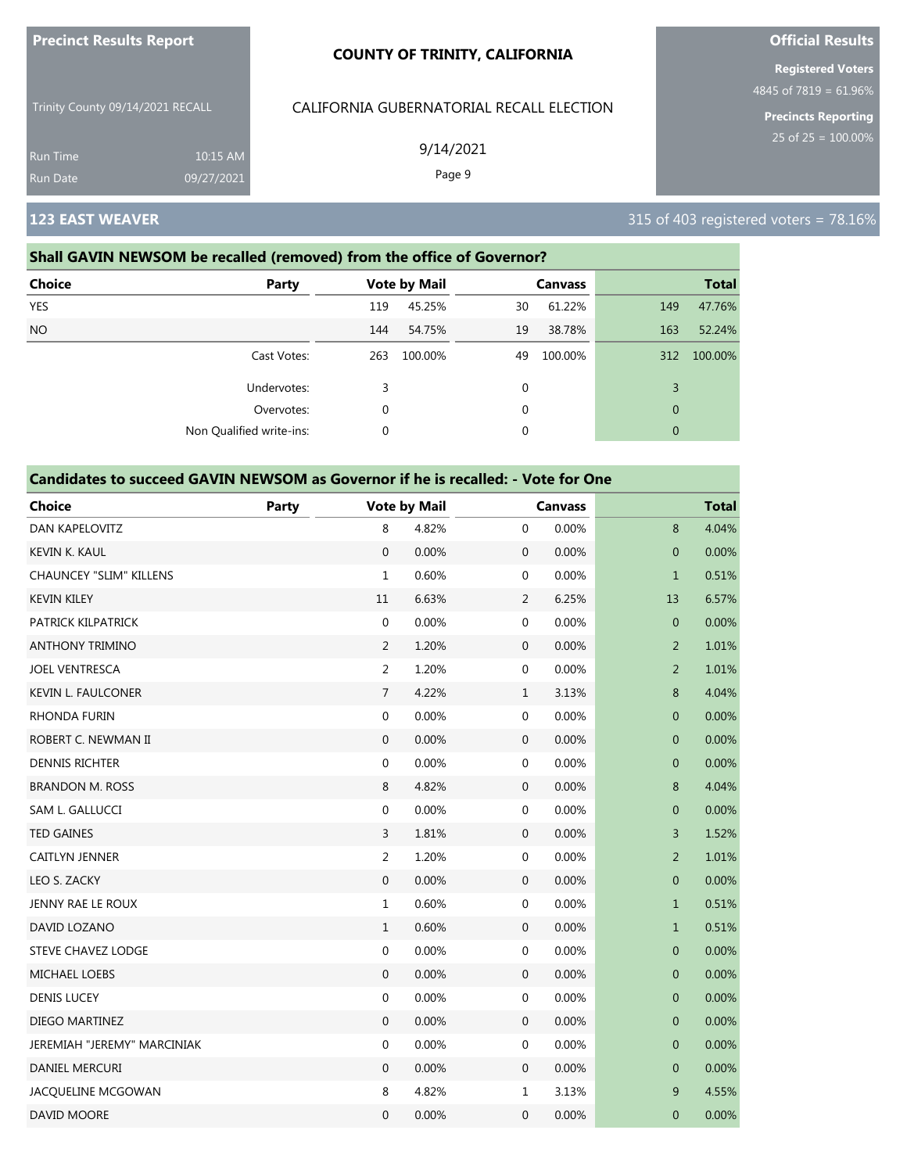| <b>Precinct Results Report</b> |
|--------------------------------|
|--------------------------------|

CALIFORNIA GUBERNATORIAL RECALL ELECTION

9/14/2021 Page 9

Trinity County 09/14/2021 RECALL

Run Time 10:15 AM 09/27/2021

# **Shall GAVIN NEWSOM be recalled (removed) from the office of Governor?**

| <b>Party</b>             |     |         |                     | <b>Canvass</b> |                                                                           | <b>Total</b> |
|--------------------------|-----|---------|---------------------|----------------|---------------------------------------------------------------------------|--------------|
|                          | 119 | 45.25%  | 30                  | 61.22%         | 149                                                                       | 47.76%       |
|                          | 144 | 54.75%  | 19                  | 38.78%         | 163                                                                       | 52.24%       |
| Cast Votes:              | 263 | 100.00% | 49                  | 100.00%        | 312                                                                       | 100.00%      |
| Undervotes:              | 3   |         | 0                   |                | 3                                                                         |              |
| Overvotes:               | 0   |         | 0                   |                | $\mathbf{0}$                                                              |              |
| Non Qualified write-ins: | 0   |         | 0                   |                | $\mathbf{0}$                                                              |              |
|                          |     |         | <b>Vote by Mail</b> |                | <u>Shah awan neason be realied from acay hom the office of advertion.</u> |              |

### **Candidates to succeed GAVIN NEWSOM as Governor if he is recalled: - Vote for One**

| <b>Choice</b>                  | Party |                  | <b>Vote by Mail</b> |                  | <b>Canvass</b> |                | <b>Total</b> |
|--------------------------------|-------|------------------|---------------------|------------------|----------------|----------------|--------------|
| <b>DAN KAPELOVITZ</b>          |       | 8                | 4.82%               | $\mathbf{0}$     | 0.00%          | 8              | 4.04%        |
| KEVIN K. KAUL                  |       | $\mathbf 0$      | 0.00%               | $\mathbf 0$      | 0.00%          | $\overline{0}$ | 0.00%        |
| <b>CHAUNCEY "SLIM" KILLENS</b> |       | $\mathbf{1}$     | 0.60%               | $\mathbf 0$      | 0.00%          | $\mathbf{1}$   | 0.51%        |
| <b>KEVIN KILEY</b>             |       | 11               | 6.63%               | $\overline{2}$   | 6.25%          | 13             | 6.57%        |
| PATRICK KILPATRICK             |       | $\mathbf{0}$     | 0.00%               | $\boldsymbol{0}$ | 0.00%          | $\mathbf{0}$   | 0.00%        |
| <b>ANTHONY TRIMINO</b>         |       | $\overline{2}$   | 1.20%               | $\boldsymbol{0}$ | 0.00%          | $\overline{2}$ | 1.01%        |
| <b>JOEL VENTRESCA</b>          |       | 2                | 1.20%               | $\boldsymbol{0}$ | 0.00%          | $\overline{2}$ | 1.01%        |
| <b>KEVIN L. FAULCONER</b>      |       | $\overline{7}$   | 4.22%               | $\mathbf{1}$     | 3.13%          | 8              | 4.04%        |
| RHONDA FURIN                   |       | $\mathbf{0}$     | 0.00%               | $\boldsymbol{0}$ | 0.00%          | $\mathbf{0}$   | 0.00%        |
| ROBERT C. NEWMAN II            |       | $\mathbf{0}$     | 0.00%               | $\boldsymbol{0}$ | 0.00%          | $\mathbf 0$    | 0.00%        |
| <b>DENNIS RICHTER</b>          |       | $\boldsymbol{0}$ | 0.00%               | $\boldsymbol{0}$ | 0.00%          | $\mathbf{0}$   | 0.00%        |
| <b>BRANDON M. ROSS</b>         |       | 8                | 4.82%               | $\mathbf 0$      | 0.00%          | 8              | 4.04%        |
| SAM L. GALLUCCI                |       | $\pmb{0}$        | 0.00%               | $\boldsymbol{0}$ | 0.00%          | $\mathbf 0$    | 0.00%        |
| <b>TED GAINES</b>              |       | $\overline{3}$   | 1.81%               | $\mathbf 0$      | 0.00%          | 3              | 1.52%        |
| <b>CAITLYN JENNER</b>          |       | 2                | 1.20%               | $\boldsymbol{0}$ | 0.00%          | $\overline{2}$ | 1.01%        |
| LEO S. ZACKY                   |       | $\mathbf{0}$     | 0.00%               | $\mathbf 0$      | 0.00%          | $\mathbf 0$    | 0.00%        |
| <b>JENNY RAE LE ROUX</b>       |       | $\mathbf{1}$     | 0.60%               | $\boldsymbol{0}$ | 0.00%          | $\mathbf{1}$   | 0.51%        |
| DAVID LOZANO                   |       | $\mathbf{1}$     | 0.60%               | $\mathbf 0$      | 0.00%          | $\mathbf{1}$   | 0.51%        |
| <b>STEVE CHAVEZ LODGE</b>      |       | $\mathbf{0}$     | 0.00%               | $\mathbf 0$      | 0.00%          | $\mathbf{0}$   | 0.00%        |
| MICHAEL LOEBS                  |       | $\mathbf 0$      | 0.00%               | $\mathbf 0$      | 0.00%          | $\mathbf{0}$   | 0.00%        |
| <b>DENIS LUCEY</b>             |       | $\mathbf{0}$     | 0.00%               | $\mathbf 0$      | 0.00%          | $\overline{0}$ | 0.00%        |
| DIEGO MARTINEZ                 |       | $\mathbf{0}$     | 0.00%               | $\mathbf 0$      | 0.00%          | $\mathbf{0}$   | 0.00%        |
| JEREMIAH "JEREMY" MARCINIAK    |       | $\mathbf{0}$     | 0.00%               | $\mathbf 0$      | 0.00%          | $\mathbf{0}$   | 0.00%        |
| DANIEL MERCURI                 |       | $\mathbf{0}$     | 0.00%               | $\mathbf 0$      | 0.00%          | $\mathbf 0$    | 0.00%        |
| JACQUELINE MCGOWAN             |       | 8                | 4.82%               | $\mathbf{1}$     | 3.13%          | 9              | 4.55%        |
| <b>DAVID MOORE</b>             |       | $\boldsymbol{0}$ | 0.00%               | $\boldsymbol{0}$ | 0.00%          | $\mathbf 0$    | 0.00%        |

# **Official Results**

**Registered Voters**

4845 of 7819 = 61.96%

**Precincts Reporting**

# **123 EAST WEAVER 123 EAST WEAVER 315 of 403 registered voters = 78.16%**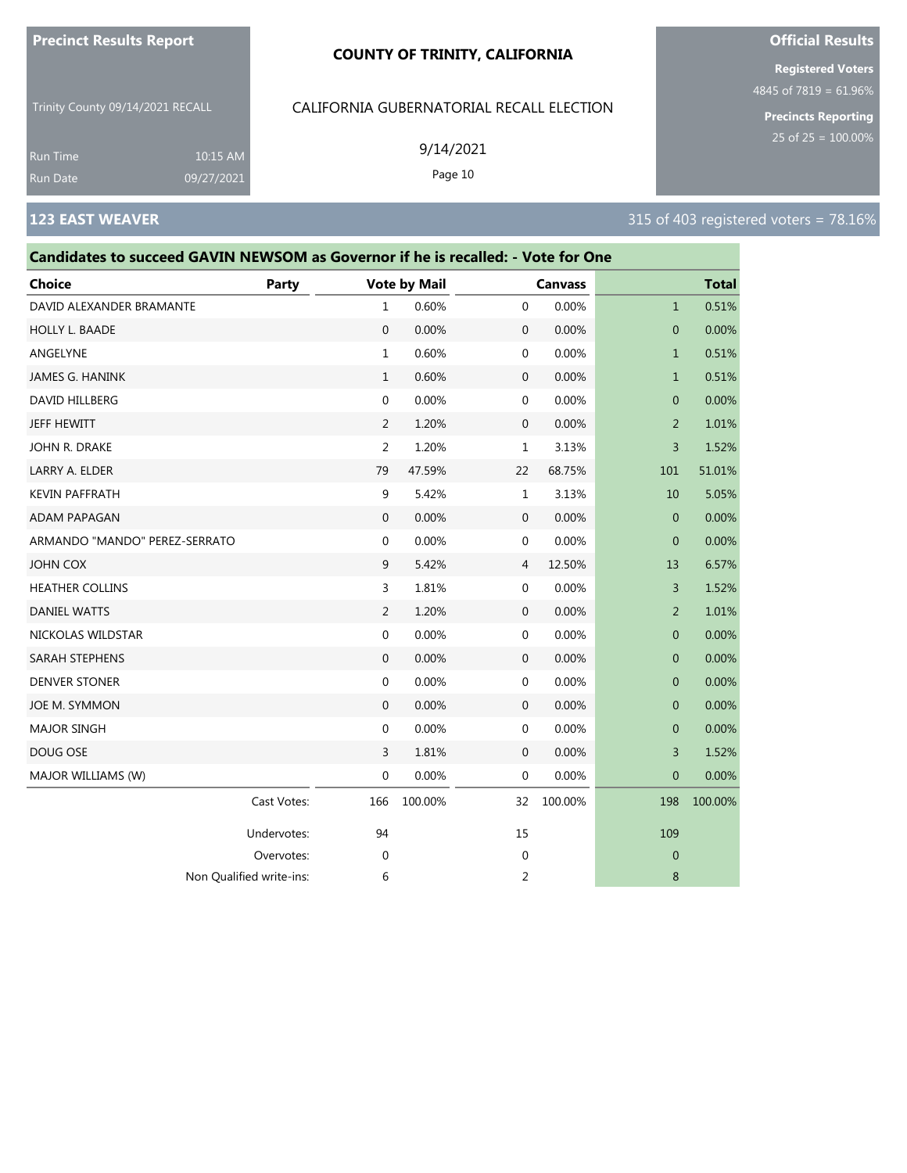#### **COUNTY OF TRINITY, CALIFORNIA**

Trinity County 09/14/2021 RECALL

10:15 AM 09/27/2021

#### CALIFORNIA GUBERNATORIAL RECALL ELECTION

9/14/2021

Page 10

**Registered Voters**

4845 of 7819 = 61.96%

**Precincts Reporting** 25 of 25 = 100.00%

Run Time Run Date

# **Candidates to succeed GAVIN NEWSOM as Governor if he is recalled: - Vote for One Choice Party Vote by Mail Canvass Total** DAVID ALEXANDER BRAMANTE 
and the contract of the contract of the contract of the contract of the contract of the contract of the contract of the contract of the contract of the contract of the contract of the contract of HOLLY L. BAADE 0 0.00% 0 0.00% 0 0.00% ANGELYNE 1 0.60% 0 0.00% 1 0.51% JAMES G. HANINK 1 0.60% 0 0.00% 1 0.51% DAVID HILLBERG 0 0.00% 0 0.00% 0 0.00% JEFF HEWITT 2 1.20% 0 0.00% 2 1.01% JOHN R. DRAKE 2 1.20% 1 3.13% 3 1.52% LARRY A. ELDER 79 47.59% 22 68.75% 101 51.01% KEVIN PAFFRATH 9 5.42% 1 3.13% 10 5.05% ADAM PAPAGAN 0 0.00% 0 0.00% 0 0.00% ARMANDO "MANDO" PEREZ-SERRATO 0 0.00% 0 0.00% 0 0.00% JOHN COX 9 5.42% 4 12.50% 13 6.57% HEATHER COLLINS 3 1.81% 0 0.00% 3 1.52% DANIEL WATTS 2 1.20% 0 0.00% 2 1.01% NICKOLAS WILDSTAR 0 0.00% 0 0.00% 0 0.00% SARAH STEPHENS 0 0.00% 0 0.00% 0 0.00% DENVER STONER 0 0.00% 0 0.00% 0 0.00% JOE M. SYMMON 0 0.00% 0 0.00% 0 0.00% MAJOR SINGH 0 0.00% 0 0.00% 0 0.00% DOUG OSE 3 1.81% 0 0.00% 3 1.52% MAJOR WILLIAMS (W) **0 0.000 0 0.000 0 0.000 0 0.000 0 0.000 0 0.00**% 0 0.00% 0 0.00% 0 0.00% 0 0.00% 0 0.00% 0 0.00% 0 0.00% 0 0.00% 0 0.00% 0 0.00% 0 0.00% 0 0.00% 0 0.00% 0 0.00% 0 0.00% 0 0.00% 0 0.00% 0 0.00% 0 0.00% 0 Cast Votes: 166 100.00% 32 100.00% 198 100.00% Undervotes: 94 94 15 109 Overvotes: 0 0 0 Non Qualified write-ins:  $\begin{array}{ccc} 6 & 2 & 8 \end{array}$



# **123 EAST WEAVER 123 EAST WEAVER 315 of 403 registered voters = 78.16%**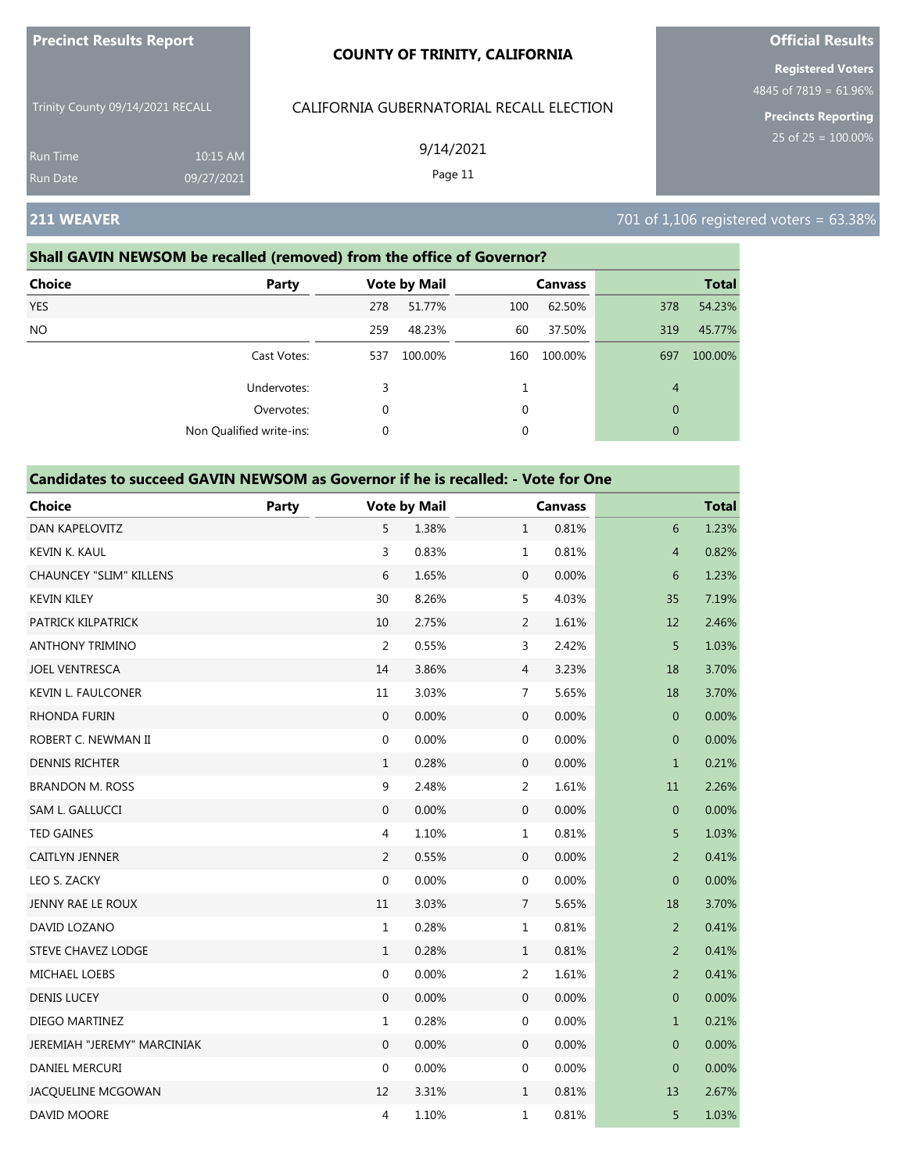|                                  |                        | <b>COUNTY OF TRINITY, CALIFORNIA</b>     | <b>Registered Voters</b>                              |
|----------------------------------|------------------------|------------------------------------------|-------------------------------------------------------|
| Trinity County 09/14/2021 RECALL |                        | CALIFORNIA GUBERNATORIAL RECALL ELECTION | 4845 of 7819 = $61.96%$<br><b>Precincts Reporting</b> |
| <b>Run Time</b><br>Run Date      | 10:15 AM<br>09/27/2021 | 9/14/2021<br>Page 11                     | 25 of $25 = 100.00\%$                                 |
| 211 WEAVER                       |                        |                                          | 701 of 1,106 registered voters = 63.38%               |

**Official Results**

**Precinct Results Report**

#### **Shall GAVIN NEWSOM be recalled (removed) from the office of Governor?**

| <b>Choice</b><br>Party   |     | <b>Vote by Mail</b> |     | <b>Canvass</b> |                | <b>Total</b> |
|--------------------------|-----|---------------------|-----|----------------|----------------|--------------|
| <b>YES</b>               | 278 | 51.77%              | 100 | 62.50%         | 378            | 54.23%       |
| NO.                      | 259 | 48.23%              | 60  | 37.50%         | 319            | 45.77%       |
| Cast Votes:              | 537 | 100.00%             | 160 | 100.00%        | 697            | 100.00%      |
| Undervotes:              | 3   |                     |     |                | $\overline{4}$ |              |
| Overvotes:               | 0   |                     | 0   |                | $\mathbf{0}$   |              |
| Non Qualified write-ins: | 0   |                     | 0   |                | $\theta$       |              |

| <b>Choice</b>                  | Party |                  | <b>Vote by Mail</b> |                  | <b>Canvass</b> |                | <b>Total</b> |
|--------------------------------|-------|------------------|---------------------|------------------|----------------|----------------|--------------|
| DAN KAPELOVITZ                 |       | 5                | 1.38%               | $\mathbf{1}$     | 0.81%          | 6              | 1.23%        |
| <b>KEVIN K. KAUL</b>           |       | 3                | 0.83%               | $\mathbf{1}$     | 0.81%          | $\overline{4}$ | 0.82%        |
| <b>CHAUNCEY "SLIM" KILLENS</b> |       | 6                | 1.65%               | $\mathbf 0$      | 0.00%          | 6              | 1.23%        |
| <b>KEVIN KILEY</b>             |       | 30               | 8.26%               | 5                | 4.03%          | 35             | 7.19%        |
| PATRICK KILPATRICK             |       | 10               | 2.75%               | 2                | 1.61%          | 12             | 2.46%        |
| <b>ANTHONY TRIMINO</b>         |       | $\overline{2}$   | 0.55%               | 3                | 2.42%          | 5              | 1.03%        |
| <b>JOEL VENTRESCA</b>          |       | 14               | 3.86%               | $\overline{4}$   | 3.23%          | 18             | 3.70%        |
| <b>KEVIN L. FAULCONER</b>      |       | 11               | 3.03%               | 7                | 5.65%          | 18             | 3.70%        |
| <b>RHONDA FURIN</b>            |       | $\mathbf 0$      | 0.00%               | $\mathbf 0$      | 0.00%          | $\mathbf 0$    | 0.00%        |
| ROBERT C. NEWMAN II            |       | $\boldsymbol{0}$ | 0.00%               | 0                | 0.00%          | $\overline{0}$ | 0.00%        |
| <b>DENNIS RICHTER</b>          |       | $1\,$            | 0.28%               | $\boldsymbol{0}$ | 0.00%          | $\mathbf{1}$   | 0.21%        |
| <b>BRANDON M. ROSS</b>         |       | 9                | 2.48%               | $\overline{2}$   | 1.61%          | 11             | 2.26%        |
| SAM L. GALLUCCI                |       | $\boldsymbol{0}$ | 0.00%               | $\boldsymbol{0}$ | 0.00%          | $\mathbf{0}$   | 0.00%        |
| <b>TED GAINES</b>              |       | $\overline{4}$   | 1.10%               | $\mathbf{1}$     | 0.81%          | 5              | 1.03%        |
| CAITLYN JENNER                 |       | $\overline{2}$   | 0.55%               | $\mathbf 0$      | 0.00%          | $\overline{2}$ | 0.41%        |
| LEO S. ZACKY                   |       | $\mathbf 0$      | 0.00%               | 0                | 0.00%          | $\mathbf{0}$   | 0.00%        |
| JENNY RAE LE ROUX              |       | 11               | 3.03%               | $\overline{7}$   | 5.65%          | 18             | 3.70%        |
| DAVID LOZANO                   |       | $\mathbf{1}$     | 0.28%               | $\mathbf{1}$     | 0.81%          | $\overline{2}$ | 0.41%        |
| <b>STEVE CHAVEZ LODGE</b>      |       | $\mathbf{1}$     | 0.28%               | $1\,$            | 0.81%          | $\overline{2}$ | 0.41%        |
| MICHAEL LOEBS                  |       | $\mathbf 0$      | 0.00%               | $\overline{2}$   | 1.61%          | $\overline{2}$ | 0.41%        |
| <b>DENIS LUCEY</b>             |       | $\boldsymbol{0}$ | 0.00%               | $\boldsymbol{0}$ | 0.00%          | $\mathbf{0}$   | 0.00%        |
| DIEGO MARTINEZ                 |       | $\mathbf{1}$     | 0.28%               | 0                | 0.00%          | $\mathbf{1}$   | 0.21%        |
| JEREMIAH "JEREMY" MARCINIAK    |       | $\mathbf 0$      | 0.00%               | 0                | 0.00%          | $\mathbf 0$    | 0.00%        |
| DANIEL MERCURI                 |       | $\mathbf 0$      | 0.00%               | 0                | 0.00%          | $\mathbf{0}$   | 0.00%        |
| JACQUELINE MCGOWAN             |       | 12               | 3.31%               | $\mathbf{1}$     | 0.81%          | 13             | 2.67%        |
| DAVID MOORE                    |       | 4                | 1.10%               | $\mathbf 1$      | 0.81%          | 5              | 1.03%        |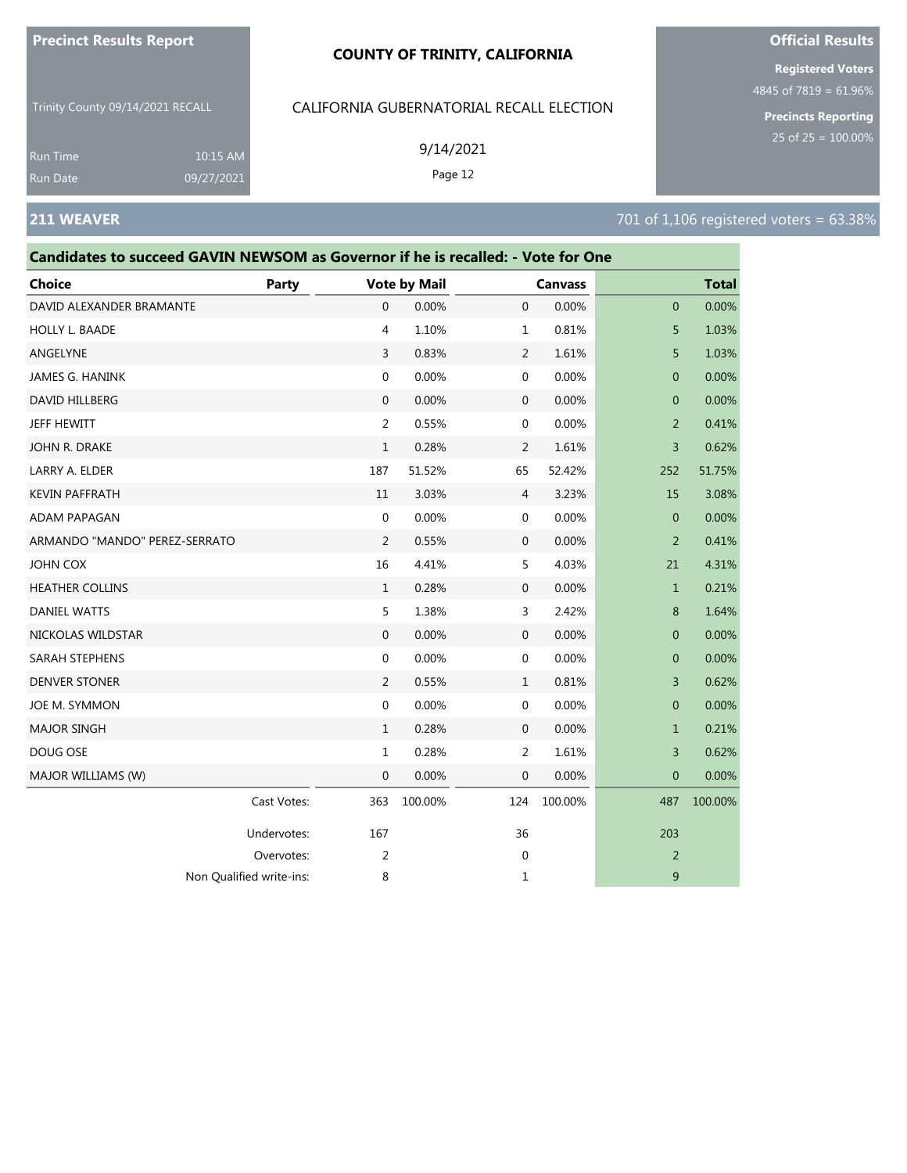#### **COUNTY OF TRINITY, CALIFORNIA**

Trinity County 09/14/2021 RECALL

CALIFORNIA GUBERNATORIAL RECALL ELECTION

|                               |                                                                                  |             |                  | 9/14/2021           |                  |                |                |              | 25 of $25 = 100.00\%$                   |
|-------------------------------|----------------------------------------------------------------------------------|-------------|------------------|---------------------|------------------|----------------|----------------|--------------|-----------------------------------------|
| <b>Run Time</b><br>Run Date   | 10:15 AM<br>09/27/2021                                                           |             |                  | Page 12             |                  |                |                |              |                                         |
|                               |                                                                                  |             |                  |                     |                  |                |                |              |                                         |
| 211 WEAVER                    |                                                                                  |             |                  |                     |                  |                |                |              | 701 of 1,106 registered voters = 63.38% |
|                               | Candidates to succeed GAVIN NEWSOM as Governor if he is recalled: - Vote for One |             |                  |                     |                  |                |                |              |                                         |
| Choice                        |                                                                                  | Party       |                  | <b>Vote by Mail</b> |                  | <b>Canvass</b> |                | <b>Total</b> |                                         |
| DAVID ALEXANDER BRAMANTE      |                                                                                  |             | $\mathbf 0$      | 0.00%               | $\mathbf 0$      | 0.00%          | $\mathbf{0}$   | 0.00%        |                                         |
| HOLLY L. BAADE                |                                                                                  |             | $\overline{4}$   | 1.10%               | $\mathbf{1}$     | 0.81%          | 5              | 1.03%        |                                         |
| ANGELYNE                      |                                                                                  |             | 3                | 0.83%               | $\overline{2}$   | 1.61%          | 5              | 1.03%        |                                         |
| JAMES G. HANINK               |                                                                                  |             | $\mathbf{0}$     | 0.00%               | $\mathbf 0$      | 0.00%          | $\mathbf{0}$   | 0.00%        |                                         |
| DAVID HILLBERG                |                                                                                  |             | $\boldsymbol{0}$ | 0.00%               | $\mathbf 0$      | 0.00%          | $\mathbf{0}$   | 0.00%        |                                         |
| JEFF HEWITT                   |                                                                                  |             | $\overline{2}$   | 0.55%               | $\boldsymbol{0}$ | 0.00%          | 2              | 0.41%        |                                         |
| JOHN R. DRAKE                 |                                                                                  |             | $\mathbf{1}$     | 0.28%               | 2                | 1.61%          | 3              | 0.62%        |                                         |
| LARRY A. ELDER                |                                                                                  |             | 187              | 51.52%              | 65               | 52.42%         | 252            | 51.75%       |                                         |
| <b>KEVIN PAFFRATH</b>         |                                                                                  |             | 11               | 3.03%               | 4                | 3.23%          | 15             | 3.08%        |                                         |
| ADAM PAPAGAN                  |                                                                                  |             | 0                | 0.00%               | $\mathbf 0$      | 0.00%          | $\mathbf{0}$   | 0.00%        |                                         |
| ARMANDO "MANDO" PEREZ-SERRATO |                                                                                  |             | $\overline{2}$   | 0.55%               | $\mathbf 0$      | 0.00%          | 2              | 0.41%        |                                         |
| JOHN COX                      |                                                                                  |             | 16               | 4.41%               | 5                | 4.03%          | 21             | 4.31%        |                                         |
| <b>HEATHER COLLINS</b>        |                                                                                  |             | $\mathbf{1}$     | 0.28%               | $\mathbf 0$      | 0.00%          | $\mathbf{1}$   | 0.21%        |                                         |
| <b>DANIEL WATTS</b>           |                                                                                  |             | 5                | 1.38%               | 3                | 2.42%          | 8              | 1.64%        |                                         |
| NICKOLAS WILDSTAR             |                                                                                  |             | $\boldsymbol{0}$ | 0.00%               | $\mathbf 0$      | 0.00%          | $\mathbf{0}$   | 0.00%        |                                         |
| <b>SARAH STEPHENS</b>         |                                                                                  |             | 0                | 0.00%               | $\mathbf 0$      | 0.00%          | $\overline{0}$ | 0.00%        |                                         |
| DENVER STONER                 |                                                                                  |             | $\overline{2}$   | 0.55%               | $\mathbf{1}$     | 0.81%          | 3              | 0.62%        |                                         |
| JOE M. SYMMON                 |                                                                                  |             | 0                | 0.00%               | $\mathbf 0$      | 0.00%          | $\mathbf{0}$   | 0.00%        |                                         |
| <b>MAJOR SINGH</b>            |                                                                                  |             | $\mathbf{1}$     | 0.28%               | $\mathbf 0$      | 0.00%          | $\mathbf{1}$   | 0.21%        |                                         |
| DOUG OSE                      |                                                                                  |             | $\mathbf{1}$     | 0.28%               | 2                | 1.61%          | 3              | 0.62%        |                                         |
| MAJOR WILLIAMS (W)            |                                                                                  |             | $\mathbf 0$      | 0.00%               | 0                | 0.00%          | $\mathbf{0}$   | 0.00%        |                                         |
|                               |                                                                                  | Cast Votes: | 363              | 100.00%             | 124              | 100.00%        | 487            | 100.00%      |                                         |
|                               |                                                                                  | Undervotes: | 167              |                     | 36               |                | 203            |              |                                         |
|                               |                                                                                  | Overvotes:  | $\overline{2}$   |                     | $\mathbf 0$      |                | $\overline{2}$ |              |                                         |
|                               | Non Qualified write-ins:                                                         |             | 8                |                     | 1                |                | 9              |              |                                         |

# **Official Results**

**Registered Voters**

4845 of 7819 = 61.96%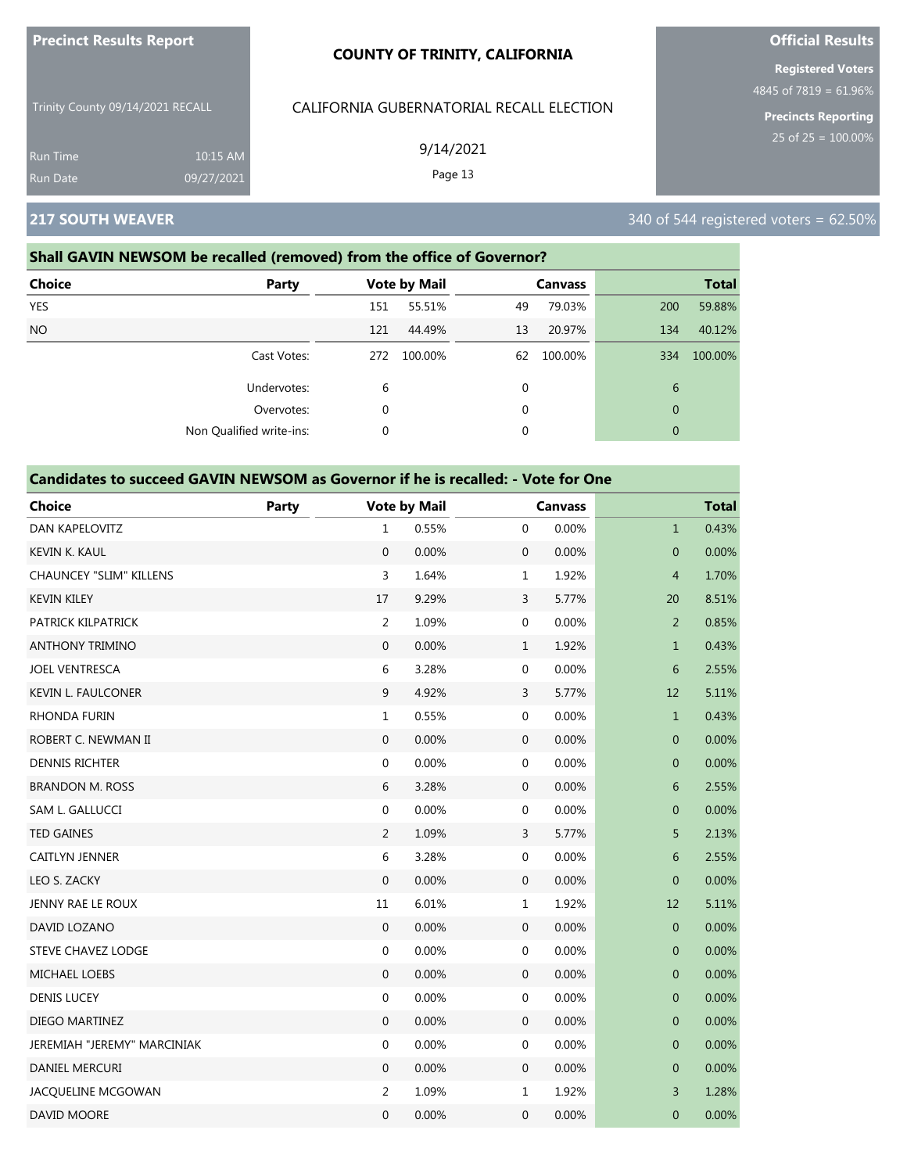| <b>Precinct Results Report</b>   |                        | <b>COUNTY OF TRINITY, CALIFORNIA</b>     |  |
|----------------------------------|------------------------|------------------------------------------|--|
| Trinity County 09/14/2021 RECALL |                        | CALIFORNIA GUBERNATORIAL RECALL ELECTION |  |
| Run Time<br>Run Date             | 10:15 AM<br>09/27/2021 | 9/14/2021<br>Page 13                     |  |

# **217 SOUTH WEAVER** 340 of 544 registered voters = 62.50%

### **Shall GAVIN NEWSOM be recalled (removed) from the office of Governor?**

| <b>Choice</b> | Party                    |          | <b>Vote by Mail</b> |    | <b>Canvass</b> |              | <b>Total</b> |
|---------------|--------------------------|----------|---------------------|----|----------------|--------------|--------------|
| YES           |                          | 151      | 55.51%              | 49 | 79.03%         | 200          | 59.88%       |
| <b>NO</b>     |                          | 121      | 44.49%              | 13 | 20.97%         | 134          | 40.12%       |
|               | Cast Votes:              | 272      | 100.00%             | 62 | 100.00%        | 334          | 100.00%      |
|               | Undervotes:              | 6        |                     | 0  |                | 6            |              |
|               | Overvotes:               | $\Omega$ |                     | 0  |                | $\mathbf{0}$ |              |
|               | Non Qualified write-ins: | 0        |                     | 0  |                | $\mathbf{0}$ |              |

#### **Candidates to succeed GAVIN NEWSOM as Governor if he is recalled: - Vote for One**

| <b>Choice</b>                  | Party |                  | <b>Vote by Mail</b> |                  | <b>Canvass</b> |                | <b>Total</b> |
|--------------------------------|-------|------------------|---------------------|------------------|----------------|----------------|--------------|
| DAN KAPELOVITZ                 |       | $\mathbf{1}$     | 0.55%               | $\mathbf{0}$     | 0.00%          | $\mathbf{1}$   | 0.43%        |
| <b>KEVIN K. KAUL</b>           |       | $\Omega$         | 0.00%               | $\mathbf{0}$     | 0.00%          | $\overline{0}$ | 0.00%        |
| <b>CHAUNCEY "SLIM" KILLENS</b> |       | 3                | 1.64%               | $\mathbf{1}$     | 1.92%          | $\overline{4}$ | 1.70%        |
| <b>KEVIN KILEY</b>             |       | 17               | 9.29%               | $\mathbf{3}$     | 5.77%          | 20             | 8.51%        |
| PATRICK KILPATRICK             |       | $\overline{2}$   | 1.09%               | $\boldsymbol{0}$ | 0.00%          | $\overline{2}$ | 0.85%        |
| <b>ANTHONY TRIMINO</b>         |       | $\mathbf{0}$     | 0.00%               | $\mathbf{1}$     | 1.92%          | $\mathbf{1}$   | 0.43%        |
| <b>JOEL VENTRESCA</b>          |       | 6                | 3.28%               | $\boldsymbol{0}$ | 0.00%          | 6              | 2.55%        |
| KEVIN L. FAULCONER             |       | $\boldsymbol{9}$ | 4.92%               | $\mathsf{3}$     | 5.77%          | 12             | 5.11%        |
| <b>RHONDA FURIN</b>            |       | $\mathbf{1}$     | 0.55%               | $\mathbf 0$      | 0.00%          | $\mathbf{1}$   | 0.43%        |
| ROBERT C. NEWMAN II            |       | $\boldsymbol{0}$ | 0.00%               | $\boldsymbol{0}$ | 0.00%          | $\overline{0}$ | 0.00%        |
| <b>DENNIS RICHTER</b>          |       | $\boldsymbol{0}$ | 0.00%               | $\boldsymbol{0}$ | 0.00%          | $\pmb{0}$      | 0.00%        |
| <b>BRANDON M. ROSS</b>         |       | 6                | 3.28%               | $\mathbf 0$      | 0.00%          | 6              | 2.55%        |
| SAM L. GALLUCCI                |       | $\boldsymbol{0}$ | 0.00%               | $\boldsymbol{0}$ | 0.00%          | $\mathbf 0$    | 0.00%        |
| <b>TED GAINES</b>              |       | $\overline{2}$   | 1.09%               | $\mathsf{3}$     | 5.77%          | 5              | 2.13%        |
| CAITLYN JENNER                 |       | $\boldsymbol{6}$ | 3.28%               | $\boldsymbol{0}$ | 0.00%          | 6              | 2.55%        |
| LEO S. ZACKY                   |       | $\mathbf{0}$     | 0.00%               | $\mathbf 0$      | 0.00%          | $\mathbf 0$    | 0.00%        |
| JENNY RAE LE ROUX              |       | 11               | 6.01%               | $\mathbf{1}$     | 1.92%          | 12             | 5.11%        |
| DAVID LOZANO                   |       | $\mathbf{0}$     | 0.00%               | $\boldsymbol{0}$ | 0.00%          | $\mathbf 0$    | 0.00%        |
| <b>STEVE CHAVEZ LODGE</b>      |       | $\mathbf{0}$     | 0.00%               | $\boldsymbol{0}$ | 0.00%          | $\mathbf 0$    | 0.00%        |
| MICHAEL LOEBS                  |       | $\mathbf 0$      | 0.00%               | $\mathbf 0$      | 0.00%          | $\mathbf 0$    | 0.00%        |
| <b>DENIS LUCEY</b>             |       | 0                | 0.00%               | $\boldsymbol{0}$ | 0.00%          | $\mathbf 0$    | 0.00%        |
| DIEGO MARTINEZ                 |       | $\boldsymbol{0}$ | 0.00%               | $\mathbf 0$      | 0.00%          | $\mathbf 0$    | 0.00%        |
| JEREMIAH "JEREMY" MARCINIAK    |       | $\mathbf 0$      | 0.00%               | $\boldsymbol{0}$ | 0.00%          | 0              | 0.00%        |
| DANIEL MERCURI                 |       | $\mathbf{0}$     | 0.00%               | $\mathbf 0$      | 0.00%          | $\mathbf 0$    | 0.00%        |
| JACQUELINE MCGOWAN             |       | $\overline{2}$   | 1.09%               | $\mathbf{1}$     | 1.92%          | 3              | 1.28%        |
| DAVID MOORE                    |       | 0                | 0.00%               | $\mathbf 0$      | 0.00%          | $\mathbf 0$    | 0.00%        |

# **Official Results**

**Registered Voters**

4845 of 7819 = 61.96%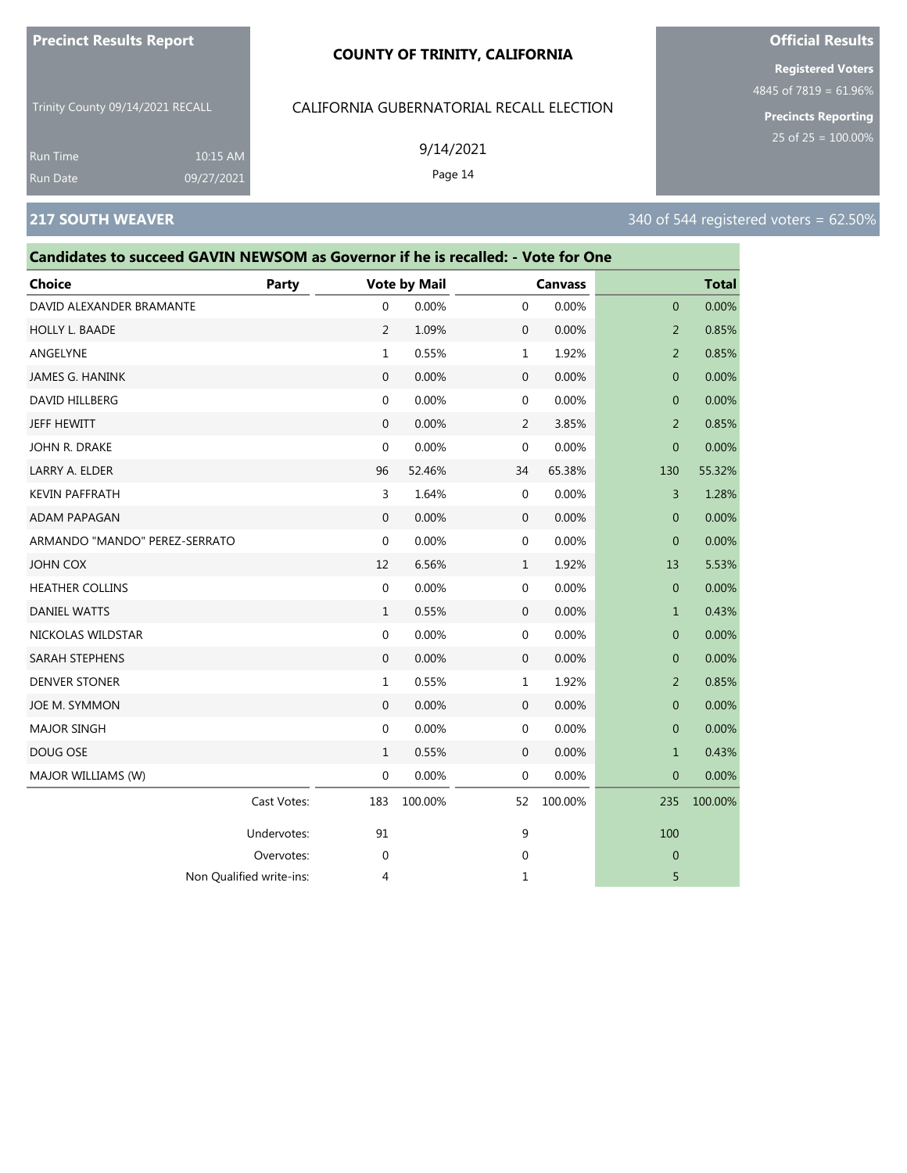#### **COUNTY OF TRINITY, CALIFORNIA**

Trinity County 09/14/2021 RECALL

### CALIFORNIA GUBERNATORIAL RECALL ELECTION

9/14/2021

Page 14

**Official Results Registered Voters**

4845 of 7819 = 61.96%

**Precincts Reporting**

#### Run Time 10:15 AM 09/27/2021

# **217 SOUTH WEAVER** 340 of 544 registered voters = 62.50%

| Candidates to succeed GAVIN NEWSOM as Governor if he is recalled: - Vote for One |             |                     |         |              |                |                |              |
|----------------------------------------------------------------------------------|-------------|---------------------|---------|--------------|----------------|----------------|--------------|
| Choice                                                                           | Party       | <b>Vote by Mail</b> |         |              | <b>Canvass</b> |                | <b>Total</b> |
| DAVID ALEXANDER BRAMANTE                                                         |             | 0                   | 0.00%   | $\mathbf 0$  | 0.00%          | $\mathbf{0}$   | 0.00%        |
| HOLLY L. BAADE                                                                   |             | 2                   | 1.09%   | $\mathbf 0$  | 0.00%          | 2              | 0.85%        |
| ANGELYNE                                                                         |             | 1                   | 0.55%   | 1            | 1.92%          | $\overline{2}$ | 0.85%        |
| JAMES G. HANINK                                                                  |             | $\mathbf{0}$        | 0.00%   | $\mathbf 0$  | 0.00%          | $\mathbf{0}$   | 0.00%        |
| DAVID HILLBERG                                                                   |             | 0                   | 0.00%   | $\mathbf 0$  | 0.00%          | $\mathbf{0}$   | 0.00%        |
| JEFF HEWITT                                                                      |             | 0                   | 0.00%   | 2            | 3.85%          | $\overline{2}$ | 0.85%        |
| JOHN R. DRAKE                                                                    |             | 0                   | 0.00%   | $\mathbf 0$  | 0.00%          | $\overline{0}$ | 0.00%        |
| LARRY A. ELDER                                                                   |             | 96                  | 52.46%  | 34           | 65.38%         | 130            | 55.32%       |
| <b>KEVIN PAFFRATH</b>                                                            |             | 3                   | 1.64%   | $\mathbf 0$  | 0.00%          | 3              | 1.28%        |
| ADAM PAPAGAN                                                                     |             | 0                   | 0.00%   | $\mathbf 0$  | 0.00%          | $\mathbf{0}$   | 0.00%        |
| ARMANDO "MANDO" PEREZ-SERRATO                                                    |             | 0                   | 0.00%   | $\mathbf 0$  | 0.00%          | $\mathbf{0}$   | 0.00%        |
| JOHN COX                                                                         |             | 12                  | 6.56%   | 1            | 1.92%          | 13             | 5.53%        |
| <b>HEATHER COLLINS</b>                                                           |             | 0                   | 0.00%   | $\mathbf 0$  | 0.00%          | $\mathbf{0}$   | 0.00%        |
| <b>DANIEL WATTS</b>                                                              |             | $\mathbf{1}$        | 0.55%   | $\mathbf 0$  | 0.00%          | $\mathbf{1}$   | 0.43%        |
| NICKOLAS WILDSTAR                                                                |             | 0                   | 0.00%   | 0            | 0.00%          | $\mathbf{0}$   | 0.00%        |
| SARAH STEPHENS                                                                   |             | 0                   | 0.00%   | $\mathbf 0$  | 0.00%          | $\mathbf{0}$   | 0.00%        |
| <b>DENVER STONER</b>                                                             |             | $\mathbf{1}$        | 0.55%   | $\mathbf{1}$ | 1.92%          | 2              | 0.85%        |
| JOE M. SYMMON                                                                    |             | $\mathbf{0}$        | 0.00%   | $\mathbf 0$  | 0.00%          | $\mathbf{0}$   | 0.00%        |
| <b>MAJOR SINGH</b>                                                               |             | 0                   | 0.00%   | $\mathbf 0$  | 0.00%          | $\mathbf{0}$   | 0.00%        |
| DOUG OSE                                                                         |             | 1                   | 0.55%   | $\mathbf 0$  | 0.00%          | $\mathbf{1}$   | 0.43%        |
| MAJOR WILLIAMS (W)                                                               |             | 0                   | 0.00%   | $\mathbf 0$  | 0.00%          | $\overline{0}$ | 0.00%        |
|                                                                                  | Cast Votes: | 183                 | 100.00% | 52           | 100.00%        | 235            | 100.00%      |
|                                                                                  | Undervotes: | 91                  |         | 9            |                | 100            |              |
|                                                                                  | Overvotes:  | 0                   |         | 0            |                | $\mathbf{0}$   |              |
| Non Qualified write-ins:                                                         |             | 4                   |         | 1            |                | 5              |              |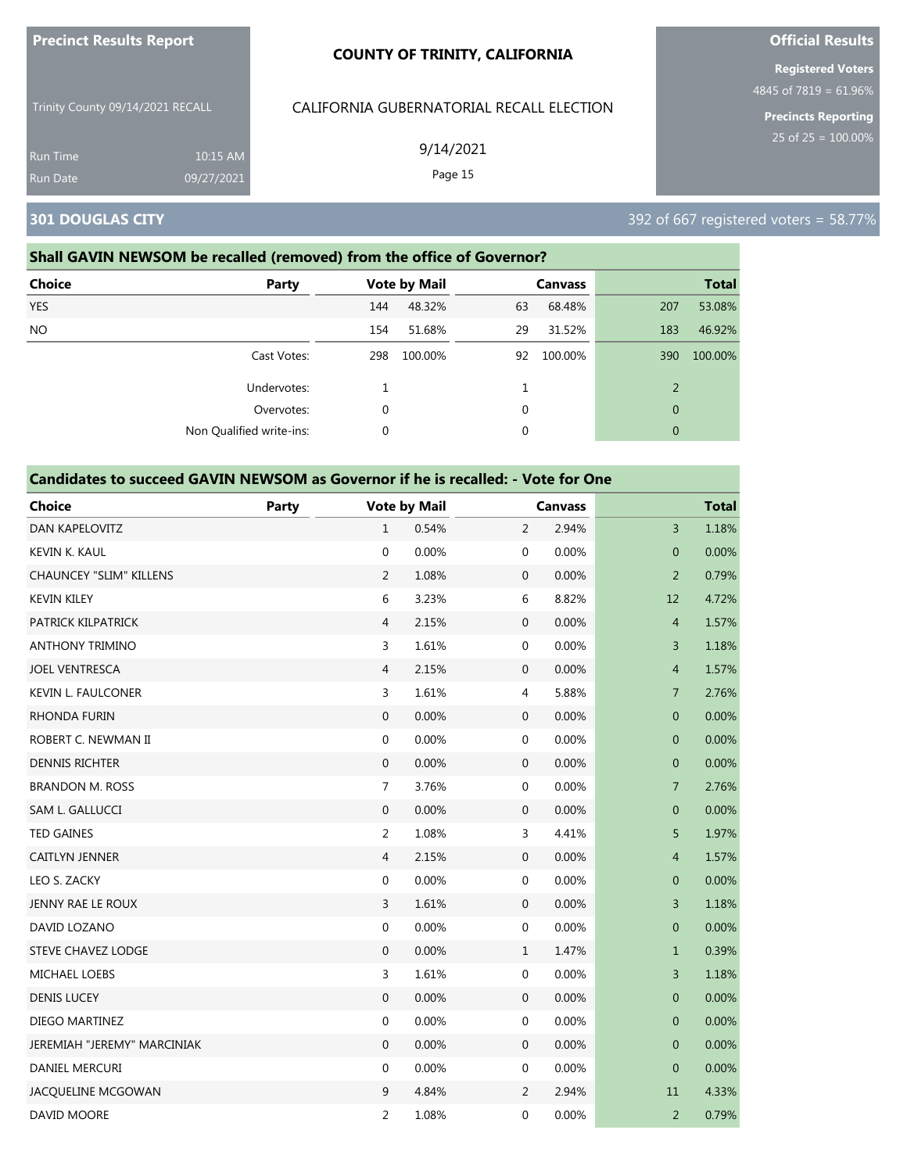| <b>Precinct Results Report</b><br>Trinity County 09/14/2021 RECALL<br><b>Run Time</b><br>10:15 AM<br>Run Date<br>09/27/2021 |  | <b>COUNTY OF TRINITY, CALIFORNIA</b>     | <b>Official Results</b>                              |  |  |
|-----------------------------------------------------------------------------------------------------------------------------|--|------------------------------------------|------------------------------------------------------|--|--|
|                                                                                                                             |  | CALIFORNIA GUBERNATORIAL RECALL ELECTION | <b>Registered Voters</b><br>4845 of $7819 = 61.96\%$ |  |  |
|                                                                                                                             |  | 9/14/2021<br>Page 15                     | <b>Precincts Reporting</b><br>25 of $25 = 100.00\%$  |  |  |
| <b>301 DOUGLAS CITY</b>                                                                                                     |  |                                          | 392 of 667 registered voters = 58.77%                |  |  |

### **Shall GAVIN NEWSOM be recalled (removed) from the office of Governor?**

| <b>Choice</b> | <b>Party</b>             |     | <b>Vote by Mail</b> |    | <b>Canvass</b> |                | <b>Total</b> |
|---------------|--------------------------|-----|---------------------|----|----------------|----------------|--------------|
| <b>YES</b>    |                          | 144 | 48.32%              | 63 | 68.48%         | 207            | 53.08%       |
| <b>NO</b>     |                          | 154 | 51.68%              | 29 | 31.52%         | 183            | 46.92%       |
|               | Cast Votes:              | 298 | 100.00%             | 92 | 100.00%        | 390            | 100.00%      |
|               | Undervotes:              |     |                     |    |                | 2              |              |
|               | Overvotes:               | 0   |                     | 0  |                | $\overline{0}$ |              |
|               | Non Qualified write-ins: | 0   |                     | 0  |                | $\overline{0}$ |              |

| <b>Choice</b>                  | Party |                  | <b>Vote by Mail</b> |                  | <b>Canvass</b> |                | <b>Total</b> |  |
|--------------------------------|-------|------------------|---------------------|------------------|----------------|----------------|--------------|--|
| DAN KAPELOVITZ                 |       | $\mathbf{1}$     | 0.54%               | 2                | 2.94%          | $\overline{3}$ | 1.18%        |  |
| <b>KEVIN K. KAUL</b>           |       | $\mathbf 0$      | 0.00%               | 0                | 0.00%          | $\overline{0}$ | 0.00%        |  |
| <b>CHAUNCEY "SLIM" KILLENS</b> |       | $\overline{2}$   | 1.08%               | $\boldsymbol{0}$ | 0.00%          | $\overline{2}$ | 0.79%        |  |
| <b>KEVIN KILEY</b>             |       | 6                | 3.23%               | 6                | 8.82%          | 12             | 4.72%        |  |
| PATRICK KILPATRICK             |       | $\overline{4}$   | 2.15%               | $\boldsymbol{0}$ | 0.00%          | $\overline{4}$ | 1.57%        |  |
| <b>ANTHONY TRIMINO</b>         |       | 3                | 1.61%               | 0                | 0.00%          | 3              | 1.18%        |  |
| <b>JOEL VENTRESCA</b>          |       | $\overline{4}$   | 2.15%               | $\mathbf 0$      | 0.00%          | $\overline{4}$ | 1.57%        |  |
| <b>KEVIN L. FAULCONER</b>      |       | 3                | 1.61%               | 4                | 5.88%          | $\overline{7}$ | 2.76%        |  |
| RHONDA FURIN                   |       | 0                | 0.00%               | $\mathbf 0$      | 0.00%          | $\mathbf 0$    | 0.00%        |  |
| ROBERT C. NEWMAN II            |       | $\boldsymbol{0}$ | 0.00%               | 0                | 0.00%          | $\mathbf 0$    | 0.00%        |  |
| <b>DENNIS RICHTER</b>          |       | $\mathbf{0}$     | 0.00%               | $\mathbf 0$      | 0.00%          | $\pmb{0}$      | 0.00%        |  |
| <b>BRANDON M. ROSS</b>         |       | $\overline{7}$   | 3.76%               | 0                | 0.00%          | $\overline{7}$ | 2.76%        |  |
| SAM L. GALLUCCI                |       | $\boldsymbol{0}$ | 0.00%               | 0                | 0.00%          | $\pmb{0}$      | 0.00%        |  |
| <b>TED GAINES</b>              |       | $\overline{2}$   | 1.08%               | 3                | 4.41%          | 5              | 1.97%        |  |
| CAITLYN JENNER                 |       | $\overline{4}$   | 2.15%               | $\boldsymbol{0}$ | 0.00%          | $\overline{4}$ | 1.57%        |  |
| LEO S. ZACKY                   |       | $\boldsymbol{0}$ | 0.00%               | 0                | 0.00%          | $\mathbf 0$    | 0.00%        |  |
| JENNY RAE LE ROUX              |       | 3                | 1.61%               | $\mathbf 0$      | 0.00%          | 3              | 1.18%        |  |
| DAVID LOZANO                   |       | $\mathbf 0$      | 0.00%               | 0                | 0.00%          | $\overline{0}$ | 0.00%        |  |
| STEVE CHAVEZ LODGE             |       | $\boldsymbol{0}$ | 0.00%               | $\mathbf 1$      | 1.47%          | $\mathbf{1}$   | 0.39%        |  |
| MICHAEL LOEBS                  |       | 3                | 1.61%               | 0                | 0.00%          | 3              | 1.18%        |  |
| <b>DENIS LUCEY</b>             |       | $\overline{0}$   | 0.00%               | $\boldsymbol{0}$ | 0.00%          | $\mathbf{0}$   | 0.00%        |  |
| DIEGO MARTINEZ                 |       | $\boldsymbol{0}$ | 0.00%               | 0                | 0.00%          | $\mathbf 0$    | 0.00%        |  |
| JEREMIAH "JEREMY" MARCINIAK    |       | $\boldsymbol{0}$ | 0.00%               | $\mathbf 0$      | 0.00%          | $\pmb{0}$      | 0.00%        |  |
| DANIEL MERCURI                 |       | $\mathbf 0$      | 0.00%               | 0                | 0.00%          | $\mathbf 0$    | 0.00%        |  |
| JACQUELINE MCGOWAN             |       | 9                | 4.84%               | $\overline{2}$   | 2.94%          | $11\,$         | 4.33%        |  |
| DAVID MOORE                    |       | $\overline{2}$   | 1.08%               | 0                | 0.00%          | $\overline{2}$ | 0.79%        |  |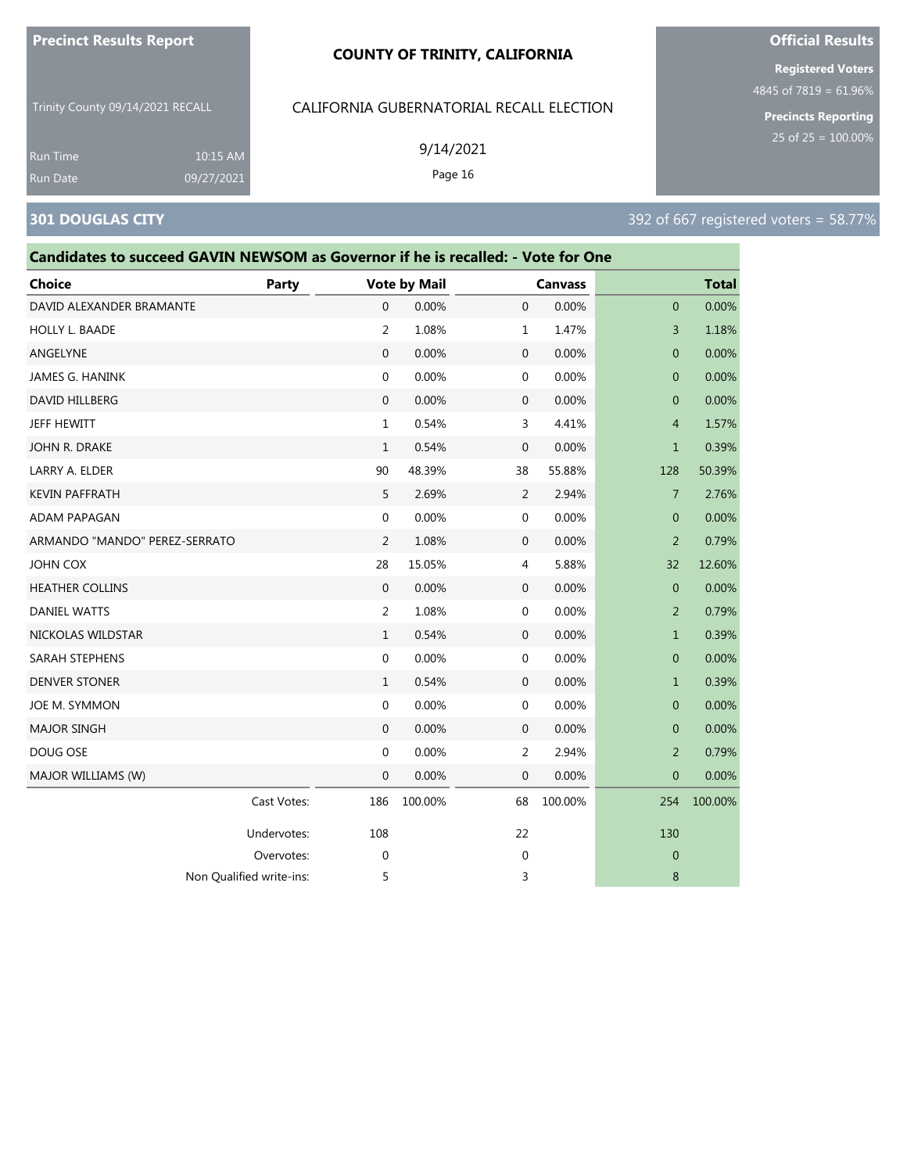#### **COUNTY OF TRINITY, CALIFORNIA**

Trinity County 09/14/2021 RECALL

## CALIFORNIA GUBERNATORIAL RECALL ELECTION

9/14/2021

Page 16

**Registered Voters**

**Official Results**

4845 of 7819 = 61.96%

**Precincts Reporting**

Run Time 10:15 AM 09/27/2021

# **301 DOUGLAS CITY** 301 DOUGLAS CITY

| Candidates to succeed GAVIN NEWSOM as Governor if he is recalled: - Vote for One |             |                |                     |                |                |                |              |
|----------------------------------------------------------------------------------|-------------|----------------|---------------------|----------------|----------------|----------------|--------------|
| Choice                                                                           | Party       |                | <b>Vote by Mail</b> |                | <b>Canvass</b> |                | <b>Total</b> |
| DAVID ALEXANDER BRAMANTE                                                         |             | $\mathbf{0}$   | 0.00%               | $\mathbf{0}$   | 0.00%          | $\overline{0}$ | 0.00%        |
| HOLLY L. BAADE                                                                   |             | $\overline{2}$ | 1.08%               | $\mathbf{1}$   | 1.47%          | 3              | 1.18%        |
| ANGELYNE                                                                         |             | $\mathbf{0}$   | 0.00%               | $\mathbf 0$    | 0.00%          | $\mathbf{0}$   | 0.00%        |
| JAMES G. HANINK                                                                  |             | $\mathbf 0$    | 0.00%               | $\mathbf 0$    | 0.00%          | $\mathbf{0}$   | 0.00%        |
| DAVID HILLBERG                                                                   |             | $\mathbf{0}$   | 0.00%               | $\mathbf 0$    | 0.00%          | $\mathbf{0}$   | 0.00%        |
| JEFF HEWITT                                                                      |             | $\mathbf{1}$   | 0.54%               | 3              | 4.41%          | 4              | 1.57%        |
| JOHN R. DRAKE                                                                    |             | $\mathbf{1}$   | 0.54%               | 0              | 0.00%          | $\mathbf{1}$   | 0.39%        |
| LARRY A. ELDER                                                                   |             | 90             | 48.39%              | 38             | 55.88%         | 128            | 50.39%       |
| KEVIN PAFFRATH                                                                   |             | 5              | 2.69%               | 2              | 2.94%          | $\overline{7}$ | 2.76%        |
| ADAM PAPAGAN                                                                     |             | $\mathbf 0$    | 0.00%               | $\mathbf 0$    | 0.00%          | $\mathbf{0}$   | 0.00%        |
| ARMANDO "MANDO" PEREZ-SERRATO                                                    |             | $\overline{2}$ | 1.08%               | $\mathbf{0}$   | 0.00%          | $\overline{2}$ | 0.79%        |
| JOHN COX                                                                         |             | 28             | 15.05%              | $\overline{4}$ | 5.88%          | 32             | 12.60%       |
| <b>HEATHER COLLINS</b>                                                           |             | $\Omega$       | 0.00%               | $\mathbf 0$    | 0.00%          | $\mathbf{0}$   | 0.00%        |
| <b>DANIEL WATTS</b>                                                              |             | 2              | 1.08%               | $\mathbf 0$    | 0.00%          | 2              | 0.79%        |
| NICKOLAS WILDSTAR                                                                |             | $\mathbf{1}$   | 0.54%               | $\mathbf 0$    | 0.00%          | $\mathbf{1}$   | 0.39%        |
| SARAH STEPHENS                                                                   |             | 0              | 0.00%               | $\mathbf 0$    | 0.00%          | $\mathbf{0}$   | 0.00%        |
| <b>DENVER STONER</b>                                                             |             | $\mathbf{1}$   | 0.54%               | $\mathbf 0$    | 0.00%          | $\mathbf{1}$   | 0.39%        |
| JOE M. SYMMON                                                                    |             | $\mathbf 0$    | 0.00%               | $\mathbf 0$    | 0.00%          | $\mathbf{0}$   | 0.00%        |
| <b>MAJOR SINGH</b>                                                               |             | $\mathbf 0$    | 0.00%               | $\mathbf 0$    | 0.00%          | $\mathbf{0}$   | 0.00%        |
| DOUG OSE                                                                         |             | 0              | 0.00%               | 2              | 2.94%          | 2              | 0.79%        |
| MAJOR WILLIAMS (W)                                                               |             | $\mathbf 0$    | 0.00%               | $\mathbf 0$    | 0.00%          | $\mathbf{0}$   | 0.00%        |
|                                                                                  | Cast Votes: | 186            | 100.00%             | 68             | 100.00%        | 254            | 100.00%      |
|                                                                                  | Undervotes: | 108            |                     | 22             |                | 130            |              |
|                                                                                  | Overvotes:  | 0              |                     | 0              |                | $\mathbf{0}$   |              |
| Non Qualified write-ins:                                                         |             | 5              |                     | 3              |                | 8              |              |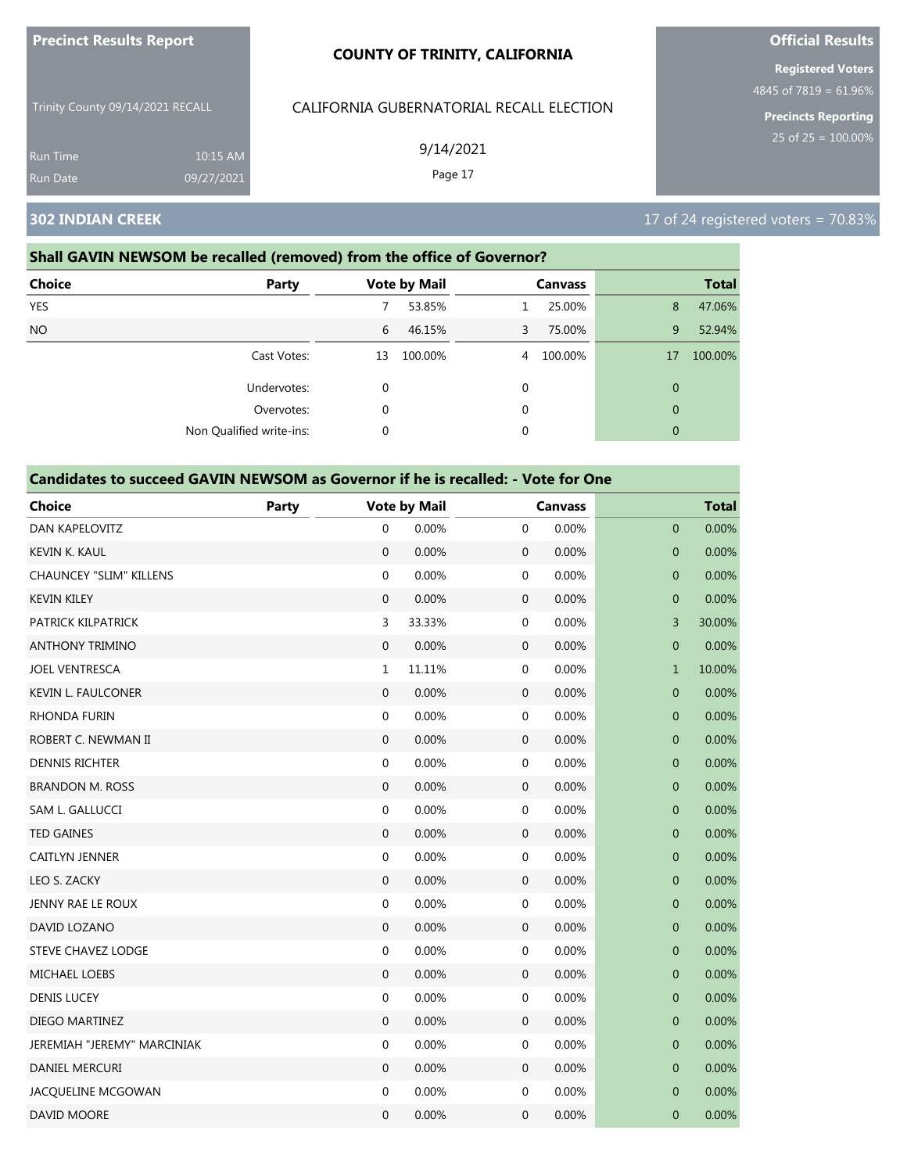|                                  |                        | <b>COUNTY OF TRINITY, CALIFORNIA</b>     | <b>Registered Voters</b>                              |
|----------------------------------|------------------------|------------------------------------------|-------------------------------------------------------|
| Trinity County 09/14/2021 RECALL |                        | CALIFORNIA GUBERNATORIAL RECALL ELECTION | 4845 of 7819 = $61.96%$<br><b>Precincts Reporting</b> |
| <b>Run Time</b><br>Run Date      | 10:15 AM<br>09/27/2021 | 9/14/2021<br>Page 17                     | 25 of $25 = 100.00\%$                                 |
| <b>302 INDIAN CREEK</b>          |                        |                                          | 17 of 24 registered voters = $70.83\%$                |

**Official Results**

**Precinct Results Report**

#### **Shall GAVIN NEWSOM be recalled (removed) from the office of Governor?**

| <b>Choice</b> | Party                    |             | <b>Vote by Mail</b> |    | <b>Canvass</b> |              | <b>Total</b> |
|---------------|--------------------------|-------------|---------------------|----|----------------|--------------|--------------|
| <b>YES</b>    |                          |             | 53.85%              |    | 25.00%         | 8            | 47.06%       |
| <b>NO</b>     |                          | 6           | 46.15%              | 3. | 75.00%         | 9            | 52.94%       |
|               | Cast Votes:              | 13          | 100.00%             | 4  | 100.00%        | 17           | 100.00%      |
|               | Undervotes:              | $\mathbf 0$ |                     | 0  |                | $\mathbf{0}$ |              |
|               | Overvotes:               | 0           |                     | 0  |                | $\mathbf{0}$ |              |
|               | Non Qualified write-ins: | 0           |                     | 0  |                | $\mathbf{0}$ |              |

| <b>Choice</b>                  | <b>Party</b> |                  | <b>Vote by Mail</b> |                  | <b>Canvass</b> |                  | <b>Total</b> |
|--------------------------------|--------------|------------------|---------------------|------------------|----------------|------------------|--------------|
| <b>DAN KAPELOVITZ</b>          |              | $\mathbf 0$      | 0.00%               | $\mathbf 0$      | 0.00%          | $\overline{0}$   | 0.00%        |
| <b>KEVIN K. KAUL</b>           |              | $\mathbf{0}$     | 0.00%               | $\mathbf{0}$     | 0.00%          | $\mathbf 0$      | 0.00%        |
| <b>CHAUNCEY "SLIM" KILLENS</b> |              | $\mathbf 0$      | 0.00%               | 0                | 0.00%          | $\mathbf 0$      | 0.00%        |
| <b>KEVIN KILEY</b>             |              | $\mathbf 0$      | 0.00%               | $\mathbf 0$      | 0.00%          | $\mathbf 0$      | 0.00%        |
| PATRICK KILPATRICK             |              | 3                | 33.33%              | $\boldsymbol{0}$ | 0.00%          | 3                | 30.00%       |
| <b>ANTHONY TRIMINO</b>         |              | $\boldsymbol{0}$ | 0.00%               | $\mathbf 0$      | 0.00%          | $\boldsymbol{0}$ | 0.00%        |
| <b>JOEL VENTRESCA</b>          |              | $\mathbf{1}$     | 11.11%              | $\mathbf 0$      | 0.00%          | $\mathbf{1}$     | 10.00%       |
| <b>KEVIN L. FAULCONER</b>      |              | $\mathbf{0}$     | 0.00%               | $\mathbf 0$      | 0.00%          | $\mathbf 0$      | 0.00%        |
| <b>RHONDA FURIN</b>            |              | $\mathbf 0$      | 0.00%               | $\mathbf 0$      | 0.00%          | $\mathbf 0$      | 0.00%        |
| ROBERT C. NEWMAN II            |              | $\mathbf{0}$     | 0.00%               | $\mathbf{0}$     | 0.00%          | $\mathbf{0}$     | 0.00%        |
| <b>DENNIS RICHTER</b>          |              | $\boldsymbol{0}$ | 0.00%               | $\mathbf 0$      | 0.00%          | $\mathbf 0$      | 0.00%        |
| <b>BRANDON M. ROSS</b>         |              | $\mathbf 0$      | 0.00%               | $\mathbf 0$      | 0.00%          | $\pmb{0}$        | 0.00%        |
| SAM L. GALLUCCI                |              | $\boldsymbol{0}$ | 0.00%               | $\boldsymbol{0}$ | 0.00%          | $\mathbf 0$      | 0.00%        |
| <b>TED GAINES</b>              |              | $\mathbf 0$      | 0.00%               | $\mathbf 0$      | 0.00%          | $\mathbf 0$      | 0.00%        |
| <b>CAITLYN JENNER</b>          |              | $\boldsymbol{0}$ | 0.00%               | $\mathbf 0$      | 0.00%          | $\mathbf 0$      | 0.00%        |
| LEO S. ZACKY                   |              | $\mathbf{0}$     | 0.00%               | $\mathbf 0$      | 0.00%          | $\mathbf 0$      | 0.00%        |
| <b>JENNY RAE LE ROUX</b>       |              | $\mathbf 0$      | 0.00%               | $\boldsymbol{0}$ | 0.00%          | $\mathbf 0$      | 0.00%        |
| DAVID LOZANO                   |              | $\boldsymbol{0}$ | 0.00%               | $\boldsymbol{0}$ | 0.00%          | $\mathbf{0}$     | 0.00%        |
| STEVE CHAVEZ LODGE             |              | 0                | 0.00%               | $\boldsymbol{0}$ | 0.00%          | $\pmb{0}$        | 0.00%        |
| MICHAEL LOEBS                  |              | $\mathbf 0$      | 0.00%               | $\mathbf 0$      | 0.00%          | 0                | 0.00%        |
| <b>DENIS LUCEY</b>             |              | $\boldsymbol{0}$ | 0.00%               | $\mathbf 0$      | 0.00%          | $\mathbf 0$      | 0.00%        |
| DIEGO MARTINEZ                 |              | $\mathbf{0}$     | 0.00%               | $\mathbf 0$      | 0.00%          | $\mathbf 0$      | 0.00%        |
| JEREMIAH "JEREMY" MARCINIAK    |              | $\boldsymbol{0}$ | 0.00%               | $\mathbf 0$      | 0.00%          | $\mathbf 0$      | 0.00%        |
| DANIEL MERCURI                 |              | $\boldsymbol{0}$ | 0.00%               | $\boldsymbol{0}$ | 0.00%          | $\pmb{0}$        | 0.00%        |
| JACQUELINE MCGOWAN             |              | 0                | 0.00%               | $\boldsymbol{0}$ | 0.00%          | 0                | 0.00%        |
| DAVID MOORE                    |              | $\mathbf{0}$     | 0.00%               | 0                | 0.00%          | $\mathbf{0}$     | 0.00%        |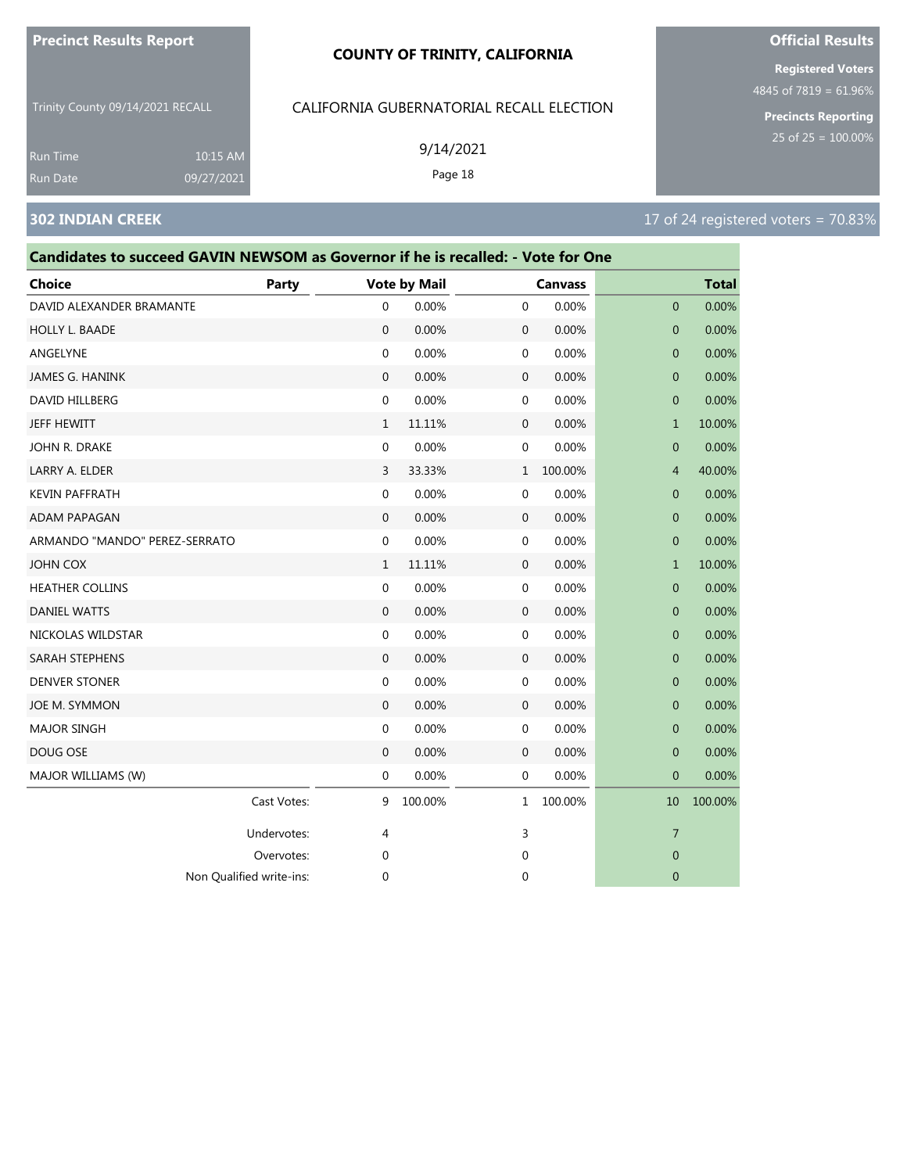#### **COUNTY OF TRINITY, CALIFORNIA**

Trinity County 09/14/2021 RECALL

10:15 AM 09/27/2021

# CALIFORNIA GUBERNATORIAL RECALL ELECTION

9/14/2021

Page 18

**Registered Voters**

4845 of 7819 = 61.96%

**Precincts Reporting**

Run Time

| Candidates to succeed GAVIN NEWSOM as Governor if he is recalled: - Vote for One |             |                     |         |              |                |                  |              |
|----------------------------------------------------------------------------------|-------------|---------------------|---------|--------------|----------------|------------------|--------------|
| Choice                                                                           | Party       | <b>Vote by Mail</b> |         |              | <b>Canvass</b> |                  | <b>Total</b> |
| DAVID ALEXANDER BRAMANTE                                                         |             | 0                   | 0.00%   | 0            | 0.00%          | 0                | 0.00%        |
| HOLLY L. BAADE                                                                   |             | $\mathbf 0$         | 0.00%   | $\mathbf 0$  | 0.00%          | $\mathbf 0$      | 0.00%        |
| ANGELYNE                                                                         |             | 0                   | 0.00%   | $\mathbf{0}$ | 0.00%          | $\mathbf{0}$     | 0.00%        |
| JAMES G. HANINK                                                                  |             | $\mathbf{0}$        | 0.00%   | $\mathbf 0$  | 0.00%          | $\overline{0}$   | 0.00%        |
| DAVID HILLBERG                                                                   |             | 0                   | 0.00%   | 0            | 0.00%          | $\overline{0}$   | 0.00%        |
| JEFF HEWITT                                                                      |             | $\mathbf{1}$        | 11.11%  | $\mathbf 0$  | 0.00%          | $\mathbf{1}$     | 10.00%       |
| John R. Drake                                                                    |             | 0                   | 0.00%   | 0            | 0.00%          | 0                | 0.00%        |
| LARRY A. ELDER                                                                   |             | 3                   | 33.33%  | $\mathbf{1}$ | 100.00%        | 4                | 40.00%       |
| <b>KEVIN PAFFRATH</b>                                                            |             | 0                   | 0.00%   | 0            | 0.00%          | $\overline{0}$   | 0.00%        |
| <b>ADAM PAPAGAN</b>                                                              |             | 0                   | 0.00%   | $\mathbf 0$  | 0.00%          | $\mathbf{0}$     | 0.00%        |
| ARMANDO "MANDO" PEREZ-SERRATO                                                    |             | $\mathbf 0$         | 0.00%   | 0            | 0.00%          | $\mathbf 0$      | 0.00%        |
| JOHN COX                                                                         |             | 1                   | 11.11%  | $\mathbf 0$  | 0.00%          | 1                | 10.00%       |
| <b>HEATHER COLLINS</b>                                                           |             | 0                   | 0.00%   | 0            | 0.00%          | $\mathbf 0$      | 0.00%        |
| <b>DANIEL WATTS</b>                                                              |             | $\mathbf{0}$        | 0.00%   | $\mathbf{0}$ | 0.00%          | $\overline{0}$   | 0.00%        |
| NICKOLAS WILDSTAR                                                                |             | 0                   | 0.00%   | 0            | 0.00%          | $\mathbf 0$      | 0.00%        |
| SARAH STEPHENS                                                                   |             | $\mathbf{0}$        | 0.00%   | $\mathbf 0$  | 0.00%          | $\mathbf 0$      | 0.00%        |
| <b>DENVER STONER</b>                                                             |             | 0                   | 0.00%   | $\mathbf 0$  | 0.00%          | 0                | 0.00%        |
| JOE M. SYMMON                                                                    |             | $\mathbf{0}$        | 0.00%   | 0            | 0.00%          | $\mathbf 0$      | 0.00%        |
| <b>MAJOR SINGH</b>                                                               |             | 0                   | 0.00%   | 0            | 0.00%          | 0                | 0.00%        |
| DOUG OSE                                                                         |             | $\mathbf{0}$        | 0.00%   | $\mathbf 0$  | 0.00%          | $\mathbf{0}$     | 0.00%        |
| MAJOR WILLIAMS (W)                                                               |             | 0                   | 0.00%   | $\mathbf 0$  | 0.00%          | $\mathbf{0}$     | 0.00%        |
|                                                                                  | Cast Votes: | 9                   | 100.00% | 1            | 100.00%        | 10               | 100.00%      |
|                                                                                  | Undervotes: | 4                   |         | 3            |                | $\overline{7}$   |              |
|                                                                                  | Overvotes:  | 0                   |         | 0            |                | $\boldsymbol{0}$ |              |
| Non Qualified write-ins:                                                         |             | 0                   |         | 0            |                | 0                |              |

# **Official Results**

# **302 INDIAN CREEK** 17 Of 24 registered voters = 70.83%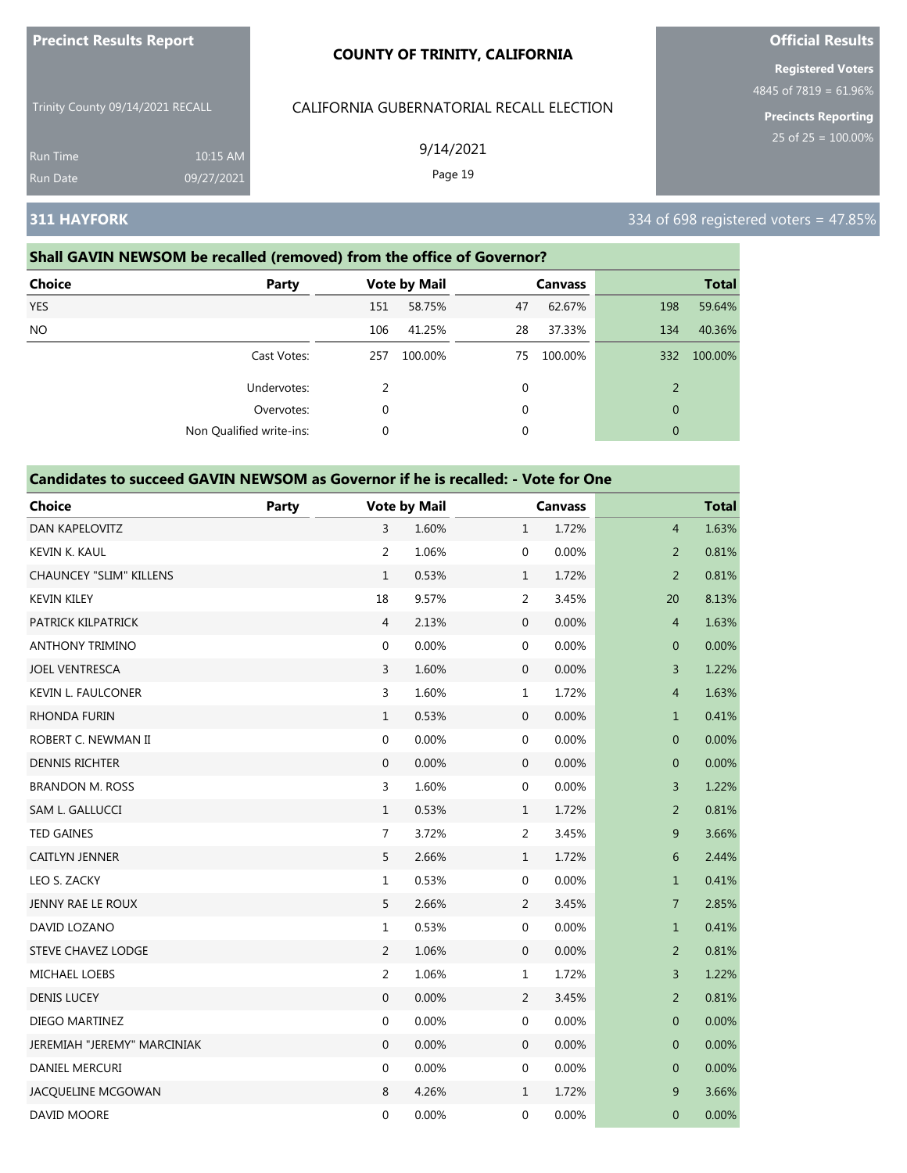| <b>Precinct Results Report</b> | <b>COUNTY OF</b> |
|--------------------------------|------------------|
|                                |                  |

Trinity County 09/14/2021 RECALL

Run Time 10:15 AM 09/27/2021

### **Shall GAVIN NEWSOM be recalled (removed) from the office of Governor?**

| <b>Choice</b> | <b>Party</b>             |     | <b>Vote by Mail</b> |    | <b>Canvass</b> |                | <b>Total</b> |
|---------------|--------------------------|-----|---------------------|----|----------------|----------------|--------------|
| <b>YES</b>    |                          | 151 | 58.75%              | 47 | 62.67%         | 198            | 59.64%       |
| <b>NO</b>     |                          | 106 | 41.25%              | 28 | 37.33%         | 134            | 40.36%       |
|               | Cast Votes:              | 257 | 100.00%             | 75 | 100.00%        | 332            | 100.00%      |
|               | Undervotes:              | 2   |                     | 0  |                | $\overline{2}$ |              |
|               | Overvotes:               | 0   |                     | 0  |                | $\mathbf{0}$   |              |
|               | Non Qualified write-ins: | 0   |                     | 0  |                | $\theta$       |              |

**TRINITY, CALIFORNIA** 

CALIFORNIA GUBERNATORIAL RECALL ELECTION

9/14/2021 Page 19

### **Candidates to succeed GAVIN NEWSOM as Governor if he is recalled: - Vote for One**

| <b>Choice</b>                  | Party |                  | <b>Vote by Mail</b> |                  | <b>Canvass</b> |                | <b>Total</b> |
|--------------------------------|-------|------------------|---------------------|------------------|----------------|----------------|--------------|
| <b>DAN KAPELOVITZ</b>          |       | 3                | 1.60%               | $\mathbf{1}$     | 1.72%          | $\overline{4}$ | 1.63%        |
| KEVIN K. KAUL                  |       | $\overline{2}$   | 1.06%               | $\boldsymbol{0}$ | 0.00%          | $\overline{2}$ | 0.81%        |
| <b>CHAUNCEY "SLIM" KILLENS</b> |       | $\mathbf{1}$     | 0.53%               | $\mathbf{1}$     | 1.72%          | 2              | 0.81%        |
| <b>KEVIN KILEY</b>             |       | 18               | 9.57%               | $\overline{2}$   | 3.45%          | 20             | 8.13%        |
| PATRICK KILPATRICK             |       | $\overline{4}$   | 2.13%               | $\mathbf 0$      | 0.00%          | $\overline{4}$ | 1.63%        |
| <b>ANTHONY TRIMINO</b>         |       | $\boldsymbol{0}$ | 0.00%               | $\boldsymbol{0}$ | 0.00%          | $\mathbf 0$    | 0.00%        |
| <b>JOEL VENTRESCA</b>          |       | 3                | 1.60%               | $\mathbf 0$      | 0.00%          | 3              | 1.22%        |
| <b>KEVIN L. FAULCONER</b>      |       | $\overline{3}$   | 1.60%               | $\mathbf{1}$     | 1.72%          | $\overline{4}$ | 1.63%        |
| RHONDA FURIN                   |       | $\mathbf{1}$     | 0.53%               | $\mathbf 0$      | 0.00%          | $\mathbf{1}$   | 0.41%        |
| ROBERT C. NEWMAN II            |       | $\mathbf{0}$     | 0.00%               | $\boldsymbol{0}$ | 0.00%          | $\mathbf{0}$   | 0.00%        |
| <b>DENNIS RICHTER</b>          |       | $\mathbf{0}$     | 0.00%               | $\mathbf 0$      | 0.00%          | $\mathbf{0}$   | 0.00%        |
| <b>BRANDON M. ROSS</b>         |       | 3                | 1.60%               | $\mathbf 0$      | 0.00%          | $\overline{3}$ | 1.22%        |
| SAM L. GALLUCCI                |       | $\mathbf{1}$     | 0.53%               | $\mathbf{1}$     | 1.72%          | $\overline{2}$ | 0.81%        |
| <b>TED GAINES</b>              |       | $\overline{7}$   | 3.72%               | $\overline{2}$   | 3.45%          | 9              | 3.66%        |
| <b>CAITLYN JENNER</b>          |       | 5                | 2.66%               | $\mathbf{1}$     | 1.72%          | 6              | 2.44%        |
| LEO S. ZACKY                   |       | $\mathbf{1}$     | 0.53%               | $\mathbf 0$      | 0.00%          | $\mathbf{1}$   | 0.41%        |
| JENNY RAE LE ROUX              |       | 5                | 2.66%               | $\overline{2}$   | 3.45%          | $\overline{7}$ | 2.85%        |
| DAVID LOZANO                   |       | $\mathbf{1}$     | 0.53%               | $\mathbf 0$      | 0.00%          | $\mathbf{1}$   | 0.41%        |
| <b>STEVE CHAVEZ LODGE</b>      |       | $\overline{2}$   | 1.06%               | $\mathbf 0$      | 0.00%          | $\overline{2}$ | 0.81%        |
| MICHAEL LOEBS                  |       | $\overline{2}$   | 1.06%               | $\mathbf{1}$     | 1.72%          | 3              | 1.22%        |
| <b>DENIS LUCEY</b>             |       | $\boldsymbol{0}$ | 0.00%               | $\overline{2}$   | 3.45%          | $\overline{2}$ | 0.81%        |
| DIEGO MARTINEZ                 |       | $\mathbf{0}$     | 0.00%               | $\boldsymbol{0}$ | 0.00%          | $\mathbf{0}$   | 0.00%        |
| JEREMIAH "JEREMY" MARCINIAK    |       | $\mathbf{0}$     | 0.00%               | $\mathbf{0}$     | 0.00%          | $\mathbf{0}$   | 0.00%        |
| <b>DANIEL MERCURI</b>          |       | $\mathbf{0}$     | 0.00%               | $\mathbf 0$      | 0.00%          | $\mathbf 0$    | 0.00%        |
| JACQUELINE MCGOWAN             |       | 8                | 4.26%               | $\mathbf{1}$     | 1.72%          | 9              | 3.66%        |
| DAVID MOORE                    |       | $\mathbf 0$      | 0.00%               | $\mathbf 0$      | 0.00%          | $\mathbf 0$    | 0.00%        |

# **Official Results**

**Registered Voters**

4845 of 7819 = 61.96%

**Precincts Reporting**

# **311 HAYFORK** 334 of 698 registered voters = 47.85%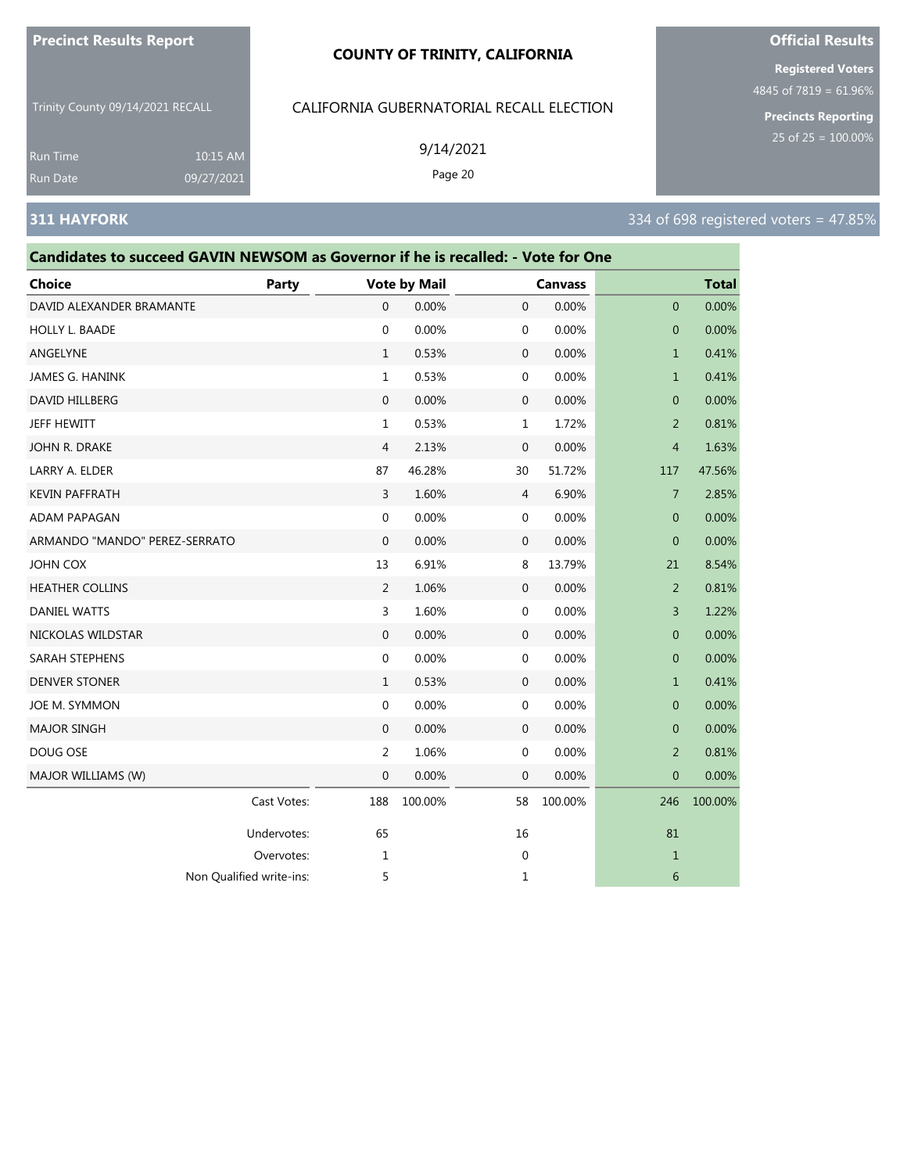#### **COUNTY OF TRINITY, CALIFORNIA**

Trinity County 09/14/2021 RECALL

CALIFORNIA GUBERNATORIAL RECALL ELECTION

| <b>Run Time</b><br><b>Run Date</b> | 10:15 AM<br>09/27/2021                                                           |       | 9/14/2021<br>Page 20 |                |  |              |                                          | $25$ OT $25 = 100.00\%$ |  |
|------------------------------------|----------------------------------------------------------------------------------|-------|----------------------|----------------|--|--------------|------------------------------------------|-------------------------|--|
| <b>311 HAYFORK</b>                 |                                                                                  |       |                      |                |  |              | 334 of 698 registered voters = $47.85\%$ |                         |  |
|                                    | Candidates to succeed GAVIN NEWSOM as Governor if he is recalled: - Vote for One |       |                      |                |  |              |                                          |                         |  |
| <b>Choice</b>                      |                                                                                  | Party | <b>Vote by Mail</b>  | <b>Canvass</b> |  | <b>Total</b> |                                          |                         |  |
| DAVID ALEXANDER BRAMANTE           |                                                                                  |       | $0.00\%$             | $0.00\%$       |  | $0.00\%$     |                                          |                         |  |

# **Official Results**

**Registered Voters** 4845 of 7819 = 61.96%

| Choice                        | <b>Party</b> |                | <b>Vote by Mail</b> |              | <b>Canvass</b> |                | <b>Total</b> |
|-------------------------------|--------------|----------------|---------------------|--------------|----------------|----------------|--------------|
| DAVID ALEXANDER BRAMANTE      |              | $\mathbf{0}$   | 0.00%               | $\mathbf{0}$ | 0.00%          | $\mathbf{0}$   | 0.00%        |
| HOLLY L. BAADE                |              | $\mathbf{0}$   | 0.00%               | 0            | 0.00%          | $\mathbf{0}$   | 0.00%        |
| ANGELYNE                      |              | $\mathbf{1}$   | 0.53%               | $\mathbf 0$  | 0.00%          | $\mathbf{1}$   | 0.41%        |
| JAMES G. HANINK               |              | $\mathbf{1}$   | 0.53%               | $\mathbf 0$  | 0.00%          | $\mathbf{1}$   | 0.41%        |
| DAVID HILLBERG                |              | $\mathbf{0}$   | 0.00%               | $\mathbf 0$  | 0.00%          | $\mathbf{0}$   | 0.00%        |
| JEFF HEWITT                   |              | 1              | 0.53%               | $\mathbf{1}$ | 1.72%          | 2              | 0.81%        |
| JOHN R. DRAKE                 |              | 4              | 2.13%               | $\mathbf 0$  | 0.00%          | $\overline{4}$ | 1.63%        |
| LARRY A. ELDER                |              | 87             | 46.28%              | 30           | 51.72%         | 117            | 47.56%       |
| <b>KEVIN PAFFRATH</b>         |              | 3              | 1.60%               | 4            | 6.90%          | $\overline{7}$ | 2.85%        |
| ADAM PAPAGAN                  |              | 0              | 0.00%               | $\mathbf 0$  | 0.00%          | $\mathbf{0}$   | 0.00%        |
| ARMANDO "MANDO" PEREZ-SERRATO |              | 0              | 0.00%               | 0            | 0.00%          | $\mathbf{0}$   | 0.00%        |
| JOHN COX                      |              | 13             | 6.91%               | 8            | 13.79%         | 21             | 8.54%        |
| <b>HEATHER COLLINS</b>        |              | 2              | 1.06%               | $\mathbf{0}$ | 0.00%          | $\overline{2}$ | 0.81%        |
| <b>DANIEL WATTS</b>           |              | 3              | 1.60%               | $\mathbf 0$  | 0.00%          | 3              | 1.22%        |
| NICKOLAS WILDSTAR             |              | $\mathbf 0$    | 0.00%               | $\mathbf 0$  | 0.00%          | $\mathbf{0}$   | 0.00%        |
| SARAH STEPHENS                |              | $\mathbf{0}$   | 0.00%               | 0            | 0.00%          | $\mathbf{0}$   | 0.00%        |
| <b>DENVER STONER</b>          |              | $\mathbf{1}$   | 0.53%               | $\mathbf 0$  | 0.00%          | $\mathbf{1}$   | 0.41%        |
| JOE M. SYMMON                 |              | 0              | 0.00%               | $\mathbf 0$  | 0.00%          | $\mathbf{0}$   | 0.00%        |
| <b>MAJOR SINGH</b>            |              | $\mathbf{0}$   | 0.00%               | $\mathbf{0}$ | 0.00%          | $\mathbf{0}$   | 0.00%        |
| DOUG OSE                      |              | $\overline{2}$ | 1.06%               | $\mathbf 0$  | 0.00%          | 2              | 0.81%        |
| MAJOR WILLIAMS (W)            |              | 0              | 0.00%               | $\mathbf{0}$ | 0.00%          | $\mathbf{0}$   | 0.00%        |
|                               | Cast Votes:  | 188            | 100.00%             | 58           | 100.00%        | 246            | 100.00%      |
|                               | Undervotes:  | 65             |                     | 16           |                | 81             |              |
|                               | Overvotes:   | 1              |                     | $\mathbf 0$  |                | $\mathbf{1}$   |              |
| Non Qualified write-ins:      |              | 5              |                     | $\mathbf{1}$ |                | 6              |              |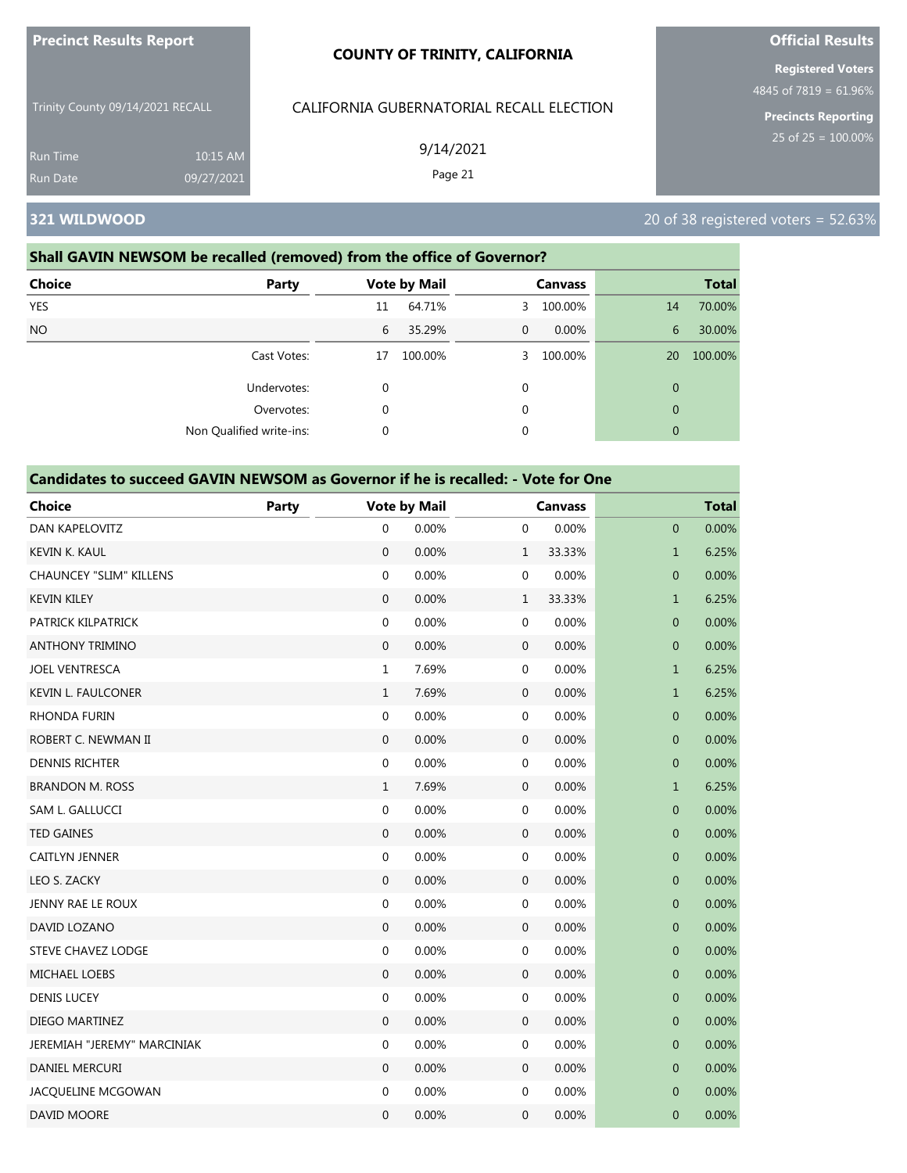| <b>Precinct Results Report</b>   |                        | <b>COUNTY OF TRINITY, CALIFORNIA</b>     | <b>Official Results</b>                                                         |
|----------------------------------|------------------------|------------------------------------------|---------------------------------------------------------------------------------|
| Trinity County 09/14/2021 RECALL |                        | CALIFORNIA GUBERNATORIAL RECALL ELECTION | <b>Registered Voters</b><br>4845 of 7819 = 61.96%<br><b>Precincts Reporting</b> |
| <b>Run Time</b><br>Run Date      | 10:15 AM<br>09/27/2021 | 9/14/2021<br>Page 21                     | 25 of $25 = 100.00\%$                                                           |
| 321 WILDWOOD                     |                        |                                          | 20 of 38 registered voters = $52.63\%$                                          |

### **Shall GAVIN NEWSOM be recalled (removed) from the office of Governor?**

| <b>Choice</b><br><b>Party</b> |             | <b>Vote by Mail</b> |    | <b>Canvass</b> |              | <b>Total</b> |
|-------------------------------|-------------|---------------------|----|----------------|--------------|--------------|
| <b>YES</b>                    | 11          | 64.71%              | 3. | 100.00%        | 14           | 70.00%       |
| <b>NO</b>                     | 6           | 35.29%              | 0  | $0.00\%$       | 6            | 30.00%       |
| Cast Votes:                   | 17          | 100.00%             | 3. | 100.00%        | 20           | 100.00%      |
| Undervotes:                   | $\mathbf 0$ |                     | 0  |                | $\mathbf{0}$ |              |
| Overvotes:                    | 0           |                     | 0  |                | $\mathbf{0}$ |              |
| Non Qualified write-ins:      | 0           |                     | 0  |                | $\mathbf{0}$ |              |

| <b>Choice</b>                  | <b>Party</b> |                  | <b>Vote by Mail</b> |                  | <b>Canvass</b> |                  | <b>Total</b> |
|--------------------------------|--------------|------------------|---------------------|------------------|----------------|------------------|--------------|
| DAN KAPELOVITZ                 |              | 0                | 0.00%               | 0                | 0.00%          | $\mathbf{0}$     | 0.00%        |
| KEVIN K. KAUL                  |              | $\mathbf{0}$     | 0.00%               | $\mathbf{1}$     | 33.33%         | $\mathbf{1}$     | 6.25%        |
| <b>CHAUNCEY "SLIM" KILLENS</b> |              | $\boldsymbol{0}$ | 0.00%               | 0                | 0.00%          | $\mathbf 0$      | 0.00%        |
| <b>KEVIN KILEY</b>             |              | $\mathbf 0$      | 0.00%               | $\mathbf 1$      | 33.33%         | $\mathbf{1}$     | 6.25%        |
| PATRICK KILPATRICK             |              | $\boldsymbol{0}$ | 0.00%               | 0                | 0.00%          | $\pmb{0}$        | 0.00%        |
| <b>ANTHONY TRIMINO</b>         |              | $\mathbf{0}$     | 0.00%               | $\mathbf 0$      | 0.00%          | $\mathbf 0$      | 0.00%        |
| <b>JOEL VENTRESCA</b>          |              | $1\,$            | 7.69%               | 0                | 0.00%          | $\mathbf{1}$     | 6.25%        |
| <b>KEVIN L. FAULCONER</b>      |              | $\mathbf{1}$     | 7.69%               | $\boldsymbol{0}$ | 0.00%          | $\mathbf{1}$     | 6.25%        |
| <b>RHONDA FURIN</b>            |              | $\boldsymbol{0}$ | 0.00%               | 0                | 0.00%          | $\pmb{0}$        | 0.00%        |
| ROBERT C. NEWMAN II            |              | $\mathbf{0}$     | 0.00%               | $\mathbf 0$      | 0.00%          | $\mathbf 0$      | 0.00%        |
| <b>DENNIS RICHTER</b>          |              | $\boldsymbol{0}$ | 0.00%               | 0                | 0.00%          | $\mathbf 0$      | 0.00%        |
| <b>BRANDON M. ROSS</b>         |              | $\mathbf{1}$     | 7.69%               | $\mathbf 0$      | 0.00%          | $\mathbf{1}$     | 6.25%        |
| SAM L. GALLUCCI                |              | $\boldsymbol{0}$ | 0.00%               | 0                | 0.00%          | $\pmb{0}$        | 0.00%        |
| <b>TED GAINES</b>              |              | $\mathbf{0}$     | 0.00%               | $\mathbf 0$      | 0.00%          | $\mathbf 0$      | 0.00%        |
| CAITLYN JENNER                 |              | $\boldsymbol{0}$ | 0.00%               | 0                | 0.00%          | $\mathbf 0$      | 0.00%        |
| LEO S. ZACKY                   |              | $\boldsymbol{0}$ | 0.00%               | $\boldsymbol{0}$ | 0.00%          | $\pmb{0}$        | 0.00%        |
| JENNY RAE LE ROUX              |              | $\boldsymbol{0}$ | 0.00%               | 0                | 0.00%          | $\mathbf 0$      | 0.00%        |
| DAVID LOZANO                   |              | $\mathbf{0}$     | 0.00%               | $\mathbf 0$      | 0.00%          | $\mathbf 0$      | 0.00%        |
| STEVE CHAVEZ LODGE             |              | $\boldsymbol{0}$ | 0.00%               | 0                | 0.00%          | $\mathbf 0$      | 0.00%        |
| MICHAEL LOEBS                  |              | $\mathbf 0$      | 0.00%               | $\mathbf 0$      | 0.00%          | $\mathbf 0$      | 0.00%        |
| <b>DENIS LUCEY</b>             |              | $\boldsymbol{0}$ | 0.00%               | 0                | 0.00%          | $\boldsymbol{0}$ | 0.00%        |
| DIEGO MARTINEZ                 |              | $\mathbf{0}$     | 0.00%               | $\mathbf 0$      | 0.00%          | $\mathbf 0$      | 0.00%        |
| JEREMIAH "JEREMY" MARCINIAK    |              | $\boldsymbol{0}$ | 0.00%               | 0                | 0.00%          | $\mathbf 0$      | 0.00%        |
| DANIEL MERCURI                 |              | $\mathbf{0}$     | 0.00%               | $\mathbf 0$      | 0.00%          | $\mathbf 0$      | 0.00%        |
| JACQUELINE MCGOWAN             |              | $\boldsymbol{0}$ | 0.00%               | 0                | 0.00%          | $\mathbf 0$      | 0.00%        |
| DAVID MOORE                    |              | $\overline{0}$   | 0.00%               | $\mathbf 0$      | 0.00%          | $\mathbf{0}$     | 0.00%        |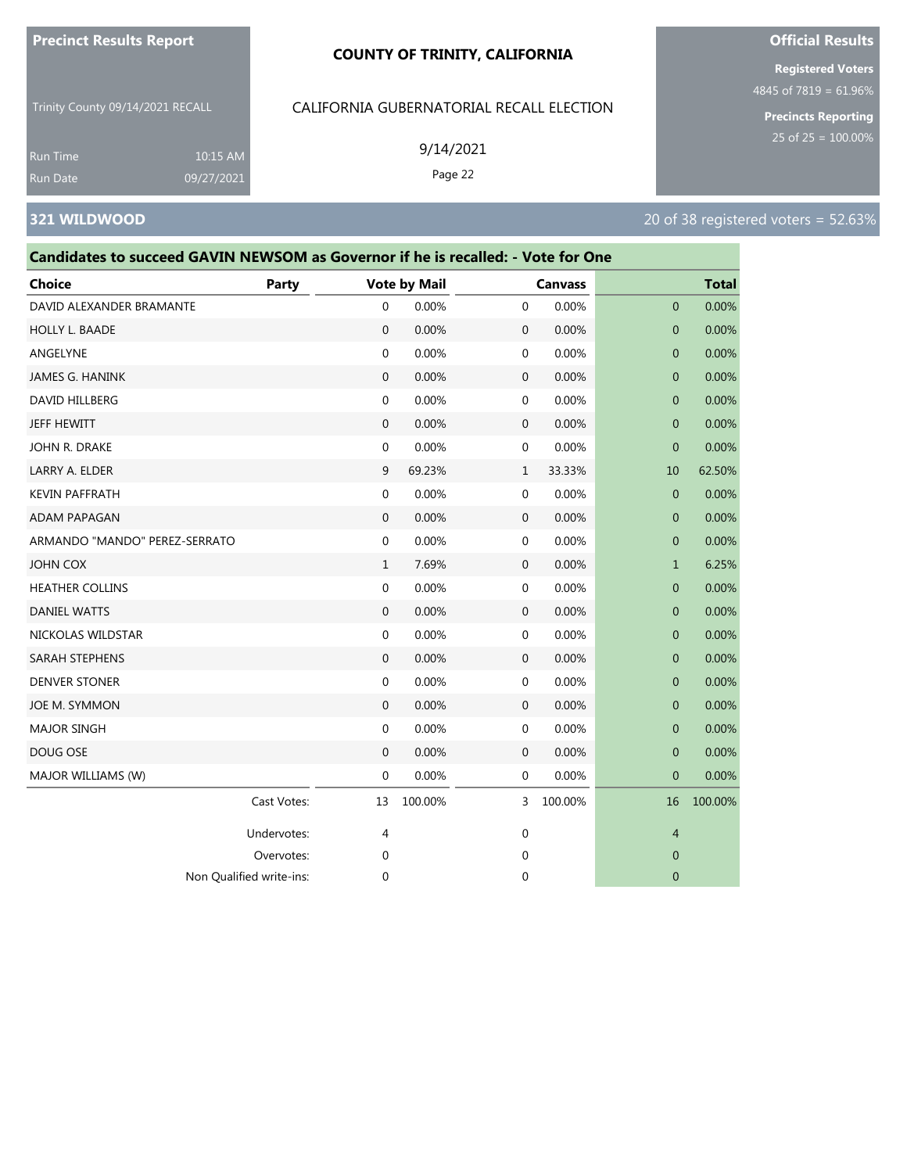#### **COUNTY OF TRINITY, CALIFORNIA**

Trinity County 09/14/2021 RECALL

CALIFORNIA GUBERNATORIAL RECALL ELECTION

9/14/2021 Page 22

Run Time 10:15 AM 09/27/2021

# **321 WILDWOOD** 20 of 38 registered voters = 52.63%

# **Candidates to succeed GAVIN NEWSOM as Governor if he is recalled: - Vote for One**

| <b>Choice</b>                 | Party       |                  | <b>Vote by Mail</b> |                  | <b>Canvass</b> |                  | <b>Total</b> |
|-------------------------------|-------------|------------------|---------------------|------------------|----------------|------------------|--------------|
| DAVID ALEXANDER BRAMANTE      |             | $\mathbf{0}$     | 0.00%               | $\mathbf{0}$     | 0.00%          | $\mathbf{0}$     | 0.00%        |
| <b>HOLLY L. BAADE</b>         |             | $\mathbf{0}$     | 0.00%               | $\mathbf 0$      | 0.00%          | $\mathbf{0}$     | 0.00%        |
| ANGELYNE                      |             | $\boldsymbol{0}$ | 0.00%               | $\boldsymbol{0}$ | 0.00%          | $\mathbf{0}$     | 0.00%        |
| <b>JAMES G. HANINK</b>        |             | $\boldsymbol{0}$ | 0.00%               | $\boldsymbol{0}$ | 0.00%          | $\mathbf{0}$     | 0.00%        |
| DAVID HILLBERG                |             | $\boldsymbol{0}$ | 0.00%               | $\boldsymbol{0}$ | 0.00%          | $\mathbf{0}$     | 0.00%        |
| <b>JEFF HEWITT</b>            |             | $\mathbf{0}$     | 0.00%               | $\mathbf 0$      | 0.00%          | $\mathbf{0}$     | 0.00%        |
| JOHN R. DRAKE                 |             | $\mathbf 0$      | 0.00%               | 0                | 0.00%          | $\boldsymbol{0}$ | 0.00%        |
| LARRY A. ELDER                |             | 9                | 69.23%              | $\mathbf{1}$     | 33.33%         | 10               | 62.50%       |
| <b>KEVIN PAFFRATH</b>         |             | $\boldsymbol{0}$ | 0.00%               | 0                | 0.00%          | $\mathbf{0}$     | 0.00%        |
| <b>ADAM PAPAGAN</b>           |             | $\mathbf{0}$     | 0.00%               | $\mathbf 0$      | 0.00%          | $\mathbf{0}$     | 0.00%        |
| ARMANDO "MANDO" PEREZ-SERRATO |             | $\boldsymbol{0}$ | 0.00%               | $\mathbf 0$      | 0.00%          | $\mathbf{0}$     | 0.00%        |
| <b>JOHN COX</b>               |             | $\mathbf{1}$     | 7.69%               | $\mathbf 0$      | 0.00%          | $\mathbf{1}$     | 6.25%        |
| <b>HEATHER COLLINS</b>        |             | $\mathbf 0$      | 0.00%               | 0                | 0.00%          | $\mathbf{0}$     | 0.00%        |
| <b>DANIEL WATTS</b>           |             | $\mathbf{0}$     | 0.00%               | $\mathbf 0$      | 0.00%          | $\mathbf{0}$     | 0.00%        |
| NICKOLAS WILDSTAR             |             | $\mathbf 0$      | 0.00%               | $\mathbf 0$      | 0.00%          | $\mathbf{0}$     | 0.00%        |
| <b>SARAH STEPHENS</b>         |             | $\mathbf{0}$     | 0.00%               | $\mathbf 0$      | 0.00%          | $\mathbf{0}$     | 0.00%        |
| <b>DENVER STONER</b>          |             | $\mathbf 0$      | 0.00%               | $\mathbf 0$      | 0.00%          | $\mathbf{0}$     | 0.00%        |
| JOE M. SYMMON                 |             | $\mathbf{0}$     | 0.00%               | $\mathbf 0$      | 0.00%          | $\mathbf{0}$     | 0.00%        |
| <b>MAJOR SINGH</b>            |             | $\mathbf 0$      | 0.00%               | 0                | 0.00%          | $\mathbf{0}$     | 0.00%        |
| DOUG OSE                      |             | $\mathbf{0}$     | 0.00%               | $\mathbf 0$      | 0.00%          | $\mathbf{0}$     | 0.00%        |
| MAJOR WILLIAMS (W)            |             | $\mathbf 0$      | 0.00%               | 0                | 0.00%          | $\mathbf{0}$     | 0.00%        |
|                               | Cast Votes: | 13               | 100.00%             | 3                | 100.00%        | 16               | 100.00%      |
|                               | Undervotes: | 4                |                     | 0                |                | $\overline{4}$   |              |
|                               | Overvotes:  | 0                |                     | 0                |                | $\mathbf{0}$     |              |
| Non Qualified write-ins:      |             | $\mathbf 0$      |                     | $\mathbf 0$      |                | $\mathbf{0}$     |              |

# **Official Results**

**Registered Voters** 4845 of 7819 = 61.96%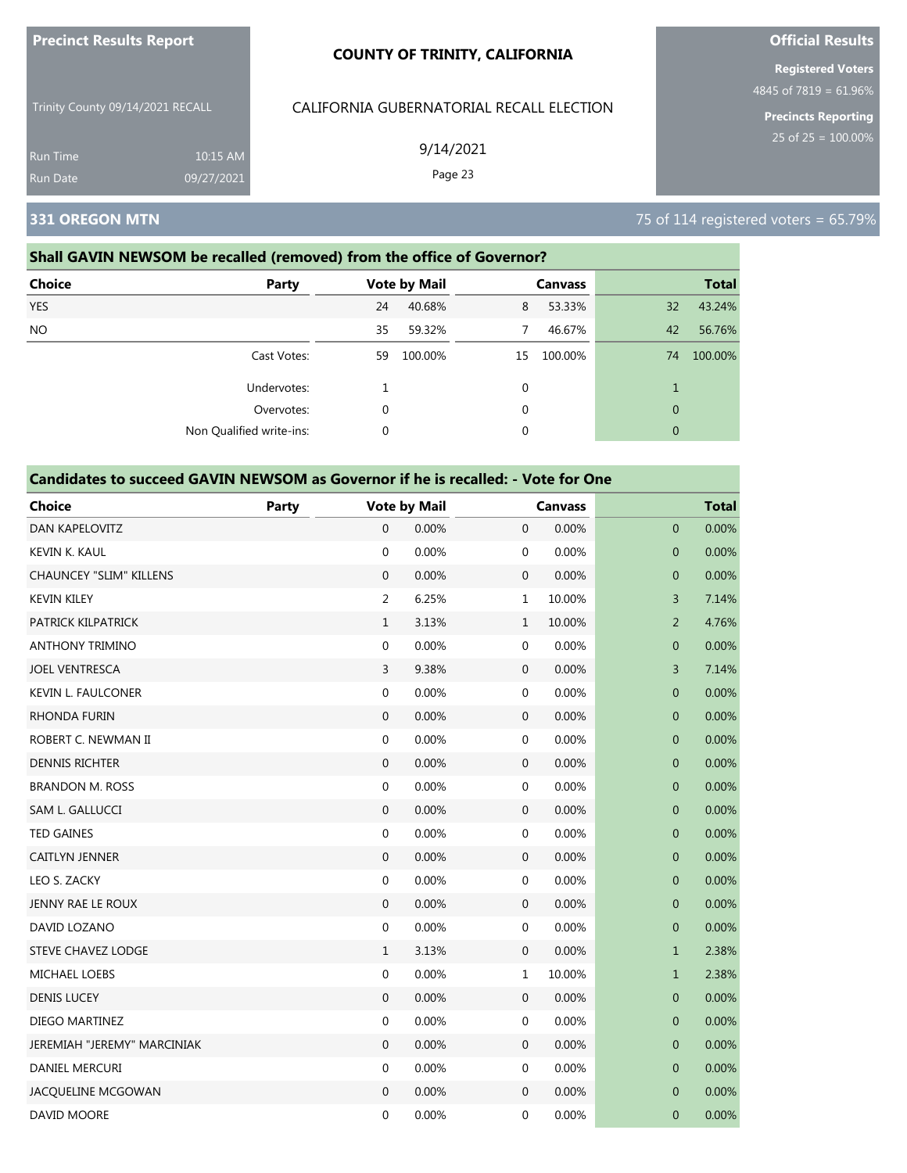| <b>Precinct Results Report</b>   |            | <b>COUNTY OF TRINITY, CALIFORNIA</b>     | <b>Official Results</b>                           |
|----------------------------------|------------|------------------------------------------|---------------------------------------------------|
|                                  |            |                                          | <b>Registered Voters</b><br>4845 of 7819 = 61.96% |
| Trinity County 09/14/2021 RECALL |            | CALIFORNIA GUBERNATORIAL RECALL ELECTION | <b>Precincts Reporting</b>                        |
| 10:15 AM<br><b>Run Time</b>      |            | 9/14/2021                                | 25 of $25 = 100.00\%$                             |
| <b>Run Date</b>                  | 09/27/2021 | Page 23                                  |                                                   |
| 331 OREGON MTN                   |            |                                          | 75 of 114 registered voters = 65.79%              |

# **Shall GAVIN NEWSOM be recalled (removed) from the office of Governor?**

| <b>Choice</b> | <b>Party</b>             | <b>Vote by Mail</b> |         |    | <b>Canvass</b> | <b>Total</b> |         |  |
|---------------|--------------------------|---------------------|---------|----|----------------|--------------|---------|--|
| <b>YES</b>    |                          | 24                  | 40.68%  | 8  | 53.33%         | 32           | 43.24%  |  |
| NO.           |                          | 35                  | 59.32%  | 7  | 46.67%         | 42           | 56.76%  |  |
|               | Cast Votes:              | 59                  | 100.00% | 15 | 100.00%        | 74           | 100.00% |  |
|               | Undervotes:              |                     |         | 0  |                |              |         |  |
|               | Overvotes:               | 0                   |         | 0  |                | $\mathbf{0}$ |         |  |
|               | Non Qualified write-ins: |                     |         | 0  |                | $\mathbf{0}$ |         |  |

| <b>Choice</b>                  | Party |                  | <b>Vote by Mail</b> |                  | <b>Canvass</b> |                  | <b>Total</b> |
|--------------------------------|-------|------------------|---------------------|------------------|----------------|------------------|--------------|
| DAN KAPELOVITZ                 |       | 0                | 0.00%               | $\mathbf 0$      | 0.00%          | $\mathbf 0$      | 0.00%        |
| KEVIN K. KAUL                  |       | $\mathbf 0$      | 0.00%               | 0                | 0.00%          | $\mathbf 0$      | 0.00%        |
| <b>CHAUNCEY "SLIM" KILLENS</b> |       | $\mathbf{0}$     | 0.00%               | $\mathbf 0$      | 0.00%          | $\mathbf 0$      | 0.00%        |
| <b>KEVIN KILEY</b>             |       | $\overline{2}$   | 6.25%               | $\mathbf{1}$     | 10.00%         | 3                | 7.14%        |
| PATRICK KILPATRICK             |       | $\mathbf{1}$     | 3.13%               | $\mathbf{1}$     | 10.00%         | $\overline{a}$   | 4.76%        |
| <b>ANTHONY TRIMINO</b>         |       | $\mathbf 0$      | 0.00%               | 0                | 0.00%          | $\mathbf 0$      | 0.00%        |
| <b>JOEL VENTRESCA</b>          |       | 3                | 9.38%               | $\mathbf 0$      | 0.00%          | 3                | 7.14%        |
| <b>KEVIN L. FAULCONER</b>      |       | $\mathbf 0$      | 0.00%               | 0                | 0.00%          | $\mathbf 0$      | 0.00%        |
| <b>RHONDA FURIN</b>            |       | $\mathbf{0}$     | 0.00%               | $\mathbf{0}$     | 0.00%          | $\mathbf 0$      | 0.00%        |
| ROBERT C. NEWMAN II            |       | $\boldsymbol{0}$ | 0.00%               | 0                | 0.00%          | $\mathbf{0}$     | 0.00%        |
| <b>DENNIS RICHTER</b>          |       | $\boldsymbol{0}$ | 0.00%               | $\mathbf 0$      | 0.00%          | $\pmb{0}$        | 0.00%        |
| <b>BRANDON M. ROSS</b>         |       | 0                | 0.00%               | 0                | 0.00%          | 0                | 0.00%        |
| SAM L. GALLUCCI                |       | $\mathbf{0}$     | 0.00%               | $\boldsymbol{0}$ | 0.00%          | $\mathbf 0$      | 0.00%        |
| <b>TED GAINES</b>              |       | $\mathbf 0$      | 0.00%               | 0                | 0.00%          | $\overline{0}$   | 0.00%        |
| CAITLYN JENNER                 |       | $\boldsymbol{0}$ | 0.00%               | $\boldsymbol{0}$ | 0.00%          | $\boldsymbol{0}$ | 0.00%        |
| LEO S. ZACKY                   |       | 0                | 0.00%               | 0                | 0.00%          | 0                | 0.00%        |
| JENNY RAE LE ROUX              |       | $\mathbf{0}$     | 0.00%               | $\mathbf 0$      | 0.00%          | $\mathbf 0$      | 0.00%        |
| DAVID LOZANO                   |       | $\mathbf 0$      | 0.00%               | 0                | 0.00%          | $\mathbf{0}$     | 0.00%        |
| <b>STEVE CHAVEZ LODGE</b>      |       | $\mathbf{1}$     | 3.13%               | $\mathbf{0}$     | 0.00%          | $\mathbf{1}$     | 2.38%        |
| <b>MICHAEL LOEBS</b>           |       | $\boldsymbol{0}$ | 0.00%               | $\mathbf 1$      | 10.00%         | $\mathbf{1}$     | 2.38%        |
| <b>DENIS LUCEY</b>             |       | $\boldsymbol{0}$ | 0.00%               | $\mathbf 0$      | 0.00%          | $\pmb{0}$        | 0.00%        |
| DIEGO MARTINEZ                 |       | $\mathbf{0}$     | 0.00%               | 0                | 0.00%          | $\mathbf 0$      | 0.00%        |
| JEREMIAH "JEREMY" MARCINIAK    |       | $\mathbf{0}$     | 0.00%               | $\mathbf{0}$     | 0.00%          | $\mathbf 0$      | 0.00%        |
| DANIEL MERCURI                 |       | $\mathbf 0$      | 0.00%               | 0                | 0.00%          | $\mathbf 0$      | 0.00%        |
| JACQUELINE MCGOWAN             |       | $\mathbf{0}$     | 0.00%               | $\mathbf 0$      | 0.00%          | $\mathbf{0}$     | 0.00%        |
| DAVID MOORE                    |       | $\mathbf 0$      | 0.00%               | $\mathbf 0$      | 0.00%          | $\mathbf 0$      | 0.00%        |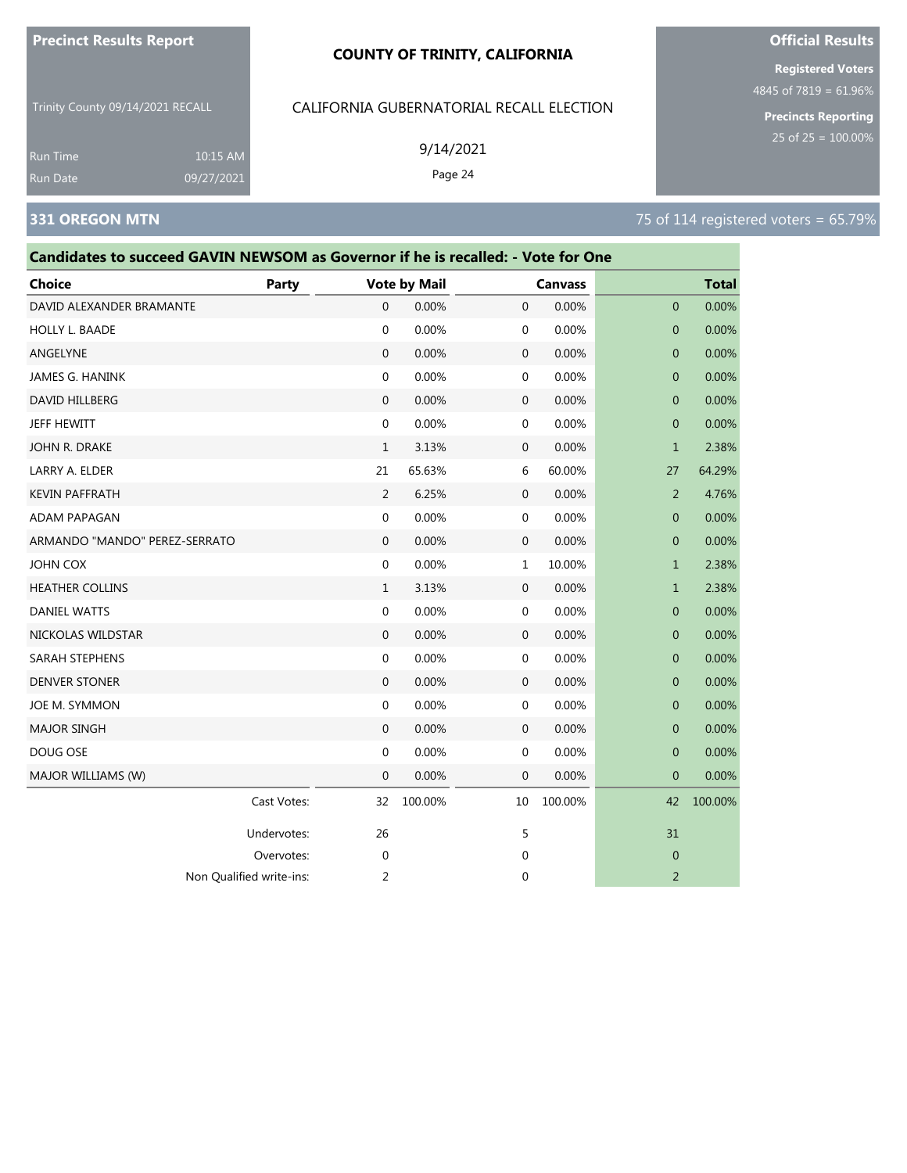| <b>Precinct Results Report</b> |  |  |
|--------------------------------|--|--|
|--------------------------------|--|--|

| Trinity County 09/14/2021 RECALL<br>CALIFORNIA GUBERNATORIAL RECALL ELECTION<br>9/14/2021<br>10:15 AM<br><b>Run Time</b><br>Page 24<br>09/27/2021<br><b>Run Date</b><br><b>331 OREGON MTN</b> |  |              |                  |                     |              |                |                | 4845 of $7819 = 61.96\%$<br><b>Precincts Reporting</b><br>25 of $25 = 100.00\%$<br>75 of 114 registered voters = 65.79% |  |
|-----------------------------------------------------------------------------------------------------------------------------------------------------------------------------------------------|--|--------------|------------------|---------------------|--------------|----------------|----------------|-------------------------------------------------------------------------------------------------------------------------|--|
| Candidates to succeed GAVIN NEWSOM as Governor if he is recalled: - Vote for One                                                                                                              |  |              |                  |                     |              |                |                |                                                                                                                         |  |
| <b>Choice</b>                                                                                                                                                                                 |  | <b>Party</b> |                  | <b>Vote by Mail</b> |              | <b>Canvass</b> |                | <b>Total</b>                                                                                                            |  |
| DAVID ALEXANDER BRAMANTE                                                                                                                                                                      |  |              | $\boldsymbol{0}$ | 0.00%               | 0            | 0.00%          | $\overline{0}$ | 0.00%                                                                                                                   |  |
| <b>HOLLY L. BAADE</b>                                                                                                                                                                         |  |              | $\mathbf 0$      | 0.00%               | 0            | 0.00%          | $\overline{0}$ | 0.00%                                                                                                                   |  |
| ANGELYNE                                                                                                                                                                                      |  |              | $\mathbf 0$      | 0.00%               | 0            | 0.00%          | $\overline{0}$ | 0.00%                                                                                                                   |  |
| <b>JAMES G. HANINK</b>                                                                                                                                                                        |  |              | $\mathbf 0$      | 0.00%               | 0            | 0.00%          | $\overline{0}$ | 0.00%                                                                                                                   |  |
| DAVID HILLBERG                                                                                                                                                                                |  |              | $\mathbf 0$      | 0.00%               | $\mathbf 0$  | 0.00%          | $\overline{0}$ | 0.00%                                                                                                                   |  |
| JEFF HEWITT                                                                                                                                                                                   |  |              | $\mathbf 0$      | 0.00%               | 0            | 0.00%          | $\mathbf 0$    | 0.00%                                                                                                                   |  |
| JOHN R. DRAKE                                                                                                                                                                                 |  |              | 1                | 3.13%               | $\mathbf 0$  | 0.00%          | $\mathbf{1}$   | 2.38%                                                                                                                   |  |
| LARRY A. ELDER                                                                                                                                                                                |  |              | 21               | 65.63%              | 6            | 60.00%         | 27             | 64.29%                                                                                                                  |  |
| <b>KEVIN PAFFRATH</b>                                                                                                                                                                         |  |              | 2                | 6.25%               | 0            | 0.00%          | 2              | 4.76%                                                                                                                   |  |
| ADAM PAPAGAN                                                                                                                                                                                  |  |              | $\mathbf 0$      | 0.00%               | 0            | 0.00%          | $\mathbf{0}$   | 0.00%                                                                                                                   |  |
| ARMANDO "MANDO" PEREZ-SERRATO                                                                                                                                                                 |  |              | $\mathbf{0}$     | 0.00%               | $\mathbf{0}$ | 0.00%          | $\overline{0}$ | 0.00%                                                                                                                   |  |
| <b>JOHN COX</b>                                                                                                                                                                               |  |              | 0                | 0.00%               | 1            | 10.00%         | $\mathbf{1}$   | 2.38%                                                                                                                   |  |
| <b>HEATHER COLLINS</b>                                                                                                                                                                        |  |              | 1                | 3.13%               | 0            | 0.00%          | $\mathbf{1}$   | 2.38%                                                                                                                   |  |
| <b>DANIEL WATTS</b>                                                                                                                                                                           |  |              | $\mathbf 0$      | 0.00%               | 0            | 0.00%          | $\mathbf{0}$   | 0.00%                                                                                                                   |  |
| NICKOLAS WILDSTAR                                                                                                                                                                             |  |              | $\mathbf{0}$     | 0.00%               | 0            | 0.00%          | $\overline{0}$ | 0.00%                                                                                                                   |  |
| <b>SARAH STEPHENS</b>                                                                                                                                                                         |  |              | $\mathbf 0$      | 0.00%               | 0            | 0.00%          | $\overline{0}$ | 0.00%                                                                                                                   |  |
| <b>DENVER STONER</b>                                                                                                                                                                          |  |              | $\mathbf{0}$     | 0.00%               | 0            | 0.00%          | $\mathbf{0}$   | 0.00%                                                                                                                   |  |

JOE M. SYMMON 0 0.00% 0 0.00% 0 0.00% MAJOR SINGH 0 0.00% 0 0.00% 0 0.00% DOUG OSE 0 0.00% 0 0.00% 0 0.00% MAJOR WILLIAMS (W) 0 0.00% 0 0.00% 0 0.00%

Cast Votes: 32 100.00% 10 100.00% 42 100.00%

Undervotes: 26 26 5 31 Overvotes: 0 0 0

Non Qualified write-ins: 2 0 2

# **Official Results**

**Registered Voters**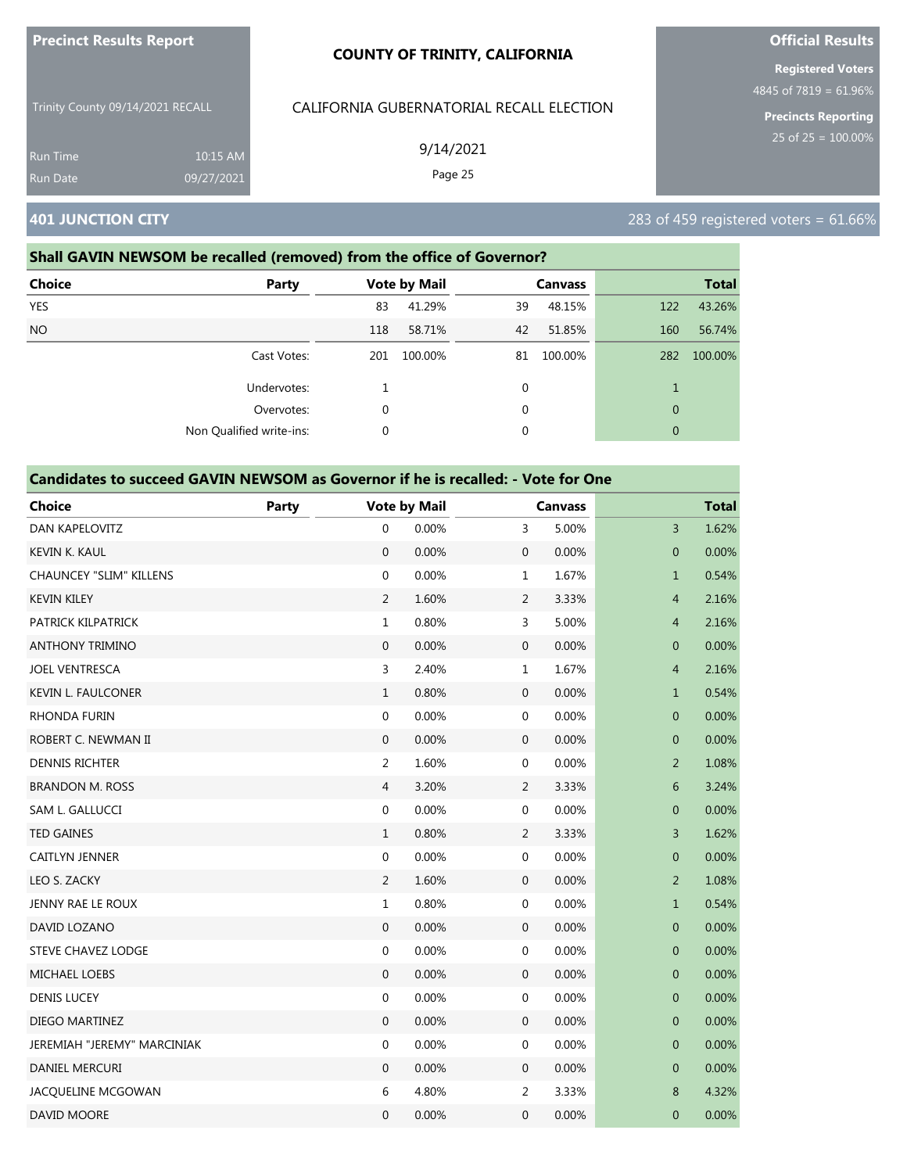| <b>Precinct Results Report</b>     |                        | <b>COUNTY OF TRINITY, CALIFORNIA</b>     | <b>Official Results</b><br><b>Registered Voters</b><br>4845 of $7819 = 61.96\%$ |  |  |
|------------------------------------|------------------------|------------------------------------------|---------------------------------------------------------------------------------|--|--|
| Trinity County 09/14/2021 RECALL   |                        | CALIFORNIA GUBERNATORIAL RECALL ELECTION |                                                                                 |  |  |
| <b>Run Time</b><br><b>Run Date</b> | 10:15 AM<br>09/27/2021 | 9/14/2021<br>Page 25                     | <b>Precincts Reporting</b><br>25 of $25 = 100.00\%$                             |  |  |
| <b>401 JUNCTION CITY</b>           |                        |                                          | 283 of 459 registered voters = $61.66\%$                                        |  |  |

### **Shall GAVIN NEWSOM be recalled (removed) from the office of Governor?**

| <b>Choice</b><br><b>Party</b> |             | <b>Vote by Mail</b> |              | <b>Canvass</b> |              | <b>Total</b> |
|-------------------------------|-------------|---------------------|--------------|----------------|--------------|--------------|
| <b>YES</b>                    | 83          | 41.29%              | 39           | 48.15%         | 122          | 43.26%       |
| <b>NO</b>                     | 118         | 58.71%              | 42           | 51.85%         | 160          | 56.74%       |
| Cast Votes:                   | 201         | 100.00%             | 81           | 100.00%        | 282          | 100.00%      |
| Undervotes:                   |             |                     | 0            |                |              |              |
| Overvotes:                    | $\mathbf 0$ |                     | $\mathbf{0}$ |                | $\mathbf{0}$ |              |
| Non Qualified write-ins:      | $\mathbf 0$ |                     | 0            |                | $\mathbf{0}$ |              |

| <b>Choice</b>                  | <b>Party</b> |                  | <b>Vote by Mail</b> |                  | <b>Canvass</b> |                | <b>Total</b> |
|--------------------------------|--------------|------------------|---------------------|------------------|----------------|----------------|--------------|
| DAN KAPELOVITZ                 |              | $\mathbf 0$      | 0.00%               | 3                | 5.00%          | 3              | 1.62%        |
| <b>KEVIN K. KAUL</b>           |              | $\mathbf 0$      | 0.00%               | $\mathbf{0}$     | 0.00%          | $\overline{0}$ | 0.00%        |
| <b>CHAUNCEY "SLIM" KILLENS</b> |              | $\boldsymbol{0}$ | 0.00%               | $\mathbf 1$      | 1.67%          | $\mathbf{1}$   | 0.54%        |
| <b>KEVIN KILEY</b>             |              | $\overline{2}$   | 1.60%               | 2                | 3.33%          | $\overline{4}$ | 2.16%        |
| PATRICK KILPATRICK             |              | $\mathbf{1}$     | 0.80%               | 3                | 5.00%          | $\overline{4}$ | 2.16%        |
| <b>ANTHONY TRIMINO</b>         |              | $\mathbf{0}$     | 0.00%               | $\boldsymbol{0}$ | 0.00%          | $\mathbf 0$    | 0.00%        |
| <b>JOEL VENTRESCA</b>          |              | 3                | 2.40%               | $\mathbf 1$      | 1.67%          | $\overline{4}$ | 2.16%        |
| KEVIN L. FAULCONER             |              | $\mathbf 1$      | 0.80%               | $\boldsymbol{0}$ | 0.00%          | $\mathbf{1}$   | 0.54%        |
| <b>RHONDA FURIN</b>            |              | $\boldsymbol{0}$ | 0.00%               | 0                | 0.00%          | $\mathbf 0$    | 0.00%        |
| ROBERT C. NEWMAN II            |              | $\boldsymbol{0}$ | 0.00%               | $\boldsymbol{0}$ | 0.00%          | $\overline{0}$ | 0.00%        |
| <b>DENNIS RICHTER</b>          |              | $\overline{2}$   | 1.60%               | 0                | 0.00%          | $\overline{2}$ | 1.08%        |
| <b>BRANDON M. ROSS</b>         |              | 4                | 3.20%               | 2                | 3.33%          | 6              | 3.24%        |
| SAM L. GALLUCCI                |              | $\boldsymbol{0}$ | 0.00%               | $\boldsymbol{0}$ | 0.00%          | $\mathbf 0$    | 0.00%        |
| <b>TED GAINES</b>              |              | $\mathbf{1}$     | 0.80%               | $\overline{2}$   | 3.33%          | 3              | 1.62%        |
| <b>CAITLYN JENNER</b>          |              | $\boldsymbol{0}$ | 0.00%               | $\boldsymbol{0}$ | 0.00%          | $\mathbf 0$    | 0.00%        |
| LEO S. ZACKY                   |              | $\overline{2}$   | 1.60%               | $\mathbf 0$      | 0.00%          | $\overline{2}$ | 1.08%        |
| JENNY RAE LE ROUX              |              | $1\,$            | 0.80%               | $\boldsymbol{0}$ | 0.00%          | $\mathbf{1}$   | 0.54%        |
| DAVID LOZANO                   |              | $\overline{0}$   | 0.00%               | 0                | 0.00%          | $\mathbf 0$    | 0.00%        |
| <b>STEVE CHAVEZ LODGE</b>      |              | $\boldsymbol{0}$ | 0.00%               | 0                | 0.00%          | $\mathbf{0}$   | 0.00%        |
| MICHAEL LOEBS                  |              | $\boldsymbol{0}$ | 0.00%               | $\boldsymbol{0}$ | 0.00%          | $\mathbf{0}$   | 0.00%        |
| <b>DENIS LUCEY</b>             |              | $\boldsymbol{0}$ | 0.00%               | $\boldsymbol{0}$ | 0.00%          | $\mathbf 0$    | 0.00%        |
| DIEGO MARTINEZ                 |              | $\mathbf{0}$     | 0.00%               | $\boldsymbol{0}$ | 0.00%          | $\overline{0}$ | 0.00%        |
| JEREMIAH "JEREMY" MARCINIAK    |              | $\boldsymbol{0}$ | 0.00%               | 0                | 0.00%          | $\mathbf{0}$   | 0.00%        |
| DANIEL MERCURI                 |              | $\mathbf{0}$     | 0.00%               | $\mathbf 0$      | 0.00%          | $\mathbf{0}$   | 0.00%        |
| JACQUELINE MCGOWAN             |              | 6                | 4.80%               | $\overline{2}$   | 3.33%          | 8              | 4.32%        |
| DAVID MOORE                    |              | $\mathbf 0$      | 0.00%               | 0                | 0.00%          | $\mathbf{0}$   | 0.00%        |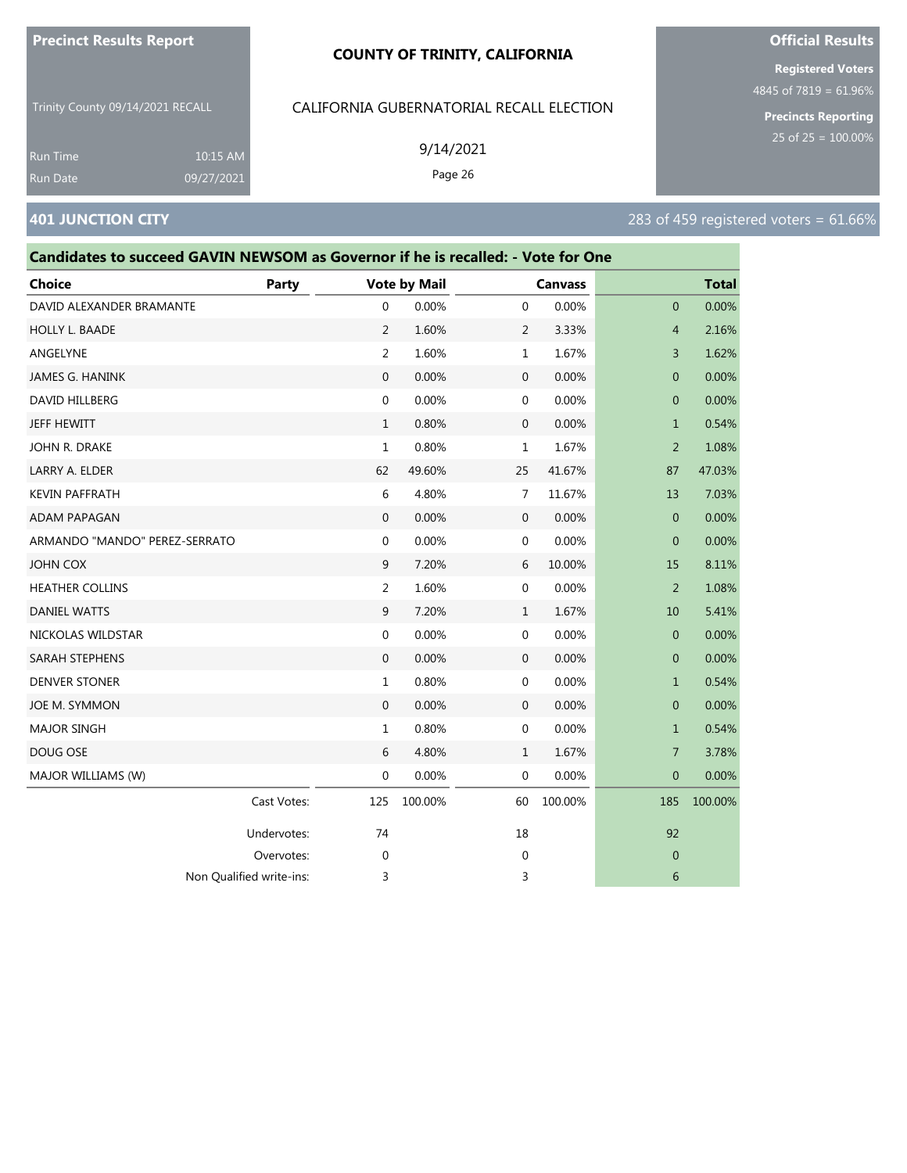#### **COUNTY OF TRINITY, CALIFORNIA**

Trinity County 09/14/2021 RECALL

10:15 AM 09/27/2021

#### CALIFORNIA GUBERNATORIAL RECALL ELECTION

9/14/2021

Page 26

**Registered Voters**

**Official Results**

4845 of 7819 = 61.96%

**Precincts Reporting** 25 of 25 = 100.00%

### **401 JUNCTION CITY** 283 of 459 registered voters = 61.66%

Run Time Run Date

# **Candidates to succeed GAVIN NEWSOM as Governor if he is recalled: - Vote for One Choice Party Vote by Mail Canvass Total** DAVID ALEXANDER BRAMANTE  $\begin{array}{cccc} 0 & 0.00\% & 0 & 0.00\% \end{array}$ HOLLY L. BAADE 2 1.60% 2 3.33% 4 2.16% ANGELYNE 2 1.60% 1 1.67% 3 1.62% JAMES G. HANINK 0 0.00% 0 0.00% 0 0.00% DAVID HILLBERG 0 0.00% 0 0.00% 0 0.00% JEFF HEWITT 1 0.80% 0 0.00% 1 0.54% JOHN R. DRAKE 1 0.80% 1 1.67% 2 1.08% LARRY A. ELDER 62 49.60% 25 41.67% 87 47.03% KEVIN PAFFRATH 6 4.80% 7 11.67% 13 7.03% ADAM PAPAGAN 0 0.00% 0 0.00% 0 0.00% ARMANDO "MANDO" PEREZ-SERRATO 0 0.00% 0 0.00% 0 0.00% JOHN COX 9 7.20% 6 10.00% 15 8.11% HEATHER COLLINS 2 1.60% 0 0.00% 2 1.08% DANIEL WATTS 9 7.20% 1 1.67% 10 5.41% NICKOLAS WILDSTAR 0 0.00% 0 0.00% 0 0.00% SARAH STEPHENS 0 0.00% 0 0.00% 0 0.00% DENVER STONER 1 0.80% 0 0.00% 1 0.54% JOE M. SYMMON 0 0.00% 0 0.00% 0 0.00% MAJOR SINGH 1 0.80% 0 0.00% 1 0.54% DOUG OSE 6 4.80% 1 1.67% 7 3.78% MAJOR WILLIAMS (W) **0 0.000 0 0.000 0 0.000 0 0.000 0 0.000 0 0.00**% 0 0.00% 0 0.00% 0 0.00% 0 0.00% 0 0.00% 0 0.00% 0 0.00% 0 0.00% 0 0.00% 0 0.00% 0 0.00% 0 0.00% 0 0.00% 0 0.00% 0 0.00% 0 0.00% 0 0.00% 0 0.00% 0 0.00% 0 Cast Votes: 125 100.00% 60 100.00% 185 100.00% Undervotes: 74 18 92 Overvotes: 0 0 0 Non Qualified write-ins: 3 3 6

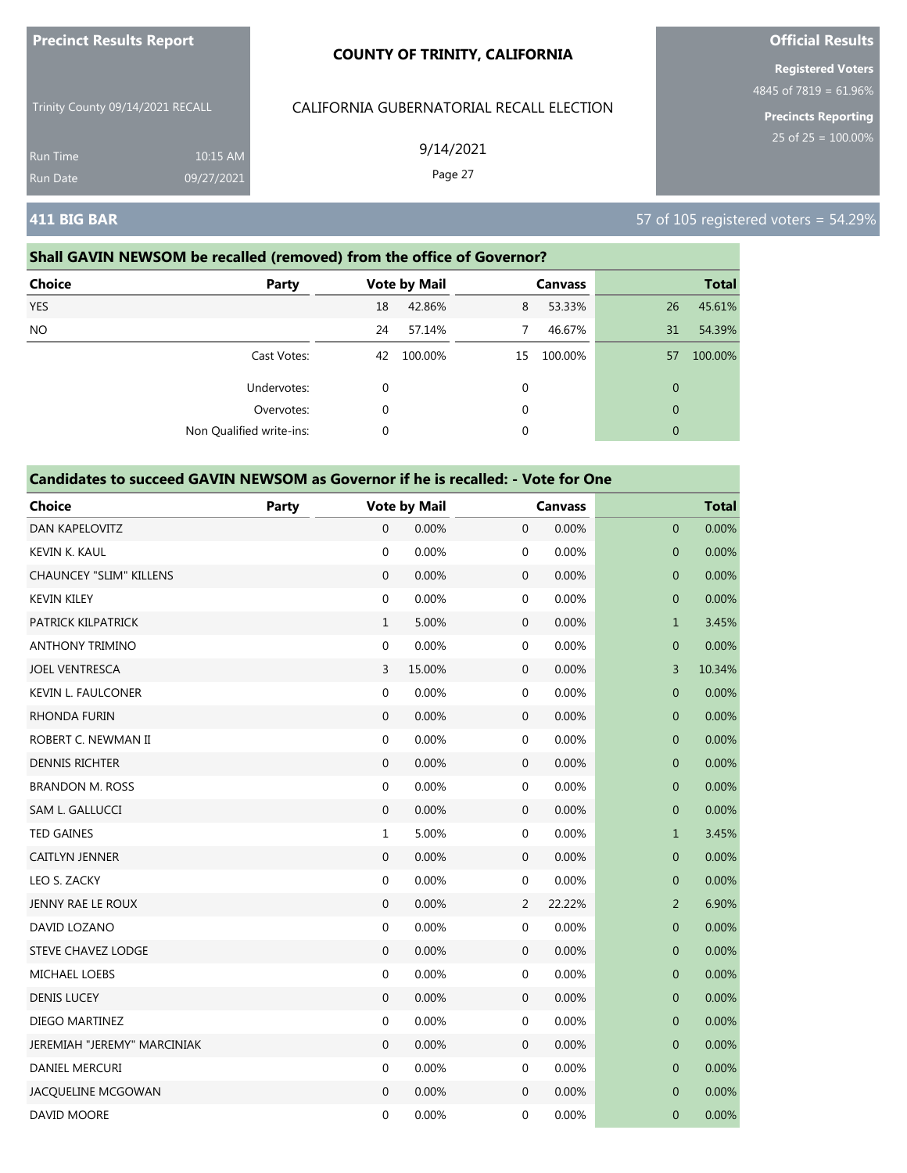| <b>Precinct Results Report</b>   |            | <b>COUNTY OF TRINITY, CALIFORNIA</b>     | <b>Official Results</b>                           |  |  |
|----------------------------------|------------|------------------------------------------|---------------------------------------------------|--|--|
|                                  |            |                                          | <b>Registered Voters</b><br>4845 of 7819 = 61.96% |  |  |
| Trinity County 09/14/2021 RECALL |            | CALIFORNIA GUBERNATORIAL RECALL ELECTION | <b>Precincts Reporting</b>                        |  |  |
| <b>Run Time</b>                  | 10:15 AM   | 9/14/2021                                | 25 of $25 = 100.00\%$                             |  |  |
| Run Date                         | 09/27/2021 | Page 27                                  |                                                   |  |  |
| <b>411 BIG BAR</b>               |            |                                          | 57 of 105 registered voters = $54.29\%$           |  |  |

### **Shall GAVIN NEWSOM be recalled (removed) from the office of Governor?**

| <b>Choice</b> | Party                    |    | <b>Vote by Mail</b> |             | <b>Canvass</b> |              | <b>Total</b> |
|---------------|--------------------------|----|---------------------|-------------|----------------|--------------|--------------|
| <b>YES</b>    |                          | 18 | 42.86%              | 8           | 53.33%         | 26           | 45.61%       |
| NO.           |                          | 24 | 57.14%              | 7           | 46.67%         | 31           | 54.39%       |
|               | Cast Votes:              | 42 | 100.00%             | 15          | 100.00%        | 57           | 100.00%      |
|               | Undervotes:              | 0  |                     | 0           |                | $\mathbf{0}$ |              |
|               | Overvotes:               | 0  |                     | $\mathbf 0$ |                | $\theta$     |              |
|               | Non Qualified write-ins: | 0  |                     | 0           |                | $\mathbf{0}$ |              |

| <b>Choice</b>                  | Party |                  | <b>Vote by Mail</b> |                  | <b>Canvass</b> |                  | <b>Total</b> |
|--------------------------------|-------|------------------|---------------------|------------------|----------------|------------------|--------------|
| <b>DAN KAPELOVITZ</b>          |       | $\overline{0}$   | 0.00%               | $\boldsymbol{0}$ | 0.00%          | $\overline{0}$   | 0.00%        |
| KEVIN K. KAUL                  |       | $\boldsymbol{0}$ | 0.00%               | 0                | 0.00%          | $\boldsymbol{0}$ | 0.00%        |
| <b>CHAUNCEY "SLIM" KILLENS</b> |       | $\boldsymbol{0}$ | 0.00%               | $\boldsymbol{0}$ | 0.00%          | $\pmb{0}$        | 0.00%        |
| <b>KEVIN KILEY</b>             |       | $\boldsymbol{0}$ | 0.00%               | 0                | 0.00%          | $\pmb{0}$        | 0.00%        |
| PATRICK KILPATRICK             |       | $\mathbf{1}$     | 5.00%               | $\boldsymbol{0}$ | 0.00%          | $\mathbf 1$      | 3.45%        |
| <b>ANTHONY TRIMINO</b>         |       | $\boldsymbol{0}$ | 0.00%               | 0                | 0.00%          | $\boldsymbol{0}$ | 0.00%        |
| <b>JOEL VENTRESCA</b>          |       | 3                | 15.00%              | $\boldsymbol{0}$ | 0.00%          | 3                | 10.34%       |
| <b>KEVIN L. FAULCONER</b>      |       | $\boldsymbol{0}$ | 0.00%               | 0                | 0.00%          | $\boldsymbol{0}$ | 0.00%        |
| RHONDA FURIN                   |       | 0                | 0.00%               | $\mathbf 0$      | 0.00%          | $\boldsymbol{0}$ | 0.00%        |
| ROBERT C. NEWMAN II            |       | $\boldsymbol{0}$ | 0.00%               | 0                | 0.00%          | $\mathbf{0}$     | 0.00%        |
| <b>DENNIS RICHTER</b>          |       | $\boldsymbol{0}$ | 0.00%               | $\mathbf 0$      | 0.00%          | $\pmb{0}$        | 0.00%        |
| <b>BRANDON M. ROSS</b>         |       | 0                | 0.00%               | 0                | 0.00%          | $\mathbf 0$      | 0.00%        |
| SAM L. GALLUCCI                |       | $\boldsymbol{0}$ | 0.00%               | 0                | 0.00%          | $\pmb{0}$        | 0.00%        |
| <b>TED GAINES</b>              |       | $\mathbf{1}$     | 5.00%               | 0                | 0.00%          | $\mathbf{1}$     | 3.45%        |
| <b>CAITLYN JENNER</b>          |       | $\boldsymbol{0}$ | 0.00%               | $\mathbf 0$      | 0.00%          | $\pmb{0}$        | 0.00%        |
| LEO S. ZACKY                   |       | 0                | 0.00%               | 0                | 0.00%          | $\mathbf 0$      | 0.00%        |
| JENNY RAE LE ROUX              |       | $\mathbf 0$      | 0.00%               | 2                | 22.22%         | $\overline{2}$   | 6.90%        |
| DAVID LOZANO                   |       | $\boldsymbol{0}$ | 0.00%               | 0                | 0.00%          | $\mathbf{0}$     | 0.00%        |
| <b>STEVE CHAVEZ LODGE</b>      |       | $\mathbf 0$      | 0.00%               | $\mathbf 0$      | 0.00%          | $\pmb{0}$        | 0.00%        |
| MICHAEL LOEBS                  |       | 0                | 0.00%               | 0                | 0.00%          | $\pmb{0}$        | 0.00%        |
| <b>DENIS LUCEY</b>             |       | $\mathbf 0$      | 0.00%               | $\mathbf 0$      | 0.00%          | $\pmb{0}$        | 0.00%        |
| DIEGO MARTINEZ                 |       | $\boldsymbol{0}$ | 0.00%               | 0                | 0.00%          | $\mathbf 0$      | 0.00%        |
| JEREMIAH "JEREMY" MARCINIAK    |       | $\boldsymbol{0}$ | 0.00%               | $\mathbf 0$      | 0.00%          | $\mathbf 0$      | 0.00%        |
| DANIEL MERCURI                 |       | 0                | 0.00%               | 0                | 0.00%          | 0                | 0.00%        |
| JACQUELINE MCGOWAN             |       | $\mathbf{0}$     | 0.00%               | $\mathbf 0$      | 0.00%          | $\mathbf 0$      | 0.00%        |
| DAVID MOORE                    |       | $\mathbf 0$      | 0.00%               | 0                | 0.00%          | $\mathbf{0}$     | 0.00%        |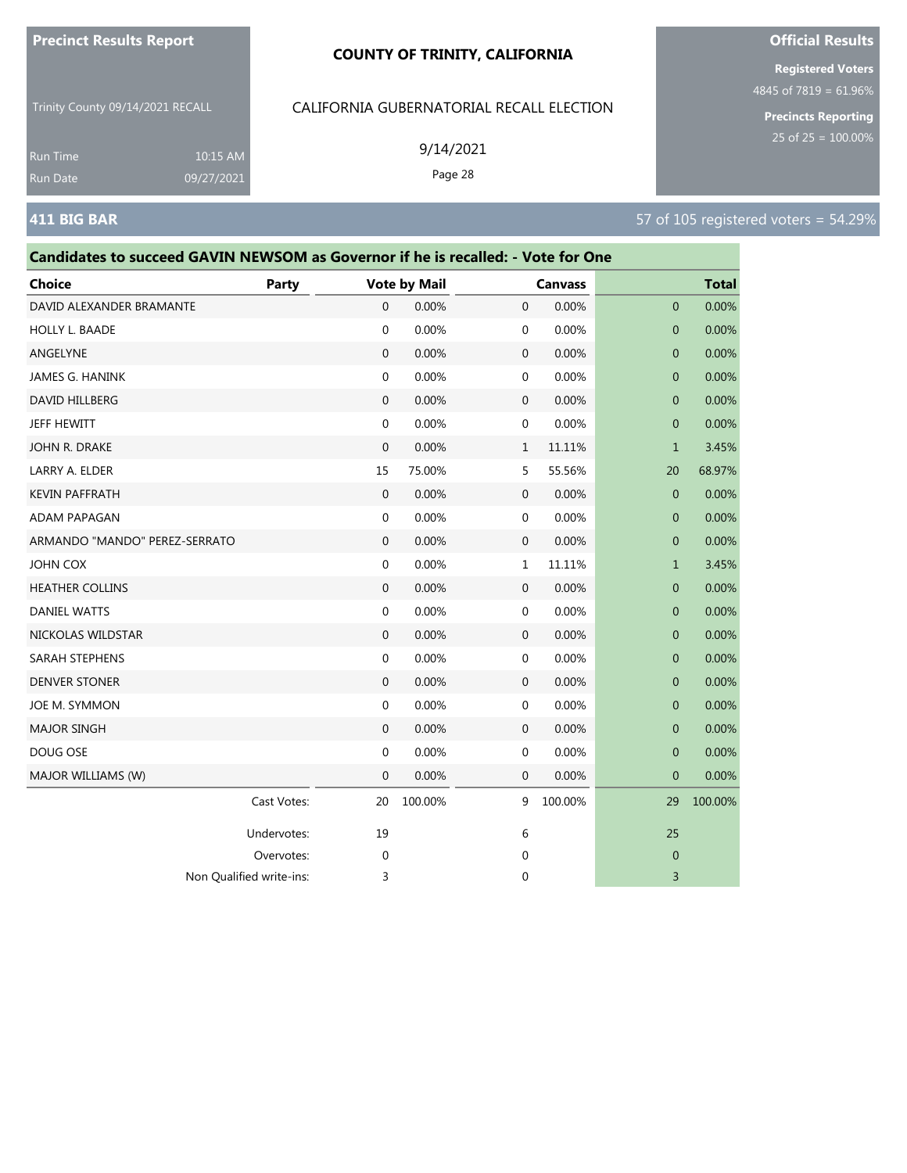#### **COUNTY OF TRINITY, CALIFORNIA**

Trinity County 09/14/2021 RECALL

# CALIFORNIA GUBERNATORIAL RECALL ELECTION

Cast Votes: 20 100.00% 9 100.00% 29 100.00%

Undervotes: 19 19 6 25 Overvotes: 0 0 0

Non Qualified write-ins: 3 3 3 3 3 3 4 3 3 4 3 3 4 3 4 3 3 4 3 4 3 4 3 4 3 4 3 4 3 4 3 4 3 4 3 4 3 4 3 4 3 4 3 4  $\pm$ 

| Run Time<br>Run Date                                                             | $10:15$ AM<br>09/27/2021 |                  | 9/14/2021<br>Page 28 |              |                |                |                                      |
|----------------------------------------------------------------------------------|--------------------------|------------------|----------------------|--------------|----------------|----------------|--------------------------------------|
| <b>411 BIG BAR</b>                                                               |                          |                  |                      |              |                |                | 57 of 105 registered voters = 54.29% |
| Candidates to succeed GAVIN NEWSOM as Governor if he is recalled: - Vote for One |                          |                  |                      |              |                |                |                                      |
| <b>Choice</b>                                                                    | Party                    |                  | <b>Vote by Mail</b>  |              | <b>Canvass</b> |                | <b>Total</b>                         |
| DAVID ALEXANDER BRAMANTE                                                         |                          | $\mathbf 0$      | 0.00%                | 0            | 0.00%          | $\mathbf{0}$   | 0.00%                                |
| HOLLY L. BAADE                                                                   |                          | $\mathbf 0$      | 0.00%                | 0            | 0.00%          | $\mathbf{0}$   | 0.00%                                |
| ANGELYNE                                                                         |                          | $\mathbf 0$      | 0.00%                | 0            | 0.00%          | $\mathbf{0}$   | 0.00%                                |
| JAMES G. HANINK                                                                  |                          | 0                | 0.00%                | 0            | 0.00%          | $\overline{0}$ | 0.00%                                |
| DAVID HILLBERG                                                                   |                          | $\mathbf 0$      | 0.00%                | 0            | 0.00%          | $\mathbf{0}$   | 0.00%                                |
| JEFF HEWITT                                                                      |                          | $\mathbf 0$      | 0.00%                | 0            | 0.00%          | $\mathbf{0}$   | 0.00%                                |
| JOHN R. DRAKE                                                                    |                          | $\mathbf{0}$     | 0.00%                | $\mathbf{1}$ | 11.11%         | $\mathbf{1}$   | 3.45%                                |
| LARRY A. ELDER                                                                   |                          | 15               | 75.00%               | 5            | 55.56%         | 20             | 68.97%                               |
| <b>KEVIN PAFFRATH</b>                                                            |                          | $\mathbf 0$      | 0.00%                | $\mathbf 0$  | 0.00%          | $\mathbf{0}$   | 0.00%                                |
| <b>ADAM PAPAGAN</b>                                                              |                          | $\mathbf 0$      | 0.00%                | 0            | 0.00%          | $\mathbf{0}$   | 0.00%                                |
| ARMANDO "MANDO" PEREZ-SERRATO                                                    |                          | $\mathbf 0$      | 0.00%                | 0            | 0.00%          | $\mathbf{0}$   | 0.00%                                |
| <b>JOHN COX</b>                                                                  |                          | $\mathbf 0$      | 0.00%                | $\mathbf{1}$ | 11.11%         | $\mathbf{1}$   | 3.45%                                |
| <b>HEATHER COLLINS</b>                                                           |                          | $\mathbf{0}$     | 0.00%                | 0            | 0.00%          | $\mathbf{0}$   | 0.00%                                |
| DANIEL WATTS                                                                     |                          | $\mathbf 0$      | 0.00%                | 0            | 0.00%          | $\mathbf{0}$   | 0.00%                                |
| NICKOLAS WILDSTAR                                                                |                          | $\mathbf{0}$     | 0.00%                | $\mathbf 0$  | 0.00%          | $\mathbf{0}$   | 0.00%                                |
| SARAH STEPHENS                                                                   |                          | $\mathbf 0$      | 0.00%                | 0            | 0.00%          | $\mathbf{0}$   | 0.00%                                |
| <b>DENVER STONER</b>                                                             |                          | $\mathbf{0}$     | 0.00%                | 0            | 0.00%          | $\mathbf{0}$   | 0.00%                                |
| JOE M. SYMMON                                                                    |                          | $\boldsymbol{0}$ | 0.00%                | 0            | 0.00%          | $\mathbf{0}$   | 0.00%                                |
| <b>MAJOR SINGH</b>                                                               |                          | $\mathbf 0$      | 0.00%                | $\mathbf 0$  | 0.00%          | $\mathbf{0}$   | 0.00%                                |
| DOUG OSE                                                                         |                          | $\mathbf{0}$     | 0.00%                | 0            | 0.00%          | $\mathbf{0}$   | 0.00%                                |
| MAJOR WILLIAMS (W)                                                               |                          | $\mathbf{0}$     | 0.00%                | $\mathbf{0}$ | 0.00%          | $\mathbf{0}$   | 0.00%                                |

### **Official Results**

**Registered Voters**

4845 of 7819 = 61.96%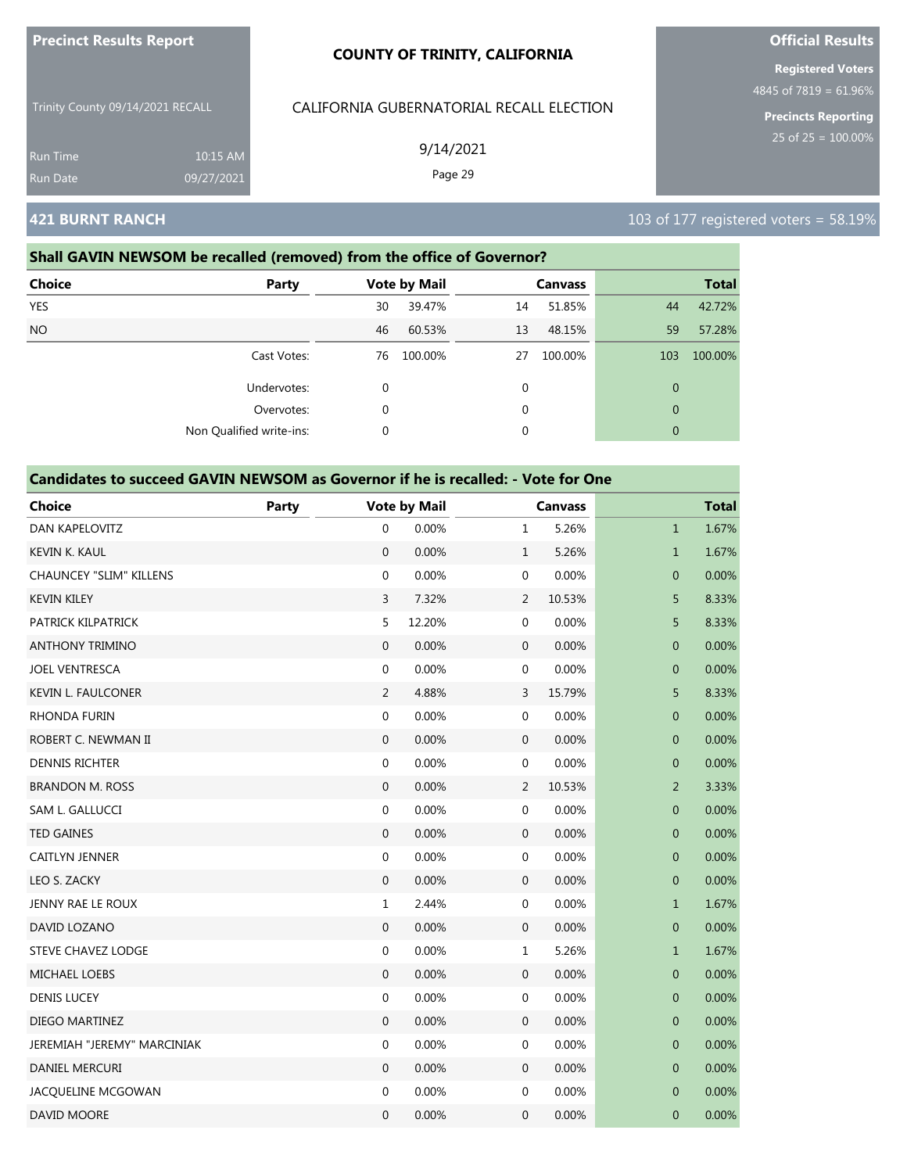| <b>Precinct Results Report</b>     |                        | <b>COUNTY OF TRINITY, CALIFORNIA</b>     | <b>Official Results</b>                                                            |  |  |
|------------------------------------|------------------------|------------------------------------------|------------------------------------------------------------------------------------|--|--|
| Trinity County 09/14/2021 RECALL   |                        | CALIFORNIA GUBERNATORIAL RECALL ELECTION | <b>Registered Voters</b><br>4845 of 7819 = $61.96\%$<br><b>Precincts Reporting</b> |  |  |
| <b>Run Time</b><br><b>Run Date</b> | 10:15 AM<br>09/27/2021 | 9/14/2021<br>Page 29                     | 25 of $25 = 100.00\%$                                                              |  |  |
| <b>421 BURNT RANCH</b>             |                        |                                          | 103 of 177 registered voters = $58.19\%$                                           |  |  |

ults

### **Shall GAVIN NEWSOM be recalled (removed) from the office of Governor?**

| <b>Choice</b>   | Party                    |    | <b>Vote by Mail</b> |             | <b>Canvass</b> |              | <b>Total</b> |
|-----------------|--------------------------|----|---------------------|-------------|----------------|--------------|--------------|
| <b>YES</b>      |                          | 30 | 39.47%              | 14          | 51.85%         | 44           | 42.72%       |
| NO <sub>1</sub> |                          | 46 | 60.53%              | 13          | 48.15%         | 59           | 57.28%       |
|                 | Cast Votes:              | 76 | 100.00%             | 27          | 100.00%        | 103          | 100.00%      |
|                 | Undervotes:              | 0  |                     | 0           |                | $\mathbf{0}$ |              |
|                 | Overvotes:               | 0  |                     | $\mathbf 0$ |                | $\mathbf{0}$ |              |
|                 | Non Qualified write-ins: | 0  |                     | 0           |                | $\mathbf{0}$ |              |

| <b>Choice</b>                  | Party |                  | <b>Vote by Mail</b> |                  | <b>Canvass</b> |                | <b>Total</b> |
|--------------------------------|-------|------------------|---------------------|------------------|----------------|----------------|--------------|
| <b>DAN KAPELOVITZ</b>          |       | 0                | 0.00%               | $\mathbf{1}$     | 5.26%          | $\mathbf{1}$   | 1.67%        |
| <b>KEVIN K. KAUL</b>           |       | $\mathbf{0}$     | 0.00%               | $\mathbf{1}$     | 5.26%          | $\mathbf{1}$   | 1.67%        |
| <b>CHAUNCEY "SLIM" KILLENS</b> |       | 0                | 0.00%               | 0                | 0.00%          | $\pmb{0}$      | 0.00%        |
| <b>KEVIN KILEY</b>             |       | 3                | 7.32%               | 2                | 10.53%         | 5              | 8.33%        |
| PATRICK KILPATRICK             |       | 5                | 12.20%              | 0                | 0.00%          | 5              | 8.33%        |
| <b>ANTHONY TRIMINO</b>         |       | $\overline{0}$   | 0.00%               | $\mathbf 0$      | 0.00%          | $\mathbf 0$    | 0.00%        |
| <b>JOEL VENTRESCA</b>          |       | $\boldsymbol{0}$ | 0.00%               | 0                | 0.00%          | $\mathbf 0$    | 0.00%        |
| <b>KEVIN L. FAULCONER</b>      |       | $\overline{2}$   | 4.88%               | 3                | 15.79%         | 5              | 8.33%        |
| <b>RHONDA FURIN</b>            |       | $\mathbf{0}$     | 0.00%               | 0                | 0.00%          | $\mathbf 0$    | 0.00%        |
| ROBERT C. NEWMAN II            |       | $\mathbf{0}$     | 0.00%               | $\mathbf{0}$     | 0.00%          | $\overline{0}$ | 0.00%        |
| <b>DENNIS RICHTER</b>          |       | $\boldsymbol{0}$ | 0.00%               | 0                | 0.00%          | $\pmb{0}$      | 0.00%        |
| <b>BRANDON M. ROSS</b>         |       | $\mathbf 0$      | 0.00%               | $\overline{2}$   | 10.53%         | $\overline{2}$ | 3.33%        |
| SAM L. GALLUCCI                |       | $\boldsymbol{0}$ | 0.00%               | 0                | 0.00%          | $\pmb{0}$      | 0.00%        |
| <b>TED GAINES</b>              |       | $\mathbf{0}$     | 0.00%               | $\mathbf 0$      | 0.00%          | $\mathbf 0$    | 0.00%        |
| CAITLYN JENNER                 |       | $\boldsymbol{0}$ | 0.00%               | $\boldsymbol{0}$ | 0.00%          | $\pmb{0}$      | 0.00%        |
| LEO S. ZACKY                   |       | $\mathbf 0$      | 0.00%               | $\mathbf 0$      | 0.00%          | $\mathbf 0$    | 0.00%        |
| JENNY RAE LE ROUX              |       | $\mathbf{1}$     | 2.44%               | $\boldsymbol{0}$ | 0.00%          | $\mathbf{1}$   | 1.67%        |
| DAVID LOZANO                   |       | $\boldsymbol{0}$ | 0.00%               | $\boldsymbol{0}$ | 0.00%          | $\overline{0}$ | 0.00%        |
| <b>STEVE CHAVEZ LODGE</b>      |       | $\boldsymbol{0}$ | 0.00%               | $\mathbf{1}$     | 5.26%          | $\mathbf{1}$   | 1.67%        |
| <b>MICHAEL LOEBS</b>           |       | $\mathbf{0}$     | 0.00%               | $\mathbf 0$      | 0.00%          | $\mathbf 0$    | 0.00%        |
| <b>DENIS LUCEY</b>             |       | $\boldsymbol{0}$ | 0.00%               | 0                | 0.00%          | $\mathbf 0$    | 0.00%        |
| DIEGO MARTINEZ                 |       | $\boldsymbol{0}$ | 0.00%               | $\boldsymbol{0}$ | 0.00%          | $\mathbf 0$    | 0.00%        |
| JEREMIAH "JEREMY" MARCINIAK    |       | $\boldsymbol{0}$ | 0.00%               | $\boldsymbol{0}$ | 0.00%          | $\pmb{0}$      | 0.00%        |
| DANIEL MERCURI                 |       | $\mathbf 0$      | 0.00%               | 0                | 0.00%          | $\pmb{0}$      | 0.00%        |
| JACQUELINE MCGOWAN             |       | $\boldsymbol{0}$ | 0.00%               | 0                | 0.00%          | $\mathbf 0$    | 0.00%        |
| <b>DAVID MOORE</b>             |       | $\overline{0}$   | 0.00%               | $\mathbf 0$      | 0.00%          | $\mathbf 0$    | 0.00%        |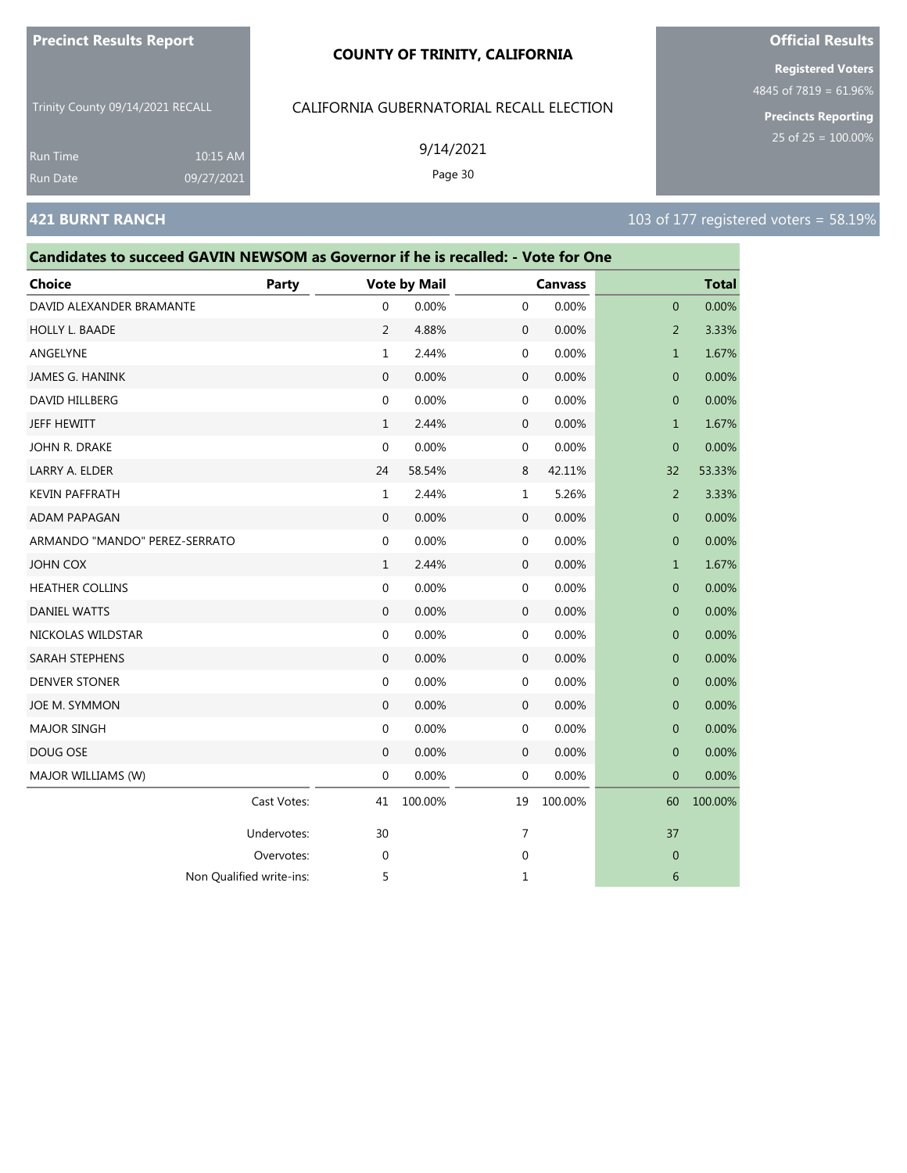#### **COUNTY OF TRINITY, CALIFORNIA**

Trinity County 09/14/2021 RECALL

10:15 AM 09/27/2021

### CALIFORNIA GUBERNATORIAL RECALL ELECTION

9/14/2021 Page 30

**Registered Voters**

4845 of 7819 = 61.96%

**Precincts Reporting**

Run Time

| Candidates to succeed GAVIN NEWSOM as Governor if he is recalled: - Vote for One |             |                     |         |              |                |                |              |
|----------------------------------------------------------------------------------|-------------|---------------------|---------|--------------|----------------|----------------|--------------|
| Choice                                                                           | Party       | <b>Vote by Mail</b> |         |              | <b>Canvass</b> |                | <b>Total</b> |
| DAVID ALEXANDER BRAMANTE                                                         |             | 0                   | 0.00%   | $\mathbf 0$  | 0.00%          | 0              | 0.00%        |
| HOLLY L. BAADE                                                                   |             | 2                   | 4.88%   | $\mathbf 0$  | 0.00%          | $\overline{2}$ | 3.33%        |
| ANGELYNE                                                                         |             | $\mathbf{1}$        | 2.44%   | 0            | 0.00%          | $\mathbf{1}$   | 1.67%        |
| JAMES G. HANINK                                                                  |             | $\mathbf{0}$        | 0.00%   | $\mathbf 0$  | 0.00%          | $\overline{0}$ | 0.00%        |
| DAVID HILLBERG                                                                   |             | 0                   | 0.00%   | 0            | 0.00%          | $\mathbf 0$    | 0.00%        |
| JEFF HEWITT                                                                      |             | $\mathbf{1}$        | 2.44%   | $\mathbf 0$  | 0.00%          | $\mathbf 1$    | 1.67%        |
| JOHN R. DRAKE                                                                    |             | 0                   | 0.00%   | 0            | 0.00%          | $\overline{0}$ | 0.00%        |
| LARRY A. ELDER                                                                   |             | 24                  | 58.54%  | 8            | 42.11%         | 32             | 53.33%       |
| <b>KEVIN PAFFRATH</b>                                                            |             | $\mathbf{1}$        | 2.44%   | $\mathbf{1}$ | 5.26%          | 2              | 3.33%        |
| ADAM PAPAGAN                                                                     |             | $\mathbf{0}$        | 0.00%   | $\mathbf 0$  | 0.00%          | 0              | 0.00%        |
| ARMANDO "MANDO" PEREZ-SERRATO                                                    |             | $\mathbf 0$         | 0.00%   | 0            | 0.00%          | $\mathbf{0}$   | 0.00%        |
| JOHN COX                                                                         |             | $\mathbf{1}$        | 2.44%   | $\mathbf 0$  | 0.00%          | $\mathbf{1}$   | 1.67%        |
| <b>HEATHER COLLINS</b>                                                           |             | 0                   | 0.00%   | 0            | 0.00%          | $\mathbf{0}$   | 0.00%        |
| <b>DANIEL WATTS</b>                                                              |             | $\mathbf 0$         | 0.00%   | $\mathbf 0$  | 0.00%          | 0              | 0.00%        |
| NICKOLAS WILDSTAR                                                                |             | 0                   | 0.00%   | 0            | 0.00%          | 0              | 0.00%        |
| SARAH STEPHENS                                                                   |             | $\mathbf{0}$        | 0.00%   | $\mathbf 0$  | 0.00%          | $\mathbf{0}$   | 0.00%        |
| <b>DENVER STONER</b>                                                             |             | 0                   | 0.00%   | $\mathbf 0$  | 0.00%          | $\mathbf 0$    | 0.00%        |
| JOE M. SYMMON                                                                    |             | $\mathbf{0}$        | 0.00%   | 0            | 0.00%          | $\mathbf{0}$   | 0.00%        |
| <b>MAJOR SINGH</b>                                                               |             | 0                   | 0.00%   | 0            | 0.00%          | 0              | 0.00%        |
| DOUG OSE                                                                         |             | $\mathbf 0$         | 0.00%   | $\mathbf 0$  | 0.00%          | $\mathbf 0$    | 0.00%        |
| MAJOR WILLIAMS (W)                                                               |             | 0                   | 0.00%   | 0            | 0.00%          | $\overline{0}$ | 0.00%        |
|                                                                                  | Cast Votes: | 41                  | 100.00% | 19           | 100.00%        | 60             | 100.00%      |
|                                                                                  | Undervotes: | 30                  |         | 7            |                | 37             |              |
|                                                                                  | Overvotes:  | $\mathbf 0$         |         | $\mathbf 0$  |                | $\mathbf 0$    |              |
| Non Qualified write-ins:                                                         |             | 5                   |         | 1            |                | 6              |              |



# **421 BURNT RANCH 103 of 177 registered voters = 58.19%**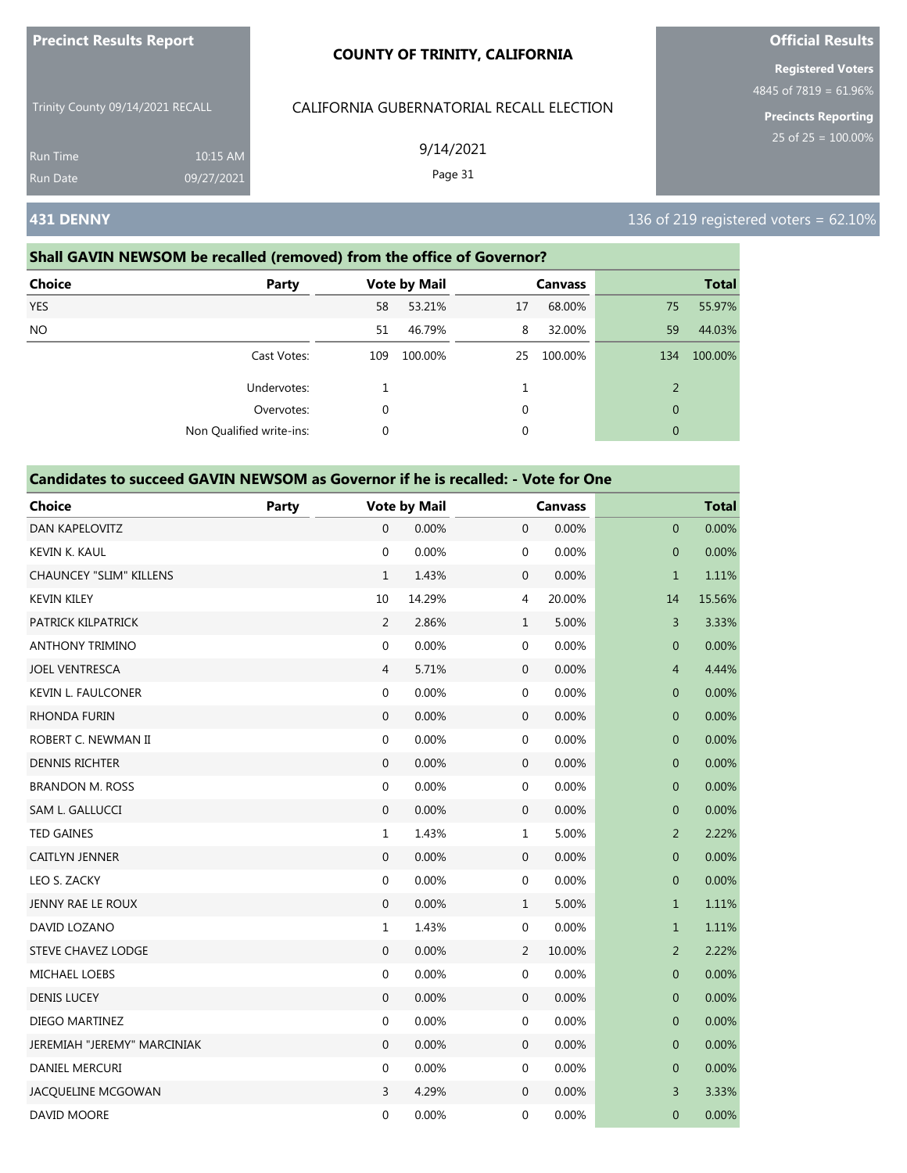|                                  |                        | <b>COUNTY OF TRINITY, CALIFORNIA</b>     | <b>Registered Voters</b>                               |  |  |
|----------------------------------|------------------------|------------------------------------------|--------------------------------------------------------|--|--|
| Trinity County 09/14/2021 RECALL |                        | CALIFORNIA GUBERNATORIAL RECALL ELECTION | 4845 of 7819 = $61.96\%$<br><b>Precincts Reporting</b> |  |  |
| <b>Run Time</b><br>Run Date      | 10:15 AM<br>09/27/2021 | 9/14/2021<br>Page 31                     | 25 of $25 = 100.00\%$                                  |  |  |
| <b>431 DENNY</b>                 |                        |                                          | 136 of 219 registered voters = $62.10\%$               |  |  |

**Official Results**

# **Shall GAVIN NEWSOM be recalled (removed) from the office of Governor? Choice Party Vote by Mail Canvass Total**

**Precinct Results Report**

| <b>SHAR</b> | . u. cy                  | <b>VOIC DY IVIGHT</b> |         | <b>Canvass</b> |         |                | .       |
|-------------|--------------------------|-----------------------|---------|----------------|---------|----------------|---------|
| <b>YES</b>  |                          | 58                    | 53.21%  | 17             | 68.00%  | 75             | 55.97%  |
| <b>NO</b>   |                          | 51                    | 46.79%  | 8              | 32.00%  | 59             | 44.03%  |
|             | Cast Votes:              | 109                   | 100.00% | 25             | 100.00% | 134            | 100.00% |
|             | Undervotes:              |                       |         |                |         | $\overline{2}$ |         |
|             | Overvotes:               |                       |         | 0              |         | $\mathbf{0}$   |         |
|             | Non Qualified write-ins: |                       |         | 0              |         | $\mathbf{0}$   |         |

| <b>Choice</b>                  | Party |                  | <b>Vote by Mail</b> |                  | <b>Canvass</b> |                  | <b>Total</b> |
|--------------------------------|-------|------------------|---------------------|------------------|----------------|------------------|--------------|
| <b>DAN KAPELOVITZ</b>          |       | $\overline{0}$   | 0.00%               | $\boldsymbol{0}$ | 0.00%          | $\overline{0}$   | 0.00%        |
| KEVIN K. KAUL                  |       | $\boldsymbol{0}$ | 0.00%               | $\boldsymbol{0}$ | 0.00%          | $\boldsymbol{0}$ | 0.00%        |
| <b>CHAUNCEY "SLIM" KILLENS</b> |       | $\mathbf{1}$     | 1.43%               | 0                | 0.00%          | $\mathbf{1}$     | 1.11%        |
| <b>KEVIN KILEY</b>             |       | 10               | 14.29%              | 4                | 20.00%         | 14               | 15.56%       |
| PATRICK KILPATRICK             |       | 2                | 2.86%               | $\mathbf{1}$     | 5.00%          | 3                | 3.33%        |
| <b>ANTHONY TRIMINO</b>         |       | $\boldsymbol{0}$ | 0.00%               | 0                | 0.00%          | $\boldsymbol{0}$ | 0.00%        |
| <b>JOEL VENTRESCA</b>          |       | $\overline{4}$   | 5.71%               | $\boldsymbol{0}$ | 0.00%          | $\overline{4}$   | 4.44%        |
| <b>KEVIN L. FAULCONER</b>      |       | $\mathbf 0$      | 0.00%               | 0                | 0.00%          | $\pmb{0}$        | 0.00%        |
| RHONDA FURIN                   |       | $\boldsymbol{0}$ | 0.00%               | $\boldsymbol{0}$ | 0.00%          | $\mathbf 0$      | 0.00%        |
| ROBERT C. NEWMAN II            |       | $\boldsymbol{0}$ | 0.00%               | $\boldsymbol{0}$ | 0.00%          | $\mathbf 0$      | 0.00%        |
| <b>DENNIS RICHTER</b>          |       | $\mathbf 0$      | 0.00%               | 0                | 0.00%          | $\pmb{0}$        | 0.00%        |
| <b>BRANDON M. ROSS</b>         |       | $\mathbf 0$      | 0.00%               | 0                | 0.00%          | 0                | 0.00%        |
| SAM L. GALLUCCI                |       | $\boldsymbol{0}$ | 0.00%               | $\boldsymbol{0}$ | 0.00%          | $\mathbf 0$      | 0.00%        |
| <b>TED GAINES</b>              |       | $\mathbf 1$      | 1.43%               | $\mathbf 1$      | 5.00%          | $\overline{2}$   | 2.22%        |
| <b>CAITLYN JENNER</b>          |       | $\boldsymbol{0}$ | 0.00%               | $\mathbf 0$      | 0.00%          | $\pmb{0}$        | 0.00%        |
| LEO S. ZACKY                   |       | 0                | 0.00%               | 0                | 0.00%          | $\mathbf 0$      | 0.00%        |
| JENNY RAE LE ROUX              |       | $\mathbf 0$      | 0.00%               | $\mathbf{1}$     | 5.00%          | $\mathbf{1}$     | 1.11%        |
| DAVID LOZANO                   |       | $\mathbf{1}$     | 1.43%               | 0                | 0.00%          | $\mathbf{1}$     | 1.11%        |
| STEVE CHAVEZ LODGE             |       | $\boldsymbol{0}$ | 0.00%               | 2                | 10.00%         | $\overline{2}$   | 2.22%        |
| <b>MICHAEL LOEBS</b>           |       | $\mathbf 0$      | 0.00%               | 0                | 0.00%          | 0                | 0.00%        |
| <b>DENIS LUCEY</b>             |       | $\boldsymbol{0}$ | 0.00%               | $\mathbf 0$      | 0.00%          | $\pmb{0}$        | 0.00%        |
| DIEGO MARTINEZ                 |       | $\mathbf 0$      | 0.00%               | 0                | 0.00%          | $\mathbf 0$      | 0.00%        |
| JEREMIAH "JEREMY" MARCINIAK    |       | $\mathbf{0}$     | 0.00%               | $\boldsymbol{0}$ | 0.00%          | $\pmb{0}$        | 0.00%        |
| DANIEL MERCURI                 |       | 0                | 0.00%               | 0                | 0.00%          | 0                | 0.00%        |
| JACQUELINE MCGOWAN             |       | 3                | 4.29%               | $\mathbf 0$      | 0.00%          | 3                | 3.33%        |
| DAVID MOORE                    |       | $\mathbf 0$      | 0.00%               | 0                | 0.00%          | $\mathbf 0$      | 0.00%        |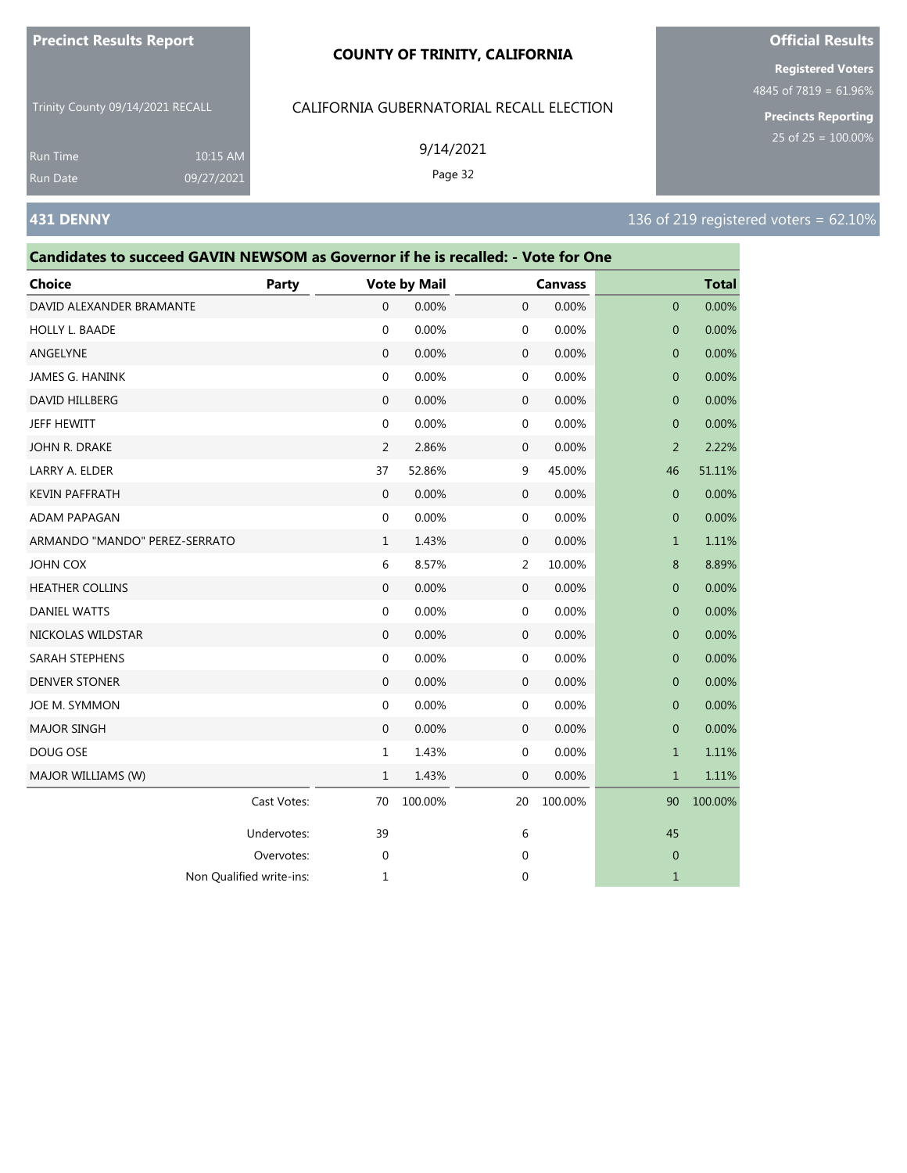#### **COUNTY OF TRINITY, CALIFORNIA**

Trinity County 09/14/2021 RECALL

CALIFORNIA GUBERNATORIAL RECALL ELECTION

Run Time

### **431 DENNY** 136 of 219 registered voters = 62.10% 9/14/2021 Page 32 10:15 AM 09/27/2021

| Choice                   | <b>Party</b> | <b>Vote by Mail</b> |        |              | <b>Canvass</b> |              | <b>Total</b> |
|--------------------------|--------------|---------------------|--------|--------------|----------------|--------------|--------------|
| DAVID ALEXANDER BRAMANTE |              | $\mathbf{0}$        | 0.00%  | 0            | 0.00%          | $\mathbf{0}$ | 0.00%        |
| <b>HOLLY L. BAADE</b>    |              | $\mathbf 0$         | 0.00%  | $\mathbf{0}$ | 0.00%          | $\mathbf{0}$ | 0.00%        |
| ANGELYNE                 |              | $\mathbf{0}$        | 0.00%  | 0            | 0.00%          | $\mathbf{0}$ | 0.00%        |
| JAMES G. HANINK          |              | $\mathbf 0$         | 0.00%  | $\mathbf{0}$ | 0.00%          | $\mathbf{0}$ | 0.00%        |
| <b>DAVID HILLBERG</b>    |              | $\mathbf{0}$        | 0.00%  | 0            | 0.00%          | $\mathbf{0}$ | 0.00%        |
| JEFF HEWITT              |              | $\mathbf 0$         | 0.00%  | $\mathbf{0}$ | 0.00%          | $\mathbf{0}$ | 0.00%        |
| JOHN R. DRAKE            |              | 2                   | 2.86%  | $\mathbf{0}$ | 0.00%          | 2            | 2.22%        |
| LARRY A. ELDER           |              | 37                  | 52.86% | 9            | 45.00%         | 46           | 51.11%       |
| KEVIN PAFFRATH           |              | $\mathbf{0}$        | 0.00%  | $\mathbf{0}$ | 0.00%          | $\mathbf{0}$ | 0.00%        |
| $\sqrt{2}$               |              | $\sim$              | 0.0001 | $\sim$       | 0.0001         | $\sim$       | 0.0001       |

**Candidates to succeed GAVIN NEWSOM as Governor if he is recalled: - Vote for One**

| JAIVILJ U. I IAIVIIVN         |             |              | <b>0.0070</b> |              | 0.UU /0 | $\cup$         | 0.UU /0 |
|-------------------------------|-------------|--------------|---------------|--------------|---------|----------------|---------|
| <b>DAVID HILLBERG</b>         |             | $\mathbf{0}$ | 0.00%         | $\mathbf{0}$ | 0.00%   | $\overline{0}$ | 0.00%   |
| JEFF HEWITT                   |             | $\mathbf{0}$ | 0.00%         | $\mathbf 0$  | 0.00%   | $\mathbf{0}$   | 0.00%   |
| JOHN R. DRAKE                 |             | 2            | 2.86%         | $\mathbf 0$  | 0.00%   | $\overline{2}$ | 2.22%   |
| LARRY A. ELDER                |             | 37           | 52.86%        | 9            | 45.00%  | 46             | 51.11%  |
| <b>KEVIN PAFFRATH</b>         |             | $\mathbf{0}$ | 0.00%         | $\mathbf 0$  | 0.00%   | $\mathbf{0}$   | 0.00%   |
| ADAM PAPAGAN                  |             | $\mathbf 0$  | 0.00%         | $\mathbf 0$  | 0.00%   | $\mathbf{0}$   | 0.00%   |
| ARMANDO "MANDO" PEREZ-SERRATO |             | $\mathbf{1}$ | 1.43%         | $\mathbf 0$  | 0.00%   | $\mathbf{1}$   | 1.11%   |
| JOHN COX                      |             | 6            | 8.57%         | 2            | 10.00%  | 8              | 8.89%   |
| <b>HEATHER COLLINS</b>        |             | $\mathbf{0}$ | 0.00%         | $\mathbf 0$  | 0.00%   | $\mathbf{0}$   | 0.00%   |
| <b>DANIEL WATTS</b>           |             | 0            | 0.00%         | $\mathbf 0$  | 0.00%   | $\mathbf 0$    | 0.00%   |
| NICKOLAS WILDSTAR             |             | $\mathbf{0}$ | 0.00%         | $\mathbf{0}$ | 0.00%   | $\mathbf{0}$   | 0.00%   |
| SARAH STEPHENS                |             | $\mathbf{0}$ | 0.00%         | $\mathbf 0$  | 0.00%   | $\mathbf{0}$   | 0.00%   |
| <b>DENVER STONER</b>          |             | $\mathbf{0}$ | 0.00%         | $\mathbf 0$  | 0.00%   | $\mathbf{0}$   | 0.00%   |
| JOE M. SYMMON                 |             | $\mathbf 0$  | 0.00%         | $\mathbf 0$  | 0.00%   | $\mathbf 0$    | 0.00%   |
| <b>MAJOR SINGH</b>            |             | $\mathbf{0}$ | 0.00%         | $\mathbf 0$  | 0.00%   | $\overline{0}$ | 0.00%   |
| DOUG OSE                      |             | $\mathbf{1}$ | 1.43%         | $\mathbf 0$  | 0.00%   | $\mathbf{1}$   | 1.11%   |
| MAJOR WILLIAMS (W)            |             | $\mathbf{1}$ | 1.43%         | $\mathbf 0$  | 0.00%   | $\mathbf 1$    | 1.11%   |
|                               | Cast Votes: | 70           | 100.00%       | 20           | 100.00% | 90             | 100.00% |
|                               | Undervotes: | 39           |               | 6            |         | 45             |         |
|                               | Overvotes:  | $\mathbf 0$  |               | $\mathbf 0$  |         | $\mathbf{0}$   |         |
| Non Qualified write-ins:      |             | 1            |               | $\mathbf 0$  |         | $\mathbf{1}$   |         |
|                               |             |              |               |              |         |                |         |

# **Official Results**

**Registered Voters** 4845 of 7819 = 61.96%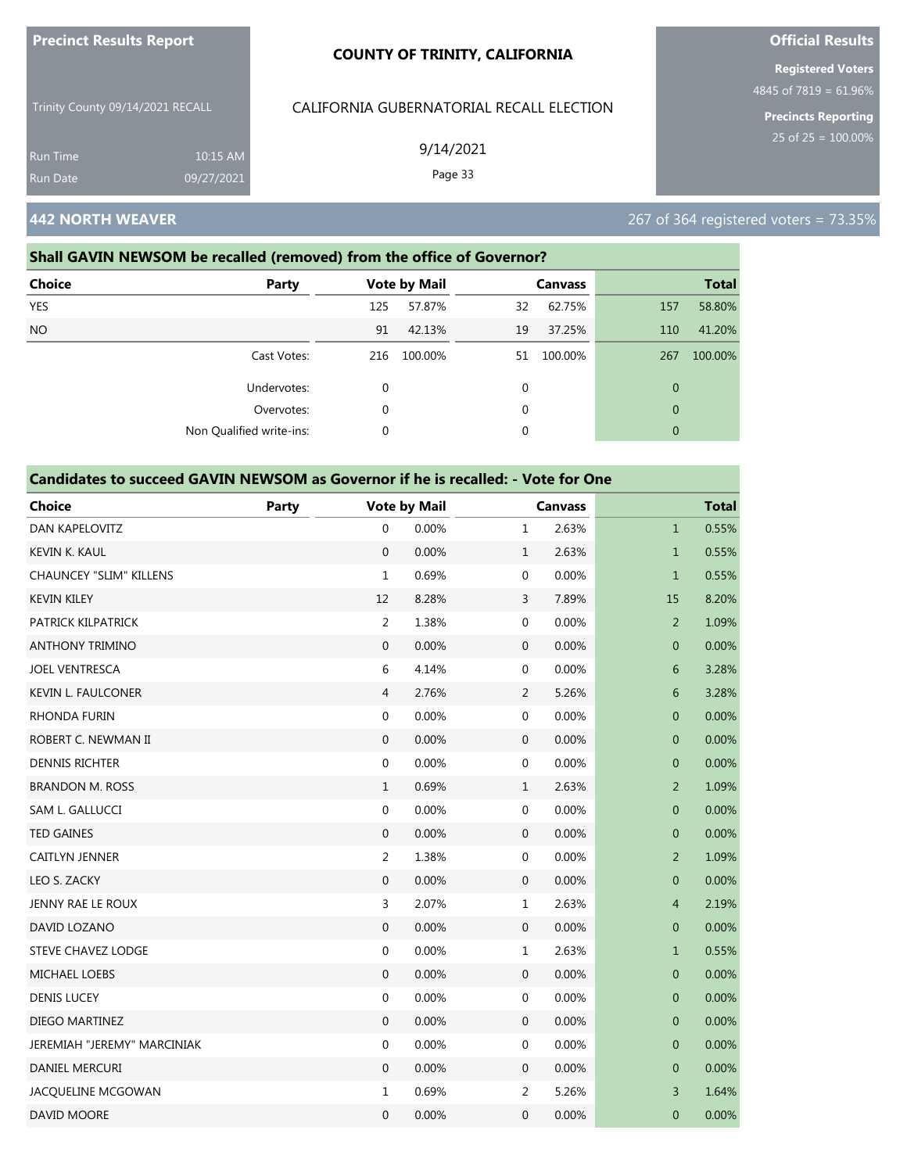| <b>Precinct Results Report</b>   |            | <b>COUNTY OF TRINITY, CALIFORNIA</b>     |
|----------------------------------|------------|------------------------------------------|
| Trinity County 09/14/2021 RECALL |            | CALIFORNIA GUBERNATORIAL RECALL ELECTION |
| <b>Run Time</b>                  | 10:15 AM   | 9/14/2021                                |
| <b>Run Date</b>                  | 09/27/2021 | Page 33                                  |

# **442 NORTH WEAVER** 267 of 364 registered voters = 73.35%

#### **Shall GAVIN NEWSOM be recalled (removed) from the office of Governor?**

| <b>Choice</b> | Party                    |              | <b>Vote by Mail</b> |    | <b>Canvass</b> |              | <b>Total</b> |
|---------------|--------------------------|--------------|---------------------|----|----------------|--------------|--------------|
| <b>YES</b>    |                          | 125          | 57.87%              | 32 | 62.75%         | 157          | 58.80%       |
| <b>NO</b>     |                          | 91           | 42.13%              | 19 | 37.25%         | 110          | 41.20%       |
|               | Cast Votes:              | 216          | 100.00%             | 51 | 100.00%        | 267          | 100.00%      |
|               | Undervotes:              | $\mathbf{0}$ |                     | 0  |                | $\mathbf{0}$ |              |
|               | Overvotes:               | $\mathbf 0$  |                     | 0  |                | $\mathbf{0}$ |              |
|               | Non Qualified write-ins: | $\mathbf 0$  |                     | 0  |                | $\mathbf{0}$ |              |

### **Candidates to succeed GAVIN NEWSOM as Governor if he is recalled: - Vote for One**

| <b>Choice</b>                  | <b>Party</b> |                  | <b>Vote by Mail</b> |                  | <b>Canvass</b> |                | <b>Total</b> |  |
|--------------------------------|--------------|------------------|---------------------|------------------|----------------|----------------|--------------|--|
| <b>DAN KAPELOVITZ</b>          |              | $\mathbf 0$      | 0.00%               | $\mathbf{1}$     | 2.63%          | $\mathbf{1}$   | 0.55%        |  |
| <b>KEVIN K. KAUL</b>           |              | $\mathbf{0}$     | 0.00%               | $\,1\,$          | 2.63%          | $\mathbf{1}$   | 0.55%        |  |
| <b>CHAUNCEY "SLIM" KILLENS</b> |              | $\mathbf{1}$     | 0.69%               | $\mathbf 0$      | 0.00%          | $\mathbf{1}$   | 0.55%        |  |
| <b>KEVIN KILEY</b>             |              | 12               | 8.28%               | $\mathsf{3}$     | 7.89%          | 15             | 8.20%        |  |
| PATRICK KILPATRICK             |              | $\overline{2}$   | 1.38%               | $\boldsymbol{0}$ | 0.00%          | $\overline{2}$ | 1.09%        |  |
| <b>ANTHONY TRIMINO</b>         |              | $\mathbf{0}$     | 0.00%               | $\boldsymbol{0}$ | 0.00%          | $\mathbf 0$    | 0.00%        |  |
| <b>JOEL VENTRESCA</b>          |              | 6                | 4.14%               | $\boldsymbol{0}$ | 0.00%          | 6              | 3.28%        |  |
| <b>KEVIN L. FAULCONER</b>      |              | 4                | 2.76%               | $\overline{2}$   | 5.26%          | 6              | 3.28%        |  |
| <b>RHONDA FURIN</b>            |              | 0                | 0.00%               | $\boldsymbol{0}$ | 0.00%          | $\mathbf 0$    | 0.00%        |  |
| ROBERT C. NEWMAN II            |              | $\mathbf{0}$     | 0.00%               | $\mathbf{0}$     | 0.00%          | $\overline{0}$ | 0.00%        |  |
| <b>DENNIS RICHTER</b>          |              | $\boldsymbol{0}$ | 0.00%               | $\boldsymbol{0}$ | 0.00%          | $\mathbf 0$    | 0.00%        |  |
| <b>BRANDON M. ROSS</b>         |              | $\mathbf{1}$     | 0.69%               | $\mathbf{1}$     | 2.63%          | $\overline{2}$ | 1.09%        |  |
| SAM L. GALLUCCI                |              | 0                | 0.00%               | $\boldsymbol{0}$ | 0.00%          | $\mathbf 0$    | 0.00%        |  |
| <b>TED GAINES</b>              |              | $\mathbf{0}$     | 0.00%               | $\mathbf 0$      | 0.00%          | $\mathbf 0$    | 0.00%        |  |
| <b>CAITLYN JENNER</b>          |              | 2                | 1.38%               | $\boldsymbol{0}$ | 0.00%          | $\overline{2}$ | 1.09%        |  |
| LEO S. ZACKY                   |              | $\mathbf{0}$     | 0.00%               | $\mathbf 0$      | 0.00%          | $\mathbf{0}$   | 0.00%        |  |
| JENNY RAE LE ROUX              |              | 3                | 2.07%               | $1\,$            | 2.63%          | $\overline{4}$ | 2.19%        |  |
| DAVID LOZANO                   |              | $\mathbf{0}$     | 0.00%               | $\mathbf{0}$     | 0.00%          | $\mathbf 0$    | 0.00%        |  |
| STEVE CHAVEZ LODGE             |              | $\boldsymbol{0}$ | 0.00%               | $\mathbf 1$      | 2.63%          | $\mathbf{1}$   | 0.55%        |  |
| <b>MICHAEL LOEBS</b>           |              | $\mathbf{0}$     | 0.00%               | $\mathbf 0$      | 0.00%          | $\mathbf 0$    | 0.00%        |  |
| <b>DENIS LUCEY</b>             |              | $\boldsymbol{0}$ | 0.00%               | $\boldsymbol{0}$ | 0.00%          | $\mathbf{0}$   | 0.00%        |  |
| DIEGO MARTINEZ                 |              | $\mathbf{0}$     | 0.00%               | $\mathbf 0$      | 0.00%          | $\mathbf 0$    | 0.00%        |  |
| JEREMIAH "JEREMY" MARCINIAK    |              | 0                | 0.00%               | $\boldsymbol{0}$ | 0.00%          | $\mathbf 0$    | 0.00%        |  |
| DANIEL MERCURI                 |              | $\mathbf{0}$     | 0.00%               | $\mathbf 0$      | 0.00%          | $\mathbf 0$    | 0.00%        |  |
| JACQUELINE MCGOWAN             |              | $\mathbf{1}$     | 0.69%               | $\overline{2}$   | 5.26%          | $\overline{3}$ | 1.64%        |  |
| DAVID MOORE                    |              | $\mathbf 0$      | 0.00%               | 0                | 0.00%          | $\mathbf 0$    | 0.00%        |  |

# **Official Results**

**Registered Voters** 4845 of 7819 = 61.96%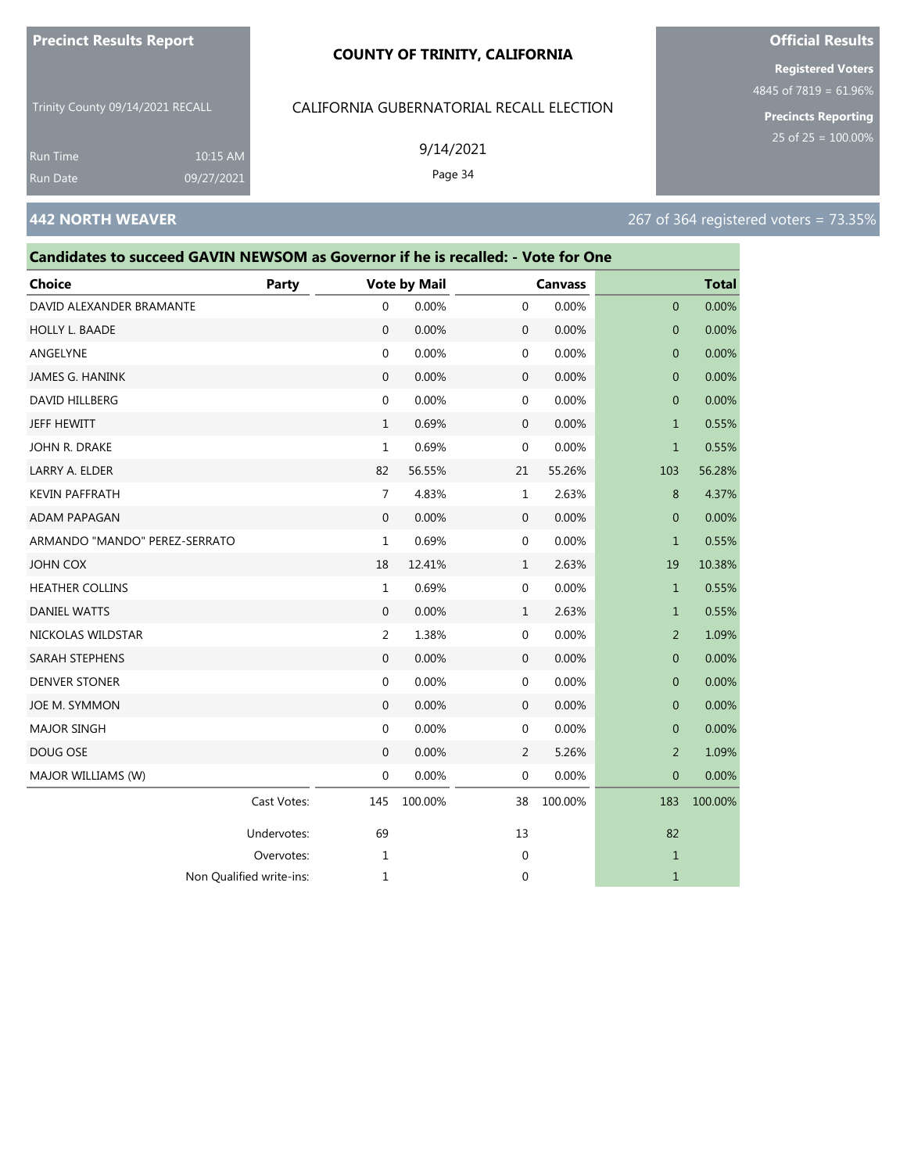#### **COUNTY OF TRINITY, CALIFORNIA**

Trinity County 09/14/2021 RECALL

10:15 AM 09/27/2021

## CALIFORNIA GUBERNATORIAL RECALL ELECTION

9/14/2021 Page 34

**Registered Voters**

**Official Results**

4845 of 7819 = 61.96%

**Precincts Reporting**

# **442 NORTH WEAVER** 267 of 364 registered voters = 73.35%

Run Time

| Candidates to succeed GAVIN NEWSOM as Governor if he is recalled: - Vote for One |             |                |                     |                  |                |                |              |
|----------------------------------------------------------------------------------|-------------|----------------|---------------------|------------------|----------------|----------------|--------------|
| Choice                                                                           | Party       |                | <b>Vote by Mail</b> |                  | <b>Canvass</b> |                | <b>Total</b> |
| DAVID ALEXANDER BRAMANTE                                                         |             | 0              | 0.00%               | $\mathbf 0$      | 0.00%          | $\mathbf{0}$   | 0.00%        |
| HOLLY L. BAADE                                                                   |             | 0              | 0.00%               | $\mathbf 0$      | 0.00%          | $\theta$       | 0.00%        |
| ANGELYNE                                                                         |             | 0              | 0.00%               | 0                | 0.00%          | $\theta$       | 0.00%        |
| JAMES G. HANINK                                                                  |             | $\mathbf{0}$   | 0.00%               | $\mathbf 0$      | 0.00%          | $\overline{0}$ | 0.00%        |
| DAVID HILLBERG                                                                   |             | 0              | 0.00%               | $\mathbf 0$      | 0.00%          | $\mathbf{0}$   | 0.00%        |
| JEFF HEWITT                                                                      |             | 1              | 0.69%               | $\mathbf 0$      | 0.00%          | $\mathbf{1}$   | 0.55%        |
| John R. Drake                                                                    |             | 1              | 0.69%               | $\mathbf{0}$     | 0.00%          | $\mathbf{1}$   | 0.55%        |
| LARRY A. ELDER                                                                   |             | 82             | 56.55%              | 21               | 55.26%         | 103            | 56.28%       |
| <b>KEVIN PAFFRATH</b>                                                            |             | $\overline{7}$ | 4.83%               | $\mathbf{1}$     | 2.63%          | 8              | 4.37%        |
| ADAM PAPAGAN                                                                     |             | 0              | 0.00%               | $\mathbf 0$      | 0.00%          | $\mathbf{0}$   | 0.00%        |
| ARMANDO "MANDO" PEREZ-SERRATO                                                    |             | 1              | 0.69%               | $\mathbf{0}$     | 0.00%          | $\mathbf{1}$   | 0.55%        |
| JOHN COX                                                                         |             | 18             | 12.41%              | 1                | 2.63%          | 19             | 10.38%       |
| <b>HEATHER COLLINS</b>                                                           |             | $\mathbf{1}$   | 0.69%               | $\mathbf 0$      | 0.00%          | $\mathbf{1}$   | 0.55%        |
| <b>DANIEL WATTS</b>                                                              |             | $\mathbf{0}$   | 0.00%               | 1                | 2.63%          | $\mathbf{1}$   | 0.55%        |
| NICKOLAS WILDSTAR                                                                |             | 2              | 1.38%               | 0                | 0.00%          | 2              | 1.09%        |
| SARAH STEPHENS                                                                   |             | 0              | 0.00%               | $\mathbf 0$      | 0.00%          | $\theta$       | 0.00%        |
| DENVER STONER                                                                    |             | 0              | 0.00%               | $\boldsymbol{0}$ | 0.00%          | $\mathbf{0}$   | 0.00%        |
| JOE M. SYMMON                                                                    |             | $\overline{0}$ | 0.00%               | $\mathbf 0$      | 0.00%          | $\mathbf{0}$   | 0.00%        |
| <b>MAJOR SINGH</b>                                                               |             | 0              | 0.00%               | $\mathbf 0$      | 0.00%          | $\mathbf{0}$   | 0.00%        |
| DOUG OSE                                                                         |             | 0              | 0.00%               | $\overline{2}$   | 5.26%          | $\overline{2}$ | 1.09%        |
| MAJOR WILLIAMS (W)                                                               |             | 0              | 0.00%               | $\mathbf 0$      | 0.00%          | $\mathbf 0$    | 0.00%        |
|                                                                                  | Cast Votes: | 145            | 100.00%             | 38               | 100.00%        | 183            | 100.00%      |
|                                                                                  | Undervotes: | 69             |                     | 13               |                | 82             |              |
|                                                                                  | Overvotes:  | 1              |                     | $\mathbf 0$      |                | $\mathbf{1}$   |              |
| Non Qualified write-ins:                                                         |             | 1              |                     | 0                |                | 1              |              |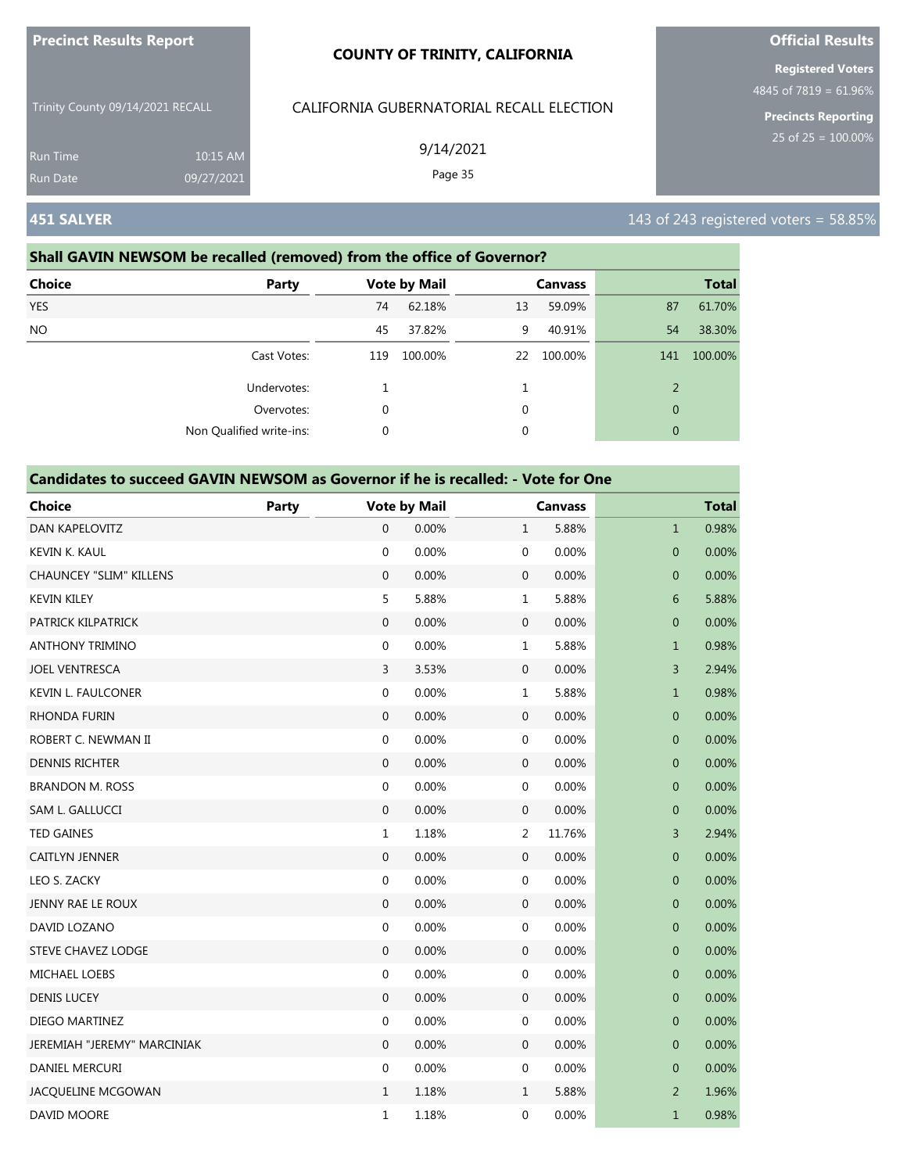|                                    |                        | <b>COUNTY OF TRINITY, CALIFORNIA</b>     | <b>Registered Voters</b>                              |  |
|------------------------------------|------------------------|------------------------------------------|-------------------------------------------------------|--|
| Trinity County 09/14/2021 RECALL   |                        | CALIFORNIA GUBERNATORIAL RECALL ELECTION | 4845 of 7819 = $61.96%$<br><b>Precincts Reporting</b> |  |
| <b>Run Time</b><br><b>Run Date</b> | 10:15 AM<br>09/27/2021 | 9/14/2021<br>Page 35                     | 25 of $25 = 100.00\%$                                 |  |
| <b>451 SALYER</b>                  |                        |                                          | 143 of 243 registered voters = $58.85\%$              |  |

**Official Results**

**Precinct Results Report**

#### **Shall GAVIN NEWSOM be recalled (removed) from the office of Governor?**

| <b>Choice</b> | Party                    |     | <b>Vote by Mail</b> |    | <b>Canvass</b> |              | <b>Total</b> |
|---------------|--------------------------|-----|---------------------|----|----------------|--------------|--------------|
| <b>YES</b>    |                          | 74  | 62.18%              | 13 | 59.09%         | 87           | 61.70%       |
| <b>NO</b>     |                          | 45  | 37.82%              | 9  | 40.91%         | 54           | 38.30%       |
|               | Cast Votes:              | 119 | 100.00%             | 22 | 100.00%        | 141          | 100.00%      |
|               | Undervotes:              |     |                     |    |                | 2            |              |
|               | Overvotes:               | 0   |                     | 0  |                | $\mathbf{0}$ |              |
|               | Non Qualified write-ins: | 0   |                     | 0  |                | $\mathbf{0}$ |              |

| <b>Choice</b>                  | Party |                  | <b>Vote by Mail</b> |                  | <b>Canvass</b> |                  | <b>Total</b> |
|--------------------------------|-------|------------------|---------------------|------------------|----------------|------------------|--------------|
| DAN KAPELOVITZ                 |       | $\mathbf{0}$     | 0.00%               | $\mathbf{1}$     | 5.88%          | $\mathbf{1}$     | 0.98%        |
| KEVIN K. KAUL                  |       | $\mathbf 0$      | 0.00%               | $\mathbf 0$      | 0.00%          | $\overline{0}$   | 0.00%        |
| <b>CHAUNCEY "SLIM" KILLENS</b> |       | $\mathbf{0}$     | 0.00%               | $\mathbf 0$      | 0.00%          | $\mathbf 0$      | 0.00%        |
| <b>KEVIN KILEY</b>             |       | 5                | 5.88%               | $\mathbf 1$      | 5.88%          | 6                | 5.88%        |
| PATRICK KILPATRICK             |       | $\boldsymbol{0}$ | 0.00%               | $\boldsymbol{0}$ | 0.00%          | $\boldsymbol{0}$ | 0.00%        |
| <b>ANTHONY TRIMINO</b>         |       | $\mathbf 0$      | 0.00%               | $\mathbf{1}$     | 5.88%          | $\mathbf{1}$     | 0.98%        |
| <b>JOEL VENTRESCA</b>          |       | 3                | 3.53%               | $\mathbf 0$      | 0.00%          | 3                | 2.94%        |
| <b>KEVIN L. FAULCONER</b>      |       | $\mathbf 0$      | 0.00%               | $\mathbf 1$      | 5.88%          | $\mathbf{1}$     | 0.98%        |
| <b>RHONDA FURIN</b>            |       | $\mathbf{0}$     | 0.00%               | $\mathbf{0}$     | 0.00%          | $\mathbf 0$      | 0.00%        |
| ROBERT C. NEWMAN II            |       | $\boldsymbol{0}$ | 0.00%               | $\boldsymbol{0}$ | 0.00%          | $\mathbf{0}$     | 0.00%        |
| <b>DENNIS RICHTER</b>          |       | $\boldsymbol{0}$ | 0.00%               | $\mathbf 0$      | 0.00%          | $\pmb{0}$        | 0.00%        |
| <b>BRANDON M. ROSS</b>         |       | 0                | 0.00%               | $\mathbf 0$      | 0.00%          | 0                | 0.00%        |
| SAM L. GALLUCCI                |       | $\mathbf{0}$     | 0.00%               | $\boldsymbol{0}$ | 0.00%          | $\mathbf 0$      | 0.00%        |
| <b>TED GAINES</b>              |       | $\mathbf{1}$     | 1.18%               | $\overline{2}$   | 11.76%         | 3                | 2.94%        |
| CAITLYN JENNER                 |       | $\boldsymbol{0}$ | 0.00%               | $\boldsymbol{0}$ | 0.00%          | $\boldsymbol{0}$ | 0.00%        |
| LEO S. ZACKY                   |       | 0                | 0.00%               | $\mathbf 0$      | 0.00%          | 0                | 0.00%        |
| JENNY RAE LE ROUX              |       | $\mathbf 0$      | 0.00%               | $\mathbf 0$      | 0.00%          | $\mathbf 0$      | 0.00%        |
| DAVID LOZANO                   |       | $\mathbf 0$      | 0.00%               | $\mathbf 0$      | 0.00%          | $\mathbf{0}$     | 0.00%        |
| <b>STEVE CHAVEZ LODGE</b>      |       | $\mathbf{0}$     | 0.00%               | $\mathbf{0}$     | 0.00%          | $\mathbf 0$      | 0.00%        |
| <b>MICHAEL LOEBS</b>           |       | $\boldsymbol{0}$ | 0.00%               | $\boldsymbol{0}$ | 0.00%          | $\mathbf 0$      | 0.00%        |
| <b>DENIS LUCEY</b>             |       | $\boldsymbol{0}$ | 0.00%               | $\mathbf 0$      | 0.00%          | $\pmb{0}$        | 0.00%        |
| DIEGO MARTINEZ                 |       | $\mathbf 0$      | 0.00%               | $\mathbf 0$      | 0.00%          | $\mathbf 0$      | 0.00%        |
| JEREMIAH "JEREMY" MARCINIAK    |       | $\mathbf{0}$     | 0.00%               | $\mathbf{0}$     | 0.00%          | $\mathbf 0$      | 0.00%        |
| DANIEL MERCURI                 |       | $\mathbf 0$      | 0.00%               | $\mathbf 0$      | 0.00%          | $\mathbf 0$      | 0.00%        |
| JACQUELINE MCGOWAN             |       | $\mathbf{1}$     | 1.18%               | $\mathbf{1}$     | 5.88%          | $\overline{2}$   | 1.96%        |
| DAVID MOORE                    |       | $\mathbf 1$      | 1.18%               | 0                | 0.00%          | $\mathbf{1}$     | 0.98%        |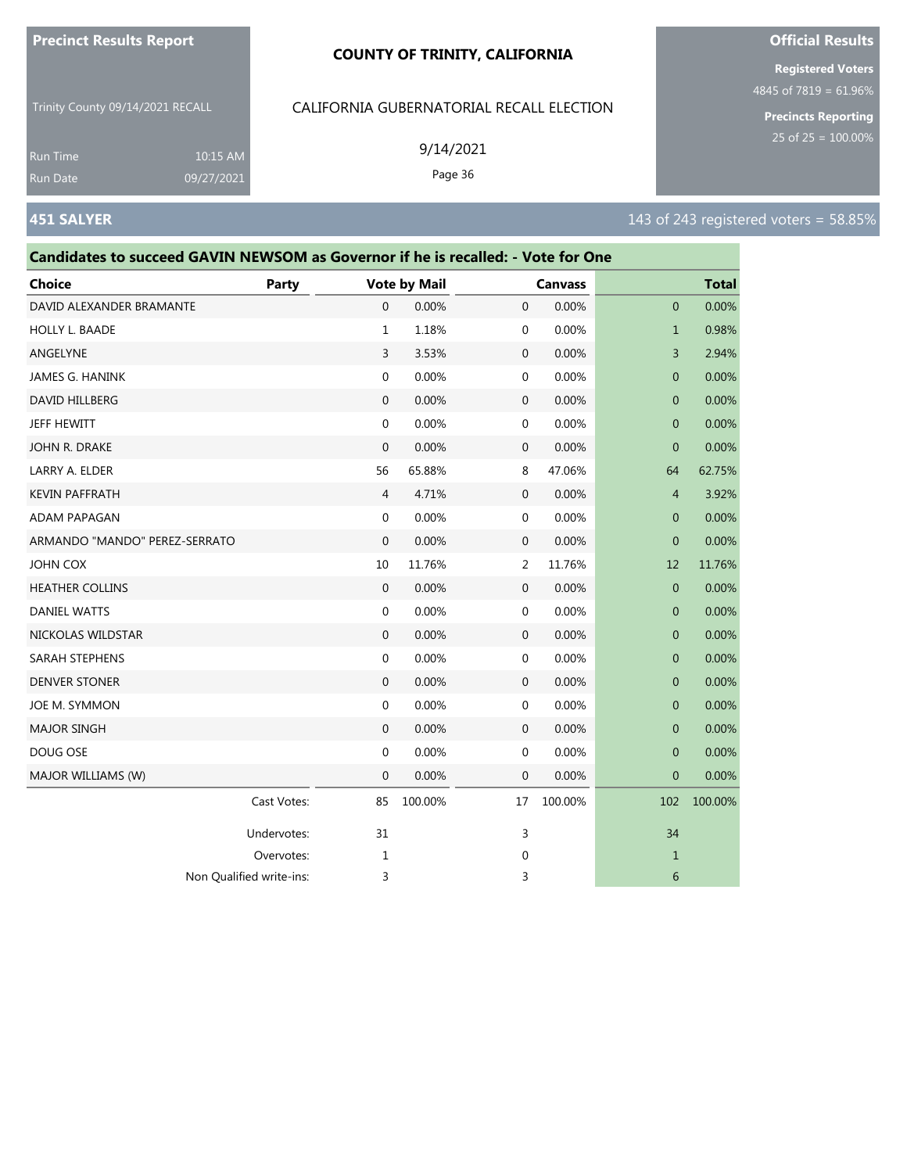#### **COUNTY OF TRINITY, CALIFORNIA**

Trinity County 09/14/2021 RECALL

10:15 AM 09/27/2021

# CALIFORNIA GUBERNATORIAL RECALL ELECTION

9/14/2021

Page 36

**Registered Voters**

4845 of 7819 = 61.96%

**Precincts Reporting**

Run Time

| Candidates to succeed GAVIN NEWSOM as Governor if he is recalled: - Vote for One |              |              |                     |             |                |                |              |
|----------------------------------------------------------------------------------|--------------|--------------|---------------------|-------------|----------------|----------------|--------------|
| Choice                                                                           | <b>Party</b> |              | <b>Vote by Mail</b> |             | <b>Canvass</b> |                | <b>Total</b> |
| DAVID ALEXANDER BRAMANTE                                                         |              | 0            | 0.00%               | $\mathbf 0$ | 0.00%          | $\mathbf{0}$   | 0.00%        |
| <b>HOLLY L. BAADE</b>                                                            |              | 1            | 1.18%               | 0           | 0.00%          | $\mathbf{1}$   | 0.98%        |
| ANGELYNE                                                                         |              | 3            | 3.53%               | $\mathbf 0$ | 0.00%          | 3              | 2.94%        |
| JAMES G. HANINK                                                                  |              | 0            | 0.00%               | $\mathbf 0$ | 0.00%          | $\overline{0}$ | 0.00%        |
| DAVID HILLBERG                                                                   |              | $\mathbf{0}$ | 0.00%               | 0           | 0.00%          | $\mathbf 0$    | 0.00%        |
| JEFF HEWITT                                                                      |              | 0            | 0.00%               | 0           | 0.00%          | $\mathbf 0$    | 0.00%        |
| JOHN R. DRAKE                                                                    |              | 0            | 0.00%               | $\mathbf 0$ | 0.00%          | $\Omega$       | 0.00%        |
| LARRY A. ELDER                                                                   |              | 56           | 65.88%              | 8           | 47.06%         | 64             | 62.75%       |
| <b>KEVIN PAFFRATH</b>                                                            |              | 4            | 4.71%               | $\mathbf 0$ | 0.00%          | $\overline{4}$ | 3.92%        |
| ADAM PAPAGAN                                                                     |              | 0            | 0.00%               | 0           | 0.00%          | $\theta$       | 0.00%        |
| ARMANDO "MANDO" PEREZ-SERRATO                                                    |              | 0            | 0.00%               | 0           | 0.00%          | $\mathbf{0}$   | 0.00%        |
| JOHN COX                                                                         |              | 10           | 11.76%              | 2           | 11.76%         | 12             | 11.76%       |
| <b>HEATHER COLLINS</b>                                                           |              | $\mathbf{0}$ | 0.00%               | 0           | 0.00%          | $\overline{0}$ | 0.00%        |
| <b>DANIEL WATTS</b>                                                              |              | 0            | 0.00%               | 0           | 0.00%          | $\mathbf{0}$   | 0.00%        |
| NICKOLAS WILDSTAR                                                                |              | 0            | 0.00%               | 0           | 0.00%          | $\mathbf 0$    | 0.00%        |
| SARAH STEPHENS                                                                   |              | 0            | 0.00%               | 0           | 0.00%          | $\mathbf{0}$   | 0.00%        |
| <b>DENVER STONER</b>                                                             |              | $\mathbf{0}$ | 0.00%               | $\mathbf 0$ | 0.00%          | 0              | 0.00%        |
| JOE M. SYMMON                                                                    |              | 0            | 0.00%               | 0           | 0.00%          | $\mathbf{0}$   | 0.00%        |
| <b>MAJOR SINGH</b>                                                               |              | 0            | 0.00%               | $\mathbf 0$ | 0.00%          | $\mathbf{0}$   | 0.00%        |
| DOUG OSE                                                                         |              | 0            | 0.00%               | 0           | 0.00%          | $\mathbf{0}$   | 0.00%        |
| MAJOR WILLIAMS (W)                                                               |              | 0            | 0.00%               | 0           | 0.00%          | $\overline{0}$ | 0.00%        |
|                                                                                  | Cast Votes:  | 85           | 100.00%             | 17          | 100.00%        | 102            | 100.00%      |
|                                                                                  | Undervotes:  | 31           |                     | 3           |                | 34             |              |
|                                                                                  | Overvotes:   | 1            |                     | 0           |                | 1              |              |
| Non Qualified write-ins:                                                         |              | 3            |                     | 3           |                | 6              |              |

# **Official Results**

**451 SALYER** 143 of 243 registered voters = 58.85%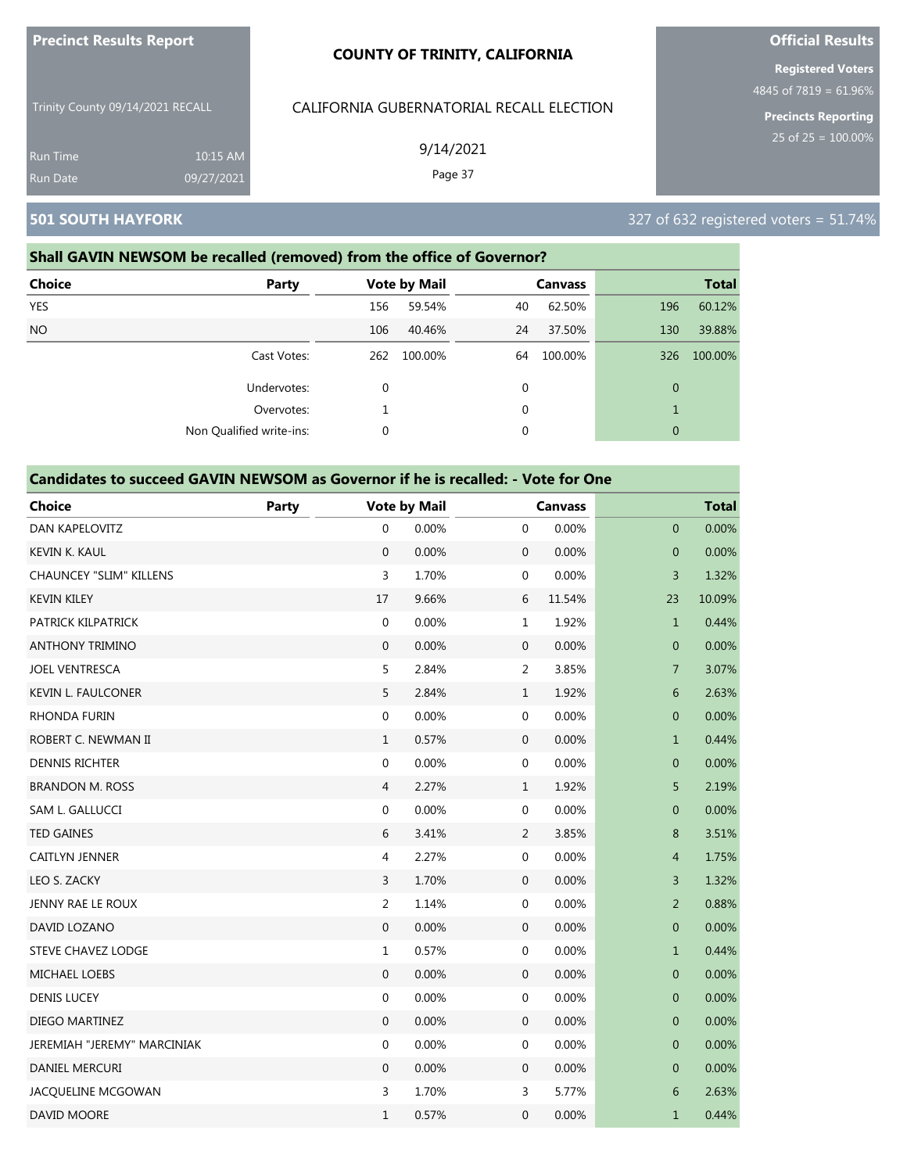| <b>Precinct Results Report</b> |  |
|--------------------------------|--|
|--------------------------------|--|

Trinity County 09/14/2021 RECALL Run Time 10:15 AM

### CALIFORNIA GUBERNATORIAL RECALL ELECTION

9/14/2021

Page 37

**Official Results Registered Voters**

4845 of 7819 = 61.96%

**Precincts Reporting**

### **Shall GAVIN NEWSOM be recalled (removed) from the office of Governor?**

09/27/2021

| <b>Choice</b> | Party                    |             | <b>Vote by Mail</b> |    | <b>Canvass</b> |              | <b>Total</b> |
|---------------|--------------------------|-------------|---------------------|----|----------------|--------------|--------------|
| <b>YES</b>    |                          | 156         | 59.54%              | 40 | 62.50%         | 196          | 60.12%       |
| <b>NO</b>     |                          | 106         | 40.46%              | 24 | 37.50%         | 130          | 39.88%       |
|               | Cast Votes:              | 262         | 100.00%             | 64 | 100.00%        | 326          | 100.00%      |
|               | Undervotes:              | $\mathbf 0$ |                     | 0  |                | $\mathbf{0}$ |              |
|               | Overvotes:               |             |                     | 0  |                | $\mathbf{1}$ |              |
|               | Non Qualified write-ins: | 0           |                     | 0  |                | $\mathbf{0}$ |              |

#### **Candidates to succeed GAVIN NEWSOM as Governor if he is recalled: - Vote for One**

| <b>Choice</b>                  | Party |                  | <b>Vote by Mail</b> |                  | <b>Canvass</b> |                | <b>Total</b> |
|--------------------------------|-------|------------------|---------------------|------------------|----------------|----------------|--------------|
| DAN KAPELOVITZ                 |       | $\mathbf 0$      | 0.00%               | $\mathbf 0$      | 0.00%          | $\mathbf 0$    | 0.00%        |
| <b>KEVIN K. KAUL</b>           |       | $\mathbf{0}$     | 0.00%               | $\boldsymbol{0}$ | 0.00%          | $\overline{0}$ | 0.00%        |
| <b>CHAUNCEY "SLIM" KILLENS</b> |       | 3                | 1.70%               | $\mathbf 0$      | 0.00%          | 3              | 1.32%        |
| <b>KEVIN KILEY</b>             |       | 17               | 9.66%               | 6                | 11.54%         | 23             | 10.09%       |
| PATRICK KILPATRICK             |       | $\boldsymbol{0}$ | 0.00%               | $\mathbf 1$      | 1.92%          | $\mathbf{1}$   | 0.44%        |
| <b>ANTHONY TRIMINO</b>         |       | $\mathbf{0}$     | 0.00%               | $\mathbf 0$      | 0.00%          | $\mathbf 0$    | 0.00%        |
| <b>JOEL VENTRESCA</b>          |       | 5                | 2.84%               | $\overline{2}$   | 3.85%          | $\overline{7}$ | 3.07%        |
| <b>KEVIN L. FAULCONER</b>      |       | 5                | 2.84%               | $\mathbf{1}$     | 1.92%          | 6              | 2.63%        |
| <b>RHONDA FURIN</b>            |       | $\mathbf 0$      | 0.00%               | $\boldsymbol{0}$ | 0.00%          | $\mathbf 0$    | 0.00%        |
| ROBERT C. NEWMAN II            |       | $\mathbf{1}$     | 0.57%               | $\boldsymbol{0}$ | 0.00%          | $\mathbf{1}$   | 0.44%        |
| <b>DENNIS RICHTER</b>          |       | $\boldsymbol{0}$ | 0.00%               | $\boldsymbol{0}$ | 0.00%          | $\pmb{0}$      | 0.00%        |
| <b>BRANDON M. ROSS</b>         |       | 4                | 2.27%               | $\mathbf{1}$     | 1.92%          | 5              | 2.19%        |
| SAM L. GALLUCCI                |       | $\boldsymbol{0}$ | 0.00%               | $\boldsymbol{0}$ | 0.00%          | $\mathbf 0$    | 0.00%        |
| <b>TED GAINES</b>              |       | 6                | 3.41%               | $\overline{2}$   | 3.85%          | 8              | 3.51%        |
| CAITLYN JENNER                 |       | $\overline{4}$   | 2.27%               | $\boldsymbol{0}$ | 0.00%          | $\overline{4}$ | 1.75%        |
| LEO S. ZACKY                   |       | 3                | 1.70%               | $\mathbf 0$      | 0.00%          | 3              | 1.32%        |
| JENNY RAE LE ROUX              |       | $\overline{2}$   | 1.14%               | $\mathbf 0$      | 0.00%          | $\overline{2}$ | 0.88%        |
| DAVID LOZANO                   |       | $\Omega$         | 0.00%               | $\boldsymbol{0}$ | 0.00%          | $\overline{0}$ | 0.00%        |
| <b>STEVE CHAVEZ LODGE</b>      |       | $\mathbf{1}$     | 0.57%               | $\mathbf 0$      | 0.00%          | $\mathbf{1}$   | 0.44%        |
| <b>MICHAEL LOEBS</b>           |       | $\mathbf{0}$     | 0.00%               | $\boldsymbol{0}$ | 0.00%          | $\mathbf 0$    | 0.00%        |
| <b>DENIS LUCEY</b>             |       | $\boldsymbol{0}$ | 0.00%               | $\mathbf 0$      | 0.00%          | $\mathbf 0$    | 0.00%        |
| DIEGO MARTINEZ                 |       | $\mathbf{0}$     | 0.00%               | $\boldsymbol{0}$ | 0.00%          | $\mathbf 0$    | 0.00%        |
| JEREMIAH "JEREMY" MARCINIAK    |       | 0                | 0.00%               | $\mathbf 0$      | 0.00%          | $\mathbf 0$    | 0.00%        |
| <b>DANIEL MERCURI</b>          |       | $\mathbf{0}$     | 0.00%               | $\mathbf 0$      | 0.00%          | $\mathbf 0$    | 0.00%        |
| JACQUELINE MCGOWAN             |       | 3                | 1.70%               | 3                | 5.77%          | 6              | 2.63%        |
| DAVID MOORE                    |       | $\mathbf 1$      | 0.57%               | 0                | 0.00%          | $\mathbf{1}$   | 0.44%        |

**501 SOUTH HAYFORK** 327 of 632 registered voters = 51.74%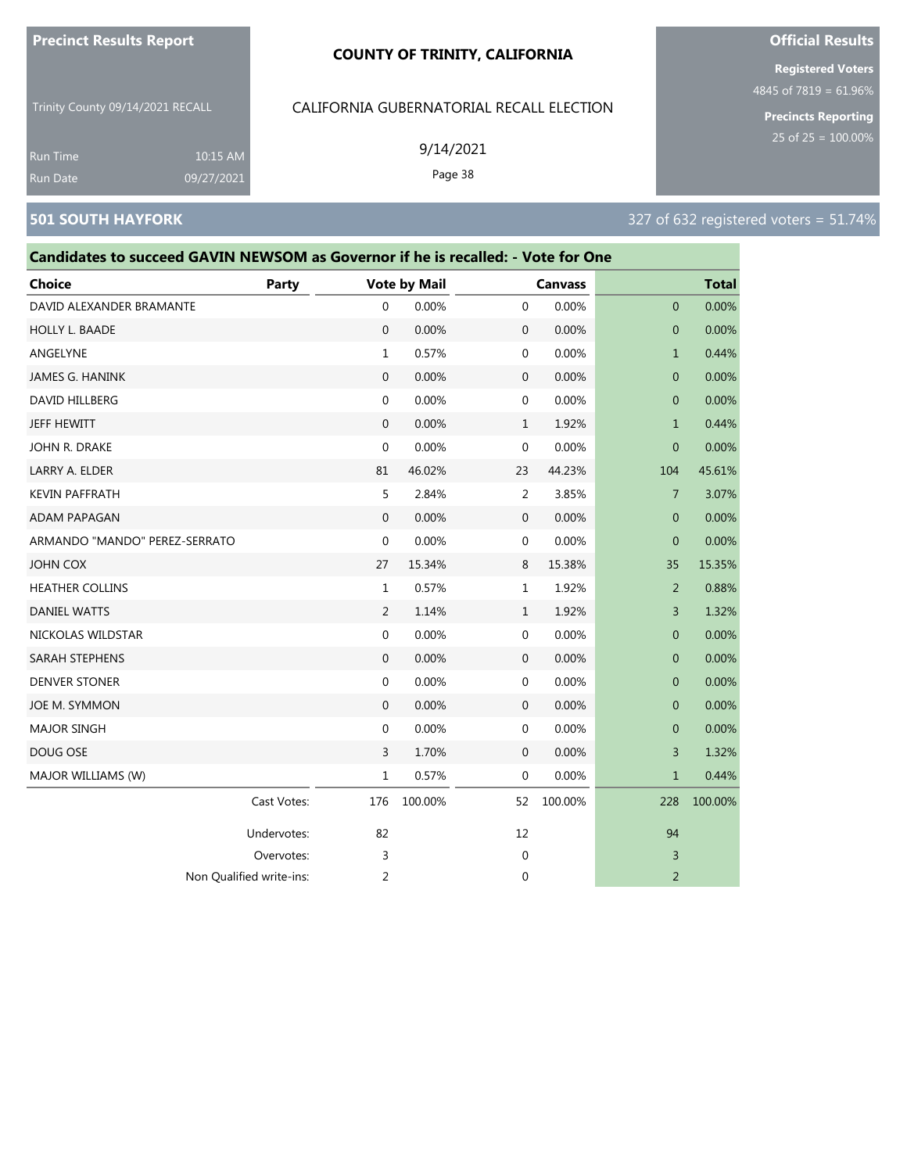#### **COUNTY OF TRINITY, CALIFORNIA**

Trinity County 09/14/2021 RECALL

### CALIFORNIA GUBERNATORIAL RECALL ELECTION

9/14/2021

Page 38

**Registered Voters**

**Official Results**

4845 of 7819 = 61.96%

**Precincts Reporting**

Run Time 10:15 AM 09/27/2021

### **501 SOUTH HAYFORK** 327 of 632 registered voters = 51.74%

| Candidates to succeed GAVIN NEWSOM as Governor if he is recalled: - Vote for One |              |                  |                     |              |                |                |              |  |
|----------------------------------------------------------------------------------|--------------|------------------|---------------------|--------------|----------------|----------------|--------------|--|
| <b>Choice</b>                                                                    | <b>Party</b> |                  | <b>Vote by Mail</b> |              | <b>Canvass</b> |                | <b>Total</b> |  |
| DAVID ALEXANDER BRAMANTE                                                         |              | $\mathbf 0$      | 0.00%               | $\mathbf 0$  | 0.00%          | $\mathbf{0}$   | 0.00%        |  |
| <b>HOLLY L. BAADE</b>                                                            |              | $\Omega$         | 0.00%               | 0            | 0.00%          | $\mathbf{0}$   | 0.00%        |  |
| ANGELYNE                                                                         |              | $\mathbf{1}$     | 0.57%               | 0            | 0.00%          | $\mathbf{1}$   | 0.44%        |  |
| JAMES G. HANINK                                                                  |              | $\mathbf{0}$     | 0.00%               | $\mathbf{0}$ | 0.00%          | $\overline{0}$ | 0.00%        |  |
| DAVID HILLBERG                                                                   |              | $\mathbf{0}$     | 0.00%               | $\mathbf 0$  | 0.00%          | $\overline{0}$ | 0.00%        |  |
| JEFF HEWITT                                                                      |              | $\mathbf{0}$     | 0.00%               | $\mathbf{1}$ | 1.92%          | $\mathbf{1}$   | 0.44%        |  |
| JOHN R. DRAKE                                                                    |              | $\mathbf{0}$     | 0.00%               | $\mathbf 0$  | 0.00%          | $\mathbf{0}$   | 0.00%        |  |
| LARRY A. ELDER                                                                   |              | 81               | 46.02%              | 23           | 44.23%         | 104            | 45.61%       |  |
| <b>KEVIN PAFFRATH</b>                                                            |              | 5                | 2.84%               | 2            | 3.85%          | $\overline{7}$ | 3.07%        |  |
| <b>ADAM PAPAGAN</b>                                                              |              | $\mathbf{0}$     | 0.00%               | $\mathbf 0$  | 0.00%          | $\overline{0}$ | 0.00%        |  |
| ARMANDO "MANDO" PEREZ-SERRATO                                                    |              | $\mathbf{0}$     | 0.00%               | $\mathbf{0}$ | 0.00%          | $\mathbf{0}$   | 0.00%        |  |
| <b>JOHN COX</b>                                                                  |              | 27               | 15.34%              | 8            | 15.38%         | 35             | 15.35%       |  |
| <b>HEATHER COLLINS</b>                                                           |              | $\mathbf{1}$     | 0.57%               | $\mathbf 1$  | 1.92%          | 2              | 0.88%        |  |
| <b>DANIEL WATTS</b>                                                              |              | 2                | 1.14%               | $\mathbf{1}$ | 1.92%          | 3              | 1.32%        |  |
| NICKOLAS WILDSTAR                                                                |              | $\boldsymbol{0}$ | 0.00%               | 0            | 0.00%          | $\mathbf 0$    | 0.00%        |  |
| <b>SARAH STEPHENS</b>                                                            |              | $\Omega$         | 0.00%               | $\mathbf{0}$ | 0.00%          | 0              | 0.00%        |  |
| <b>DENVER STONER</b>                                                             |              | $\mathbf{0}$     | 0.00%               | 0            | 0.00%          | $\overline{0}$ | 0.00%        |  |
| JOE M. SYMMON                                                                    |              | $\boldsymbol{0}$ | 0.00%               | $\mathbf 0$  | 0.00%          | $\mathbf 0$    | 0.00%        |  |
| <b>MAJOR SINGH</b>                                                               |              | $\mathbf{0}$     | 0.00%               | $\mathbf 0$  | 0.00%          | $\overline{0}$ | 0.00%        |  |
| DOUG OSE                                                                         |              | $\overline{3}$   | 1.70%               | $\mathbf 0$  | 0.00%          | 3              | 1.32%        |  |
| MAJOR WILLIAMS (W)                                                               |              | 1                | 0.57%               | $\mathbf 0$  | 0.00%          | $\mathbf 1$    | 0.44%        |  |
|                                                                                  | Cast Votes:  | 176              | 100.00%             | 52           | 100.00%        | 228            | 100.00%      |  |
|                                                                                  | Undervotes:  | 82               |                     | 12           |                | 94             |              |  |
|                                                                                  | Overvotes:   | 3                |                     | 0            |                | 3              |              |  |

Non Qualified write-ins: 2 0 2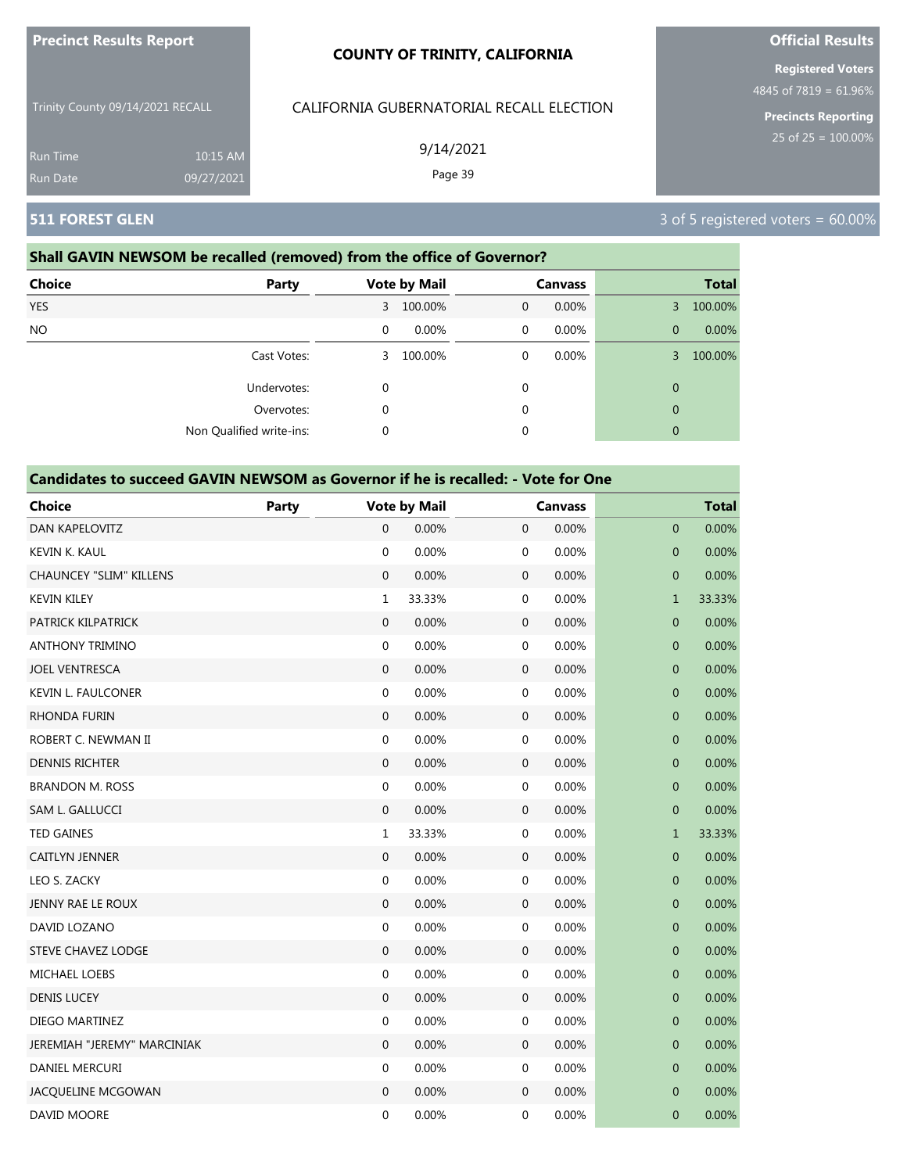| <b>Precinct Results Report</b>   |                        | <b>COUNTY OF TRINITY, CALIFORNIA</b>     |  |
|----------------------------------|------------------------|------------------------------------------|--|
| Trinity County 09/14/2021 RECALL |                        | CALIFORNIA GUBERNATORIAL RECALL ELECTION |  |
| <b>Run Time</b><br>Run Date      | 10:15 AM<br>09/27/2021 | 9/14/2021<br>Page 39                     |  |

# **511 FOREST GLEN** 3 of 5 registered voters = 60.00%

### **Shall GAVIN NEWSOM be recalled (removed) from the office of Governor?**

| <b>Choice</b><br>Party   |             | <b>Vote by Mail</b> |   | <b>Canvass</b> |              | <b>Total</b> |
|--------------------------|-------------|---------------------|---|----------------|--------------|--------------|
| <b>YES</b>               | 3           | 100.00%             | 0 | 0.00%          | $\mathbf{3}$ | 100.00%      |
| NO.                      | 0           | 0.00%               | 0 | 0.00%          | $\mathbf{0}$ | 0.00%        |
| Cast Votes:              | 3           | 100.00%             | 0 | $0.00\%$       | 3            | 100.00%      |
| Undervotes:              | $\mathbf 0$ |                     | 0 |                | $\mathbf{0}$ |              |
| Overvotes:               | 0           |                     | 0 |                | $\mathbf{0}$ |              |
| Non Qualified write-ins: | 0           |                     | 0 |                | $\mathbf{0}$ |              |

#### **Candidates to succeed GAVIN NEWSOM as Governor if he is recalled: - Vote for One**

| <b>Choice</b>                  | <b>Party</b> |                  | <b>Vote by Mail</b> |                  | <b>Canvass</b> |                  | <b>Total</b> |  |  |
|--------------------------------|--------------|------------------|---------------------|------------------|----------------|------------------|--------------|--|--|
| DAN KAPELOVITZ                 |              | 0                | 0.00%               | $\mathbf 0$      | 0.00%          | $\mathbf 0$      | 0.00%        |  |  |
| <b>KEVIN K. KAUL</b>           |              | $\mathbf 0$      | 0.00%               | 0                | 0.00%          | $\overline{0}$   | 0.00%        |  |  |
| <b>CHAUNCEY "SLIM" KILLENS</b> |              | $\mathbf 0$      | 0.00%               | $\mathbf 0$      | 0.00%          | $\boldsymbol{0}$ | 0.00%        |  |  |
| <b>KEVIN KILEY</b>             |              | $\mathbf{1}$     | 33.33%              | 0                | 0.00%          | $\mathbf{1}$     | 33.33%       |  |  |
| PATRICK KILPATRICK             |              | $\overline{0}$   | 0.00%               | $\mathbf 0$      | 0.00%          | $\mathbf 0$      | 0.00%        |  |  |
| <b>ANTHONY TRIMINO</b>         |              | $\mathbf{0}$     | 0.00%               | 0                | 0.00%          | $\mathbf 0$      | 0.00%        |  |  |
| <b>JOEL VENTRESCA</b>          |              | $\mathbf{0}$     | 0.00%               | $\mathbf 0$      | 0.00%          | $\mathbf 0$      | 0.00%        |  |  |
| <b>KEVIN L. FAULCONER</b>      |              | $\boldsymbol{0}$ | 0.00%               | 0                | 0.00%          | $\pmb{0}$        | 0.00%        |  |  |
| <b>RHONDA FURIN</b>            |              | 0                | 0.00%               | $\mathbf 0$      | 0.00%          | 0                | 0.00%        |  |  |
| ROBERT C. NEWMAN II            |              | $\mathbf 0$      | 0.00%               | 0                | 0.00%          | $\mathbf 0$      | 0.00%        |  |  |
| <b>DENNIS RICHTER</b>          |              | $\boldsymbol{0}$ | 0.00%               | $\boldsymbol{0}$ | 0.00%          | $\pmb{0}$        | 0.00%        |  |  |
| <b>BRANDON M. ROSS</b>         |              | 0                | 0.00%               | 0                | 0.00%          | 0                | 0.00%        |  |  |
| SAM L. GALLUCCI                |              | $\mathbf{0}$     | 0.00%               | $\boldsymbol{0}$ | 0.00%          | $\mathbf{0}$     | 0.00%        |  |  |
| <b>TED GAINES</b>              |              | 1                | 33.33%              | 0                | 0.00%          | $\mathbf{1}$     | 33.33%       |  |  |
| <b>CAITLYN JENNER</b>          |              | $\mathbf{0}$     | 0.00%               | $\mathbf 0$      | 0.00%          | $\mathbf 0$      | 0.00%        |  |  |
| LEO S. ZACKY                   |              | $\mathbf 0$      | 0.00%               | 0                | 0.00%          | $\mathbf 0$      | 0.00%        |  |  |
| JENNY RAE LE ROUX              |              | $\boldsymbol{0}$ | 0.00%               | $\mathbf 0$      | 0.00%          | $\mathbf 0$      | 0.00%        |  |  |
| DAVID LOZANO                   |              | $\mathbf 0$      | 0.00%               | 0                | 0.00%          | $\mathbf 0$      | 0.00%        |  |  |
| <b>STEVE CHAVEZ LODGE</b>      |              | $\mathbf{0}$     | 0.00%               | $\boldsymbol{0}$ | 0.00%          | $\mathbf 0$      | 0.00%        |  |  |
| MICHAEL LOEBS                  |              | $\boldsymbol{0}$ | 0.00%               | 0                | 0.00%          | $\mathbf 0$      | 0.00%        |  |  |
| <b>DENIS LUCEY</b>             |              | $\overline{0}$   | 0.00%               | $\boldsymbol{0}$ | 0.00%          | $\mathbf 0$      | 0.00%        |  |  |
| DIEGO MARTINEZ                 |              | $\mathbf 0$      | 0.00%               | 0                | 0.00%          | $\overline{0}$   | 0.00%        |  |  |
| JEREMIAH "JEREMY" MARCINIAK    |              | $\boldsymbol{0}$ | 0.00%               | $\mathbf 0$      | 0.00%          | $\mathbf 0$      | 0.00%        |  |  |
| DANIEL MERCURI                 |              | $\mathbf 0$      | 0.00%               | 0                | 0.00%          | $\mathbf 0$      | 0.00%        |  |  |
| JACQUELINE MCGOWAN             |              | 0                | 0.00%               | $\boldsymbol{0}$ | 0.00%          | $\mathbf 0$      | 0.00%        |  |  |
| DAVID MOORE                    |              | $\mathbf 0$      | 0.00%               | 0                | 0.00%          | $\mathbf{0}$     | 0.00%        |  |  |

**Official Results**

**Registered Voters** 4845 of 7819 = 61.96%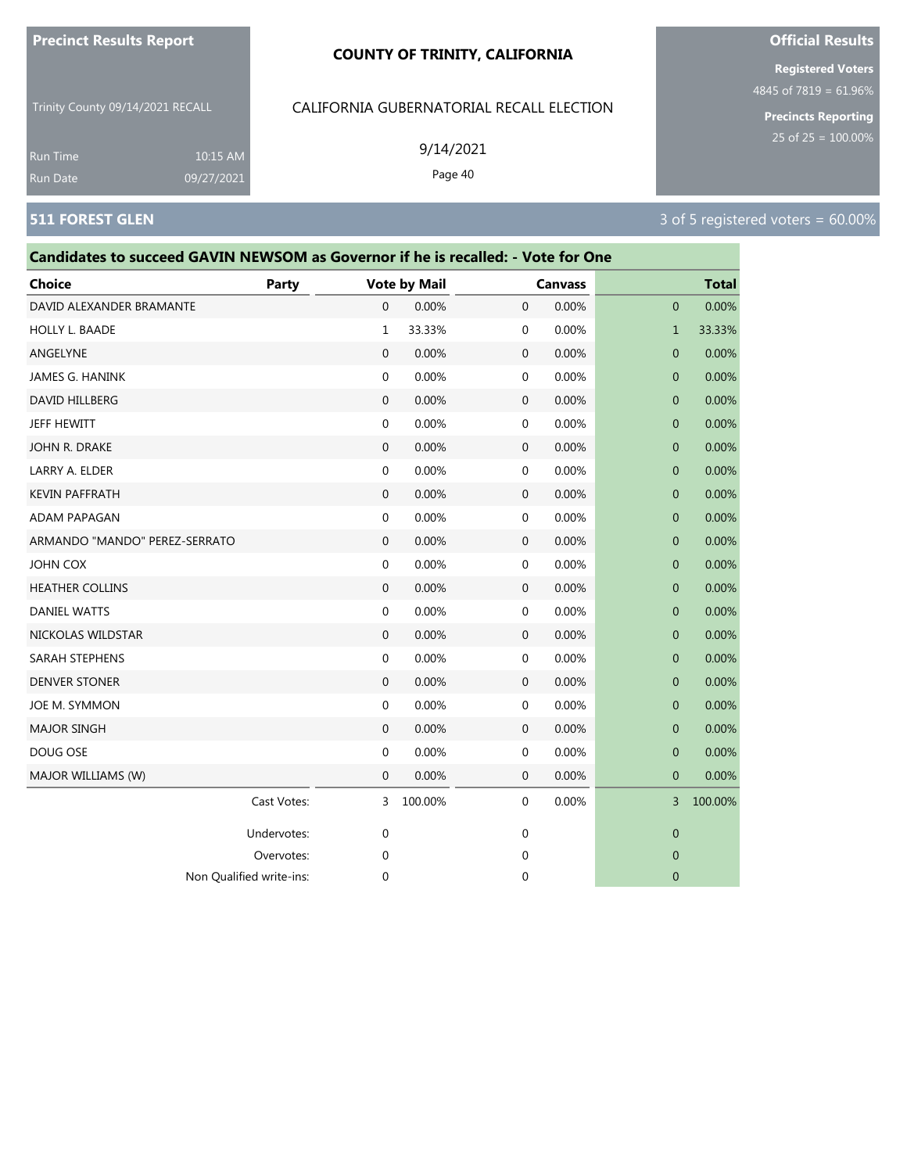#### **COUNTY OF TRINITY, CALIFORNIA**

Trinity County 09/14/2021 RECALL

10:15 AM 09/27/2021

### CALIFORNIA GUBERNATORIAL RECALL ELECTION

9/14/2021

Page 40

Run Time Run Date

# **Candidates to succeed GAVIN NEWSOM as Governor if he is recalled: - Vote for One Choice Party Vote by Mail Canvass Total** DAVID ALEXANDER BRAMANTE 0 0.00% 0 0.00% 0 0.00% HOLLY L. BAADE 1 33.33% 0 0.00% 1 33.33% ANGELYNE 0 0.00% 0 0.00% 0 0.00% JAMES G. HANINK 0 0.00% 0 0.00% 0 0.00%  $\,$  DAVID HILLBERG  $\,$  0  $\,$  0.00%  $\,$  0  $\,$  0.00%  $\,$  0  $\,$  0.00%  $\,$  0  $\,$  0.00%  $\,$  0  $\,$  0.00%  $\,$ JEFF HEWITT 0 0.00% 0 0.00% 0 0.00% JOHN R. DRAKE 0 0.00% 0 0.00% 0 0.00% LARRY A. ELDER 0 0.00% 0 0.00% 0 0.00% KEVIN PAFFRATH 0 0.00% 0 0.00% 0 0.00% ADAM PAPAGAN 0 0.00% 0 0.00% 0 0.00% ARMANDO "MANDO" PEREZ-SERRATO 0 0.00% 0 0.00% 0 0.00% JOHN COX 0 0.00% 0 0.00% 0 0.00% HEATHER COLLINS 0 0.00% 0 0.00% 0 0.00%  $\,$  DANIEL WATTS  $\,$  0 0.00% 0 0.00% 0 0.00% 0 0.00% 0 0.00% 0 0.00% 0 0.00% 0 0.00% 0 0.00% 0 0.00% 0 0.00% 0 0.00% 0 0.00% 0 0.00% 0 0.00% 0 0.00% 0 0.00% 0 0.00% 0 0.00% 0 0.00% 0 0.00% 0 0.00% 0 0.00% 0 0.00% 0 0.00 NICKOLAS WILDSTAR 0 0.00% 0 0.00% 0 0.00% SARAH STEPHENS 0 0.00% 0 0.00% 0 0.00% DENVER STONER 0 0.00% 0 0.00% 0 0.00% JOE M. SYMMON 0 0.00% 0 0.00% 0 0.00% MAJOR SINGH 0 0.00% 0 0.00% 0 0.00% DOUG OSE 0 0.00% 0 0.00% 0 0.00% MAJOR WILLIAMS (W) 0 0.00% 0 0.00% 0 0.00% Cast Votes: 3 100.00% 0 0.00% 3 100.00% Undervotes: 0 0 0 Overvotes: 0 0 0 Non Qualified write-ins: 0 0 0

# **Official Results**

**Registered Voters** 4845 of 7819 = 61.96%

**Precincts Reporting**

25 of 25 = 100.00%

#### **511 FOREST GLEN** 3 of 5 registered voters = 60.00%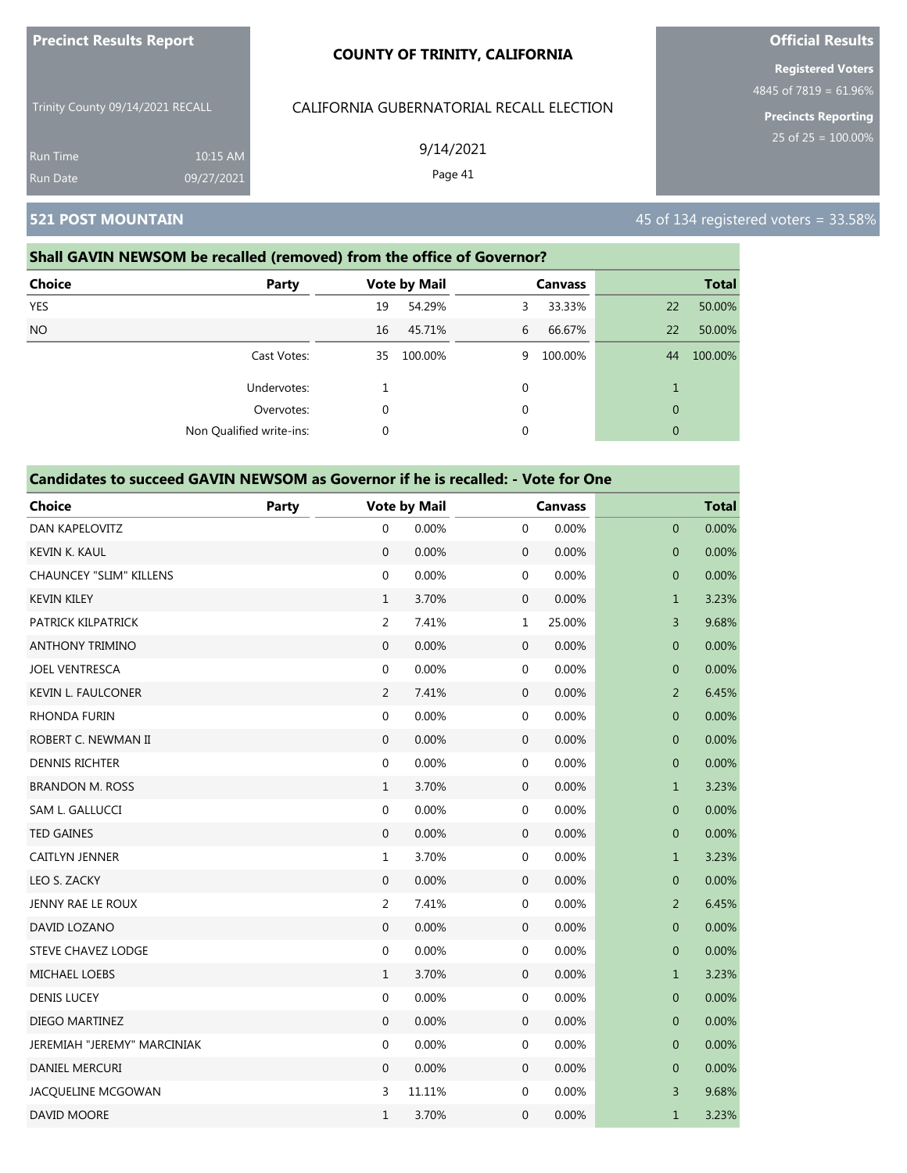|  | <b>Precinct Results Report</b> |
|--|--------------------------------|
|--|--------------------------------|

Trinity County 09/14/2021 RECALL Run Time 10:15 AM

# CALIFORNIA GUBERNATORIAL RECALL ELECTION

9/14/2021

Page 41

### **Shall GAVIN NEWSOM be recalled (removed) from the office of Governor?**

09/27/2021

| <b>Choice</b> | Party                    |    | <b>Vote by Mail</b> |   | <b>Canvass</b> |              | <b>Total</b> |
|---------------|--------------------------|----|---------------------|---|----------------|--------------|--------------|
| <b>YES</b>    |                          | 19 | 54.29%              | 3 | 33.33%         | 22           | 50.00%       |
| <b>NO</b>     |                          | 16 | 45.71%              | 6 | 66.67%         | 22           | 50.00%       |
|               | Cast Votes:              | 35 | 100.00%             | 9 | 100.00%        | 44           | 100.00%      |
|               | Undervotes:              |    |                     | 0 |                | 1            |              |
|               | Overvotes:               | 0  |                     | 0 |                | $\mathbf{0}$ |              |
|               | Non Qualified write-ins: | 0  |                     | 0 |                | $\mathbf{0}$ |              |
|               |                          |    |                     |   |                |              |              |

#### **Candidates to succeed GAVIN NEWSOM as Governor if he is recalled: - Vote for One**

| <b>Choice</b>                  | Party |                  | <b>Vote by Mail</b> |                  | <b>Canvass</b> |                  | <b>Total</b> |  |  |  |
|--------------------------------|-------|------------------|---------------------|------------------|----------------|------------------|--------------|--|--|--|
| DAN KAPELOVITZ                 |       | $\mathbf{0}$     | 0.00%               | $\mathbf 0$      | 0.00%          | 0                | 0.00%        |  |  |  |
| KEVIN K. KAUL                  |       | $\mathbf 0$      | 0.00%               | $\boldsymbol{0}$ | 0.00%          | $\mathbf 0$      | 0.00%        |  |  |  |
| <b>CHAUNCEY "SLIM" KILLENS</b> |       | $\mathbf 0$      | 0.00%               | $\mathbf 0$      | 0.00%          | $\mathbf 0$      | 0.00%        |  |  |  |
| <b>KEVIN KILEY</b>             |       | $\mathbf{1}$     | 3.70%               | $\boldsymbol{0}$ | 0.00%          | $\mathbf{1}$     | 3.23%        |  |  |  |
| PATRICK KILPATRICK             |       | $\overline{2}$   | 7.41%               | 1                | 25.00%         | 3                | 9.68%        |  |  |  |
| <b>ANTHONY TRIMINO</b>         |       | $\mathbf{0}$     | 0.00%               | $\boldsymbol{0}$ | 0.00%          | $\mathbf 0$      | 0.00%        |  |  |  |
| <b>JOEL VENTRESCA</b>          |       | $\boldsymbol{0}$ | 0.00%               | $\boldsymbol{0}$ | 0.00%          | $\boldsymbol{0}$ | 0.00%        |  |  |  |
| <b>KEVIN L. FAULCONER</b>      |       | 2                | 7.41%               | $\mathbf 0$      | 0.00%          | $\overline{2}$   | 6.45%        |  |  |  |
| <b>RHONDA FURIN</b>            |       | $\boldsymbol{0}$ | 0.00%               | $\mathbf 0$      | 0.00%          | $\mathbf 0$      | 0.00%        |  |  |  |
| ROBERT C. NEWMAN II            |       | $\mathbf{0}$     | 0.00%               | $\boldsymbol{0}$ | 0.00%          | $\mathbf{0}$     | 0.00%        |  |  |  |
| <b>DENNIS RICHTER</b>          |       | $\boldsymbol{0}$ | 0.00%               | $\boldsymbol{0}$ | 0.00%          | $\boldsymbol{0}$ | 0.00%        |  |  |  |
| <b>BRANDON M. ROSS</b>         |       | $\mathbf{1}$     | 3.70%               | $\mathbf 0$      | 0.00%          | $\mathbf{1}$     | 3.23%        |  |  |  |
| SAM L. GALLUCCI                |       | $\boldsymbol{0}$ | 0.00%               | $\mathbf 0$      | 0.00%          | $\mathbf 0$      | 0.00%        |  |  |  |
| <b>TED GAINES</b>              |       | $\mathbf{0}$     | 0.00%               | $\boldsymbol{0}$ | 0.00%          | $\mathbf 0$      | 0.00%        |  |  |  |
| CAITLYN JENNER                 |       | $\mathbf{1}$     | 3.70%               | $\boldsymbol{0}$ | 0.00%          | $\mathbf{1}$     | 3.23%        |  |  |  |
| LEO S. ZACKY                   |       | $\mathbf{0}$     | 0.00%               | $\mathbf 0$      | 0.00%          | $\mathbf 0$      | 0.00%        |  |  |  |
| JENNY RAE LE ROUX              |       | $\overline{2}$   | 7.41%               | $\mathbf 0$      | 0.00%          | $\overline{2}$   | 6.45%        |  |  |  |
| DAVID LOZANO                   |       | $\boldsymbol{0}$ | 0.00%               | $\boldsymbol{0}$ | 0.00%          | $\mathbf{0}$     | 0.00%        |  |  |  |
| <b>STEVE CHAVEZ LODGE</b>      |       | $\boldsymbol{0}$ | 0.00%               | $\mathbf 0$      | 0.00%          | $\pmb{0}$        | 0.00%        |  |  |  |
| <b>MICHAEL LOEBS</b>           |       | $\mathbf{1}$     | 3.70%               | $\mathbf 0$      | 0.00%          | $\mathbf{1}$     | 3.23%        |  |  |  |
| <b>DENIS LUCEY</b>             |       | $\mathbf 0$      | 0.00%               | $\mathbf 0$      | 0.00%          | $\mathbf{0}$     | 0.00%        |  |  |  |
| DIEGO MARTINEZ                 |       | $\mathbf{0}$     | 0.00%               | $\boldsymbol{0}$ | 0.00%          | $\mathbf 0$      | 0.00%        |  |  |  |
| JEREMIAH "JEREMY" MARCINIAK    |       | $\boldsymbol{0}$ | 0.00%               | $\mathbf 0$      | 0.00%          | $\mathbf 0$      | 0.00%        |  |  |  |
| <b>DANIEL MERCURI</b>          |       | $\mathbf{0}$     | 0.00%               | $\mathbf 0$      | 0.00%          | $\mathbf 0$      | 0.00%        |  |  |  |
| JACQUELINE MCGOWAN             |       | 3                | 11.11%              | $\boldsymbol{0}$ | 0.00%          | 3                | 9.68%        |  |  |  |
| DAVID MOORE                    |       | $\mathbf{1}$     | 3.70%               | 0                | 0.00%          | $\mathbf{1}$     | 3.23%        |  |  |  |

# **Official Results**

**Registered Voters** 4845 of 7819 = 61.96%

**Precincts Reporting**

**521 POST MOUNTAIN 45 of 134 registered voters = 33.58%**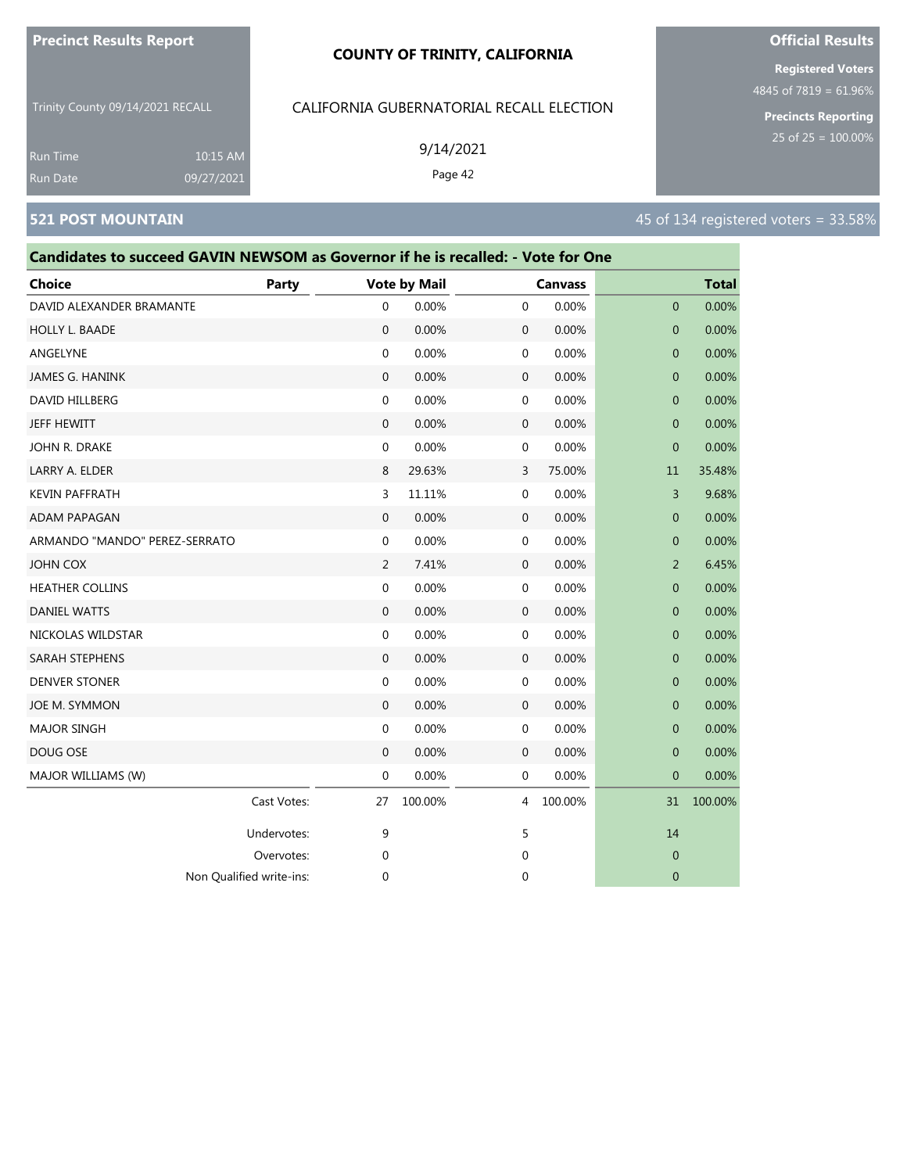#### **COUNTY OF TRINITY, CALIFORNIA**

Trinity County 09/14/2021 RECALL

### CALIFORNIA GUBERNATORIAL RECALL ELECTION

9/14/2021

Cast Votes: 27 100.00% 4 100.00% 31 100.00%

Undervotes: 9 9 5 5 14 Overvotes: 0 0 0

Non Qualified write-ins: 0 0 0

10:15 AM

| Run Date                      | 09/27/2021                                                                       |              |                  | Page 42             |              |                |                |              |                                      |
|-------------------------------|----------------------------------------------------------------------------------|--------------|------------------|---------------------|--------------|----------------|----------------|--------------|--------------------------------------|
| <b>521 POST MOUNTAIN</b>      |                                                                                  |              |                  |                     |              |                |                |              | 45 of 134 registered voters = 33.58% |
|                               | Candidates to succeed GAVIN NEWSOM as Governor if he is recalled: - Vote for One |              |                  |                     |              |                |                |              |                                      |
| <b>Choice</b>                 |                                                                                  | <b>Party</b> |                  | <b>Vote by Mail</b> |              | <b>Canvass</b> |                | <b>Total</b> |                                      |
| DAVID ALEXANDER BRAMANTE      |                                                                                  |              | $\mathbf 0$      | 0.00%               | 0            | 0.00%          | $\mathbf{0}$   | 0.00%        |                                      |
| HOLLY L. BAADE                |                                                                                  |              | $\mathbf{0}$     | 0.00%               | 0            | 0.00%          | $\mathbf{0}$   | 0.00%        |                                      |
| ANGELYNE                      |                                                                                  |              | $\mathbf 0$      | 0.00%               | 0            | 0.00%          | $\mathbf{0}$   | 0.00%        |                                      |
| JAMES G. HANINK               |                                                                                  |              | $\boldsymbol{0}$ | 0.00%               | 0            | 0.00%          | $\mathbf{0}$   | 0.00%        |                                      |
| <b>DAVID HILLBERG</b>         |                                                                                  |              | 0                | 0.00%               | 0            | 0.00%          | $\mathbf{0}$   | 0.00%        |                                      |
| <b>JEFF HEWITT</b>            |                                                                                  |              | $\mathbf{0}$     | 0.00%               | $\mathbf 0$  | 0.00%          | $\mathbf{0}$   | 0.00%        |                                      |
| JOHN R. DRAKE                 |                                                                                  |              | 0                | 0.00%               | 0            | 0.00%          | $\mathbf{0}$   | 0.00%        |                                      |
| LARRY A. ELDER                |                                                                                  |              | 8                | 29.63%              | 3            | 75.00%         | 11             | 35.48%       |                                      |
| <b>KEVIN PAFFRATH</b>         |                                                                                  |              | 3                | 11.11%              | 0            | 0.00%          | 3              | 9.68%        |                                      |
| <b>ADAM PAPAGAN</b>           |                                                                                  |              | $\mathbf{0}$     | 0.00%               | 0            | 0.00%          | $\overline{0}$ | 0.00%        |                                      |
| ARMANDO "MANDO" PEREZ-SERRATO |                                                                                  |              | $\boldsymbol{0}$ | 0.00%               | 0            | 0.00%          | $\mathbf{0}$   | 0.00%        |                                      |
| <b>JOHN COX</b>               |                                                                                  |              | 2                | 7.41%               | 0            | 0.00%          | 2              | 6.45%        |                                      |
| <b>HEATHER COLLINS</b>        |                                                                                  |              | 0                | 0.00%               | 0            | 0.00%          | $\mathbf{0}$   | 0.00%        |                                      |
| <b>DANIEL WATTS</b>           |                                                                                  |              | $\mathbf{0}$     | 0.00%               | 0            | 0.00%          | $\mathbf{0}$   | 0.00%        |                                      |
| NICKOLAS WILDSTAR             |                                                                                  |              | $\mathbf 0$      | 0.00%               | 0            | 0.00%          | $\mathbf{0}$   | 0.00%        |                                      |
| SARAH STEPHENS                |                                                                                  |              | $\boldsymbol{0}$ | 0.00%               | $\mathbf 0$  | 0.00%          | $\mathbf{0}$   | 0.00%        |                                      |
| <b>DENVER STONER</b>          |                                                                                  |              | $\mathbf 0$      | 0.00%               | 0            | 0.00%          | $\mathbf{0}$   | 0.00%        |                                      |
| JOE M. SYMMON                 |                                                                                  |              | $\mathbf{0}$     | 0.00%               | $\mathbf{0}$ | 0.00%          | $\mathbf{0}$   | 0.00%        |                                      |
| <b>MAJOR SINGH</b>            |                                                                                  |              | 0                | 0.00%               | 0            | 0.00%          | $\mathbf{0}$   | 0.00%        |                                      |
| DOUG OSE                      |                                                                                  |              | $\mathbf{0}$     | 0.00%               | 0            | 0.00%          | $\Omega$       | 0.00%        |                                      |
| MAJOR WILLIAMS (W)            |                                                                                  |              | $\mathbf{0}$     | 0.00%               | $\mathbf 0$  | 0.00%          | $\mathbf{0}$   | 0.00%        |                                      |

# **Official Results Registered Voters**

4845 of 7819 = 61.96%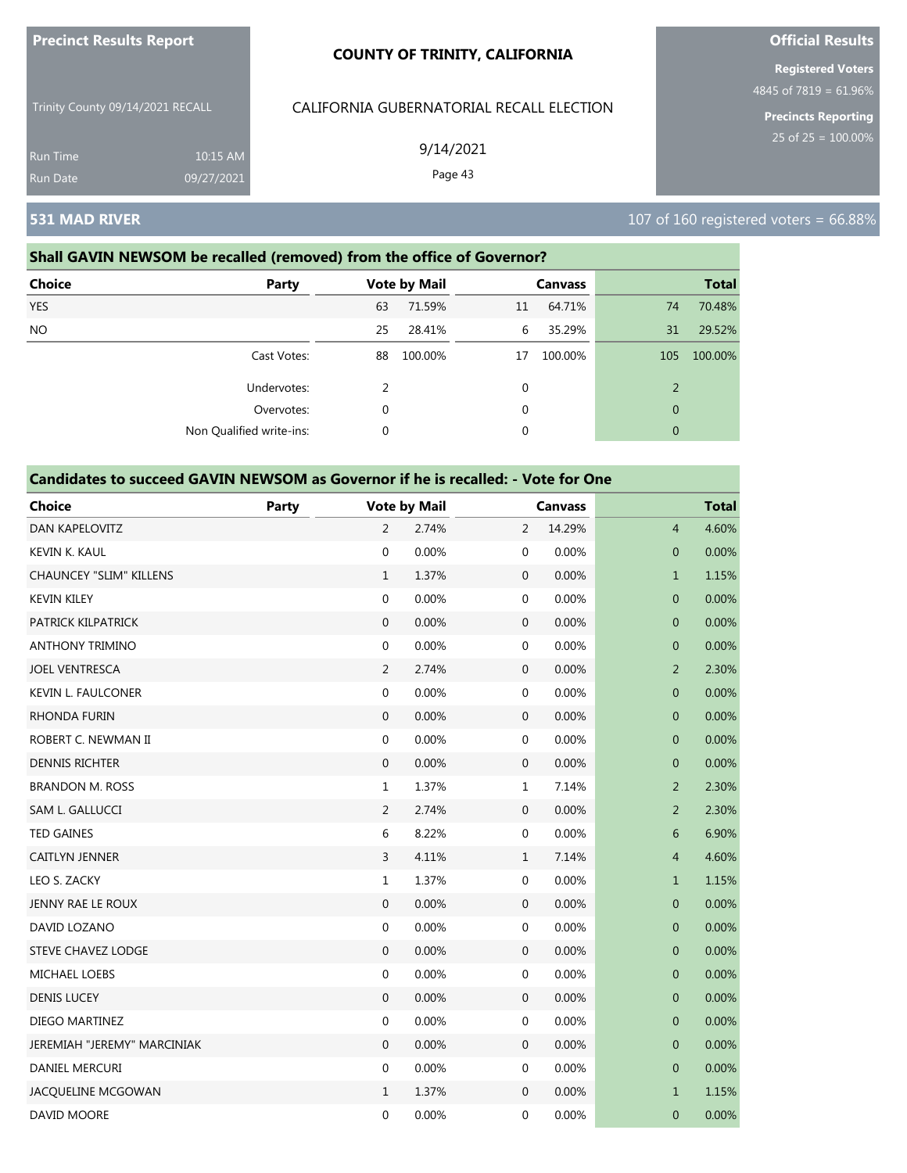| <b>Precinct Results Report</b> |  |
|--------------------------------|--|
|                                |  |

Trinity County 09/14/2021 RECALL

10:15 AM 09/27/2021 CALIFORNIA GUBERNATORIAL RECALL ELECTION

9/14/2021

Non Qualified write-ins: 0 0 0

Page 43

**Registered Voters**

**Official Results**

4845 of 7819 = 61.96%

**Precincts Reporting**

Run Time

# **531 MAD RIVER** 107 of 160 registered voters = 66.88%

# **Shall GAVIN NEWSOM be recalled (removed) from the office of Governor? Choice Party Vote by Mail Canvass Total** YES 63 71.59% 11 64.71% 74 70.48% NO 25 28.41% 6 35.29% 31 29.52% Cast Votes: 88 100.00% 17 100.00% 105 100.00% Undervotes: 2 0 2 Overvotes: 0 0 0

| <b>Choice</b>                  | Party |                  | <b>Vote by Mail</b> |                  | <b>Canvass</b> |                  | <b>Total</b> |
|--------------------------------|-------|------------------|---------------------|------------------|----------------|------------------|--------------|
| <b>DAN KAPELOVITZ</b>          |       | $\overline{2}$   | 2.74%               | $\overline{2}$   | 14.29%         | $\overline{4}$   | 4.60%        |
| KEVIN K. KAUL                  |       | $\boldsymbol{0}$ | 0.00%               | $\mathbf 0$      | 0.00%          | $\mathbf 0$      | 0.00%        |
| <b>CHAUNCEY "SLIM" KILLENS</b> |       | $\mathbf{1}$     | 1.37%               | $\mathbf 0$      | 0.00%          | $\mathbf{1}$     | 1.15%        |
| <b>KEVIN KILEY</b>             |       | $\boldsymbol{0}$ | 0.00%               | $\mathbf 0$      | 0.00%          | $\mathbf 0$      | 0.00%        |
| PATRICK KILPATRICK             |       | $\mathbf{0}$     | 0.00%               | $\boldsymbol{0}$ | 0.00%          | $\mathbf 0$      | 0.00%        |
| <b>ANTHONY TRIMINO</b>         |       | $\mathbf 0$      | 0.00%               | $\mathbf 0$      | 0.00%          | $\mathbf 0$      | 0.00%        |
| <b>JOEL VENTRESCA</b>          |       | $\overline{2}$   | 2.74%               | $\mathbf 0$      | 0.00%          | $\overline{2}$   | 2.30%        |
| <b>KEVIN L. FAULCONER</b>      |       | $\mathbf 0$      | 0.00%               | $\mathbf 0$      | 0.00%          | $\mathbf 0$      | 0.00%        |
| <b>RHONDA FURIN</b>            |       | $\mathbf{0}$     | 0.00%               | $\boldsymbol{0}$ | 0.00%          | $\mathbf 0$      | 0.00%        |
| ROBERT C. NEWMAN II            |       | $\mathbf 0$      | 0.00%               | $\boldsymbol{0}$ | 0.00%          | $\mathbf 0$      | 0.00%        |
| <b>DENNIS RICHTER</b>          |       | $\boldsymbol{0}$ | 0.00%               | $\boldsymbol{0}$ | 0.00%          | $\boldsymbol{0}$ | 0.00%        |
| <b>BRANDON M. ROSS</b>         |       | $\mathbf{1}$     | 1.37%               | $\mathbf 1$      | 7.14%          | $\overline{2}$   | 2.30%        |
| SAM L. GALLUCCI                |       | $\overline{2}$   | 2.74%               | $\boldsymbol{0}$ | 0.00%          | $\overline{2}$   | 2.30%        |
| <b>TED GAINES</b>              |       | 6                | 8.22%               | $\boldsymbol{0}$ | 0.00%          | 6                | 6.90%        |
| <b>CAITLYN JENNER</b>          |       | 3                | 4.11%               | $\mathbf{1}$     | 7.14%          | $\overline{4}$   | 4.60%        |
| LEO S. ZACKY                   |       | 1                | 1.37%               | $\mathbf 0$      | 0.00%          | $\mathbf{1}$     | 1.15%        |
| JENNY RAE LE ROUX              |       | 0                | 0.00%               | $\mathbf 0$      | 0.00%          | $\mathbf 0$      | 0.00%        |
| DAVID LOZANO                   |       | $\mathbf 0$      | 0.00%               | $\boldsymbol{0}$ | 0.00%          | $\mathbf 0$      | 0.00%        |
| <b>STEVE CHAVEZ LODGE</b>      |       | $\mathbf{0}$     | 0.00%               | $\boldsymbol{0}$ | 0.00%          | $\mathbf 0$      | 0.00%        |
| <b>MICHAEL LOEBS</b>           |       | $\boldsymbol{0}$ | 0.00%               | $\mathbf 0$      | 0.00%          | $\mathbf 0$      | 0.00%        |
| <b>DENIS LUCEY</b>             |       | $\mathbf 0$      | 0.00%               | $\boldsymbol{0}$ | 0.00%          | $\mathbf 0$      | 0.00%        |
| DIEGO MARTINEZ                 |       | $\boldsymbol{0}$ | 0.00%               | $\mathbf 0$      | 0.00%          | $\mathbf 0$      | 0.00%        |
| JEREMIAH "JEREMY" MARCINIAK    |       | $\boldsymbol{0}$ | 0.00%               | $\boldsymbol{0}$ | 0.00%          | $\boldsymbol{0}$ | 0.00%        |
| DANIEL MERCURI                 |       | 0                | 0.00%               | $\mathbf 0$      | 0.00%          | $\pmb{0}$        | 0.00%        |
| JACQUELINE MCGOWAN             |       | $\mathbf{1}$     | 1.37%               | $\mathbf 0$      | 0.00%          | $\mathbf{1}$     | 1.15%        |
| DAVID MOORE                    |       | $\mathbf 0$      | 0.00%               | $\mathbf 0$      | 0.00%          | $\mathbf 0$      | 0.00%        |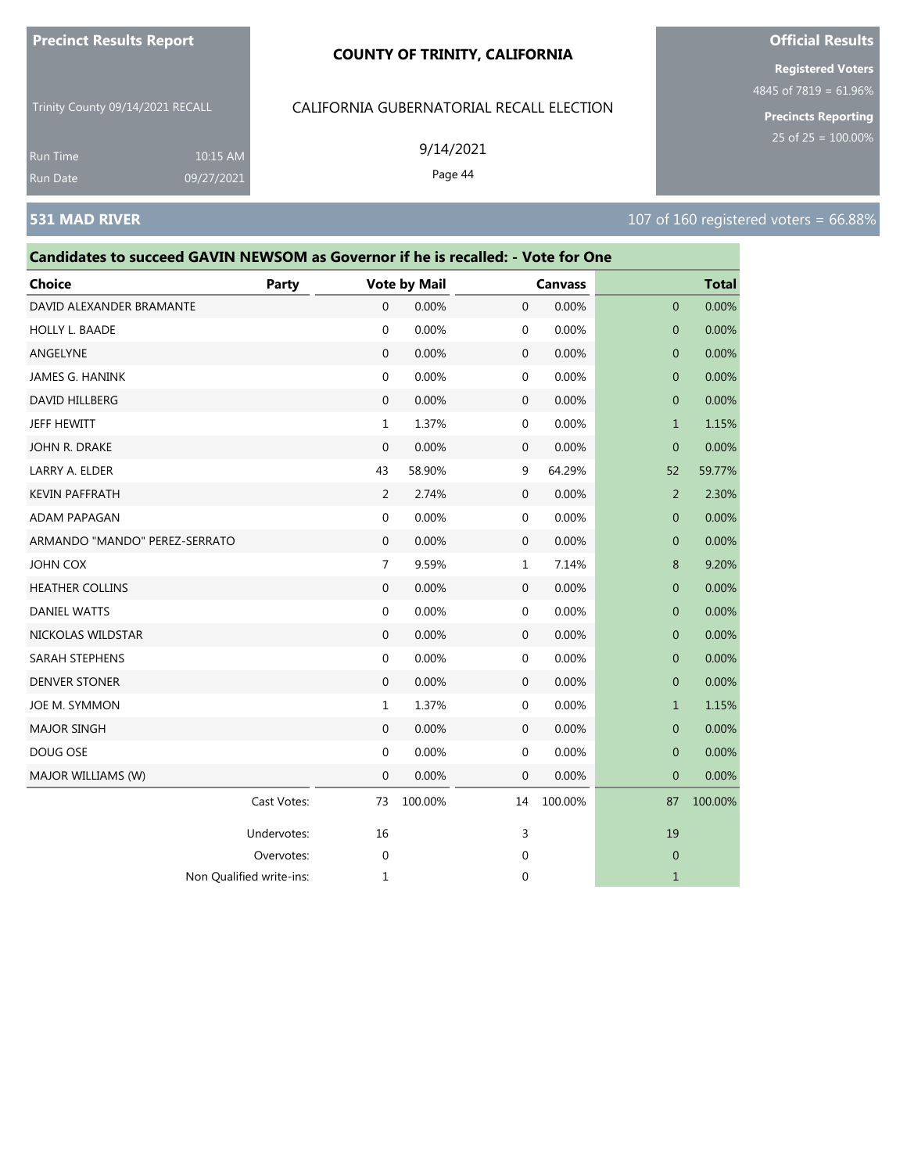#### **COUNTY OF TRINITY, CALIFORNIA**

Trinity County 09/14/2021 RECALL

Run Time 10:15 AM 09/27/2021

| CALIFORNIA GUBERNATORIAL RECALL ELECTION |  |
|------------------------------------------|--|
|                                          |  |

9/14/2021

Page 44

**Official Results Registered Voters**

4845 of 7819 = 61.96%

**Precincts Reporting**

# **531 MAD RIVER** 107 of 160 registered voters = 66.88%

| Candidates to succeed GAVIN NEWSOM as Governor if he is recalled: - Vote for One |             |                |                     |             |                |                |              |
|----------------------------------------------------------------------------------|-------------|----------------|---------------------|-------------|----------------|----------------|--------------|
| <b>Choice</b>                                                                    | Party       |                | <b>Vote by Mail</b> |             | <b>Canvass</b> |                | <b>Total</b> |
| DAVID ALEXANDER BRAMANTE                                                         |             | 0              | 0.00%               | 0           | 0.00%          | $\overline{0}$ | 0.00%        |
| HOLLY L. BAADE                                                                   |             | 0              | 0.00%               | $\mathbf 0$ | 0.00%          | $\mathbf 0$    | 0.00%        |
| ANGELYNE                                                                         |             | $\mathbf{0}$   | 0.00%               | 0           | 0.00%          | $\overline{0}$ | 0.00%        |
| JAMES G. HANINK                                                                  |             | 0              | 0.00%               | 0           | 0.00%          | $\overline{0}$ | 0.00%        |
| DAVID HILLBERG                                                                   |             | 0              | 0.00%               | 0           | 0.00%          | $\mathbf 0$    | 0.00%        |
| JEFF HEWITT                                                                      |             | $\mathbf{1}$   | 1.37%               | $\mathbf 0$ | 0.00%          | $\mathbf{1}$   | 1.15%        |
| JOHN R. DRAKE                                                                    |             | $\Omega$       | 0.00%               | 0           | 0.00%          | $\Omega$       | 0.00%        |
| LARRY A. ELDER                                                                   |             | 43             | 58.90%              | 9           | 64.29%         | 52             | 59.77%       |
| <b>KEVIN PAFFRATH</b>                                                            |             | $\overline{2}$ | 2.74%               | 0           | 0.00%          | $\overline{2}$ | 2.30%        |
| ADAM PAPAGAN                                                                     |             | 0              | 0.00%               | 0           | 0.00%          | $\mathbf 0$    | 0.00%        |
| ARMANDO "MANDO" PEREZ-SERRATO                                                    |             | $\Omega$       | 0.00%               | 0           | 0.00%          | $\Omega$       | 0.00%        |
| JOHN COX                                                                         |             | $\overline{7}$ | 9.59%               | $\mathbf 1$ | 7.14%          | 8              | 9.20%        |
| <b>HEATHER COLLINS</b>                                                           |             | $\mathbf{0}$   | 0.00%               | 0           | 0.00%          | $\mathbf 0$    | 0.00%        |
| <b>DANIEL WATTS</b>                                                              |             | 0              | 0.00%               | $\mathbf 0$ | 0.00%          | $\overline{0}$ | 0.00%        |
| NICKOLAS WILDSTAR                                                                |             | $\Omega$       | 0.00%               | 0           | 0.00%          | $\Omega$       | 0.00%        |
| SARAH STEPHENS                                                                   |             | 0              | 0.00%               | 0           | 0.00%          | $\mathbf 0$    | 0.00%        |
| <b>DENVER STONER</b>                                                             |             | $\mathbf{0}$   | 0.00%               | 0           | 0.00%          | $\overline{0}$ | 0.00%        |
| JOE M. SYMMON                                                                    |             | $\mathbf 1$    | 1.37%               | $\mathbf 0$ | 0.00%          | $\mathbf{1}$   | 1.15%        |
| <b>MAJOR SINGH</b>                                                               |             | $\overline{0}$ | 0.00%               | 0           | 0.00%          | $\overline{0}$ | 0.00%        |
| DOUG OSE                                                                         |             | 0              | 0.00%               | 0           | 0.00%          | $\mathbf 0$    | 0.00%        |
| MAJOR WILLIAMS (W)                                                               |             | 0              | 0.00%               | 0           | 0.00%          | $\overline{0}$ | 0.00%        |
|                                                                                  | Cast Votes: | 73             | 100.00%             | 14          | 100.00%        | 87             | 100.00%      |
|                                                                                  | Undervotes: | 16             |                     | 3           |                | 19             |              |
|                                                                                  | Overvotes:  | 0              |                     | 0           |                | $\overline{0}$ |              |
| Non Qualified write-ins:                                                         |             | 1              |                     | 0           |                | $\mathbf{1}$   |              |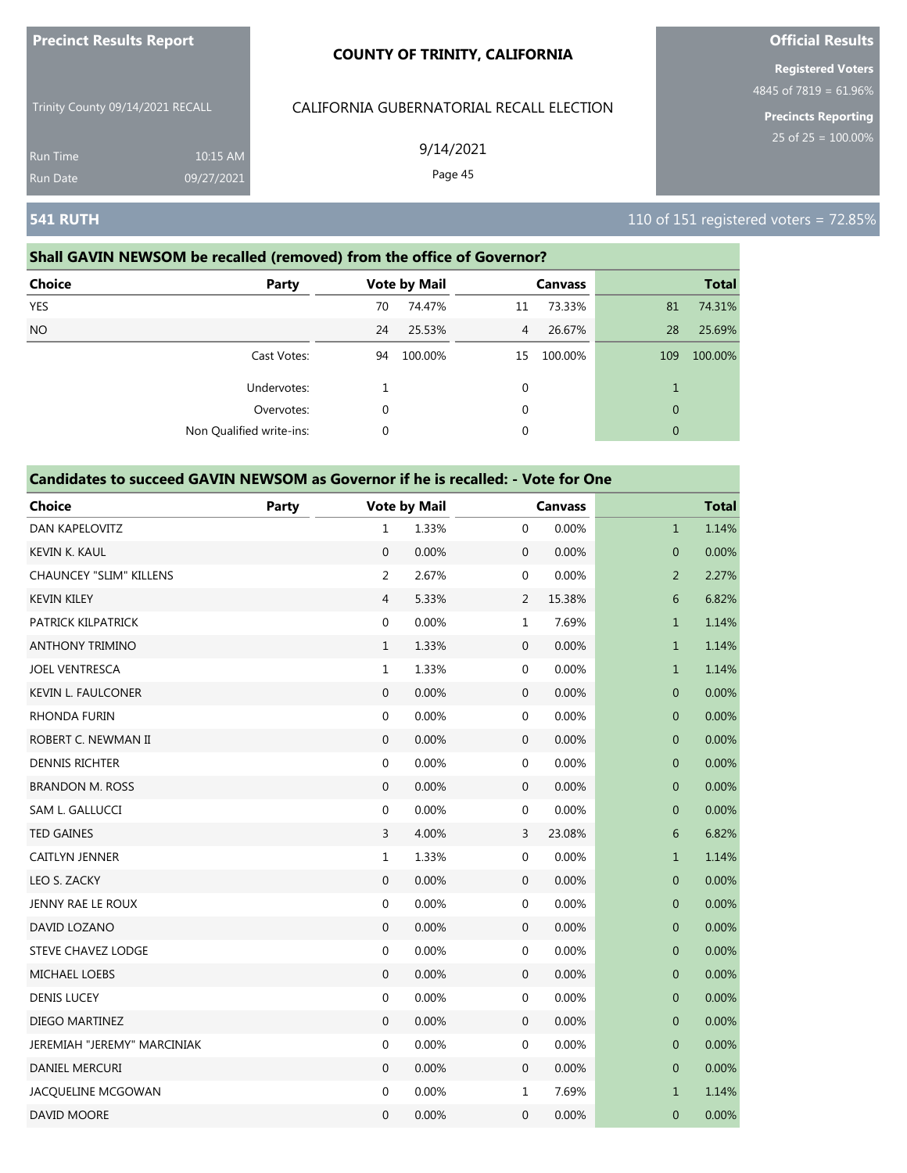| <b>Precinct Results Report</b> |  |
|--------------------------------|--|
|                                |  |

Trinity County 09/14/2021 RECALL

Run Time 10:15 AM 09/27/2021

# CALIFORNIA GUBERNATORIAL RECALL ELECTION

9/14/2021

Page 45

**Official Results Registered Voters**

4845 of 7819 = 61.96%

**Precincts Reporting**

### **Shall GAVIN NEWSOM be recalled (removed) from the office of Governor?**

| <b>Choice</b><br>Party   |    | <b>Vote by Mail</b> |                | <b>Canvass</b> |              | <b>Total</b> |
|--------------------------|----|---------------------|----------------|----------------|--------------|--------------|
| <b>YES</b>               | 70 | 74.47%              | 11             | 73.33%         | 81           | 74.31%       |
| <b>NO</b>                | 24 | 25.53%              | $\overline{4}$ | 26.67%         | 28           | 25.69%       |
| Cast Votes:              | 94 | 100.00%             | 15             | 100.00%        | 109          | 100.00%      |
| Undervotes:              |    |                     | 0              |                |              |              |
| Overvotes:               | 0  |                     | $\mathbf 0$    |                | $\mathbf{0}$ |              |
| Non Qualified write-ins: | 0  |                     | 0              |                | $\mathbf{0}$ |              |

#### **Candidates to succeed GAVIN NEWSOM as Governor if he is recalled: - Vote for One**

| <b>Choice</b>                  | <b>Party</b> |                  | <b>Vote by Mail</b> |                  | <b>Canvass</b> |                  | <b>Total</b> |
|--------------------------------|--------------|------------------|---------------------|------------------|----------------|------------------|--------------|
| DAN KAPELOVITZ                 |              | $\mathbf{1}$     | 1.33%               | $\mathbf 0$      | 0.00%          | $\mathbf{1}$     | 1.14%        |
| <b>KEVIN K. KAUL</b>           |              | $\mathbf{0}$     | 0.00%               | $\boldsymbol{0}$ | 0.00%          | $\overline{0}$   | 0.00%        |
| <b>CHAUNCEY "SLIM" KILLENS</b> |              | $\overline{2}$   | 2.67%               | 0                | 0.00%          | $\overline{2}$   | 2.27%        |
| <b>KEVIN KILEY</b>             |              | $\overline{4}$   | 5.33%               | 2                | 15.38%         | 6                | 6.82%        |
| PATRICK KILPATRICK             |              | $\boldsymbol{0}$ | 0.00%               | $\mathbf{1}$     | 7.69%          | $\mathbf{1}$     | 1.14%        |
| <b>ANTHONY TRIMINO</b>         |              | $\mathbf{1}$     | 1.33%               | $\boldsymbol{0}$ | 0.00%          | $\mathbf{1}$     | 1.14%        |
| <b>JOEL VENTRESCA</b>          |              | $1\,$            | 1.33%               | 0                | 0.00%          | $\mathbf{1}$     | 1.14%        |
| <b>KEVIN L. FAULCONER</b>      |              | $\mathbf 0$      | 0.00%               | 0                | 0.00%          | $\pmb{0}$        | 0.00%        |
| <b>RHONDA FURIN</b>            |              | $\boldsymbol{0}$ | 0.00%               | $\boldsymbol{0}$ | 0.00%          | $\mathbf 0$      | 0.00%        |
| ROBERT C. NEWMAN II            |              | $\mathbf{0}$     | 0.00%               | $\boldsymbol{0}$ | 0.00%          | $\overline{0}$   | 0.00%        |
| <b>DENNIS RICHTER</b>          |              | $\boldsymbol{0}$ | 0.00%               | 0                | 0.00%          | $\boldsymbol{0}$ | 0.00%        |
| <b>BRANDON M. ROSS</b>         |              | $\mathbf 0$      | 0.00%               | $\mathbf 0$      | 0.00%          | 0                | 0.00%        |
| SAM L. GALLUCCI                |              | $\boldsymbol{0}$ | 0.00%               | 0                | 0.00%          | $\mathbf{0}$     | 0.00%        |
| <b>TED GAINES</b>              |              | 3                | 4.00%               | 3                | 23.08%         | 6                | 6.82%        |
| CAITLYN JENNER                 |              | $\mathbf{1}$     | 1.33%               | 0                | 0.00%          | $\mathbf{1}$     | 1.14%        |
| LEO S. ZACKY                   |              | $\boldsymbol{0}$ | 0.00%               | $\mathbf 0$      | 0.00%          | $\mathbf 0$      | 0.00%        |
| JENNY RAE LE ROUX              |              | $\mathbf{0}$     | 0.00%               | $\boldsymbol{0}$ | 0.00%          | $\mathbf 0$      | 0.00%        |
| DAVID LOZANO                   |              | $\mathbf{0}$     | 0.00%               | $\boldsymbol{0}$ | 0.00%          | $\mathbf{0}$     | 0.00%        |
| STEVE CHAVEZ LODGE             |              | $\boldsymbol{0}$ | 0.00%               | 0                | 0.00%          | $\pmb{0}$        | 0.00%        |
| <b>MICHAEL LOEBS</b>           |              | $\mathbf{0}$     | 0.00%               | $\mathbf 0$      | 0.00%          | $\mathbf 0$      | 0.00%        |
| <b>DENIS LUCEY</b>             |              | $\boldsymbol{0}$ | 0.00%               | 0                | 0.00%          | $\mathbf{0}$     | 0.00%        |
| DIEGO MARTINEZ                 |              | $\mathbf{0}$     | 0.00%               | $\mathbf 0$      | 0.00%          | $\mathbf 0$      | 0.00%        |
| JEREMIAH "JEREMY" MARCINIAK    |              | $\boldsymbol{0}$ | 0.00%               | 0                | 0.00%          | $\mathbf 0$      | 0.00%        |
| DANIEL MERCURI                 |              | $\mathbf{0}$     | 0.00%               | $\mathbf 0$      | 0.00%          | $\mathbf 0$      | 0.00%        |
| JACQUELINE MCGOWAN             |              | $\boldsymbol{0}$ | 0.00%               | $\mathbf 1$      | 7.69%          | $\mathbf{1}$     | 1.14%        |
| DAVID MOORE                    |              | $\mathbf 0$      | 0.00%               | $\mathbf 0$      | 0.00%          | $\mathbf{0}$     | 0.00%        |

**541 RUTH** 110 of 151 registered voters = 72.85%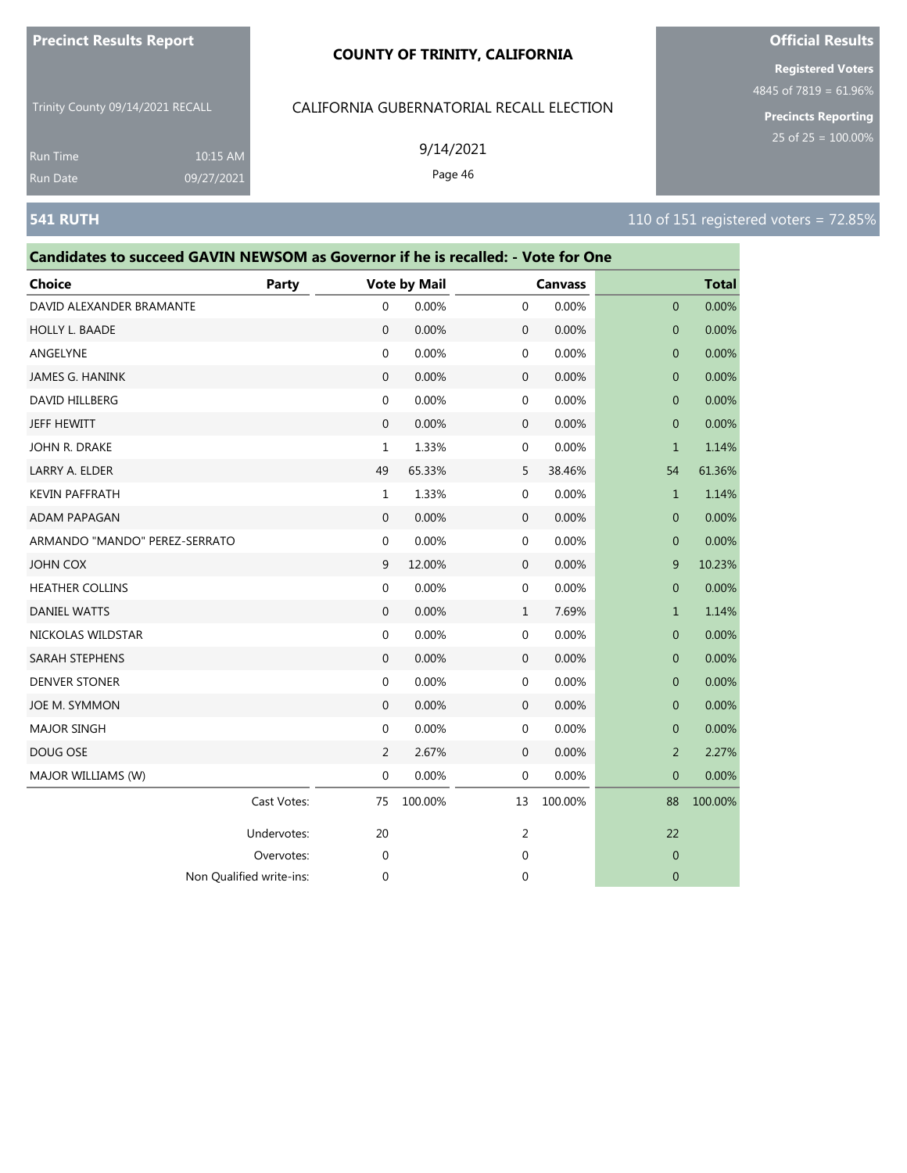#### **COUNTY OF TRINITY, CALIFORNIA**

Trinity County 09/14/2021 RECALL

10:15 AM 09/27/2021

# CALIFORNIA GUBERNATORIAL RECALL ELECTION

9/14/2021

Page 46

**Registered Voters**

4845 of 7819 = 61.96%

**Precincts Reporting**

Run Time

# **Candidates to succeed GAVIN NEWSOM as Governor if he is recalled: - Vote for One**

| <b>Choice</b>                 | Party       |                  | <b>Vote by Mail</b> |              | <b>Canvass</b> |                | <b>Total</b> |
|-------------------------------|-------------|------------------|---------------------|--------------|----------------|----------------|--------------|
| DAVID ALEXANDER BRAMANTE      |             | $\mathbf 0$      | 0.00%               | 0            | 0.00%          | $\mathbf{0}$   | 0.00%        |
| HOLLY L. BAADE                |             | $\boldsymbol{0}$ | 0.00%               | $\mathbf 0$  | 0.00%          | 0              | 0.00%        |
| ANGELYNE                      |             | $\mathbf 0$      | 0.00%               | 0            | 0.00%          | $\mathbf 0$    | 0.00%        |
| <b>JAMES G. HANINK</b>        |             | $\mathbf{0}$     | 0.00%               | $\mathbf 0$  | 0.00%          | $\mathbf{0}$   | 0.00%        |
| DAVID HILLBERG                |             | $\mathbf{0}$     | 0.00%               | 0            | 0.00%          | $\mathbf 0$    | 0.00%        |
| <b>JEFF HEWITT</b>            |             | $\mathbf{0}$     | 0.00%               | $\mathbf 0$  | 0.00%          | $\mathbf{0}$   | 0.00%        |
| JOHN R. DRAKE                 |             | $\mathbf{1}$     | 1.33%               | 0            | 0.00%          | $\mathbf{1}$   | 1.14%        |
| LARRY A. ELDER                |             | 49               | 65.33%              | 5            | 38.46%         | 54             | 61.36%       |
| <b>KEVIN PAFFRATH</b>         |             | $\mathbf{1}$     | 1.33%               | 0            | 0.00%          | $\mathbf{1}$   | 1.14%        |
| <b>ADAM PAPAGAN</b>           |             | $\mathbf{0}$     | 0.00%               | $\mathbf 0$  | 0.00%          | 0              | 0.00%        |
| ARMANDO "MANDO" PEREZ-SERRATO |             | 0                | 0.00%               | 0            | 0.00%          | 0              | 0.00%        |
| <b>JOHN COX</b>               |             | 9                | 12.00%              | $\mathbf 0$  | 0.00%          | 9              | 10.23%       |
| <b>HEATHER COLLINS</b>        |             | 0                | 0.00%               | 0            | 0.00%          | $\mathbf 0$    | 0.00%        |
| <b>DANIEL WATTS</b>           |             | $\mathbf{0}$     | 0.00%               | $\mathbf{1}$ | 7.69%          | $\mathbf{1}$   | 1.14%        |
| NICKOLAS WILDSTAR             |             | $\mathbf{0}$     | 0.00%               | $\mathbf 0$  | 0.00%          | $\mathbf 0$    | 0.00%        |
| SARAH STEPHENS                |             | $\mathbf{0}$     | 0.00%               | $\mathbf 0$  | 0.00%          | $\mathbf 0$    | 0.00%        |
| <b>DENVER STONER</b>          |             | $\mathbf 0$      | 0.00%               | 0            | 0.00%          | 0              | 0.00%        |
| JOE M. SYMMON                 |             | $\mathbf 0$      | 0.00%               | $\mathbf 0$  | 0.00%          | 0              | 0.00%        |
| <b>MAJOR SINGH</b>            |             | $\mathbf{0}$     | 0.00%               | 0            | 0.00%          | $\mathbf 0$    | 0.00%        |
| DOUG OSE                      |             | $\overline{2}$   | 2.67%               | $\mathbf 0$  | 0.00%          | $\overline{2}$ | 2.27%        |
| MAJOR WILLIAMS (W)            |             | $\mathbf 0$      | 0.00%               | 0            | 0.00%          | 0              | 0.00%        |
|                               | Cast Votes: | 75               | 100.00%             | 13           | 100.00%        | 88             | 100.00%      |
|                               | Undervotes: | 20               |                     | 2            |                | 22             |              |
|                               | Overvotes:  | $\mathbf{0}$     |                     | 0            |                | $\mathbf 0$    |              |
| Non Qualified write-ins:      |             | $\mathbf 0$      |                     | 0            |                | $\mathbf 0$    |              |



# **541 RUTH** 110 of 151 registered voters = 72.85%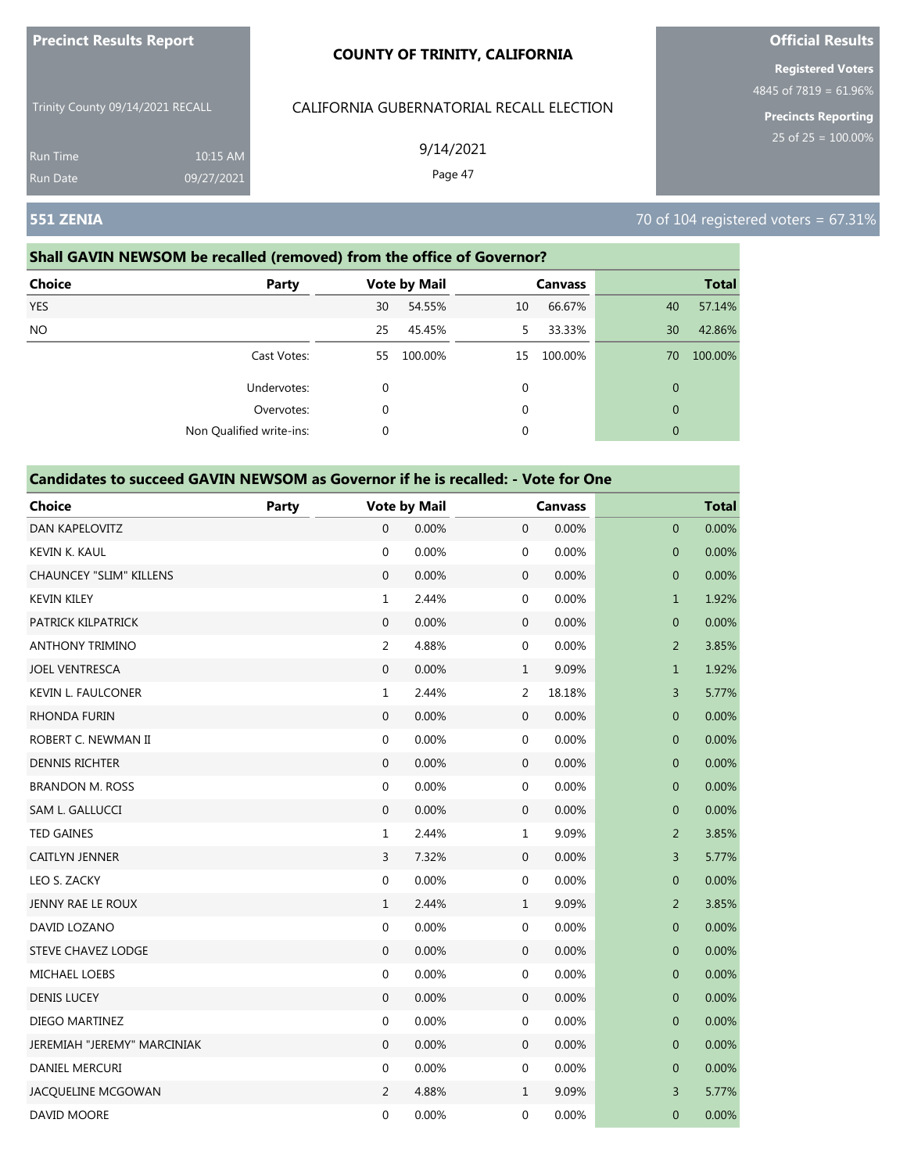| <b>Precinct Results Report</b> |
|--------------------------------|
|--------------------------------|

Trinity County 09/14/2021 RECALL

Run Time 10:15 AM 09/27/2021

# CALIFORNIA GUBERNATORIAL RECALL ELECTION

9/14/2021

Page 47

**Official Results**

**Registered Voters** 4845 of 7819 = 61.96%

**Precincts Reporting**

**551 ZENIA** 70 of 104 registered voters = 67.31%

# **Shall GAVIN NEWSOM be recalled (removed) from the office of Governor?**

| <b>Choice</b><br>Party   |             | <b>Vote by Mail</b> |    | <b>Canvass</b> |              | <b>Total</b> |
|--------------------------|-------------|---------------------|----|----------------|--------------|--------------|
| <b>YES</b>               | 30          | 54.55%              | 10 | 66.67%         | 40           | 57.14%       |
| NO.                      | 25          | 45.45%              | 5  | 33.33%         | 30           | 42.86%       |
| Cast Votes:              | 55          | 100.00%             | 15 | 100.00%        | 70           | 100.00%      |
| Undervotes:              | $\mathbf 0$ |                     | 0  |                | $\mathbf{0}$ |              |
| Overvotes:               | $\mathbf 0$ |                     | 0  |                | $\mathbf{0}$ |              |
| Non Qualified write-ins: | 0           |                     | 0  |                | $\mathbf{0}$ |              |

| <b>Choice</b>                  | Party |                  | <b>Vote by Mail</b> |                  | <b>Canvass</b> |                | <b>Total</b> |
|--------------------------------|-------|------------------|---------------------|------------------|----------------|----------------|--------------|
| <b>DAN KAPELOVITZ</b>          |       | $\Omega$         | 0.00%               | $\mathbf{0}$     | 0.00%          | $\overline{0}$ | 0.00%        |
| KEVIN K. KAUL                  |       | $\boldsymbol{0}$ | 0.00%               | 0                | 0.00%          | $\pmb{0}$      | 0.00%        |
| <b>CHAUNCEY "SLIM" KILLENS</b> |       | $\mathbf 0$      | 0.00%               | $\mathbf 0$      | 0.00%          | $\pmb{0}$      | 0.00%        |
| <b>KEVIN KILEY</b>             |       | $\mathbf{1}$     | 2.44%               | 0                | 0.00%          | $\mathbf{1}$   | 1.92%        |
| PATRICK KILPATRICK             |       | $\overline{0}$   | 0.00%               | $\boldsymbol{0}$ | 0.00%          | $\mathbf{0}$   | 0.00%        |
| <b>ANTHONY TRIMINO</b>         |       | $\overline{2}$   | 4.88%               | 0                | 0.00%          | $\overline{2}$ | 3.85%        |
| <b>JOEL VENTRESCA</b>          |       | $\boldsymbol{0}$ | 0.00%               | $\mathbf{1}$     | 9.09%          | $\mathbf{1}$   | 1.92%        |
| <b>KEVIN L. FAULCONER</b>      |       | $\mathbf{1}$     | 2.44%               | $\overline{2}$   | 18.18%         | 3              | 5.77%        |
| <b>RHONDA FURIN</b>            |       | $\overline{0}$   | 0.00%               | $\boldsymbol{0}$ | 0.00%          | $\mathbf 0$    | 0.00%        |
| ROBERT C. NEWMAN II            |       | $\boldsymbol{0}$ | 0.00%               | 0                | 0.00%          | $\overline{0}$ | 0.00%        |
| <b>DENNIS RICHTER</b>          |       | $\boldsymbol{0}$ | 0.00%               | $\boldsymbol{0}$ | 0.00%          | $\pmb{0}$      | 0.00%        |
| <b>BRANDON M. ROSS</b>         |       | $\mathbf 0$      | 0.00%               | 0                | 0.00%          | $\pmb{0}$      | 0.00%        |
| SAM L. GALLUCCI                |       | 0                | 0.00%               | $\boldsymbol{0}$ | 0.00%          | $\mathbf 0$    | 0.00%        |
| <b>TED GAINES</b>              |       | $\mathbf{1}$     | 2.44%               | $\mathbf 1$      | 9.09%          | $\overline{2}$ | 3.85%        |
| <b>CAITLYN JENNER</b>          |       | $\overline{3}$   | 7.32%               | $\mathbf 0$      | 0.00%          | 3              | 5.77%        |
| LEO S. ZACKY                   |       | $\mathbf 0$      | 0.00%               | 0                | 0.00%          | $\mathbf 0$    | 0.00%        |
| JENNY RAE LE ROUX              |       | $\mathbf{1}$     | 2.44%               | $\mathbf{1}$     | 9.09%          | $\overline{2}$ | 3.85%        |
| DAVID LOZANO                   |       | $\mathbf 0$      | 0.00%               | 0                | 0.00%          | $\mathbf{0}$   | 0.00%        |
| <b>STEVE CHAVEZ LODGE</b>      |       | $\mathbf{0}$     | 0.00%               | $\boldsymbol{0}$ | 0.00%          | $\mathbf 0$    | 0.00%        |
| <b>MICHAEL LOEBS</b>           |       | $\mathbf 0$      | 0.00%               | 0                | 0.00%          | $\mathbf 0$    | 0.00%        |
| <b>DENIS LUCEY</b>             |       | $\boldsymbol{0}$ | 0.00%               | $\boldsymbol{0}$ | 0.00%          | $\mathbf{0}$   | 0.00%        |
| DIEGO MARTINEZ                 |       | $\boldsymbol{0}$ | 0.00%               | 0                | 0.00%          | $\mathbf 0$    | 0.00%        |
| JEREMIAH "JEREMY" MARCINIAK    |       | $\boldsymbol{0}$ | 0.00%               | $\boldsymbol{0}$ | 0.00%          | $\pmb{0}$      | 0.00%        |
| DANIEL MERCURI                 |       | 0                | 0.00%               | 0                | 0.00%          | $\pmb{0}$      | 0.00%        |
| JACQUELINE MCGOWAN             |       | 2                | 4.88%               | $\mathbf{1}$     | 9.09%          | 3              | 5.77%        |
| DAVID MOORE                    |       | 0                | 0.00%               | 0                | 0.00%          | $\mathbf 0$    | 0.00%        |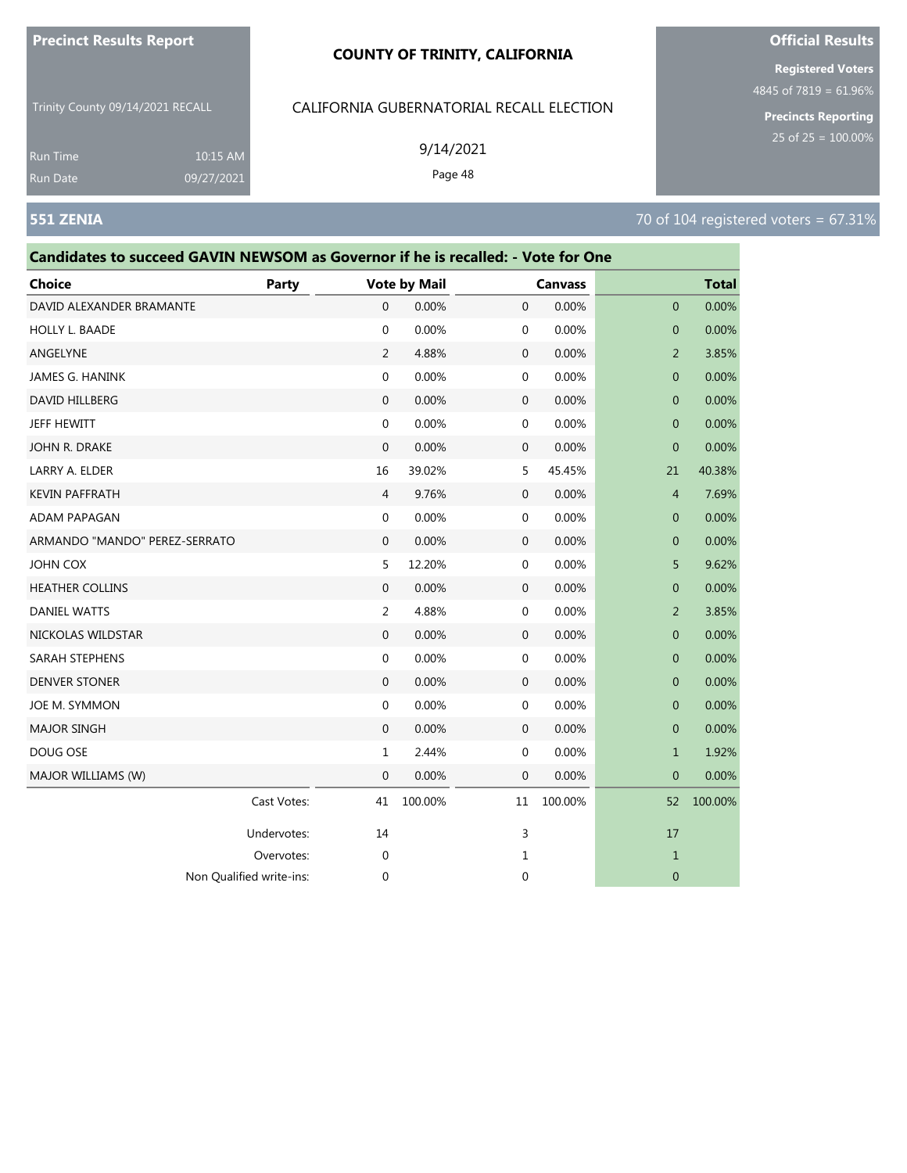### **COUNTY OF TRINITY, CALIFORNIA**

Trinity County 09/14/2021 RECALL

10:15 AM 09/27/2021

### CALIFORNIA GUBERNATORIAL RECALL ELECTION

9/14/2021

Page 48

Overvotes: 0 1 1

Non Qualified write-ins: 0 0 0

**Registered Voters**

4845 of 7819 = 61.96%

**Precincts Reporting**

Run Time

| Candidates to succeed GAVIN NEWSOM as Governor if he is recalled: - Vote for One |             |                |                     |              |                |                |              |
|----------------------------------------------------------------------------------|-------------|----------------|---------------------|--------------|----------------|----------------|--------------|
| <b>Choice</b>                                                                    | Party       |                | <b>Vote by Mail</b> |              | <b>Canvass</b> |                | <b>Total</b> |
| DAVID ALEXANDER BRAMANTE                                                         |             | $\overline{0}$ | 0.00%               | $\mathbf{0}$ | 0.00%          | $\overline{0}$ | 0.00%        |
| <b>HOLLY L. BAADE</b>                                                            |             | $\Omega$       | 0.00%               | $\mathbf{0}$ | 0.00%          | $\overline{0}$ | 0.00%        |
| ANGELYNE                                                                         |             | 2              | 4.88%               | $\mathbf{0}$ | 0.00%          | $\overline{2}$ | 3.85%        |
| JAMES G. HANINK                                                                  |             | $\mathbf{0}$   | 0.00%               | $\mathbf{0}$ | 0.00%          | $\overline{0}$ | 0.00%        |
| DAVID HILLBERG                                                                   |             | $\mathbf{0}$   | 0.00%               | $\mathbf 0$  | 0.00%          | $\mathbf{0}$   | 0.00%        |
| JEFF HEWITT                                                                      |             | $\mathbf{0}$   | 0.00%               | $\mathbf{0}$ | 0.00%          | $\overline{0}$ | 0.00%        |
| JOHN R. DRAKE                                                                    |             | $\mathbf{0}$   | 0.00%               | $\mathbf{0}$ | 0.00%          | $\mathbf{0}$   | 0.00%        |
| LARRY A. ELDER                                                                   |             | 16             | 39.02%              | 5            | 45.45%         | 21             | 40.38%       |
| <b>KEVIN PAFFRATH</b>                                                            |             | $\overline{4}$ | 9.76%               | $\mathbf{0}$ | 0.00%          | $\overline{4}$ | 7.69%        |
| <b>ADAM PAPAGAN</b>                                                              |             | $\mathbf{0}$   | 0.00%               | $\mathbf 0$  | 0.00%          | $\mathbf{0}$   | 0.00%        |
| ARMANDO "MANDO" PEREZ-SERRATO                                                    |             | $\mathbf{0}$   | 0.00%               | $\mathbf{0}$ | 0.00%          | $\mathbf{0}$   | 0.00%        |
| <b>JOHN COX</b>                                                                  |             | 5              | 12.20%              | $\mathbf{0}$ | 0.00%          | 5              | 9.62%        |
| <b>HEATHER COLLINS</b>                                                           |             | $\Omega$       | 0.00%               | $\mathbf{0}$ | 0.00%          | $\mathbf{0}$   | 0.00%        |
| <b>DANIEL WATTS</b>                                                              |             | $\overline{2}$ | 4.88%               | $\mathbf{0}$ | 0.00%          | 2              | 3.85%        |
| NICKOLAS WILDSTAR                                                                |             | $\Omega$       | 0.00%               | $\mathbf{0}$ | 0.00%          | $\overline{0}$ | 0.00%        |
| SARAH STEPHENS                                                                   |             | $\mathbf{0}$   | 0.00%               | $\mathbf{0}$ | 0.00%          | $\mathbf{0}$   | 0.00%        |
| <b>DENVER STONER</b>                                                             |             | $\mathbf{0}$   | 0.00%               | $\mathbf{0}$ | 0.00%          | $\mathbf{0}$   | 0.00%        |
| JOE M. SYMMON                                                                    |             | $\mathbf{0}$   | 0.00%               | $\mathbf{0}$ | 0.00%          | $\mathbf{0}$   | 0.00%        |
| <b>MAJOR SINGH</b>                                                               |             | $\mathbf{0}$   | 0.00%               | $\mathbf{0}$ | 0.00%          | $\mathbf{0}$   | 0.00%        |
| DOUG OSE                                                                         |             | $\mathbf{1}$   | 2.44%               | $\mathbf{0}$ | 0.00%          | $\mathbf{1}$   | 1.92%        |
| MAJOR WILLIAMS (W)                                                               |             | $\mathbf{0}$   | 0.00%               | $\mathbf{0}$ | 0.00%          | $\mathbf{0}$   | 0.00%        |
|                                                                                  | Cast Votes: | 41             | 100.00%             | 11           | 100.00%        | 52             | 100.00%      |
|                                                                                  | Undervotes: | 14             |                     | 3            |                | 17             |              |

# **Official Results**

**551 ZENIA** 70 of 104 registered voters = 67.31%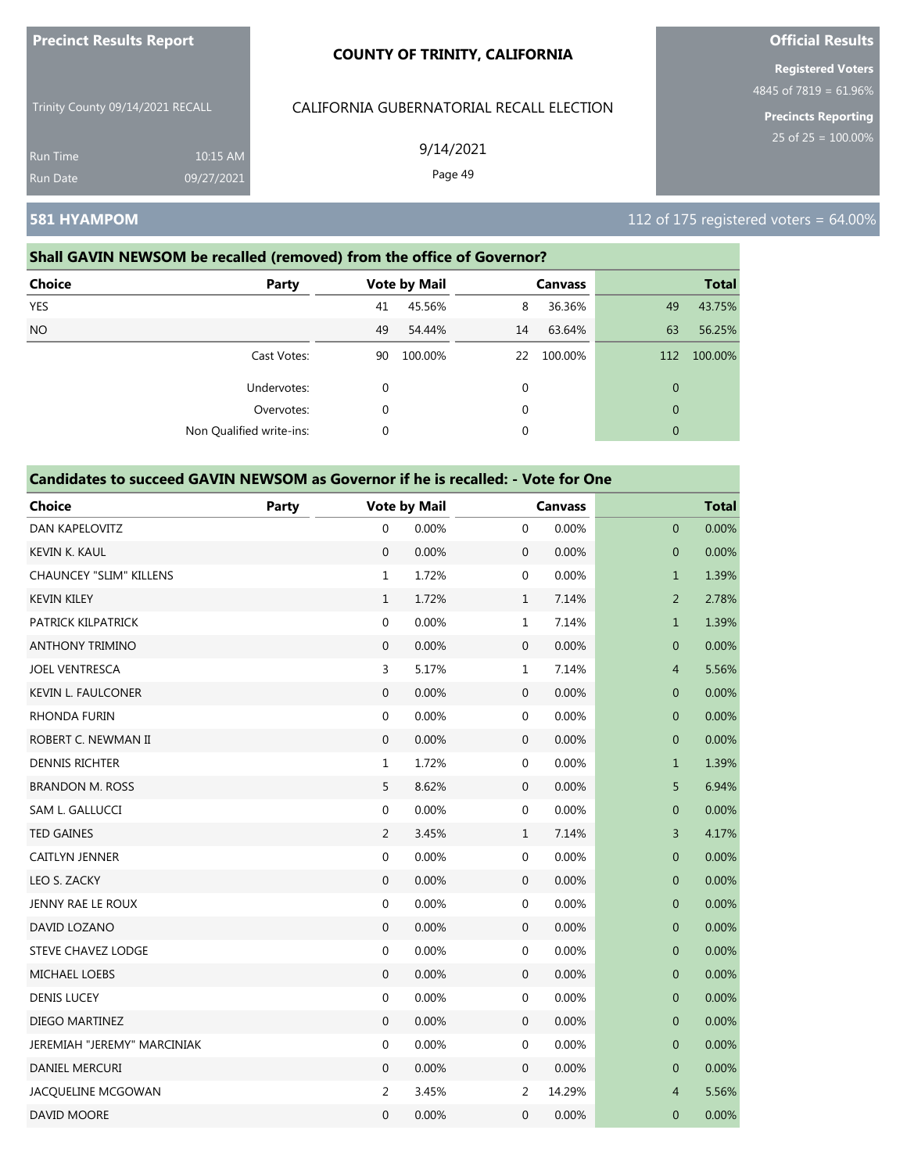| <b>Precinct Results Report</b> |
|--------------------------------|
|--------------------------------|

Trinity County 09/14/2021 RECALL

Run Time 10:15 AM 09/27/2021

# CALIFORNIA GUBERNATORIAL RECALL ELECTION

9/14/2021

Page 49

# **Official Results Registered Voters**

4845 of 7819 = 61.96%

**Precincts Reporting**

### **581 HYAMPOM** 112 of 175 registered voters = 64.00%

# **Shall GAVIN NEWSOM be recalled (removed) from the office of Governor? Choice Party Vote by Mail Canvass Total** YES 41 45.56% 8 36.36% 49 43.75% NO 49 54.44% 14 63.64% 63 56.25% Cast Votes: 90 100.00% 22 100.00% 112 100.00% Undervotes: 0 0 0 Overvotes: 0 0 0 Non Qualified write-ins: 0 0 0

| <b>Choice</b>                  | <b>Party</b> |                  | <b>Vote by Mail</b> |                  | <b>Canvass</b> |                | <b>Total</b> |
|--------------------------------|--------------|------------------|---------------------|------------------|----------------|----------------|--------------|
| DAN KAPELOVITZ                 |              | $\mathbf{0}$     | 0.00%               | $\mathbf 0$      | 0.00%          | $\mathbf 0$    | 0.00%        |
| <b>KEVIN K. KAUL</b>           |              | $\mathbf{0}$     | 0.00%               | $\boldsymbol{0}$ | 0.00%          | $\overline{0}$ | 0.00%        |
| <b>CHAUNCEY "SLIM" KILLENS</b> |              | $\mathbf 1$      | 1.72%               | $\boldsymbol{0}$ | 0.00%          | $\mathbf{1}$   | 1.39%        |
| <b>KEVIN KILEY</b>             |              | $\mathbf{1}$     | 1.72%               | $\mathbf{1}$     | 7.14%          | $\overline{2}$ | 2.78%        |
| PATRICK KILPATRICK             |              | $\boldsymbol{0}$ | 0.00%               | $1\,$            | 7.14%          | $\mathbf{1}$   | 1.39%        |
| <b>ANTHONY TRIMINO</b>         |              | $\mathbf{0}$     | 0.00%               | $\boldsymbol{0}$ | 0.00%          | $\overline{0}$ | 0.00%        |
| <b>JOEL VENTRESCA</b>          |              | $\overline{3}$   | 5.17%               | $\mathbf 1$      | 7.14%          | $\overline{4}$ | 5.56%        |
| <b>KEVIN L. FAULCONER</b>      |              | $\mathbf 0$      | 0.00%               | 0                | 0.00%          | 0              | 0.00%        |
| <b>RHONDA FURIN</b>            |              | $\boldsymbol{0}$ | 0.00%               | $\boldsymbol{0}$ | 0.00%          | $\mathbf 0$    | 0.00%        |
| ROBERT C. NEWMAN II            |              | $\mathbf 0$      | 0.00%               | $\boldsymbol{0}$ | 0.00%          | $\overline{0}$ | 0.00%        |
| <b>DENNIS RICHTER</b>          |              | $\mathbf{1}$     | 1.72%               | $\boldsymbol{0}$ | 0.00%          | $\mathbf{1}$   | 1.39%        |
| <b>BRANDON M. ROSS</b>         |              | 5                | 8.62%               | 0                | 0.00%          | 5              | 6.94%        |
| SAM L. GALLUCCI                |              | $\boldsymbol{0}$ | 0.00%               | $\boldsymbol{0}$ | 0.00%          | $\mathbf{0}$   | 0.00%        |
| <b>TED GAINES</b>              |              | $\overline{2}$   | 3.45%               | $\mathbf{1}$     | 7.14%          | 3              | 4.17%        |
| CAITLYN JENNER                 |              | $\boldsymbol{0}$ | 0.00%               | $\boldsymbol{0}$ | 0.00%          | $\pmb{0}$      | 0.00%        |
| LEO S. ZACKY                   |              | $\mathbf 0$      | 0.00%               | $\mathbf 0$      | 0.00%          | $\mathbf 0$    | 0.00%        |
| JENNY RAE LE ROUX              |              | $\mathbf{0}$     | 0.00%               | $\boldsymbol{0}$ | 0.00%          | $\mathbf{0}$   | 0.00%        |
| DAVID LOZANO                   |              | $\boldsymbol{0}$ | 0.00%               | $\boldsymbol{0}$ | 0.00%          | $\mathbf{0}$   | 0.00%        |
| STEVE CHAVEZ LODGE             |              | 0                | 0.00%               | 0                | 0.00%          | $\pmb{0}$      | 0.00%        |
| <b>MICHAEL LOEBS</b>           |              | $\mathbf{0}$     | 0.00%               | 0                | 0.00%          | $\mathbf 0$    | 0.00%        |
| <b>DENIS LUCEY</b>             |              | $\boldsymbol{0}$ | 0.00%               | $\boldsymbol{0}$ | 0.00%          | $\mathbf{0}$   | 0.00%        |
| DIEGO MARTINEZ                 |              | $\boldsymbol{0}$ | 0.00%               | $\mathbf 0$      | 0.00%          | $\mathbf 0$    | 0.00%        |
| JEREMIAH "JEREMY" MARCINIAK    |              | $\boldsymbol{0}$ | 0.00%               | 0                | 0.00%          | $\mathbf 0$    | 0.00%        |
| DANIEL MERCURI                 |              | $\mathbf{0}$     | 0.00%               | $\mathbf 0$      | 0.00%          | $\mathbf 0$    | 0.00%        |
| JACQUELINE MCGOWAN             |              | $\overline{2}$   | 3.45%               | 2                | 14.29%         | $\overline{4}$ | 5.56%        |
| DAVID MOORE                    |              | $\mathbf{0}$     | 0.00%               | 0                | 0.00%          | $\mathbf 0$    | 0.00%        |